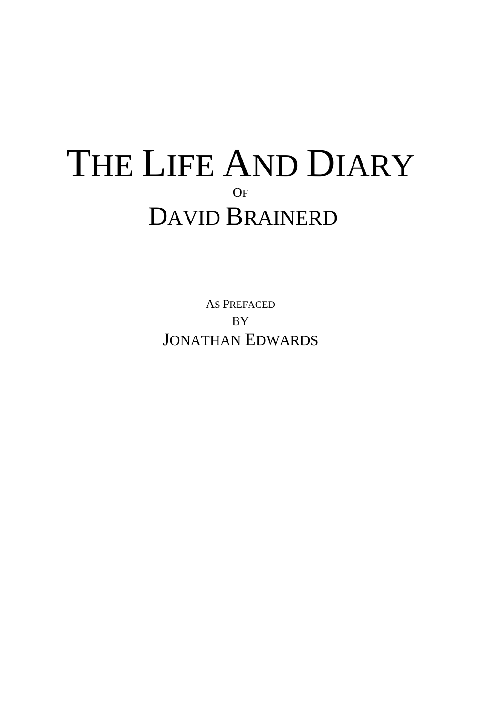## THE LIFE AND DIARY OF DAVID BRAINERD

AS PREFACED BY JONATHAN EDWARDS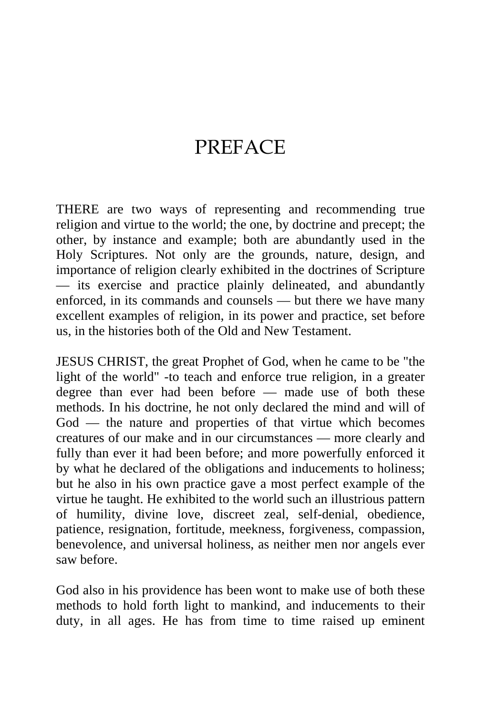#### PREFACE

THERE are two ways of representing and recommending true religion and virtue to the world; the one, by doctrine and precept; the other, by instance and example; both are abundantly used in the Holy Scriptures. Not only are the grounds, nature, design, and importance of religion clearly exhibited in the doctrines of Scripture — its exercise and practice plainly delineated, and abundantly enforced, in its commands and counsels — but there we have many excellent examples of religion, in its power and practice, set before us, in the histories both of the Old and New Testament.

JESUS CHRIST, the great Prophet of God, when he came to be "the light of the world" -to teach and enforce true religion, in a greater degree than ever had been before — made use of both these methods. In his doctrine, he not only declared the mind and will of God — the nature and properties of that virtue which becomes creatures of our make and in our circumstances — more clearly and fully than ever it had been before; and more powerfully enforced it by what he declared of the obligations and inducements to holiness; but he also in his own practice gave a most perfect example of the virtue he taught. He exhibited to the world such an illustrious pattern of humility, divine love, discreet zeal, self-denial, obedience, patience, resignation, fortitude, meekness, forgiveness, compassion, benevolence, and universal holiness, as neither men nor angels ever saw before.

God also in his providence has been wont to make use of both these methods to hold forth light to mankind, and inducements to their duty, in all ages. He has from time to time raised up eminent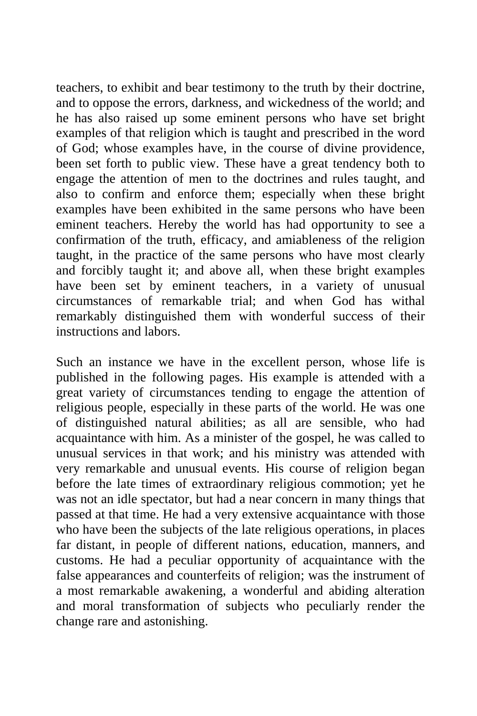teachers, to exhibit and bear testimony to the truth by their doctrine, and to oppose the errors, darkness, and wickedness of the world; and he has also raised up some eminent persons who have set bright examples of that religion which is taught and prescribed in the word of God; whose examples have, in the course of divine providence, been set forth to public view. These have a great tendency both to engage the attention of men to the doctrines and rules taught, and also to confirm and enforce them; especially when these bright examples have been exhibited in the same persons who have been eminent teachers. Hereby the world has had opportunity to see a confirmation of the truth, efficacy, and amiableness of the religion taught, in the practice of the same persons who have most clearly and forcibly taught it; and above all, when these bright examples have been set by eminent teachers, in a variety of unusual circumstances of remarkable trial; and when God has withal remarkably distinguished them with wonderful success of their instructions and labors.

Such an instance we have in the excellent person, whose life is published in the following pages. His example is attended with a great variety of circumstances tending to engage the attention of religious people, especially in these parts of the world. He was one of distinguished natural abilities; as all are sensible, who had acquaintance with him. As a minister of the gospel, he was called to unusual services in that work; and his ministry was attended with very remarkable and unusual events. His course of religion began before the late times of extraordinary religious commotion; yet he was not an idle spectator, but had a near concern in many things that passed at that time. He had a very extensive acquaintance with those who have been the subjects of the late religious operations, in places far distant, in people of different nations, education, manners, and customs. He had a peculiar opportunity of acquaintance with the false appearances and counterfeits of religion; was the instrument of a most remarkable awakening, a wonderful and abiding alteration and moral transformation of subjects who peculiarly render the change rare and astonishing.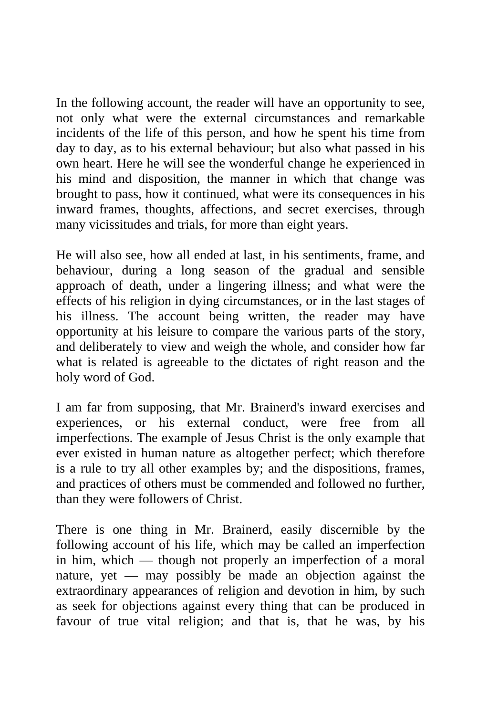In the following account, the reader will have an opportunity to see, not only what were the external circumstances and remarkable incidents of the life of this person, and how he spent his time from day to day, as to his external behaviour; but also what passed in his own heart. Here he will see the wonderful change he experienced in his mind and disposition, the manner in which that change was brought to pass, how it continued, what were its consequences in his inward frames, thoughts, affections, and secret exercises, through many vicissitudes and trials, for more than eight years.

He will also see, how all ended at last, in his sentiments, frame, and behaviour, during a long season of the gradual and sensible approach of death, under a lingering illness; and what were the effects of his religion in dying circumstances, or in the last stages of his illness. The account being written, the reader may have opportunity at his leisure to compare the various parts of the story, and deliberately to view and weigh the whole, and consider how far what is related is agreeable to the dictates of right reason and the holy word of God.

I am far from supposing, that Mr. Brainerd's inward exercises and experiences, or his external conduct, were free from all imperfections. The example of Jesus Christ is the only example that ever existed in human nature as altogether perfect; which therefore is a rule to try all other examples by; and the dispositions, frames, and practices of others must be commended and followed no further, than they were followers of Christ.

There is one thing in Mr. Brainerd, easily discernible by the following account of his life, which may be called an imperfection in him, which — though not properly an imperfection of a moral nature, yet — may possibly be made an objection against the extraordinary appearances of religion and devotion in him, by such as seek for objections against every thing that can be produced in favour of true vital religion; and that is, that he was, by his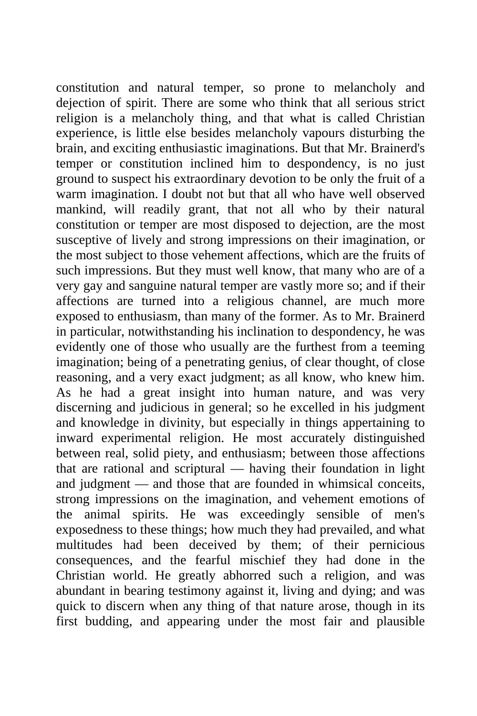constitution and natural temper, so prone to melancholy and dejection of spirit. There are some who think that all serious strict religion is a melancholy thing, and that what is called Christian experience, is little else besides melancholy vapours disturbing the brain, and exciting enthusiastic imaginations. But that Mr. Brainerd's temper or constitution inclined him to despondency, is no just ground to suspect his extraordinary devotion to be only the fruit of a warm imagination. I doubt not but that all who have well observed mankind, will readily grant, that not all who by their natural constitution or temper are most disposed to dejection, are the most susceptive of lively and strong impressions on their imagination, or the most subject to those vehement affections, which are the fruits of such impressions. But they must well know, that many who are of a very gay and sanguine natural temper are vastly more so; and if their affections are turned into a religious channel, are much more exposed to enthusiasm, than many of the former. As to Mr. Brainerd in particular, notwithstanding his inclination to despondency, he was evidently one of those who usually are the furthest from a teeming imagination; being of a penetrating genius, of clear thought, of close reasoning, and a very exact judgment; as all know, who knew him. As he had a great insight into human nature, and was very discerning and judicious in general; so he excelled in his judgment and knowledge in divinity, but especially in things appertaining to inward experimental religion. He most accurately distinguished between real, solid piety, and enthusiasm; between those affections that are rational and scriptural — having their foundation in light and judgment — and those that are founded in whimsical conceits, strong impressions on the imagination, and vehement emotions of the animal spirits. He was exceedingly sensible of men's exposedness to these things; how much they had prevailed, and what multitudes had been deceived by them; of their pernicious consequences, and the fearful mischief they had done in the Christian world. He greatly abhorred such a religion, and was abundant in bearing testimony against it, living and dying; and was quick to discern when any thing of that nature arose, though in its first budding, and appearing under the most fair and plausible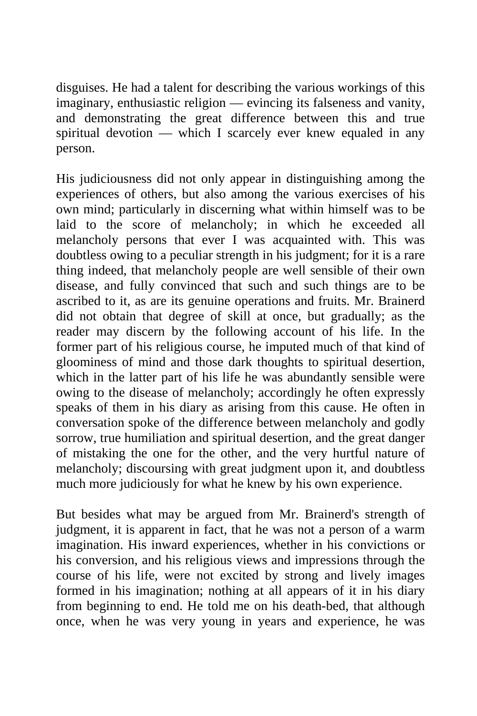disguises. He had a talent for describing the various workings of this imaginary, enthusiastic religion — evincing its falseness and vanity, and demonstrating the great difference between this and true spiritual devotion — which I scarcely ever knew equaled in any person.

His judiciousness did not only appear in distinguishing among the experiences of others, but also among the various exercises of his own mind; particularly in discerning what within himself was to be laid to the score of melancholy; in which he exceeded all melancholy persons that ever I was acquainted with. This was doubtless owing to a peculiar strength in his judgment; for it is a rare thing indeed, that melancholy people are well sensible of their own disease, and fully convinced that such and such things are to be ascribed to it, as are its genuine operations and fruits. Mr. Brainerd did not obtain that degree of skill at once, but gradually; as the reader may discern by the following account of his life. In the former part of his religious course, he imputed much of that kind of gloominess of mind and those dark thoughts to spiritual desertion, which in the latter part of his life he was abundantly sensible were owing to the disease of melancholy; accordingly he often expressly speaks of them in his diary as arising from this cause. He often in conversation spoke of the difference between melancholy and godly sorrow, true humiliation and spiritual desertion, and the great danger of mistaking the one for the other, and the very hurtful nature of melancholy; discoursing with great judgment upon it, and doubtless much more judiciously for what he knew by his own experience.

But besides what may be argued from Mr. Brainerd's strength of judgment, it is apparent in fact, that he was not a person of a warm imagination. His inward experiences, whether in his convictions or his conversion, and his religious views and impressions through the course of his life, were not excited by strong and lively images formed in his imagination; nothing at all appears of it in his diary from beginning to end. He told me on his death-bed, that although once, when he was very young in years and experience, he was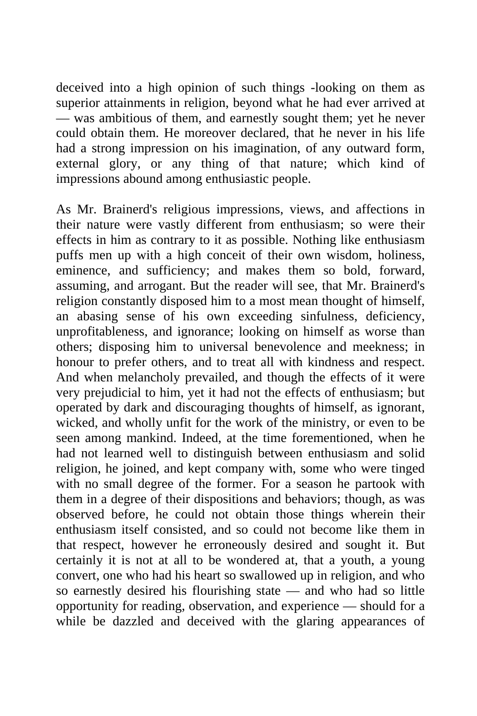deceived into a high opinion of such things -looking on them as superior attainments in religion, beyond what he had ever arrived at — was ambitious of them, and earnestly sought them; yet he never could obtain them. He moreover declared, that he never in his life had a strong impression on his imagination, of any outward form, external glory, or any thing of that nature; which kind of impressions abound among enthusiastic people.

As Mr. Brainerd's religious impressions, views, and affections in their nature were vastly different from enthusiasm; so were their effects in him as contrary to it as possible. Nothing like enthusiasm puffs men up with a high conceit of their own wisdom, holiness, eminence, and sufficiency; and makes them so bold, forward, assuming, and arrogant. But the reader will see, that Mr. Brainerd's religion constantly disposed him to a most mean thought of himself, an abasing sense of his own exceeding sinfulness, deficiency, unprofitableness, and ignorance; looking on himself as worse than others; disposing him to universal benevolence and meekness; in honour to prefer others, and to treat all with kindness and respect. And when melancholy prevailed, and though the effects of it were very prejudicial to him, yet it had not the effects of enthusiasm; but operated by dark and discouraging thoughts of himself, as ignorant, wicked, and wholly unfit for the work of the ministry, or even to be seen among mankind. Indeed, at the time forementioned, when he had not learned well to distinguish between enthusiasm and solid religion, he joined, and kept company with, some who were tinged with no small degree of the former. For a season he partook with them in a degree of their dispositions and behaviors; though, as was observed before, he could not obtain those things wherein their enthusiasm itself consisted, and so could not become like them in that respect, however he erroneously desired and sought it. But certainly it is not at all to be wondered at, that a youth, a young convert, one who had his heart so swallowed up in religion, and who so earnestly desired his flourishing state — and who had so little opportunity for reading, observation, and experience — should for a while be dazzled and deceived with the glaring appearances of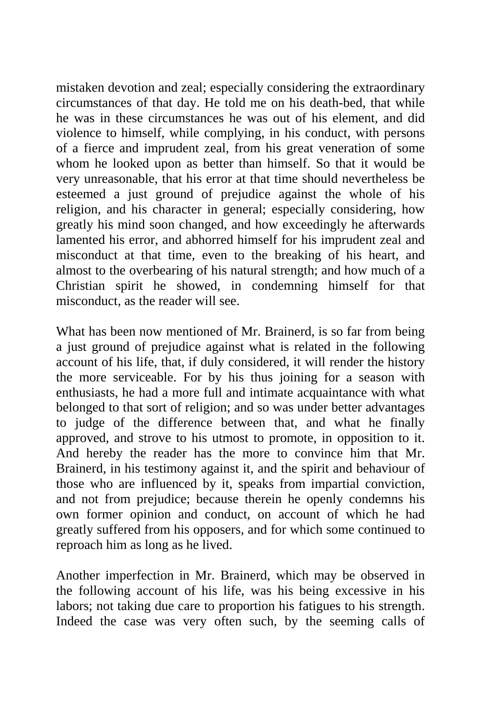mistaken devotion and zeal; especially considering the extraordinary circumstances of that day. He told me on his death-bed, that while he was in these circumstances he was out of his element, and did violence to himself, while complying, in his conduct, with persons of a fierce and imprudent zeal, from his great veneration of some whom he looked upon as better than himself. So that it would be very unreasonable, that his error at that time should nevertheless be esteemed a just ground of prejudice against the whole of his religion, and his character in general; especially considering, how greatly his mind soon changed, and how exceedingly he afterwards lamented his error, and abhorred himself for his imprudent zeal and misconduct at that time, even to the breaking of his heart, and almost to the overbearing of his natural strength; and how much of a Christian spirit he showed, in condemning himself for that misconduct, as the reader will see.

What has been now mentioned of Mr. Brainerd, is so far from being a just ground of prejudice against what is related in the following account of his life, that, if duly considered, it will render the history the more serviceable. For by his thus joining for a season with enthusiasts, he had a more full and intimate acquaintance with what belonged to that sort of religion; and so was under better advantages to judge of the difference between that, and what he finally approved, and strove to his utmost to promote, in opposition to it. And hereby the reader has the more to convince him that Mr. Brainerd, in his testimony against it, and the spirit and behaviour of those who are influenced by it, speaks from impartial conviction, and not from prejudice; because therein he openly condemns his own former opinion and conduct, on account of which he had greatly suffered from his opposers, and for which some continued to reproach him as long as he lived.

Another imperfection in Mr. Brainerd, which may be observed in the following account of his life, was his being excessive in his labors; not taking due care to proportion his fatigues to his strength. Indeed the case was very often such, by the seeming calls of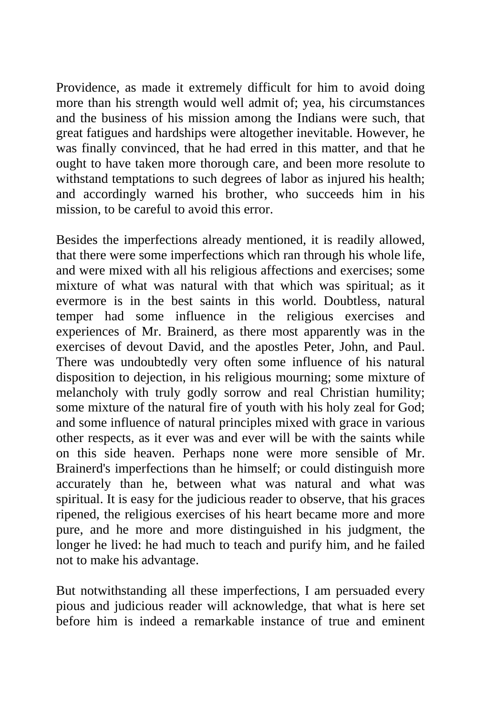Providence, as made it extremely difficult for him to avoid doing more than his strength would well admit of; yea, his circumstances and the business of his mission among the Indians were such, that great fatigues and hardships were altogether inevitable. However, he was finally convinced, that he had erred in this matter, and that he ought to have taken more thorough care, and been more resolute to withstand temptations to such degrees of labor as injured his health; and accordingly warned his brother, who succeeds him in his mission, to be careful to avoid this error.

Besides the imperfections already mentioned, it is readily allowed, that there were some imperfections which ran through his whole life, and were mixed with all his religious affections and exercises; some mixture of what was natural with that which was spiritual; as it evermore is in the best saints in this world. Doubtless, natural temper had some influence in the religious exercises and experiences of Mr. Brainerd, as there most apparently was in the exercises of devout David, and the apostles Peter, John, and Paul. There was undoubtedly very often some influence of his natural disposition to dejection, in his religious mourning; some mixture of melancholy with truly godly sorrow and real Christian humility; some mixture of the natural fire of youth with his holy zeal for God; and some influence of natural principles mixed with grace in various other respects, as it ever was and ever will be with the saints while on this side heaven. Perhaps none were more sensible of Mr. Brainerd's imperfections than he himself; or could distinguish more accurately than he, between what was natural and what was spiritual. It is easy for the judicious reader to observe, that his graces ripened, the religious exercises of his heart became more and more pure, and he more and more distinguished in his judgment, the longer he lived: he had much to teach and purify him, and he failed not to make his advantage.

But notwithstanding all these imperfections, I am persuaded every pious and judicious reader will acknowledge, that what is here set before him is indeed a remarkable instance of true and eminent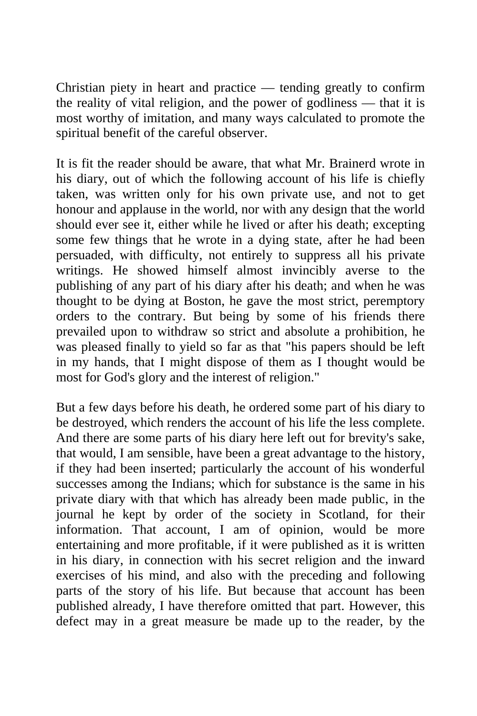Christian piety in heart and practice — tending greatly to confirm the reality of vital religion, and the power of godliness — that it is most worthy of imitation, and many ways calculated to promote the spiritual benefit of the careful observer.

It is fit the reader should be aware, that what Mr. Brainerd wrote in his diary, out of which the following account of his life is chiefly taken, was written only for his own private use, and not to get honour and applause in the world, nor with any design that the world should ever see it, either while he lived or after his death; excepting some few things that he wrote in a dying state, after he had been persuaded, with difficulty, not entirely to suppress all his private writings. He showed himself almost invincibly averse to the publishing of any part of his diary after his death; and when he was thought to be dying at Boston, he gave the most strict, peremptory orders to the contrary. But being by some of his friends there prevailed upon to withdraw so strict and absolute a prohibition, he was pleased finally to yield so far as that "his papers should be left in my hands, that I might dispose of them as I thought would be most for God's glory and the interest of religion."

But a few days before his death, he ordered some part of his diary to be destroyed, which renders the account of his life the less complete. And there are some parts of his diary here left out for brevity's sake, that would, I am sensible, have been a great advantage to the history, if they had been inserted; particularly the account of his wonderful successes among the Indians; which for substance is the same in his private diary with that which has already been made public, in the journal he kept by order of the society in Scotland, for their information. That account, I am of opinion, would be more entertaining and more profitable, if it were published as it is written in his diary, in connection with his secret religion and the inward exercises of his mind, and also with the preceding and following parts of the story of his life. But because that account has been published already, I have therefore omitted that part. However, this defect may in a great measure be made up to the reader, by the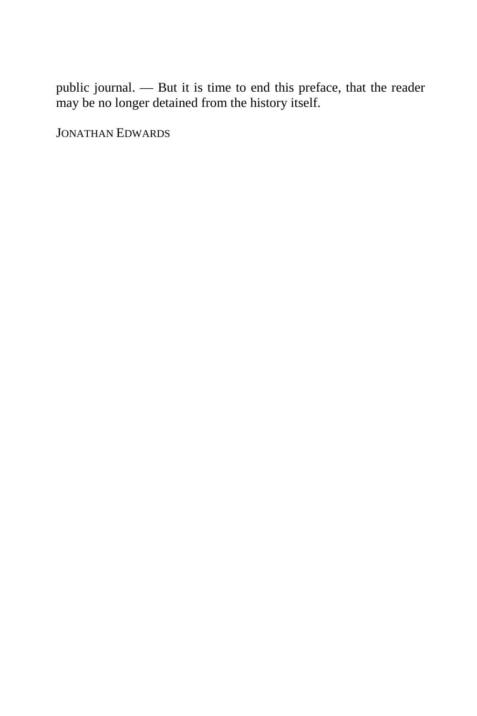public journal. — But it is time to end this preface, that the reader may be no longer detained from the history itself.

JONATHAN EDWARDS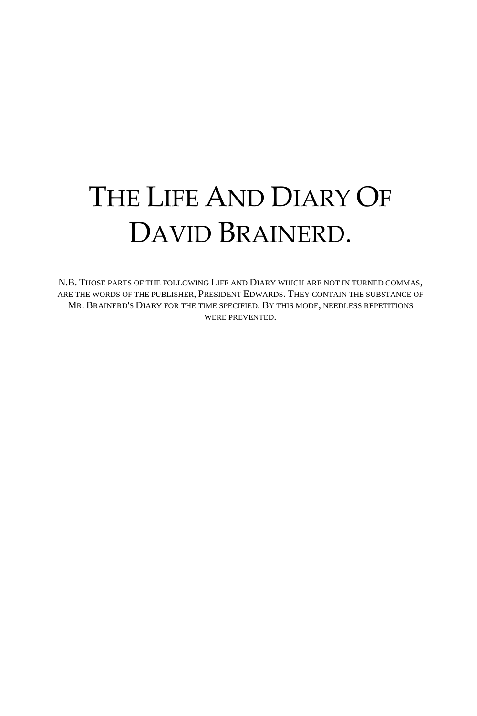# THE LIFE AND DIARY OF DAVID BRAINERD.

N.B. THOSE PARTS OF THE FOLLOWING LIFE AND DIARY WHICH ARE NOT IN TURNED COMMAS, ARE THE WORDS OF THE PUBLISHER, PRESIDENT EDWARDS. THEY CONTAIN THE SUBSTANCE OF MR. BRAINERD'S DIARY FOR THE TIME SPECIFIED. BY THIS MODE, NEEDLESS REPETITIONS WERE PREVENTED.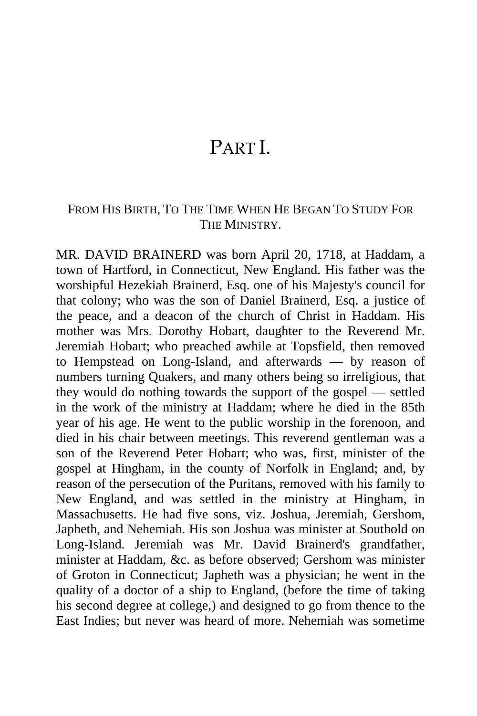#### PART I.

#### FROM HIS BIRTH, TO THE TIME WHEN HE BEGAN TO STUDY FOR THE MINISTRY.

MR. DAVID BRAINERD was born April 20, 1718, at Haddam, a town of Hartford, in Connecticut, New England. His father was the worshipful Hezekiah Brainerd, Esq. one of his Majesty's council for that colony; who was the son of Daniel Brainerd, Esq. a justice of the peace, and a deacon of the church of Christ in Haddam. His mother was Mrs. Dorothy Hobart, daughter to the Reverend Mr. Jeremiah Hobart; who preached awhile at Topsfield, then removed to Hempstead on Long-Island, and afterwards — by reason of numbers turning Quakers, and many others being so irreligious, that they would do nothing towards the support of the gospel — settled in the work of the ministry at Haddam; where he died in the 85th year of his age. He went to the public worship in the forenoon, and died in his chair between meetings. This reverend gentleman was a son of the Reverend Peter Hobart; who was, first, minister of the gospel at Hingham, in the county of Norfolk in England; and, by reason of the persecution of the Puritans, removed with his family to New England, and was settled in the ministry at Hingham, in Massachusetts. He had five sons, viz. Joshua, Jeremiah, Gershom, Japheth, and Nehemiah. His son Joshua was minister at Southold on Long-Island. Jeremiah was Mr. David Brainerd's grandfather, minister at Haddam, &c. as before observed; Gershom was minister of Groton in Connecticut; Japheth was a physician; he went in the quality of a doctor of a ship to England, (before the time of taking his second degree at college,) and designed to go from thence to the East Indies; but never was heard of more. Nehemiah was sometime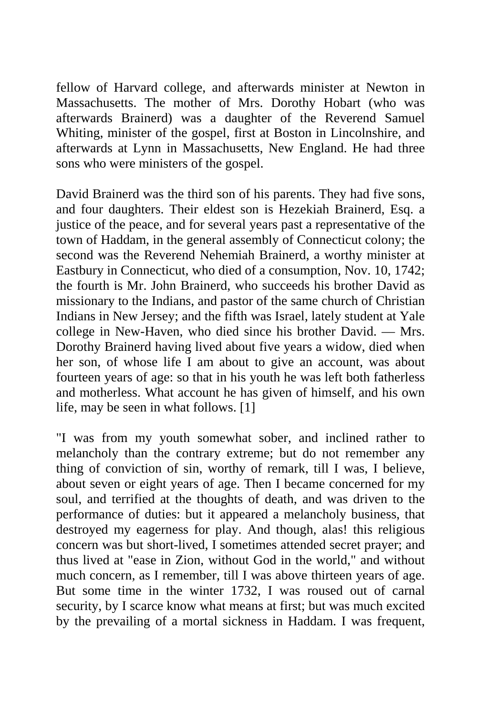fellow of Harvard college, and afterwards minister at Newton in Massachusetts. The mother of Mrs. Dorothy Hobart (who was afterwards Brainerd) was a daughter of the Reverend Samuel Whiting, minister of the gospel, first at Boston in Lincolnshire, and afterwards at Lynn in Massachusetts, New England. He had three sons who were ministers of the gospel.

David Brainerd was the third son of his parents. They had five sons, and four daughters. Their eldest son is Hezekiah Brainerd, Esq. a justice of the peace, and for several years past a representative of the town of Haddam, in the general assembly of Connecticut colony; the second was the Reverend Nehemiah Brainerd, a worthy minister at Eastbury in Connecticut, who died of a consumption, Nov. 10, 1742; the fourth is Mr. John Brainerd, who succeeds his brother David as missionary to the Indians, and pastor of the same church of Christian Indians in New Jersey; and the fifth was Israel, lately student at Yale college in New-Haven, who died since his brother David. — Mrs. Dorothy Brainerd having lived about five years a widow, died when her son, of whose life I am about to give an account, was about fourteen years of age: so that in his youth he was left both fatherless and motherless. What account he has given of himself, and his own life, may be seen in what follows. [1]

"I was from my youth somewhat sober, and inclined rather to melancholy than the contrary extreme; but do not remember any thing of conviction of sin, worthy of remark, till I was, I believe, about seven or eight years of age. Then I became concerned for my soul, and terrified at the thoughts of death, and was driven to the performance of duties: but it appeared a melancholy business, that destroyed my eagerness for play. And though, alas! this religious concern was but short-lived, I sometimes attended secret prayer; and thus lived at "ease in Zion, without God in the world," and without much concern, as I remember, till I was above thirteen years of age. But some time in the winter 1732, I was roused out of carnal security, by I scarce know what means at first; but was much excited by the prevailing of a mortal sickness in Haddam. I was frequent,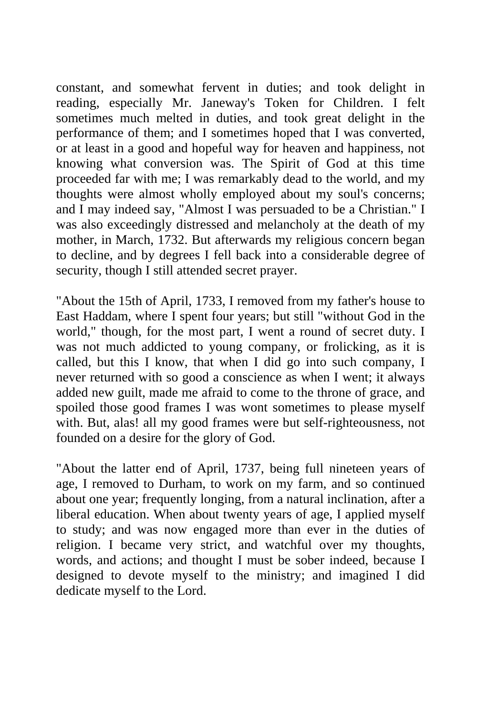constant, and somewhat fervent in duties; and took delight in reading, especially Mr. Janeway's Token for Children. I felt sometimes much melted in duties, and took great delight in the performance of them; and I sometimes hoped that I was converted, or at least in a good and hopeful way for heaven and happiness, not knowing what conversion was. The Spirit of God at this time proceeded far with me; I was remarkably dead to the world, and my thoughts were almost wholly employed about my soul's concerns; and I may indeed say, "Almost I was persuaded to be a Christian." I was also exceedingly distressed and melancholy at the death of my mother, in March, 1732. But afterwards my religious concern began to decline, and by degrees I fell back into a considerable degree of security, though I still attended secret prayer.

"About the 15th of April, 1733, I removed from my father's house to East Haddam, where I spent four years; but still "without God in the world," though, for the most part, I went a round of secret duty. I was not much addicted to young company, or frolicking, as it is called, but this I know, that when I did go into such company, I never returned with so good a conscience as when I went; it always added new guilt, made me afraid to come to the throne of grace, and spoiled those good frames I was wont sometimes to please myself with. But, alas! all my good frames were but self-righteousness, not founded on a desire for the glory of God.

"About the latter end of April, 1737, being full nineteen years of age, I removed to Durham, to work on my farm, and so continued about one year; frequently longing, from a natural inclination, after a liberal education. When about twenty years of age, I applied myself to study; and was now engaged more than ever in the duties of religion. I became very strict, and watchful over my thoughts, words, and actions; and thought I must be sober indeed, because I designed to devote myself to the ministry; and imagined I did dedicate myself to the Lord.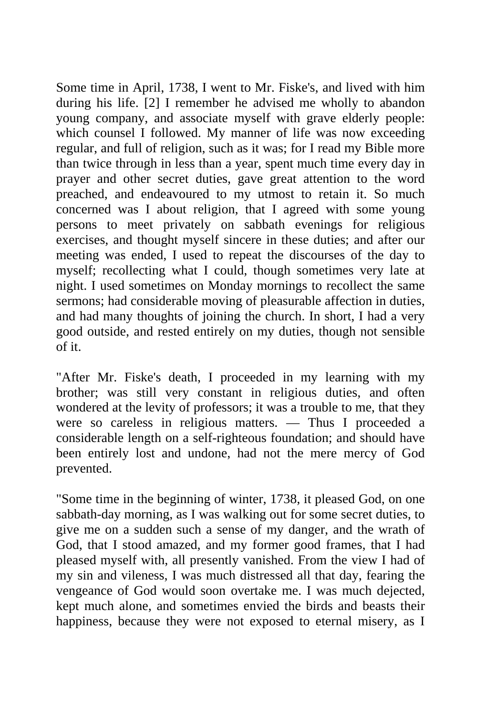Some time in April, 1738, I went to Mr. Fiske's, and lived with him during his life. [2] I remember he advised me wholly to abandon young company, and associate myself with grave elderly people: which counsel I followed. My manner of life was now exceeding regular, and full of religion, such as it was; for I read my Bible more than twice through in less than a year, spent much time every day in prayer and other secret duties, gave great attention to the word preached, and endeavoured to my utmost to retain it. So much concerned was I about religion, that I agreed with some young persons to meet privately on sabbath evenings for religious exercises, and thought myself sincere in these duties; and after our meeting was ended, I used to repeat the discourses of the day to myself; recollecting what I could, though sometimes very late at night. I used sometimes on Monday mornings to recollect the same sermons; had considerable moving of pleasurable affection in duties, and had many thoughts of joining the church. In short, I had a very good outside, and rested entirely on my duties, though not sensible of it.

"After Mr. Fiske's death, I proceeded in my learning with my brother; was still very constant in religious duties, and often wondered at the levity of professors; it was a trouble to me, that they were so careless in religious matters. — Thus I proceeded a considerable length on a self-righteous foundation; and should have been entirely lost and undone, had not the mere mercy of God prevented.

"Some time in the beginning of winter, 1738, it pleased God, on one sabbath-day morning, as I was walking out for some secret duties, to give me on a sudden such a sense of my danger, and the wrath of God, that I stood amazed, and my former good frames, that I had pleased myself with, all presently vanished. From the view I had of my sin and vileness, I was much distressed all that day, fearing the vengeance of God would soon overtake me. I was much dejected, kept much alone, and sometimes envied the birds and beasts their happiness, because they were not exposed to eternal misery, as I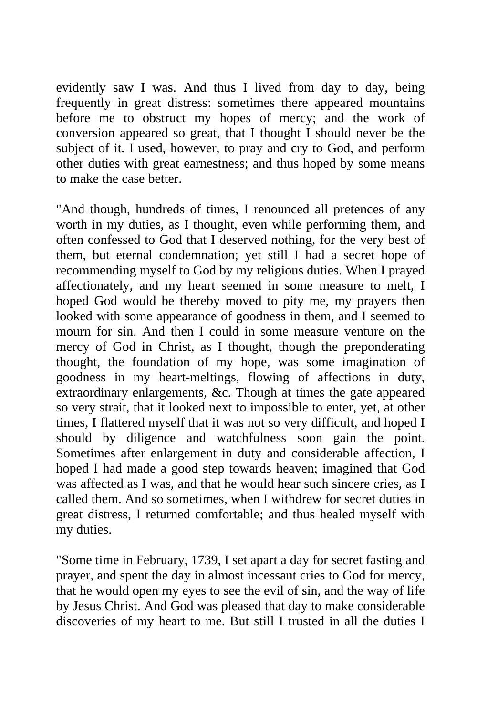evidently saw I was. And thus I lived from day to day, being frequently in great distress: sometimes there appeared mountains before me to obstruct my hopes of mercy; and the work of conversion appeared so great, that I thought I should never be the subject of it. I used, however, to pray and cry to God, and perform other duties with great earnestness; and thus hoped by some means to make the case better.

"And though, hundreds of times, I renounced all pretences of any worth in my duties, as I thought, even while performing them, and often confessed to God that I deserved nothing, for the very best of them, but eternal condemnation; yet still I had a secret hope of recommending myself to God by my religious duties. When I prayed affectionately, and my heart seemed in some measure to melt, I hoped God would be thereby moved to pity me, my prayers then looked with some appearance of goodness in them, and I seemed to mourn for sin. And then I could in some measure venture on the mercy of God in Christ, as I thought, though the preponderating thought, the foundation of my hope, was some imagination of goodness in my heart-meltings, flowing of affections in duty, extraordinary enlargements, &c. Though at times the gate appeared so very strait, that it looked next to impossible to enter, yet, at other times, I flattered myself that it was not so very difficult, and hoped I should by diligence and watchfulness soon gain the point. Sometimes after enlargement in duty and considerable affection, I hoped I had made a good step towards heaven; imagined that God was affected as I was, and that he would hear such sincere cries, as I called them. And so sometimes, when I withdrew for secret duties in great distress, I returned comfortable; and thus healed myself with my duties.

"Some time in February, 1739, I set apart a day for secret fasting and prayer, and spent the day in almost incessant cries to God for mercy, that he would open my eyes to see the evil of sin, and the way of life by Jesus Christ. And God was pleased that day to make considerable discoveries of my heart to me. But still I trusted in all the duties I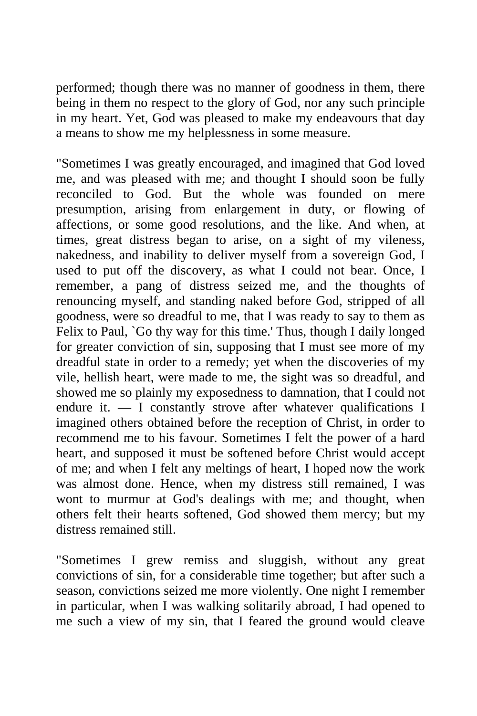performed; though there was no manner of goodness in them, there being in them no respect to the glory of God, nor any such principle in my heart. Yet, God was pleased to make my endeavours that day a means to show me my helplessness in some measure.

"Sometimes I was greatly encouraged, and imagined that God loved me, and was pleased with me; and thought I should soon be fully reconciled to God. But the whole was founded on mere presumption, arising from enlargement in duty, or flowing of affections, or some good resolutions, and the like. And when, at times, great distress began to arise, on a sight of my vileness, nakedness, and inability to deliver myself from a sovereign God, I used to put off the discovery, as what I could not bear. Once, I remember, a pang of distress seized me, and the thoughts of renouncing myself, and standing naked before God, stripped of all goodness, were so dreadful to me, that I was ready to say to them as Felix to Paul, `Go thy way for this time.' Thus, though I daily longed for greater conviction of sin, supposing that I must see more of my dreadful state in order to a remedy; yet when the discoveries of my vile, hellish heart, were made to me, the sight was so dreadful, and showed me so plainly my exposedness to damnation, that I could not endure it. — I constantly strove after whatever qualifications I imagined others obtained before the reception of Christ, in order to recommend me to his favour. Sometimes I felt the power of a hard heart, and supposed it must be softened before Christ would accept of me; and when I felt any meltings of heart, I hoped now the work was almost done. Hence, when my distress still remained, I was wont to murmur at God's dealings with me; and thought, when others felt their hearts softened, God showed them mercy; but my distress remained still.

"Sometimes I grew remiss and sluggish, without any great convictions of sin, for a considerable time together; but after such a season, convictions seized me more violently. One night I remember in particular, when I was walking solitarily abroad, I had opened to me such a view of my sin, that I feared the ground would cleave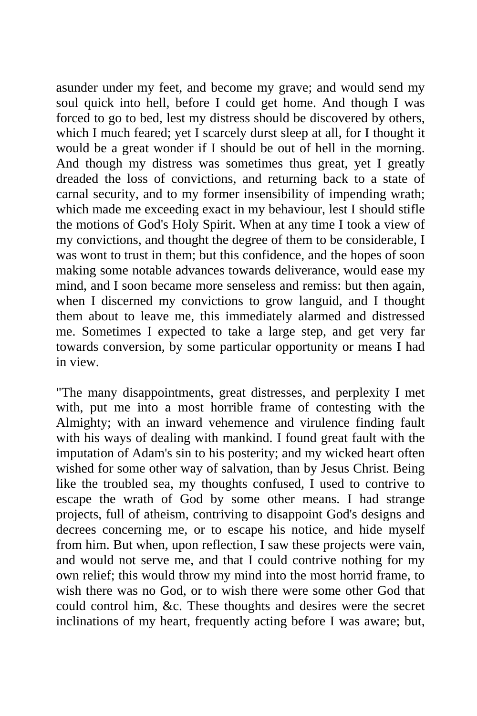asunder under my feet, and become my grave; and would send my soul quick into hell, before I could get home. And though I was forced to go to bed, lest my distress should be discovered by others, which I much feared; yet I scarcely durst sleep at all, for I thought it would be a great wonder if I should be out of hell in the morning. And though my distress was sometimes thus great, yet I greatly dreaded the loss of convictions, and returning back to a state of carnal security, and to my former insensibility of impending wrath; which made me exceeding exact in my behaviour, lest I should stifle the motions of God's Holy Spirit. When at any time I took a view of my convictions, and thought the degree of them to be considerable, I was wont to trust in them; but this confidence, and the hopes of soon making some notable advances towards deliverance, would ease my mind, and I soon became more senseless and remiss: but then again, when I discerned my convictions to grow languid, and I thought them about to leave me, this immediately alarmed and distressed me. Sometimes I expected to take a large step, and get very far towards conversion, by some particular opportunity or means I had in view.

"The many disappointments, great distresses, and perplexity I met with, put me into a most horrible frame of contesting with the Almighty; with an inward vehemence and virulence finding fault with his ways of dealing with mankind. I found great fault with the imputation of Adam's sin to his posterity; and my wicked heart often wished for some other way of salvation, than by Jesus Christ. Being like the troubled sea, my thoughts confused, I used to contrive to escape the wrath of God by some other means. I had strange projects, full of atheism, contriving to disappoint God's designs and decrees concerning me, or to escape his notice, and hide myself from him. But when, upon reflection, I saw these projects were vain, and would not serve me, and that I could contrive nothing for my own relief; this would throw my mind into the most horrid frame, to wish there was no God, or to wish there were some other God that could control him, &c. These thoughts and desires were the secret inclinations of my heart, frequently acting before I was aware; but,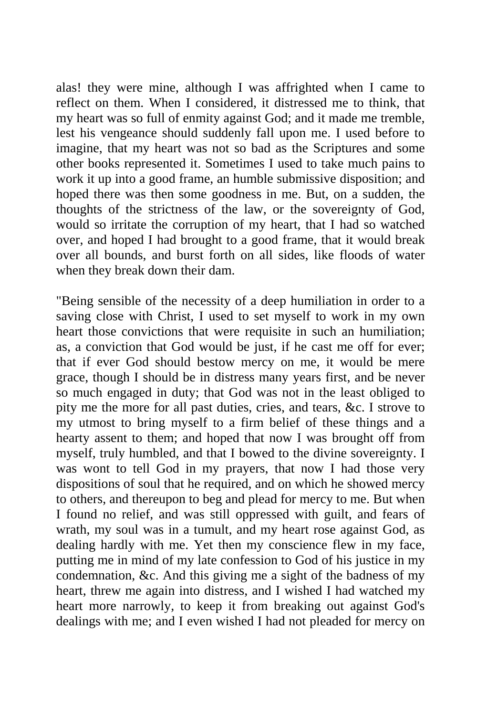alas! they were mine, although I was affrighted when I came to reflect on them. When I considered, it distressed me to think, that my heart was so full of enmity against God; and it made me tremble, lest his vengeance should suddenly fall upon me. I used before to imagine, that my heart was not so bad as the Scriptures and some other books represented it. Sometimes I used to take much pains to work it up into a good frame, an humble submissive disposition; and hoped there was then some goodness in me. But, on a sudden, the thoughts of the strictness of the law, or the sovereignty of God, would so irritate the corruption of my heart, that I had so watched over, and hoped I had brought to a good frame, that it would break over all bounds, and burst forth on all sides, like floods of water when they break down their dam.

"Being sensible of the necessity of a deep humiliation in order to a saving close with Christ, I used to set myself to work in my own heart those convictions that were requisite in such an humiliation; as, a conviction that God would be just, if he cast me off for ever; that if ever God should bestow mercy on me, it would be mere grace, though I should be in distress many years first, and be never so much engaged in duty; that God was not in the least obliged to pity me the more for all past duties, cries, and tears, &c. I strove to my utmost to bring myself to a firm belief of these things and a hearty assent to them; and hoped that now I was brought off from myself, truly humbled, and that I bowed to the divine sovereignty. I was wont to tell God in my prayers, that now I had those very dispositions of soul that he required, and on which he showed mercy to others, and thereupon to beg and plead for mercy to me. But when I found no relief, and was still oppressed with guilt, and fears of wrath, my soul was in a tumult, and my heart rose against God, as dealing hardly with me. Yet then my conscience flew in my face, putting me in mind of my late confession to God of his justice in my condemnation, &c. And this giving me a sight of the badness of my heart, threw me again into distress, and I wished I had watched my heart more narrowly, to keep it from breaking out against God's dealings with me; and I even wished I had not pleaded for mercy on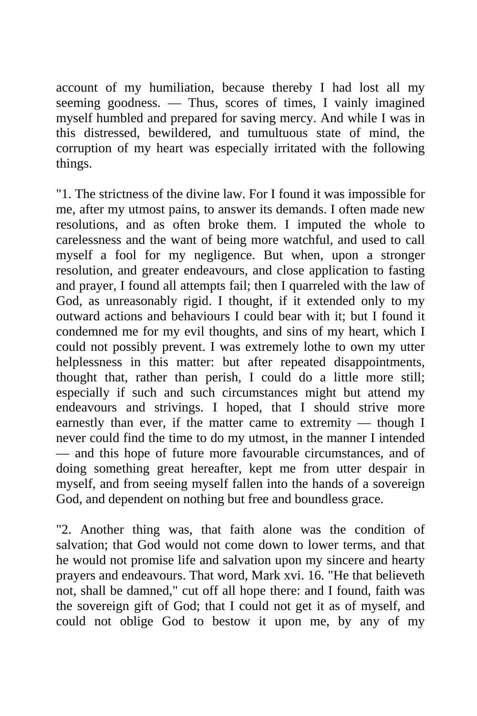account of my humiliation, because thereby I had lost all my seeming goodness. — Thus, scores of times, I vainly imagined myself humbled and prepared for saving mercy. And while I was in this distressed, bewildered, and tumultuous state of mind, the corruption of my heart was especially irritated with the following things.

"1. The strictness of the divine law. For I found it was impossible for me, after my utmost pains, to answer its demands. I often made new resolutions, and as often broke them. I imputed the whole to carelessness and the want of being more watchful, and used to call myself a fool for my negligence. But when, upon a stronger resolution, and greater endeavours, and close application to fasting and prayer, I found all attempts fail; then I quarreled with the law of God, as unreasonably rigid. I thought, if it extended only to my outward actions and behaviours I could bear with it; but I found it condemned me for my evil thoughts, and sins of my heart, which I could not possibly prevent. I was extremely lothe to own my utter helplessness in this matter: but after repeated disappointments, thought that, rather than perish, I could do a little more still; especially if such and such circumstances might but attend my endeavours and strivings. I hoped, that I should strive more earnestly than ever, if the matter came to extremity — though I never could find the time to do my utmost, in the manner I intended — and this hope of future more favourable circumstances, and of doing something great hereafter, kept me from utter despair in myself, and from seeing myself fallen into the hands of a sovereign God, and dependent on nothing but free and boundless grace.

"2. Another thing was, that faith alone was the condition of salvation; that God would not come down to lower terms, and that he would not promise life and salvation upon my sincere and hearty prayers and endeavours. That word, Mark xvi. 16. "He that believeth not, shall be damned," cut off all hope there: and I found, faith was the sovereign gift of God; that I could not get it as of myself, and could not oblige God to bestow it upon me, by any of my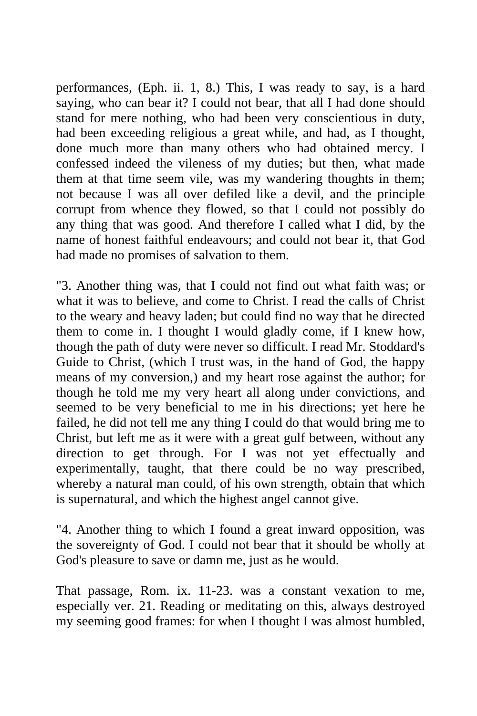performances, (Eph. ii. 1, 8.) This, I was ready to say, is a hard saying, who can bear it? I could not bear, that all I had done should stand for mere nothing, who had been very conscientious in duty, had been exceeding religious a great while, and had, as I thought, done much more than many others who had obtained mercy. I confessed indeed the vileness of my duties; but then, what made them at that time seem vile, was my wandering thoughts in them; not because I was all over defiled like a devil, and the principle corrupt from whence they flowed, so that I could not possibly do any thing that was good. And therefore I called what I did, by the name of honest faithful endeavours; and could not bear it, that God had made no promises of salvation to them.

"3. Another thing was, that I could not find out what faith was; or what it was to believe, and come to Christ. I read the calls of Christ to the weary and heavy laden; but could find no way that he directed them to come in. I thought I would gladly come, if I knew how, though the path of duty were never so difficult. I read Mr. Stoddard's Guide to Christ, (which I trust was, in the hand of God, the happy means of my conversion,) and my heart rose against the author; for though he told me my very heart all along under convictions, and seemed to be very beneficial to me in his directions; yet here he failed, he did not tell me any thing I could do that would bring me to Christ, but left me as it were with a great gulf between, without any direction to get through. For I was not yet effectually and experimentally, taught, that there could be no way prescribed, whereby a natural man could, of his own strength, obtain that which is supernatural, and which the highest angel cannot give.

"4. Another thing to which I found a great inward opposition, was the sovereignty of God. I could not bear that it should be wholly at God's pleasure to save or damn me, just as he would.

That passage, Rom. ix. 11-23. was a constant vexation to me, especially ver. 21. Reading or meditating on this, always destroyed my seeming good frames: for when I thought I was almost humbled,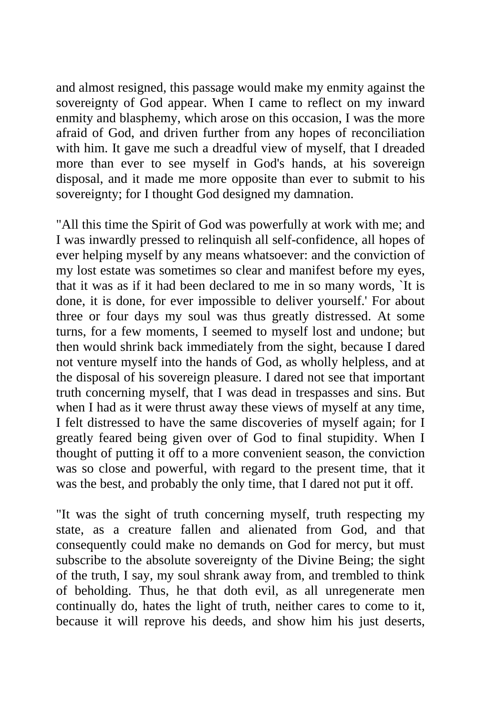and almost resigned, this passage would make my enmity against the sovereignty of God appear. When I came to reflect on my inward enmity and blasphemy, which arose on this occasion, I was the more afraid of God, and driven further from any hopes of reconciliation with him. It gave me such a dreadful view of myself, that I dreaded more than ever to see myself in God's hands, at his sovereign disposal, and it made me more opposite than ever to submit to his sovereignty; for I thought God designed my damnation.

"All this time the Spirit of God was powerfully at work with me; and I was inwardly pressed to relinquish all self-confidence, all hopes of ever helping myself by any means whatsoever: and the conviction of my lost estate was sometimes so clear and manifest before my eyes, that it was as if it had been declared to me in so many words, `It is done, it is done, for ever impossible to deliver yourself.' For about three or four days my soul was thus greatly distressed. At some turns, for a few moments, I seemed to myself lost and undone; but then would shrink back immediately from the sight, because I dared not venture myself into the hands of God, as wholly helpless, and at the disposal of his sovereign pleasure. I dared not see that important truth concerning myself, that I was dead in trespasses and sins. But when I had as it were thrust away these views of myself at any time, I felt distressed to have the same discoveries of myself again; for I greatly feared being given over of God to final stupidity. When I thought of putting it off to a more convenient season, the conviction was so close and powerful, with regard to the present time, that it was the best, and probably the only time, that I dared not put it off.

"It was the sight of truth concerning myself, truth respecting my state, as a creature fallen and alienated from God, and that consequently could make no demands on God for mercy, but must subscribe to the absolute sovereignty of the Divine Being; the sight of the truth, I say, my soul shrank away from, and trembled to think of beholding. Thus, he that doth evil, as all unregenerate men continually do, hates the light of truth, neither cares to come to it, because it will reprove his deeds, and show him his just deserts,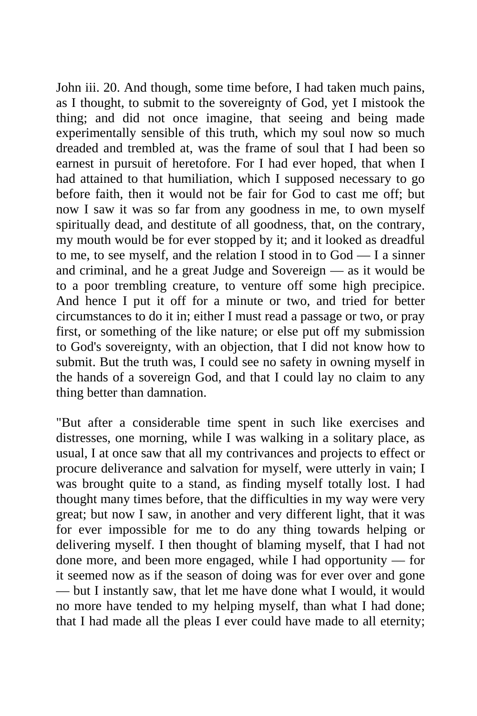John iii. 20. And though, some time before, I had taken much pains, as I thought, to submit to the sovereignty of God, yet I mistook the thing; and did not once imagine, that seeing and being made experimentally sensible of this truth, which my soul now so much dreaded and trembled at, was the frame of soul that I had been so earnest in pursuit of heretofore. For I had ever hoped, that when I had attained to that humiliation, which I supposed necessary to go before faith, then it would not be fair for God to cast me off; but now I saw it was so far from any goodness in me, to own myself spiritually dead, and destitute of all goodness, that, on the contrary, my mouth would be for ever stopped by it; and it looked as dreadful to me, to see myself, and the relation I stood in to God — I a sinner and criminal, and he a great Judge and Sovereign — as it would be to a poor trembling creature, to venture off some high precipice. And hence I put it off for a minute or two, and tried for better circumstances to do it in; either I must read a passage or two, or pray first, or something of the like nature; or else put off my submission to God's sovereignty, with an objection, that I did not know how to submit. But the truth was, I could see no safety in owning myself in the hands of a sovereign God, and that I could lay no claim to any thing better than damnation.

"But after a considerable time spent in such like exercises and distresses, one morning, while I was walking in a solitary place, as usual, I at once saw that all my contrivances and projects to effect or procure deliverance and salvation for myself, were utterly in vain; I was brought quite to a stand, as finding myself totally lost. I had thought many times before, that the difficulties in my way were very great; but now I saw, in another and very different light, that it was for ever impossible for me to do any thing towards helping or delivering myself. I then thought of blaming myself, that I had not done more, and been more engaged, while I had opportunity — for it seemed now as if the season of doing was for ever over and gone — but I instantly saw, that let me have done what I would, it would no more have tended to my helping myself, than what I had done; that I had made all the pleas I ever could have made to all eternity;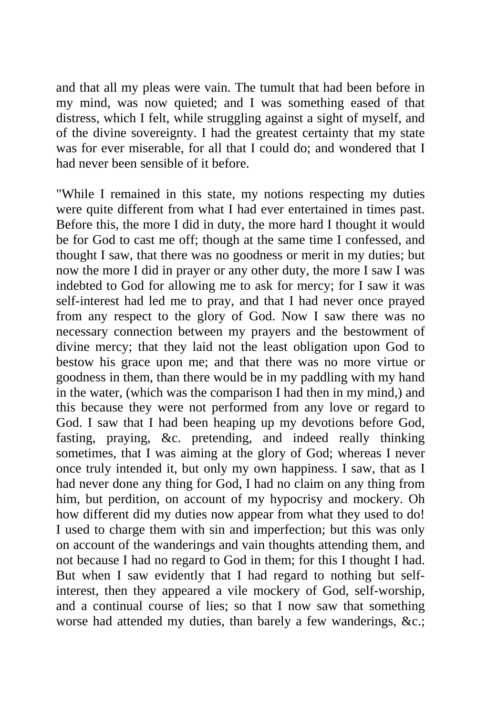and that all my pleas were vain. The tumult that had been before in my mind, was now quieted; and I was something eased of that distress, which I felt, while struggling against a sight of myself, and of the divine sovereignty. I had the greatest certainty that my state was for ever miserable, for all that I could do; and wondered that I had never been sensible of it before.

"While I remained in this state, my notions respecting my duties were quite different from what I had ever entertained in times past. Before this, the more I did in duty, the more hard I thought it would be for God to cast me off; though at the same time I confessed, and thought I saw, that there was no goodness or merit in my duties; but now the more I did in prayer or any other duty, the more I saw I was indebted to God for allowing me to ask for mercy; for I saw it was self-interest had led me to pray, and that I had never once prayed from any respect to the glory of God. Now I saw there was no necessary connection between my prayers and the bestowment of divine mercy; that they laid not the least obligation upon God to bestow his grace upon me; and that there was no more virtue or goodness in them, than there would be in my paddling with my hand in the water, (which was the comparison I had then in my mind,) and this because they were not performed from any love or regard to God. I saw that I had been heaping up my devotions before God, fasting, praying, &c. pretending, and indeed really thinking sometimes, that I was aiming at the glory of God; whereas I never once truly intended it, but only my own happiness. I saw, that as I had never done any thing for God, I had no claim on any thing from him, but perdition, on account of my hypocrisy and mockery. Oh how different did my duties now appear from what they used to do! I used to charge them with sin and imperfection; but this was only on account of the wanderings and vain thoughts attending them, and not because I had no regard to God in them; for this I thought I had. But when I saw evidently that I had regard to nothing but selfinterest, then they appeared a vile mockery of God, self-worship, and a continual course of lies; so that I now saw that something worse had attended my duties, than barely a few wanderings, &c.;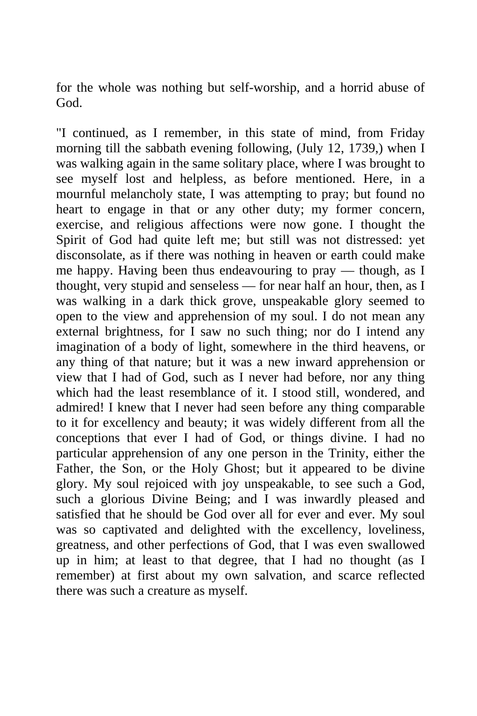for the whole was nothing but self-worship, and a horrid abuse of God.

"I continued, as I remember, in this state of mind, from Friday morning till the sabbath evening following, (July 12, 1739,) when I was walking again in the same solitary place, where I was brought to see myself lost and helpless, as before mentioned. Here, in a mournful melancholy state, I was attempting to pray; but found no heart to engage in that or any other duty; my former concern, exercise, and religious affections were now gone. I thought the Spirit of God had quite left me; but still was not distressed: yet disconsolate, as if there was nothing in heaven or earth could make me happy. Having been thus endeavouring to pray — though, as I thought, very stupid and senseless — for near half an hour, then, as I was walking in a dark thick grove, unspeakable glory seemed to open to the view and apprehension of my soul. I do not mean any external brightness, for I saw no such thing; nor do I intend any imagination of a body of light, somewhere in the third heavens, or any thing of that nature; but it was a new inward apprehension or view that I had of God, such as I never had before, nor any thing which had the least resemblance of it. I stood still, wondered, and admired! I knew that I never had seen before any thing comparable to it for excellency and beauty; it was widely different from all the conceptions that ever I had of God, or things divine. I had no particular apprehension of any one person in the Trinity, either the Father, the Son, or the Holy Ghost; but it appeared to be divine glory. My soul rejoiced with joy unspeakable, to see such a God, such a glorious Divine Being; and I was inwardly pleased and satisfied that he should be God over all for ever and ever. My soul was so captivated and delighted with the excellency, loveliness, greatness, and other perfections of God, that I was even swallowed up in him; at least to that degree, that I had no thought (as I remember) at first about my own salvation, and scarce reflected there was such a creature as myself.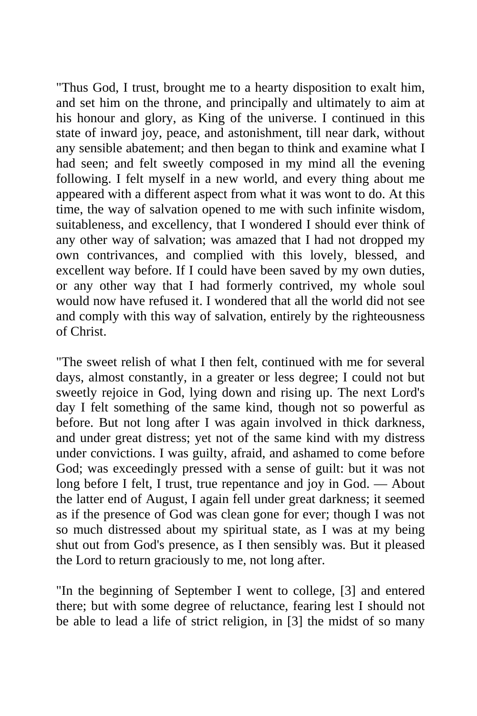"Thus God, I trust, brought me to a hearty disposition to exalt him, and set him on the throne, and principally and ultimately to aim at his honour and glory, as King of the universe. I continued in this state of inward joy, peace, and astonishment, till near dark, without any sensible abatement; and then began to think and examine what I had seen; and felt sweetly composed in my mind all the evening following. I felt myself in a new world, and every thing about me appeared with a different aspect from what it was wont to do. At this time, the way of salvation opened to me with such infinite wisdom, suitableness, and excellency, that I wondered I should ever think of any other way of salvation; was amazed that I had not dropped my own contrivances, and complied with this lovely, blessed, and excellent way before. If I could have been saved by my own duties, or any other way that I had formerly contrived, my whole soul would now have refused it. I wondered that all the world did not see and comply with this way of salvation, entirely by the righteousness of Christ.

"The sweet relish of what I then felt, continued with me for several days, almost constantly, in a greater or less degree; I could not but sweetly rejoice in God, lying down and rising up. The next Lord's day I felt something of the same kind, though not so powerful as before. But not long after I was again involved in thick darkness, and under great distress; yet not of the same kind with my distress under convictions. I was guilty, afraid, and ashamed to come before God; was exceedingly pressed with a sense of guilt: but it was not long before I felt, I trust, true repentance and joy in God. — About the latter end of August, I again fell under great darkness; it seemed as if the presence of God was clean gone for ever; though I was not so much distressed about my spiritual state, as I was at my being shut out from God's presence, as I then sensibly was. But it pleased the Lord to return graciously to me, not long after.

"In the beginning of September I went to college, [3] and entered there; but with some degree of reluctance, fearing lest I should not be able to lead a life of strict religion, in [3] the midst of so many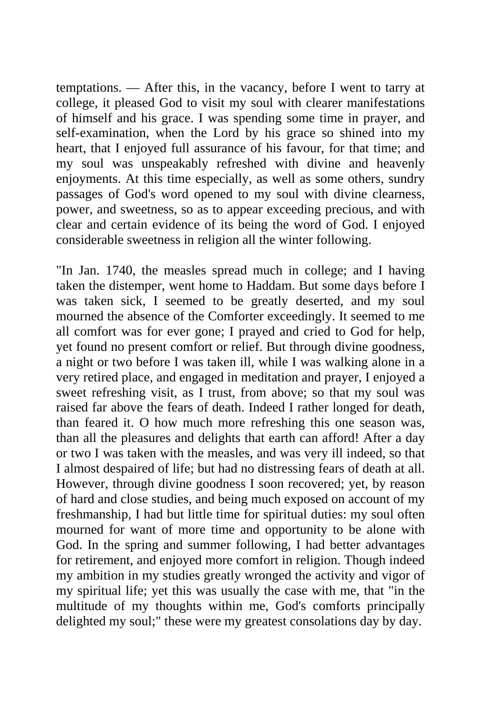temptations. — After this, in the vacancy, before I went to tarry at college, it pleased God to visit my soul with clearer manifestations of himself and his grace. I was spending some time in prayer, and self-examination, when the Lord by his grace so shined into my heart, that I enjoyed full assurance of his favour, for that time; and my soul was unspeakably refreshed with divine and heavenly enjoyments. At this time especially, as well as some others, sundry passages of God's word opened to my soul with divine clearness, power, and sweetness, so as to appear exceeding precious, and with clear and certain evidence of its being the word of God. I enjoyed considerable sweetness in religion all the winter following.

"In Jan. 1740, the measles spread much in college; and I having taken the distemper, went home to Haddam. But some days before I was taken sick, I seemed to be greatly deserted, and my soul mourned the absence of the Comforter exceedingly. It seemed to me all comfort was for ever gone; I prayed and cried to God for help, yet found no present comfort or relief. But through divine goodness, a night or two before I was taken ill, while I was walking alone in a very retired place, and engaged in meditation and prayer, I enjoyed a sweet refreshing visit, as I trust, from above; so that my soul was raised far above the fears of death. Indeed I rather longed for death, than feared it. O how much more refreshing this one season was, than all the pleasures and delights that earth can afford! After a day or two I was taken with the measles, and was very ill indeed, so that I almost despaired of life; but had no distressing fears of death at all. However, through divine goodness I soon recovered; yet, by reason of hard and close studies, and being much exposed on account of my freshmanship, I had but little time for spiritual duties: my soul often mourned for want of more time and opportunity to be alone with God. In the spring and summer following, I had better advantages for retirement, and enjoyed more comfort in religion. Though indeed my ambition in my studies greatly wronged the activity and vigor of my spiritual life; yet this was usually the case with me, that "in the multitude of my thoughts within me, God's comforts principally delighted my soul;" these were my greatest consolations day by day.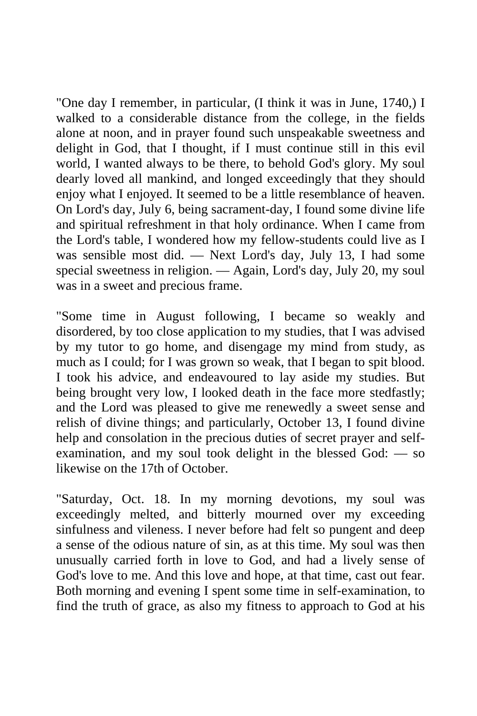"One day I remember, in particular, (I think it was in June, 1740,) I walked to a considerable distance from the college, in the fields alone at noon, and in prayer found such unspeakable sweetness and delight in God, that I thought, if I must continue still in this evil world, I wanted always to be there, to behold God's glory. My soul dearly loved all mankind, and longed exceedingly that they should enjoy what I enjoyed. It seemed to be a little resemblance of heaven. On Lord's day, July 6, being sacrament-day, I found some divine life and spiritual refreshment in that holy ordinance. When I came from the Lord's table, I wondered how my fellow-students could live as I was sensible most did. — Next Lord's day, July 13, I had some special sweetness in religion. — Again, Lord's day, July 20, my soul was in a sweet and precious frame.

"Some time in August following, I became so weakly and disordered, by too close application to my studies, that I was advised by my tutor to go home, and disengage my mind from study, as much as I could; for I was grown so weak, that I began to spit blood. I took his advice, and endeavoured to lay aside my studies. But being brought very low, I looked death in the face more stedfastly; and the Lord was pleased to give me renewedly a sweet sense and relish of divine things; and particularly, October 13, I found divine help and consolation in the precious duties of secret prayer and selfexamination, and my soul took delight in the blessed God: — so likewise on the 17th of October.

"Saturday, Oct. 18. In my morning devotions, my soul was exceedingly melted, and bitterly mourned over my exceeding sinfulness and vileness. I never before had felt so pungent and deep a sense of the odious nature of sin, as at this time. My soul was then unusually carried forth in love to God, and had a lively sense of God's love to me. And this love and hope, at that time, cast out fear. Both morning and evening I spent some time in self-examination, to find the truth of grace, as also my fitness to approach to God at his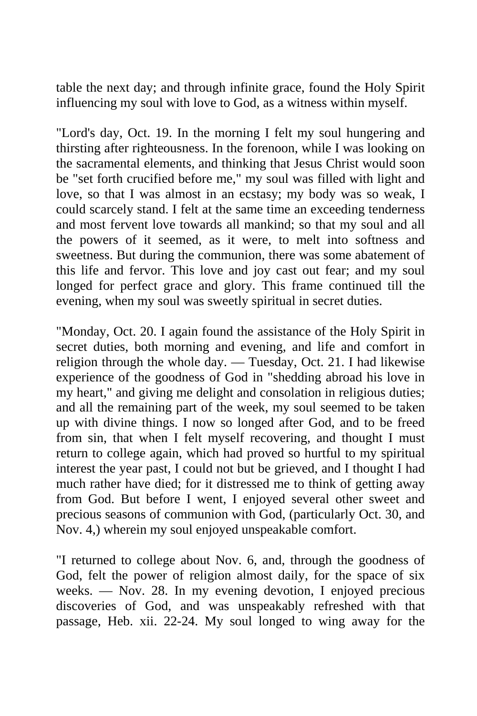table the next day; and through infinite grace, found the Holy Spirit influencing my soul with love to God, as a witness within myself.

"Lord's day, Oct. 19. In the morning I felt my soul hungering and thirsting after righteousness. In the forenoon, while I was looking on the sacramental elements, and thinking that Jesus Christ would soon be "set forth crucified before me," my soul was filled with light and love, so that I was almost in an ecstasy; my body was so weak, I could scarcely stand. I felt at the same time an exceeding tenderness and most fervent love towards all mankind; so that my soul and all the powers of it seemed, as it were, to melt into softness and sweetness. But during the communion, there was some abatement of this life and fervor. This love and joy cast out fear; and my soul longed for perfect grace and glory. This frame continued till the evening, when my soul was sweetly spiritual in secret duties.

"Monday, Oct. 20. I again found the assistance of the Holy Spirit in secret duties, both morning and evening, and life and comfort in religion through the whole day. — Tuesday, Oct. 21. I had likewise experience of the goodness of God in "shedding abroad his love in my heart," and giving me delight and consolation in religious duties; and all the remaining part of the week, my soul seemed to be taken up with divine things. I now so longed after God, and to be freed from sin, that when I felt myself recovering, and thought I must return to college again, which had proved so hurtful to my spiritual interest the year past, I could not but be grieved, and I thought I had much rather have died; for it distressed me to think of getting away from God. But before I went, I enjoyed several other sweet and precious seasons of communion with God, (particularly Oct. 30, and Nov. 4,) wherein my soul enjoyed unspeakable comfort.

"I returned to college about Nov. 6, and, through the goodness of God, felt the power of religion almost daily, for the space of six weeks. — Nov. 28. In my evening devotion, I enjoyed precious discoveries of God, and was unspeakably refreshed with that passage, Heb. xii. 22-24. My soul longed to wing away for the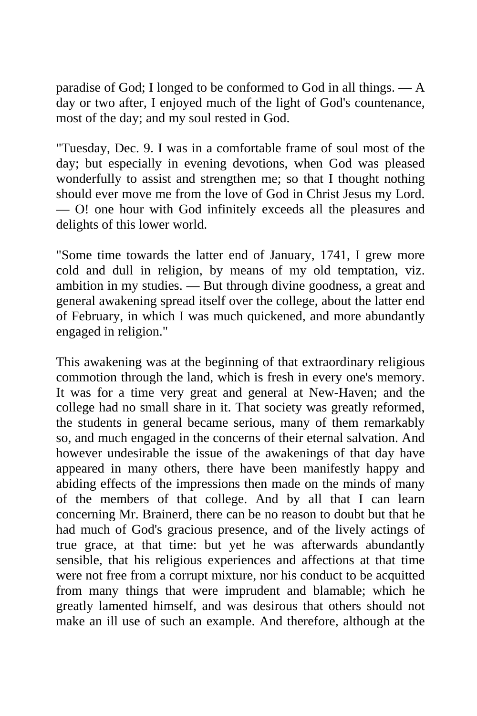paradise of God; I longed to be conformed to God in all things. — A day or two after, I enjoyed much of the light of God's countenance, most of the day; and my soul rested in God.

"Tuesday, Dec. 9. I was in a comfortable frame of soul most of the day; but especially in evening devotions, when God was pleased wonderfully to assist and strengthen me; so that I thought nothing should ever move me from the love of God in Christ Jesus my Lord. — O! one hour with God infinitely exceeds all the pleasures and delights of this lower world.

"Some time towards the latter end of January, 1741, I grew more cold and dull in religion, by means of my old temptation, viz. ambition in my studies. — But through divine goodness, a great and general awakening spread itself over the college, about the latter end of February, in which I was much quickened, and more abundantly engaged in religion."

This awakening was at the beginning of that extraordinary religious commotion through the land, which is fresh in every one's memory. It was for a time very great and general at New-Haven; and the college had no small share in it. That society was greatly reformed, the students in general became serious, many of them remarkably so, and much engaged in the concerns of their eternal salvation. And however undesirable the issue of the awakenings of that day have appeared in many others, there have been manifestly happy and abiding effects of the impressions then made on the minds of many of the members of that college. And by all that I can learn concerning Mr. Brainerd, there can be no reason to doubt but that he had much of God's gracious presence, and of the lively actings of true grace, at that time: but yet he was afterwards abundantly sensible, that his religious experiences and affections at that time were not free from a corrupt mixture, nor his conduct to be acquitted from many things that were imprudent and blamable; which he greatly lamented himself, and was desirous that others should not make an ill use of such an example. And therefore, although at the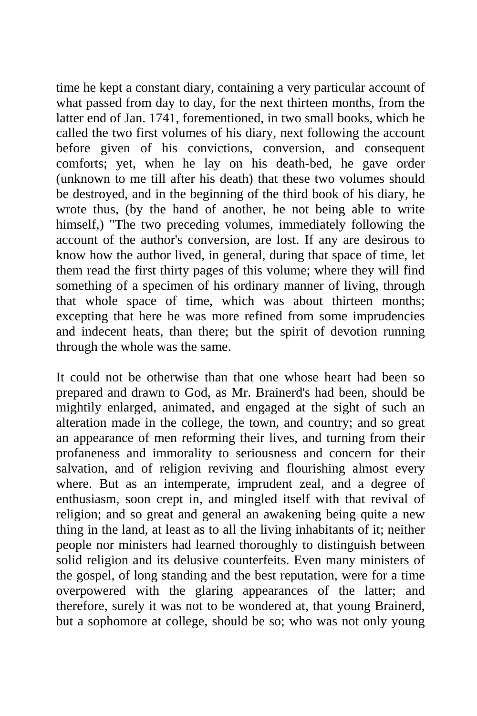time he kept a constant diary, containing a very particular account of what passed from day to day, for the next thirteen months, from the latter end of Jan. 1741, forementioned, in two small books, which he called the two first volumes of his diary, next following the account before given of his convictions, conversion, and consequent comforts; yet, when he lay on his death-bed, he gave order (unknown to me till after his death) that these two volumes should be destroyed, and in the beginning of the third book of his diary, he wrote thus, (by the hand of another, he not being able to write himself,) "The two preceding volumes, immediately following the account of the author's conversion, are lost. If any are desirous to know how the author lived, in general, during that space of time, let them read the first thirty pages of this volume; where they will find something of a specimen of his ordinary manner of living, through that whole space of time, which was about thirteen months; excepting that here he was more refined from some imprudencies and indecent heats, than there; but the spirit of devotion running through the whole was the same.

It could not be otherwise than that one whose heart had been so prepared and drawn to God, as Mr. Brainerd's had been, should be mightily enlarged, animated, and engaged at the sight of such an alteration made in the college, the town, and country; and so great an appearance of men reforming their lives, and turning from their profaneness and immorality to seriousness and concern for their salvation, and of religion reviving and flourishing almost every where. But as an intemperate, imprudent zeal, and a degree of enthusiasm, soon crept in, and mingled itself with that revival of religion; and so great and general an awakening being quite a new thing in the land, at least as to all the living inhabitants of it; neither people nor ministers had learned thoroughly to distinguish between solid religion and its delusive counterfeits. Even many ministers of the gospel, of long standing and the best reputation, were for a time overpowered with the glaring appearances of the latter; and therefore, surely it was not to be wondered at, that young Brainerd, but a sophomore at college, should be so; who was not only young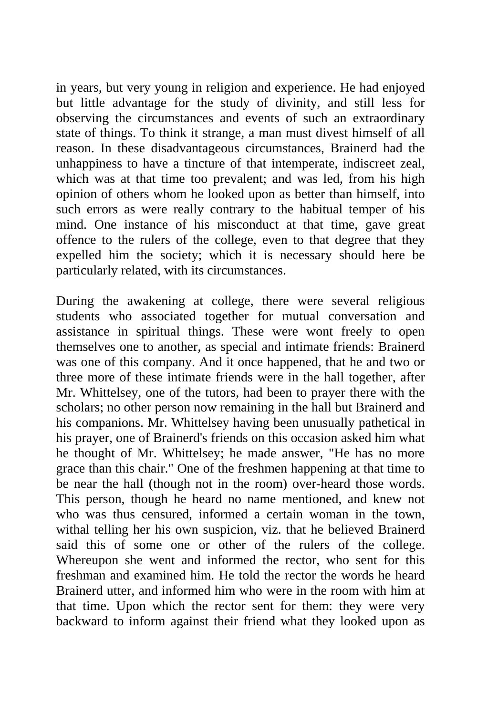in years, but very young in religion and experience. He had enjoyed but little advantage for the study of divinity, and still less for observing the circumstances and events of such an extraordinary state of things. To think it strange, a man must divest himself of all reason. In these disadvantageous circumstances, Brainerd had the unhappiness to have a tincture of that intemperate, indiscreet zeal, which was at that time too prevalent; and was led, from his high opinion of others whom he looked upon as better than himself, into such errors as were really contrary to the habitual temper of his mind. One instance of his misconduct at that time, gave great offence to the rulers of the college, even to that degree that they expelled him the society; which it is necessary should here be particularly related, with its circumstances.

During the awakening at college, there were several religious students who associated together for mutual conversation and assistance in spiritual things. These were wont freely to open themselves one to another, as special and intimate friends: Brainerd was one of this company. And it once happened, that he and two or three more of these intimate friends were in the hall together, after Mr. Whittelsey, one of the tutors, had been to prayer there with the scholars; no other person now remaining in the hall but Brainerd and his companions. Mr. Whittelsey having been unusually pathetical in his prayer, one of Brainerd's friends on this occasion asked him what he thought of Mr. Whittelsey; he made answer, "He has no more grace than this chair." One of the freshmen happening at that time to be near the hall (though not in the room) over-heard those words. This person, though he heard no name mentioned, and knew not who was thus censured, informed a certain woman in the town, withal telling her his own suspicion, viz. that he believed Brainerd said this of some one or other of the rulers of the college. Whereupon she went and informed the rector, who sent for this freshman and examined him. He told the rector the words he heard Brainerd utter, and informed him who were in the room with him at that time. Upon which the rector sent for them: they were very backward to inform against their friend what they looked upon as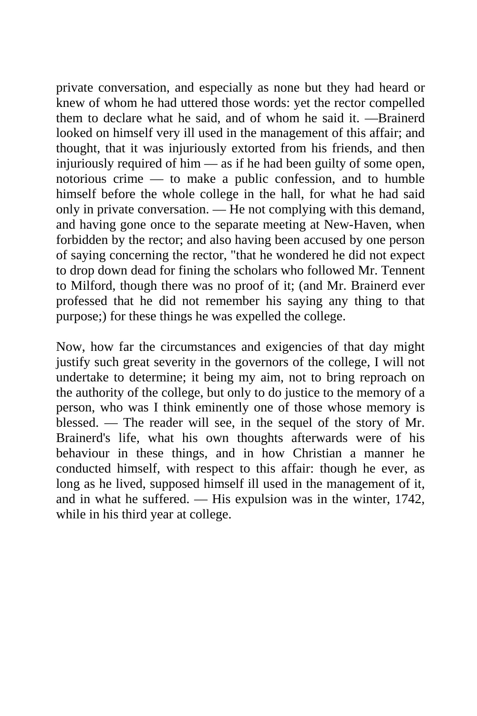private conversation, and especially as none but they had heard or knew of whom he had uttered those words: yet the rector compelled them to declare what he said, and of whom he said it. —Brainerd looked on himself very ill used in the management of this affair; and thought, that it was injuriously extorted from his friends, and then injuriously required of him — as if he had been guilty of some open, notorious crime — to make a public confession, and to humble himself before the whole college in the hall, for what he had said only in private conversation. — He not complying with this demand, and having gone once to the separate meeting at New-Haven, when forbidden by the rector; and also having been accused by one person of saying concerning the rector, "that he wondered he did not expect to drop down dead for fining the scholars who followed Mr. Tennent to Milford, though there was no proof of it; (and Mr. Brainerd ever professed that he did not remember his saying any thing to that purpose;) for these things he was expelled the college.

Now, how far the circumstances and exigencies of that day might justify such great severity in the governors of the college, I will not undertake to determine; it being my aim, not to bring reproach on the authority of the college, but only to do justice to the memory of a person, who was I think eminently one of those whose memory is blessed. — The reader will see, in the sequel of the story of Mr. Brainerd's life, what his own thoughts afterwards were of his behaviour in these things, and in how Christian a manner he conducted himself, with respect to this affair: though he ever, as long as he lived, supposed himself ill used in the management of it, and in what he suffered. — His expulsion was in the winter, 1742, while in his third year at college.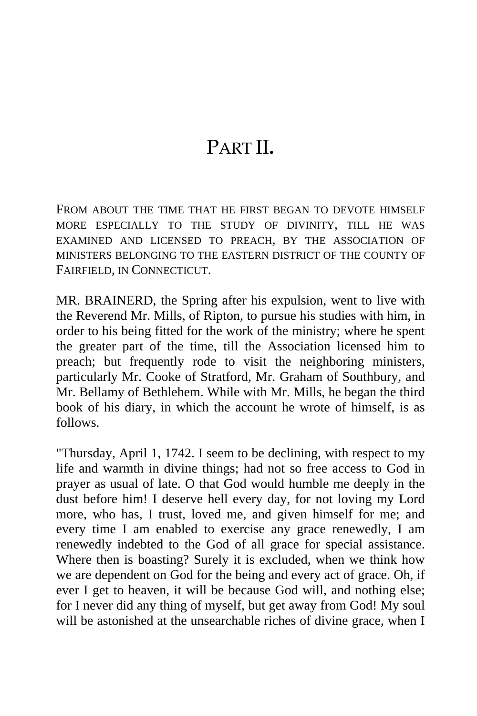### PART II**.**

FROM ABOUT THE TIME THAT HE FIRST BEGAN TO DEVOTE HIMSELF MORE ESPECIALLY TO THE STUDY OF DIVINITY, TILL HE WAS EXAMINED AND LICENSED TO PREACH, BY THE ASSOCIATION OF MINISTERS BELONGING TO THE EASTERN DISTRICT OF THE COUNTY OF FAIRFIELD, IN CONNECTICUT.

MR. BRAINERD, the Spring after his expulsion, went to live with the Reverend Mr. Mills, of Ripton, to pursue his studies with him, in order to his being fitted for the work of the ministry; where he spent the greater part of the time, till the Association licensed him to preach; but frequently rode to visit the neighboring ministers, particularly Mr. Cooke of Stratford, Mr. Graham of Southbury, and Mr. Bellamy of Bethlehem. While with Mr. Mills, he began the third book of his diary, in which the account he wrote of himself, is as follows.

"Thursday, April 1, 1742. I seem to be declining, with respect to my life and warmth in divine things; had not so free access to God in prayer as usual of late. O that God would humble me deeply in the dust before him! I deserve hell every day, for not loving my Lord more, who has, I trust, loved me, and given himself for me; and every time I am enabled to exercise any grace renewedly, I am renewedly indebted to the God of all grace for special assistance. Where then is boasting? Surely it is excluded, when we think how we are dependent on God for the being and every act of grace. Oh, if ever I get to heaven, it will be because God will, and nothing else; for I never did any thing of myself, but get away from God! My soul will be astonished at the unsearchable riches of divine grace, when I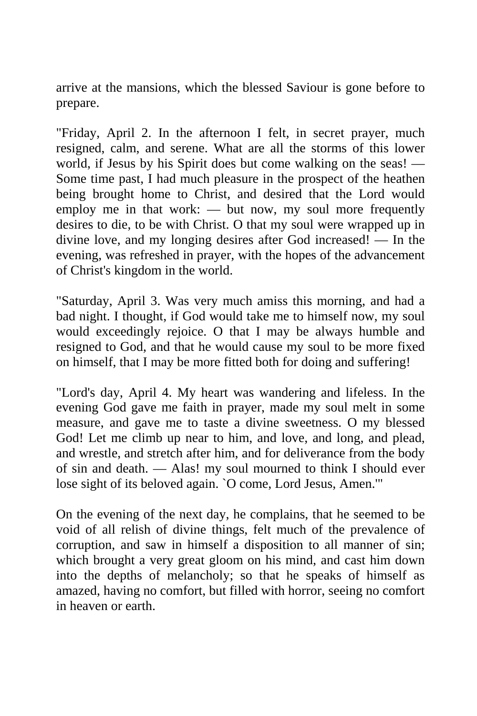arrive at the mansions, which the blessed Saviour is gone before to prepare.

"Friday, April 2. In the afternoon I felt, in secret prayer, much resigned, calm, and serene. What are all the storms of this lower world, if Jesus by his Spirit does but come walking on the seas! — Some time past, I had much pleasure in the prospect of the heathen being brought home to Christ, and desired that the Lord would employ me in that work: — but now, my soul more frequently desires to die, to be with Christ. O that my soul were wrapped up in divine love, and my longing desires after God increased! — In the evening, was refreshed in prayer, with the hopes of the advancement of Christ's kingdom in the world.

"Saturday, April 3. Was very much amiss this morning, and had a bad night. I thought, if God would take me to himself now, my soul would exceedingly rejoice. O that I may be always humble and resigned to God, and that he would cause my soul to be more fixed on himself, that I may be more fitted both for doing and suffering!

"Lord's day, April 4. My heart was wandering and lifeless. In the evening God gave me faith in prayer, made my soul melt in some measure, and gave me to taste a divine sweetness. O my blessed God! Let me climb up near to him, and love, and long, and plead, and wrestle, and stretch after him, and for deliverance from the body of sin and death. — Alas! my soul mourned to think I should ever lose sight of its beloved again. `O come, Lord Jesus, Amen.'"

On the evening of the next day, he complains, that he seemed to be void of all relish of divine things, felt much of the prevalence of corruption, and saw in himself a disposition to all manner of sin; which brought a very great gloom on his mind, and cast him down into the depths of melancholy; so that he speaks of himself as amazed, having no comfort, but filled with horror, seeing no comfort in heaven or earth.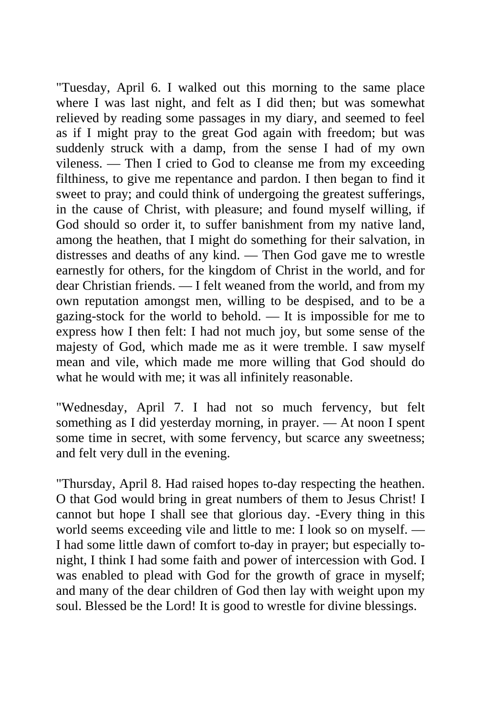"Tuesday, April 6. I walked out this morning to the same place where I was last night, and felt as I did then; but was somewhat relieved by reading some passages in my diary, and seemed to feel as if I might pray to the great God again with freedom; but was suddenly struck with a damp, from the sense I had of my own vileness. — Then I cried to God to cleanse me from my exceeding filthiness, to give me repentance and pardon. I then began to find it sweet to pray; and could think of undergoing the greatest sufferings, in the cause of Christ, with pleasure; and found myself willing, if God should so order it, to suffer banishment from my native land, among the heathen, that I might do something for their salvation, in distresses and deaths of any kind. — Then God gave me to wrestle earnestly for others, for the kingdom of Christ in the world, and for dear Christian friends. — I felt weaned from the world, and from my own reputation amongst men, willing to be despised, and to be a gazing-stock for the world to behold. — It is impossible for me to express how I then felt: I had not much joy, but some sense of the majesty of God, which made me as it were tremble. I saw myself mean and vile, which made me more willing that God should do what he would with me; it was all infinitely reasonable.

"Wednesday, April 7. I had not so much fervency, but felt something as I did yesterday morning, in prayer. — At noon I spent some time in secret, with some fervency, but scarce any sweetness; and felt very dull in the evening.

"Thursday, April 8. Had raised hopes to-day respecting the heathen. O that God would bring in great numbers of them to Jesus Christ! I cannot but hope I shall see that glorious day. -Every thing in this world seems exceeding vile and little to me: I look so on myself. — I had some little dawn of comfort to-day in prayer; but especially tonight, I think I had some faith and power of intercession with God. I was enabled to plead with God for the growth of grace in myself; and many of the dear children of God then lay with weight upon my soul. Blessed be the Lord! It is good to wrestle for divine blessings.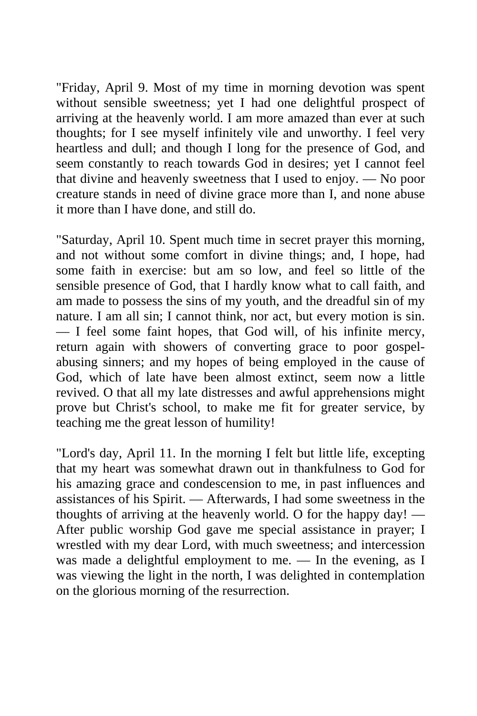"Friday, April 9. Most of my time in morning devotion was spent without sensible sweetness; yet I had one delightful prospect of arriving at the heavenly world. I am more amazed than ever at such thoughts; for I see myself infinitely vile and unworthy. I feel very heartless and dull; and though I long for the presence of God, and seem constantly to reach towards God in desires; yet I cannot feel that divine and heavenly sweetness that I used to enjoy. — No poor creature stands in need of divine grace more than I, and none abuse it more than I have done, and still do.

"Saturday, April 10. Spent much time in secret prayer this morning, and not without some comfort in divine things; and, I hope, had some faith in exercise: but am so low, and feel so little of the sensible presence of God, that I hardly know what to call faith, and am made to possess the sins of my youth, and the dreadful sin of my nature. I am all sin; I cannot think, nor act, but every motion is sin. — I feel some faint hopes, that God will, of his infinite mercy, return again with showers of converting grace to poor gospelabusing sinners; and my hopes of being employed in the cause of God, which of late have been almost extinct, seem now a little revived. O that all my late distresses and awful apprehensions might prove but Christ's school, to make me fit for greater service, by teaching me the great lesson of humility!

"Lord's day, April 11. In the morning I felt but little life, excepting that my heart was somewhat drawn out in thankfulness to God for his amazing grace and condescension to me, in past influences and assistances of his Spirit. — Afterwards, I had some sweetness in the thoughts of arriving at the heavenly world. O for the happy day! — After public worship God gave me special assistance in prayer; I wrestled with my dear Lord, with much sweetness; and intercession was made a delightful employment to me. — In the evening, as I was viewing the light in the north, I was delighted in contemplation on the glorious morning of the resurrection.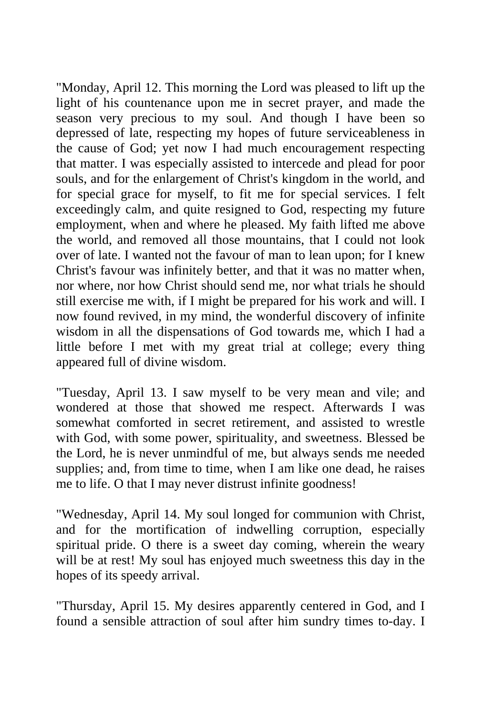"Monday, April 12. This morning the Lord was pleased to lift up the light of his countenance upon me in secret prayer, and made the season very precious to my soul. And though I have been so depressed of late, respecting my hopes of future serviceableness in the cause of God; yet now I had much encouragement respecting that matter. I was especially assisted to intercede and plead for poor souls, and for the enlargement of Christ's kingdom in the world, and for special grace for myself, to fit me for special services. I felt exceedingly calm, and quite resigned to God, respecting my future employment, when and where he pleased. My faith lifted me above the world, and removed all those mountains, that I could not look over of late. I wanted not the favour of man to lean upon; for I knew Christ's favour was infinitely better, and that it was no matter when, nor where, nor how Christ should send me, nor what trials he should still exercise me with, if I might be prepared for his work and will. I now found revived, in my mind, the wonderful discovery of infinite wisdom in all the dispensations of God towards me, which I had a little before I met with my great trial at college; every thing appeared full of divine wisdom.

"Tuesday, April 13. I saw myself to be very mean and vile; and wondered at those that showed me respect. Afterwards I was somewhat comforted in secret retirement, and assisted to wrestle with God, with some power, spirituality, and sweetness. Blessed be the Lord, he is never unmindful of me, but always sends me needed supplies; and, from time to time, when I am like one dead, he raises me to life. O that I may never distrust infinite goodness!

"Wednesday, April 14. My soul longed for communion with Christ, and for the mortification of indwelling corruption, especially spiritual pride. O there is a sweet day coming, wherein the weary will be at rest! My soul has enjoyed much sweetness this day in the hopes of its speedy arrival.

"Thursday, April 15. My desires apparently centered in God, and I found a sensible attraction of soul after him sundry times to-day. I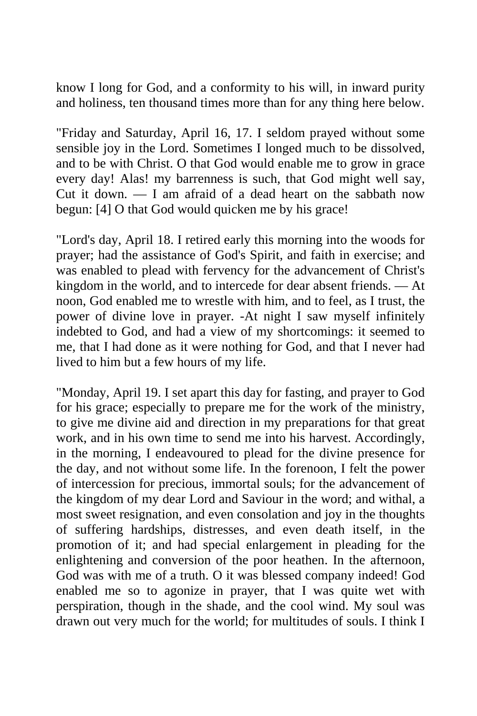know I long for God, and a conformity to his will, in inward purity and holiness, ten thousand times more than for any thing here below.

"Friday and Saturday, April 16, 17. I seldom prayed without some sensible joy in the Lord. Sometimes I longed much to be dissolved, and to be with Christ. O that God would enable me to grow in grace every day! Alas! my barrenness is such, that God might well say, Cut it down. — I am afraid of a dead heart on the sabbath now begun: [4] O that God would quicken me by his grace!

"Lord's day, April 18. I retired early this morning into the woods for prayer; had the assistance of God's Spirit, and faith in exercise; and was enabled to plead with fervency for the advancement of Christ's kingdom in the world, and to intercede for dear absent friends. — At noon, God enabled me to wrestle with him, and to feel, as I trust, the power of divine love in prayer. -At night I saw myself infinitely indebted to God, and had a view of my shortcomings: it seemed to me, that I had done as it were nothing for God, and that I never had lived to him but a few hours of my life.

"Monday, April 19. I set apart this day for fasting, and prayer to God for his grace; especially to prepare me for the work of the ministry, to give me divine aid and direction in my preparations for that great work, and in his own time to send me into his harvest. Accordingly, in the morning, I endeavoured to plead for the divine presence for the day, and not without some life. In the forenoon, I felt the power of intercession for precious, immortal souls; for the advancement of the kingdom of my dear Lord and Saviour in the word; and withal, a most sweet resignation, and even consolation and joy in the thoughts of suffering hardships, distresses, and even death itself, in the promotion of it; and had special enlargement in pleading for the enlightening and conversion of the poor heathen. In the afternoon, God was with me of a truth. O it was blessed company indeed! God enabled me so to agonize in prayer, that I was quite wet with perspiration, though in the shade, and the cool wind. My soul was drawn out very much for the world; for multitudes of souls. I think I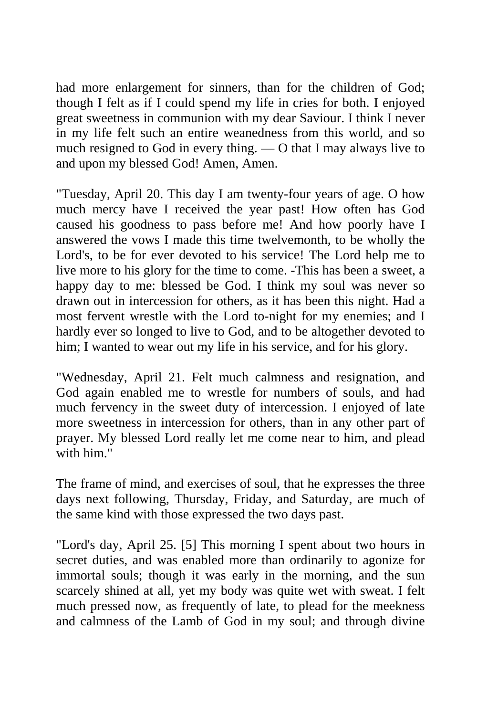had more enlargement for sinners, than for the children of God; though I felt as if I could spend my life in cries for both. I enjoyed great sweetness in communion with my dear Saviour. I think I never in my life felt such an entire weanedness from this world, and so much resigned to God in every thing. — O that I may always live to and upon my blessed God! Amen, Amen.

"Tuesday, April 20. This day I am twenty-four years of age. O how much mercy have I received the year past! How often has God caused his goodness to pass before me! And how poorly have I answered the vows I made this time twelvemonth, to be wholly the Lord's, to be for ever devoted to his service! The Lord help me to live more to his glory for the time to come. -This has been a sweet, a happy day to me: blessed be God. I think my soul was never so drawn out in intercession for others, as it has been this night. Had a most fervent wrestle with the Lord to-night for my enemies; and I hardly ever so longed to live to God, and to be altogether devoted to him; I wanted to wear out my life in his service, and for his glory.

"Wednesday, April 21. Felt much calmness and resignation, and God again enabled me to wrestle for numbers of souls, and had much fervency in the sweet duty of intercession. I enjoyed of late more sweetness in intercession for others, than in any other part of prayer. My blessed Lord really let me come near to him, and plead with him."

The frame of mind, and exercises of soul, that he expresses the three days next following, Thursday, Friday, and Saturday, are much of the same kind with those expressed the two days past.

"Lord's day, April 25. [5] This morning I spent about two hours in secret duties, and was enabled more than ordinarily to agonize for immortal souls; though it was early in the morning, and the sun scarcely shined at all, yet my body was quite wet with sweat. I felt much pressed now, as frequently of late, to plead for the meekness and calmness of the Lamb of God in my soul; and through divine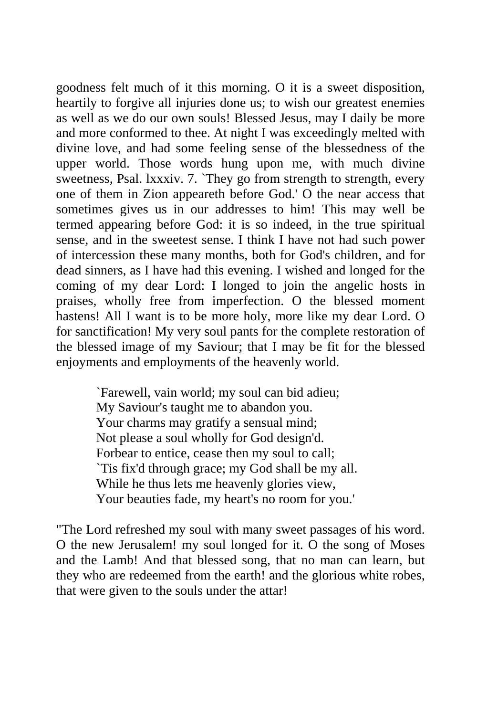goodness felt much of it this morning. O it is a sweet disposition, heartily to forgive all injuries done us; to wish our greatest enemies as well as we do our own souls! Blessed Jesus, may I daily be more and more conformed to thee. At night I was exceedingly melted with divine love, and had some feeling sense of the blessedness of the upper world. Those words hung upon me, with much divine sweetness, Psal. lxxxiv. 7. `They go from strength to strength, every one of them in Zion appeareth before God.' O the near access that sometimes gives us in our addresses to him! This may well be termed appearing before God: it is so indeed, in the true spiritual sense, and in the sweetest sense. I think I have not had such power of intercession these many months, both for God's children, and for dead sinners, as I have had this evening. I wished and longed for the coming of my dear Lord: I longed to join the angelic hosts in praises, wholly free from imperfection. O the blessed moment hastens! All I want is to be more holy, more like my dear Lord. O for sanctification! My very soul pants for the complete restoration of the blessed image of my Saviour; that I may be fit for the blessed enjoyments and employments of the heavenly world.

> `Farewell, vain world; my soul can bid adieu; My Saviour's taught me to abandon you. Your charms may gratify a sensual mind; Not please a soul wholly for God design'd. Forbear to entice, cease then my soul to call; `Tis fix'd through grace; my God shall be my all. While he thus lets me heavenly glories view, Your beauties fade, my heart's no room for you.'

"The Lord refreshed my soul with many sweet passages of his word. O the new Jerusalem! my soul longed for it. O the song of Moses and the Lamb! And that blessed song, that no man can learn, but they who are redeemed from the earth! and the glorious white robes, that were given to the souls under the attar!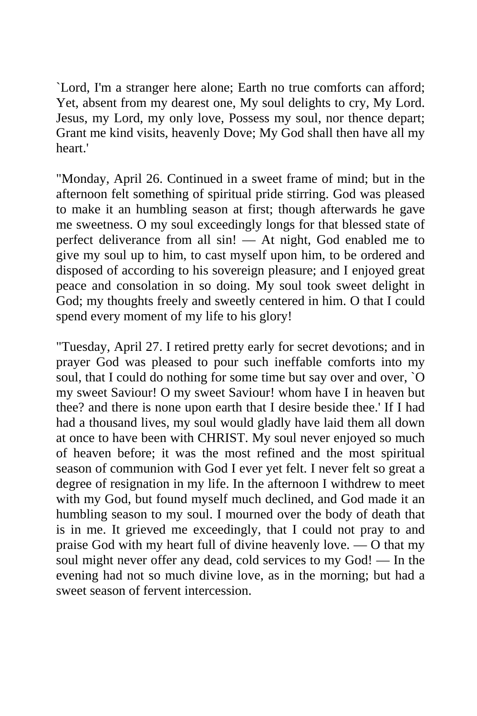`Lord, I'm a stranger here alone; Earth no true comforts can afford; Yet, absent from my dearest one, My soul delights to cry, My Lord. Jesus, my Lord, my only love, Possess my soul, nor thence depart; Grant me kind visits, heavenly Dove; My God shall then have all my heart<sup>'</sup>

"Monday, April 26. Continued in a sweet frame of mind; but in the afternoon felt something of spiritual pride stirring. God was pleased to make it an humbling season at first; though afterwards he gave me sweetness. O my soul exceedingly longs for that blessed state of perfect deliverance from all sin! — At night, God enabled me to give my soul up to him, to cast myself upon him, to be ordered and disposed of according to his sovereign pleasure; and I enjoyed great peace and consolation in so doing. My soul took sweet delight in God; my thoughts freely and sweetly centered in him. O that I could spend every moment of my life to his glory!

"Tuesday, April 27. I retired pretty early for secret devotions; and in prayer God was pleased to pour such ineffable comforts into my soul, that I could do nothing for some time but say over and over, `O my sweet Saviour! O my sweet Saviour! whom have I in heaven but thee? and there is none upon earth that I desire beside thee.' If I had had a thousand lives, my soul would gladly have laid them all down at once to have been with CHRIST. My soul never enjoyed so much of heaven before; it was the most refined and the most spiritual season of communion with God I ever yet felt. I never felt so great a degree of resignation in my life. In the afternoon I withdrew to meet with my God, but found myself much declined, and God made it an humbling season to my soul. I mourned over the body of death that is in me. It grieved me exceedingly, that I could not pray to and praise God with my heart full of divine heavenly love. — O that my soul might never offer any dead, cold services to my God! — In the evening had not so much divine love, as in the morning; but had a sweet season of fervent intercession.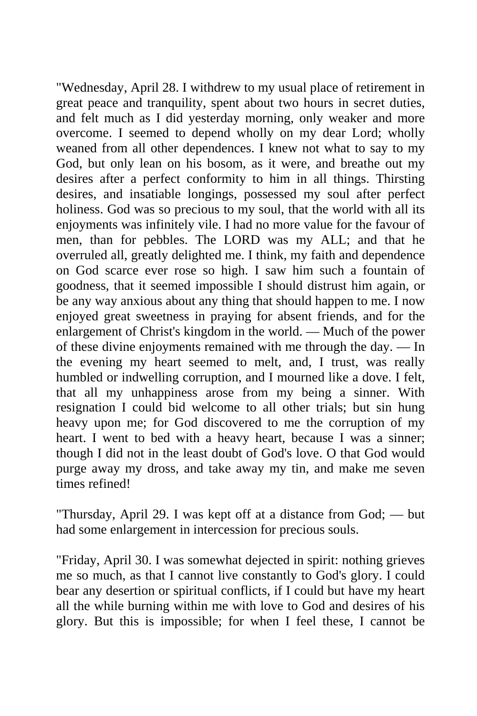"Wednesday, April 28. I withdrew to my usual place of retirement in great peace and tranquility, spent about two hours in secret duties, and felt much as I did yesterday morning, only weaker and more overcome. I seemed to depend wholly on my dear Lord; wholly weaned from all other dependences. I knew not what to say to my God, but only lean on his bosom, as it were, and breathe out my desires after a perfect conformity to him in all things. Thirsting desires, and insatiable longings, possessed my soul after perfect holiness. God was so precious to my soul, that the world with all its enjoyments was infinitely vile. I had no more value for the favour of men, than for pebbles. The LORD was my ALL; and that he overruled all, greatly delighted me. I think, my faith and dependence on God scarce ever rose so high. I saw him such a fountain of goodness, that it seemed impossible I should distrust him again, or be any way anxious about any thing that should happen to me. I now enjoyed great sweetness in praying for absent friends, and for the enlargement of Christ's kingdom in the world. — Much of the power of these divine enjoyments remained with me through the day. — In the evening my heart seemed to melt, and, I trust, was really humbled or indwelling corruption, and I mourned like a dove. I felt, that all my unhappiness arose from my being a sinner. With resignation I could bid welcome to all other trials; but sin hung heavy upon me; for God discovered to me the corruption of my heart. I went to bed with a heavy heart, because I was a sinner; though I did not in the least doubt of God's love. O that God would purge away my dross, and take away my tin, and make me seven times refined!

"Thursday, April 29. I was kept off at a distance from God; — but had some enlargement in intercession for precious souls.

"Friday, April 30. I was somewhat dejected in spirit: nothing grieves me so much, as that I cannot live constantly to God's glory. I could bear any desertion or spiritual conflicts, if I could but have my heart all the while burning within me with love to God and desires of his glory. But this is impossible; for when I feel these, I cannot be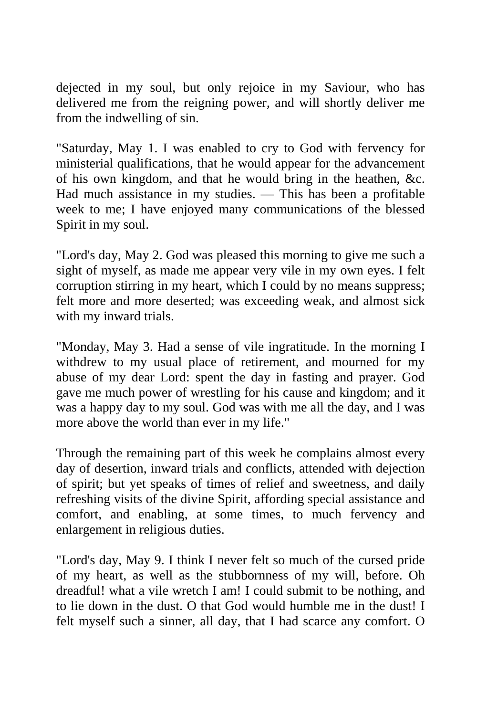dejected in my soul, but only rejoice in my Saviour, who has delivered me from the reigning power, and will shortly deliver me from the indwelling of sin.

"Saturday, May 1. I was enabled to cry to God with fervency for ministerial qualifications, that he would appear for the advancement of his own kingdom, and that he would bring in the heathen, &c. Had much assistance in my studies. — This has been a profitable week to me; I have enjoyed many communications of the blessed Spirit in my soul.

"Lord's day, May 2. God was pleased this morning to give me such a sight of myself, as made me appear very vile in my own eyes. I felt corruption stirring in my heart, which I could by no means suppress; felt more and more deserted; was exceeding weak, and almost sick with my inward trials.

"Monday, May 3. Had a sense of vile ingratitude. In the morning I withdrew to my usual place of retirement, and mourned for my abuse of my dear Lord: spent the day in fasting and prayer. God gave me much power of wrestling for his cause and kingdom; and it was a happy day to my soul. God was with me all the day, and I was more above the world than ever in my life."

Through the remaining part of this week he complains almost every day of desertion, inward trials and conflicts, attended with dejection of spirit; but yet speaks of times of relief and sweetness, and daily refreshing visits of the divine Spirit, affording special assistance and comfort, and enabling, at some times, to much fervency and enlargement in religious duties.

"Lord's day, May 9. I think I never felt so much of the cursed pride of my heart, as well as the stubbornness of my will, before. Oh dreadful! what a vile wretch I am! I could submit to be nothing, and to lie down in the dust. O that God would humble me in the dust! I felt myself such a sinner, all day, that I had scarce any comfort. O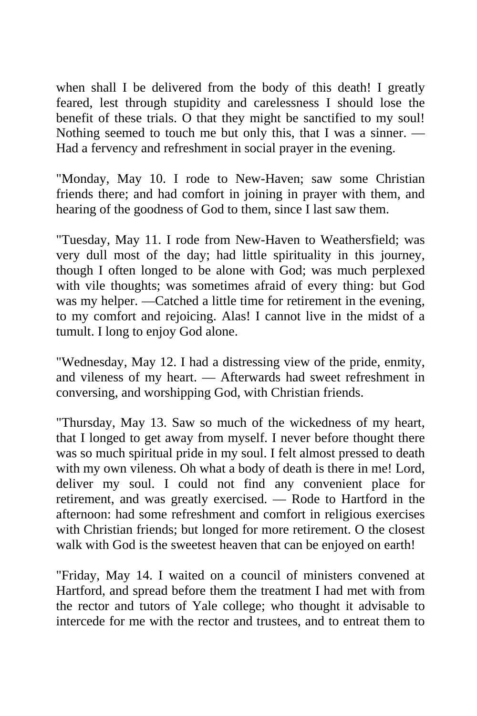when shall I be delivered from the body of this death! I greatly feared, lest through stupidity and carelessness I should lose the benefit of these trials. O that they might be sanctified to my soul! Nothing seemed to touch me but only this, that I was a sinner. — Had a fervency and refreshment in social prayer in the evening.

"Monday, May 10. I rode to New-Haven; saw some Christian friends there; and had comfort in joining in prayer with them, and hearing of the goodness of God to them, since I last saw them.

"Tuesday, May 11. I rode from New-Haven to Weathersfield; was very dull most of the day; had little spirituality in this journey, though I often longed to be alone with God; was much perplexed with vile thoughts; was sometimes afraid of every thing: but God was my helper. —Catched a little time for retirement in the evening, to my comfort and rejoicing. Alas! I cannot live in the midst of a tumult. I long to enjoy God alone.

"Wednesday, May 12. I had a distressing view of the pride, enmity, and vileness of my heart. — Afterwards had sweet refreshment in conversing, and worshipping God, with Christian friends.

"Thursday, May 13. Saw so much of the wickedness of my heart, that I longed to get away from myself. I never before thought there was so much spiritual pride in my soul. I felt almost pressed to death with my own vileness. Oh what a body of death is there in me! Lord, deliver my soul. I could not find any convenient place for retirement, and was greatly exercised. — Rode to Hartford in the afternoon: had some refreshment and comfort in religious exercises with Christian friends; but longed for more retirement. O the closest walk with God is the sweetest heaven that can be enjoyed on earth!

"Friday, May 14. I waited on a council of ministers convened at Hartford, and spread before them the treatment I had met with from the rector and tutors of Yale college; who thought it advisable to intercede for me with the rector and trustees, and to entreat them to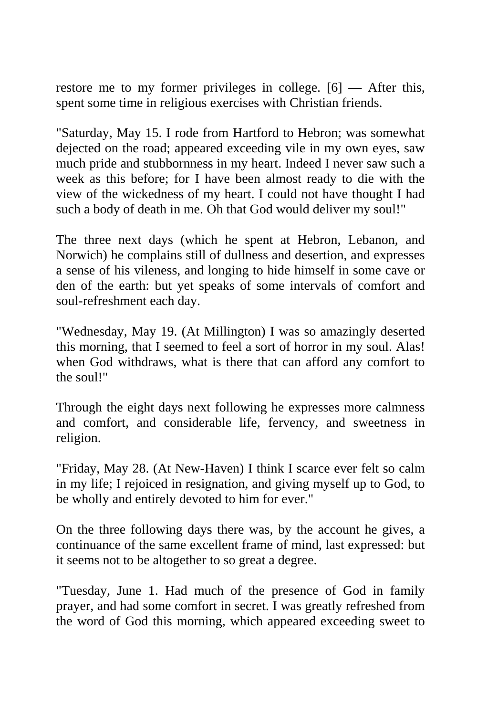restore me to my former privileges in college.  $[6]$  — After this, spent some time in religious exercises with Christian friends.

"Saturday, May 15. I rode from Hartford to Hebron; was somewhat dejected on the road; appeared exceeding vile in my own eyes, saw much pride and stubbornness in my heart. Indeed I never saw such a week as this before; for I have been almost ready to die with the view of the wickedness of my heart. I could not have thought I had such a body of death in me. Oh that God would deliver my soul!"

The three next days (which he spent at Hebron, Lebanon, and Norwich) he complains still of dullness and desertion, and expresses a sense of his vileness, and longing to hide himself in some cave or den of the earth: but yet speaks of some intervals of comfort and soul-refreshment each day.

"Wednesday, May 19. (At Millington) I was so amazingly deserted this morning, that I seemed to feel a sort of horror in my soul. Alas! when God withdraws, what is there that can afford any comfort to the soul!"

Through the eight days next following he expresses more calmness and comfort, and considerable life, fervency, and sweetness in religion.

"Friday, May 28. (At New-Haven) I think I scarce ever felt so calm in my life; I rejoiced in resignation, and giving myself up to God, to be wholly and entirely devoted to him for ever."

On the three following days there was, by the account he gives, a continuance of the same excellent frame of mind, last expressed: but it seems not to be altogether to so great a degree.

"Tuesday, June 1. Had much of the presence of God in family prayer, and had some comfort in secret. I was greatly refreshed from the word of God this morning, which appeared exceeding sweet to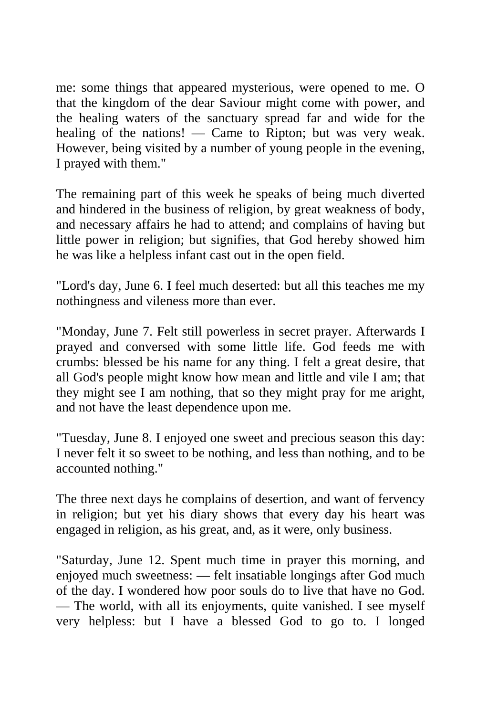me: some things that appeared mysterious, were opened to me. O that the kingdom of the dear Saviour might come with power, and the healing waters of the sanctuary spread far and wide for the healing of the nations! — Came to Ripton; but was very weak. However, being visited by a number of young people in the evening, I prayed with them."

The remaining part of this week he speaks of being much diverted and hindered in the business of religion, by great weakness of body, and necessary affairs he had to attend; and complains of having but little power in religion; but signifies, that God hereby showed him he was like a helpless infant cast out in the open field.

"Lord's day, June 6. I feel much deserted: but all this teaches me my nothingness and vileness more than ever.

"Monday, June 7. Felt still powerless in secret prayer. Afterwards I prayed and conversed with some little life. God feeds me with crumbs: blessed be his name for any thing. I felt a great desire, that all God's people might know how mean and little and vile I am; that they might see I am nothing, that so they might pray for me aright, and not have the least dependence upon me.

"Tuesday, June 8. I enjoyed one sweet and precious season this day: I never felt it so sweet to be nothing, and less than nothing, and to be accounted nothing."

The three next days he complains of desertion, and want of fervency in religion; but yet his diary shows that every day his heart was engaged in religion, as his great, and, as it were, only business.

"Saturday, June 12. Spent much time in prayer this morning, and enjoyed much sweetness: — felt insatiable longings after God much of the day. I wondered how poor souls do to live that have no God. — The world, with all its enjoyments, quite vanished. I see myself very helpless: but I have a blessed God to go to. I longed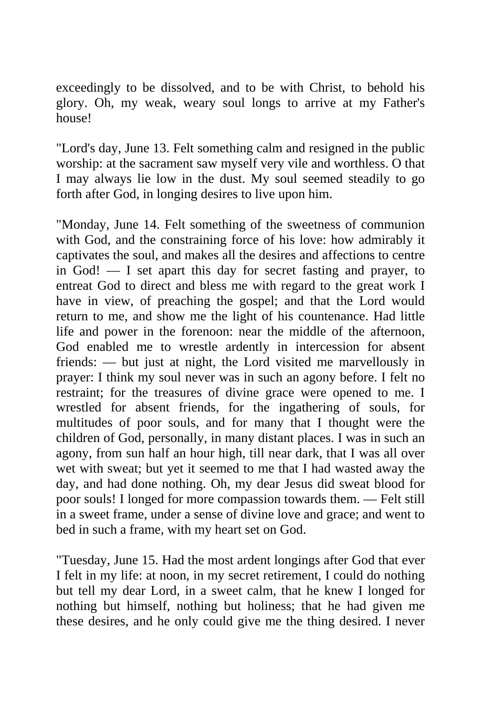exceedingly to be dissolved, and to be with Christ, to behold his glory. Oh, my weak, weary soul longs to arrive at my Father's house!

"Lord's day, June 13. Felt something calm and resigned in the public worship: at the sacrament saw myself very vile and worthless. O that I may always lie low in the dust. My soul seemed steadily to go forth after God, in longing desires to live upon him.

"Monday, June 14. Felt something of the sweetness of communion with God, and the constraining force of his love: how admirably it captivates the soul, and makes all the desires and affections to centre in God! — I set apart this day for secret fasting and prayer, to entreat God to direct and bless me with regard to the great work I have in view, of preaching the gospel; and that the Lord would return to me, and show me the light of his countenance. Had little life and power in the forenoon: near the middle of the afternoon, God enabled me to wrestle ardently in intercession for absent friends: — but just at night, the Lord visited me marvellously in prayer: I think my soul never was in such an agony before. I felt no restraint; for the treasures of divine grace were opened to me. I wrestled for absent friends, for the ingathering of souls, for multitudes of poor souls, and for many that I thought were the children of God, personally, in many distant places. I was in such an agony, from sun half an hour high, till near dark, that I was all over wet with sweat; but yet it seemed to me that I had wasted away the day, and had done nothing. Oh, my dear Jesus did sweat blood for poor souls! I longed for more compassion towards them. — Felt still in a sweet frame, under a sense of divine love and grace; and went to bed in such a frame, with my heart set on God.

"Tuesday, June 15. Had the most ardent longings after God that ever I felt in my life: at noon, in my secret retirement, I could do nothing but tell my dear Lord, in a sweet calm, that he knew I longed for nothing but himself, nothing but holiness; that he had given me these desires, and he only could give me the thing desired. I never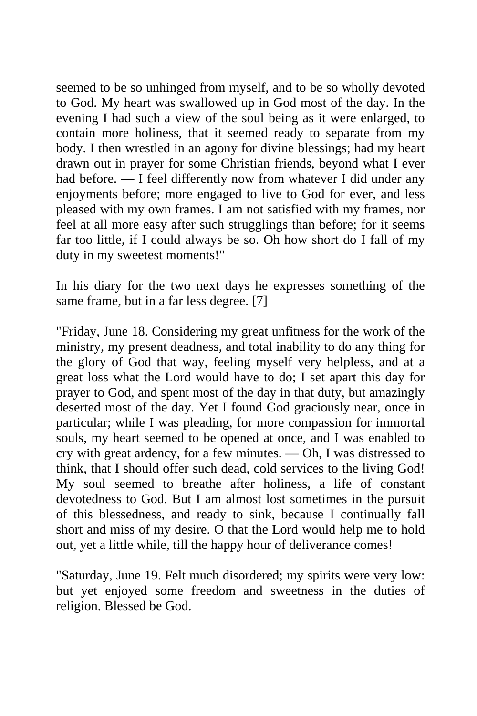seemed to be so unhinged from myself, and to be so wholly devoted to God. My heart was swallowed up in God most of the day. In the evening I had such a view of the soul being as it were enlarged, to contain more holiness, that it seemed ready to separate from my body. I then wrestled in an agony for divine blessings; had my heart drawn out in prayer for some Christian friends, beyond what I ever had before. — I feel differently now from whatever I did under any enjoyments before; more engaged to live to God for ever, and less pleased with my own frames. I am not satisfied with my frames, nor feel at all more easy after such strugglings than before; for it seems far too little, if I could always be so. Oh how short do I fall of my duty in my sweetest moments!"

In his diary for the two next days he expresses something of the same frame, but in a far less degree. [7]

"Friday, June 18. Considering my great unfitness for the work of the ministry, my present deadness, and total inability to do any thing for the glory of God that way, feeling myself very helpless, and at a great loss what the Lord would have to do; I set apart this day for prayer to God, and spent most of the day in that duty, but amazingly deserted most of the day. Yet I found God graciously near, once in particular; while I was pleading, for more compassion for immortal souls, my heart seemed to be opened at once, and I was enabled to cry with great ardency, for a few minutes. — Oh, I was distressed to think, that I should offer such dead, cold services to the living God! My soul seemed to breathe after holiness, a life of constant devotedness to God. But I am almost lost sometimes in the pursuit of this blessedness, and ready to sink, because I continually fall short and miss of my desire. O that the Lord would help me to hold out, yet a little while, till the happy hour of deliverance comes!

"Saturday, June 19. Felt much disordered; my spirits were very low: but yet enjoyed some freedom and sweetness in the duties of religion. Blessed be God.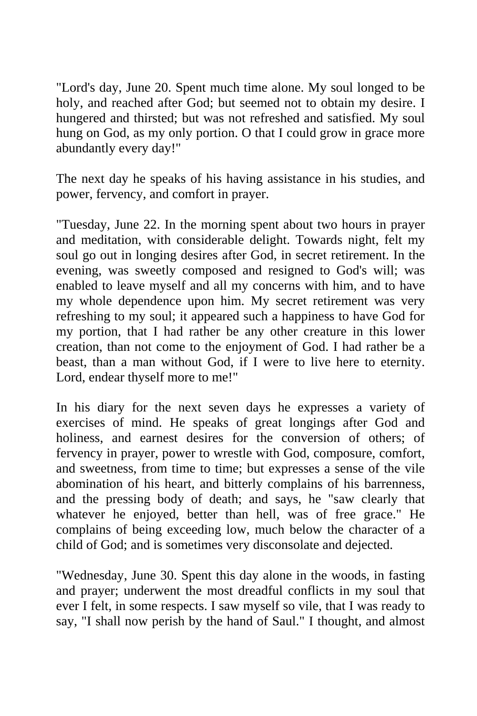"Lord's day, June 20. Spent much time alone. My soul longed to be holy, and reached after God; but seemed not to obtain my desire. I hungered and thirsted; but was not refreshed and satisfied. My soul hung on God, as my only portion. O that I could grow in grace more abundantly every day!"

The next day he speaks of his having assistance in his studies, and power, fervency, and comfort in prayer.

"Tuesday, June 22. In the morning spent about two hours in prayer and meditation, with considerable delight. Towards night, felt my soul go out in longing desires after God, in secret retirement. In the evening, was sweetly composed and resigned to God's will; was enabled to leave myself and all my concerns with him, and to have my whole dependence upon him. My secret retirement was very refreshing to my soul; it appeared such a happiness to have God for my portion, that I had rather be any other creature in this lower creation, than not come to the enjoyment of God. I had rather be a beast, than a man without God, if I were to live here to eternity. Lord, endear thyself more to me!"

In his diary for the next seven days he expresses a variety of exercises of mind. He speaks of great longings after God and holiness, and earnest desires for the conversion of others; of fervency in prayer, power to wrestle with God, composure, comfort, and sweetness, from time to time; but expresses a sense of the vile abomination of his heart, and bitterly complains of his barrenness, and the pressing body of death; and says, he "saw clearly that whatever he enjoyed, better than hell, was of free grace." He complains of being exceeding low, much below the character of a child of God; and is sometimes very disconsolate and dejected.

"Wednesday, June 30. Spent this day alone in the woods, in fasting and prayer; underwent the most dreadful conflicts in my soul that ever I felt, in some respects. I saw myself so vile, that I was ready to say, "I shall now perish by the hand of Saul." I thought, and almost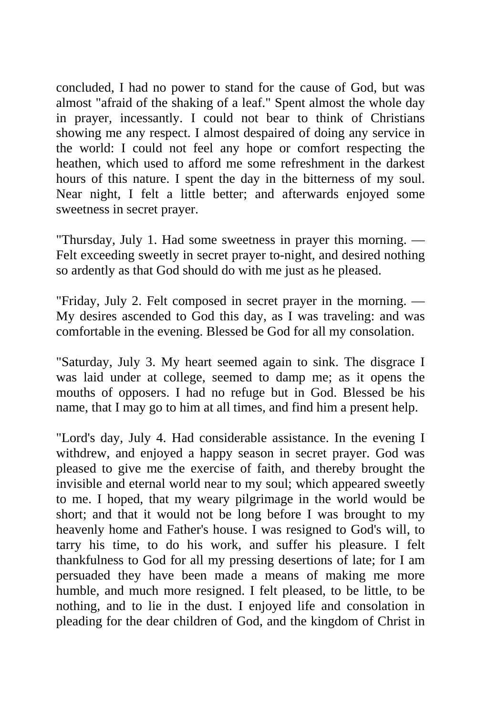concluded, I had no power to stand for the cause of God, but was almost "afraid of the shaking of a leaf." Spent almost the whole day in prayer, incessantly. I could not bear to think of Christians showing me any respect. I almost despaired of doing any service in the world: I could not feel any hope or comfort respecting the heathen, which used to afford me some refreshment in the darkest hours of this nature. I spent the day in the bitterness of my soul. Near night, I felt a little better; and afterwards enjoyed some sweetness in secret prayer.

"Thursday, July 1. Had some sweetness in prayer this morning. — Felt exceeding sweetly in secret prayer to-night, and desired nothing so ardently as that God should do with me just as he pleased.

"Friday, July 2. Felt composed in secret prayer in the morning. — My desires ascended to God this day, as I was traveling: and was comfortable in the evening. Blessed be God for all my consolation.

"Saturday, July 3. My heart seemed again to sink. The disgrace I was laid under at college, seemed to damp me; as it opens the mouths of opposers. I had no refuge but in God. Blessed be his name, that I may go to him at all times, and find him a present help.

"Lord's day, July 4. Had considerable assistance. In the evening I withdrew, and enjoyed a happy season in secret prayer. God was pleased to give me the exercise of faith, and thereby brought the invisible and eternal world near to my soul; which appeared sweetly to me. I hoped, that my weary pilgrimage in the world would be short; and that it would not be long before I was brought to my heavenly home and Father's house. I was resigned to God's will, to tarry his time, to do his work, and suffer his pleasure. I felt thankfulness to God for all my pressing desertions of late; for I am persuaded they have been made a means of making me more humble, and much more resigned. I felt pleased, to be little, to be nothing, and to lie in the dust. I enjoyed life and consolation in pleading for the dear children of God, and the kingdom of Christ in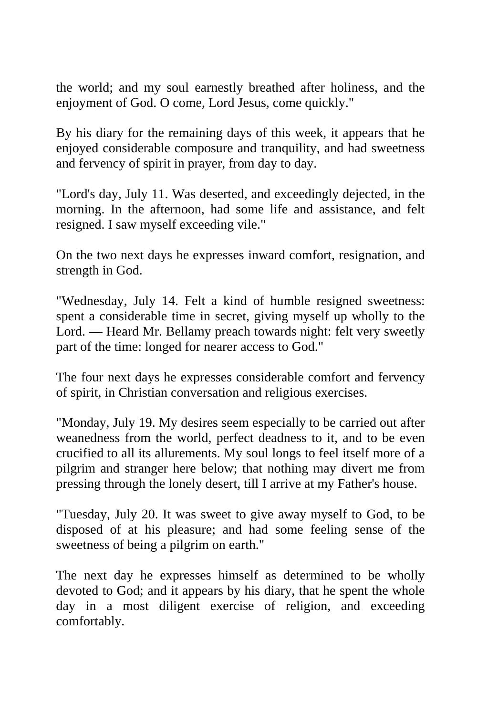the world; and my soul earnestly breathed after holiness, and the enjoyment of God. O come, Lord Jesus, come quickly."

By his diary for the remaining days of this week, it appears that he enjoyed considerable composure and tranquility, and had sweetness and fervency of spirit in prayer, from day to day.

"Lord's day, July 11. Was deserted, and exceedingly dejected, in the morning. In the afternoon, had some life and assistance, and felt resigned. I saw myself exceeding vile."

On the two next days he expresses inward comfort, resignation, and strength in God.

"Wednesday, July 14. Felt a kind of humble resigned sweetness: spent a considerable time in secret, giving myself up wholly to the Lord. — Heard Mr. Bellamy preach towards night: felt very sweetly part of the time: longed for nearer access to God."

The four next days he expresses considerable comfort and fervency of spirit, in Christian conversation and religious exercises.

"Monday, July 19. My desires seem especially to be carried out after weanedness from the world, perfect deadness to it, and to be even crucified to all its allurements. My soul longs to feel itself more of a pilgrim and stranger here below; that nothing may divert me from pressing through the lonely desert, till I arrive at my Father's house.

"Tuesday, July 20. It was sweet to give away myself to God, to be disposed of at his pleasure; and had some feeling sense of the sweetness of being a pilgrim on earth."

The next day he expresses himself as determined to be wholly devoted to God; and it appears by his diary, that he spent the whole day in a most diligent exercise of religion, and exceeding comfortably.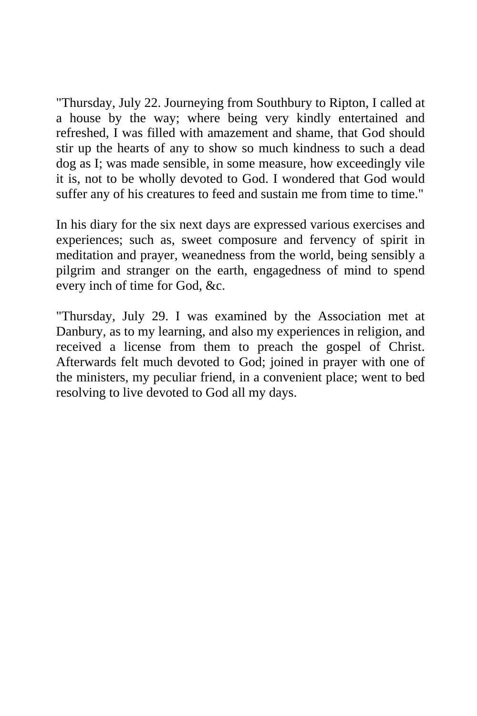"Thursday, July 22. Journeying from Southbury to Ripton, I called at a house by the way; where being very kindly entertained and refreshed, I was filled with amazement and shame, that God should stir up the hearts of any to show so much kindness to such a dead dog as I; was made sensible, in some measure, how exceedingly vile it is, not to be wholly devoted to God. I wondered that God would suffer any of his creatures to feed and sustain me from time to time."

In his diary for the six next days are expressed various exercises and experiences; such as, sweet composure and fervency of spirit in meditation and prayer, weanedness from the world, being sensibly a pilgrim and stranger on the earth, engagedness of mind to spend every inch of time for God, &c.

"Thursday, July 29. I was examined by the Association met at Danbury, as to my learning, and also my experiences in religion, and received a license from them to preach the gospel of Christ. Afterwards felt much devoted to God; joined in prayer with one of the ministers, my peculiar friend, in a convenient place; went to bed resolving to live devoted to God all my days.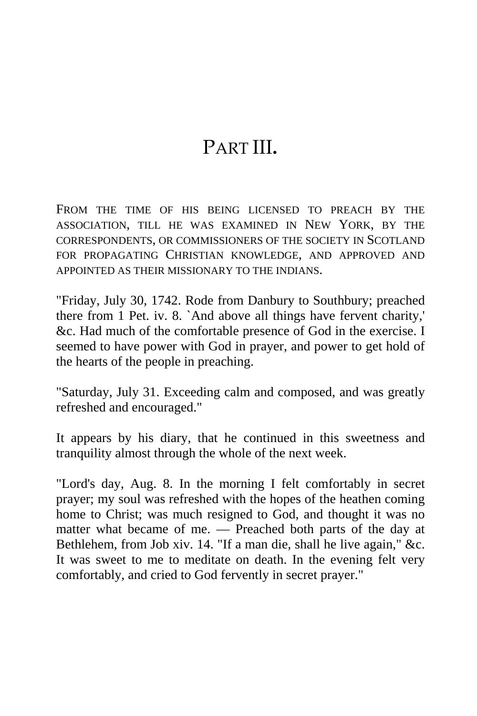## PART III**.**

FROM THE TIME OF HIS BEING LICENSED TO PREACH BY THE ASSOCIATION, TILL HE WAS EXAMINED IN NEW YORK, BY THE CORRESPONDENTS, OR COMMISSIONERS OF THE SOCIETY IN SCOTLAND FOR PROPAGATING CHRISTIAN KNOWLEDGE, AND APPROVED AND APPOINTED AS THEIR MISSIONARY TO THE INDIANS.

"Friday, July 30, 1742. Rode from Danbury to Southbury; preached there from 1 Pet. iv. 8. `And above all things have fervent charity,' &c. Had much of the comfortable presence of God in the exercise. I seemed to have power with God in prayer, and power to get hold of the hearts of the people in preaching.

"Saturday, July 31. Exceeding calm and composed, and was greatly refreshed and encouraged."

It appears by his diary, that he continued in this sweetness and tranquility almost through the whole of the next week.

"Lord's day, Aug. 8. In the morning I felt comfortably in secret prayer; my soul was refreshed with the hopes of the heathen coming home to Christ; was much resigned to God, and thought it was no matter what became of me. — Preached both parts of the day at Bethlehem, from Job xiv. 14. "If a man die, shall he live again," &c. It was sweet to me to meditate on death. In the evening felt very comfortably, and cried to God fervently in secret prayer."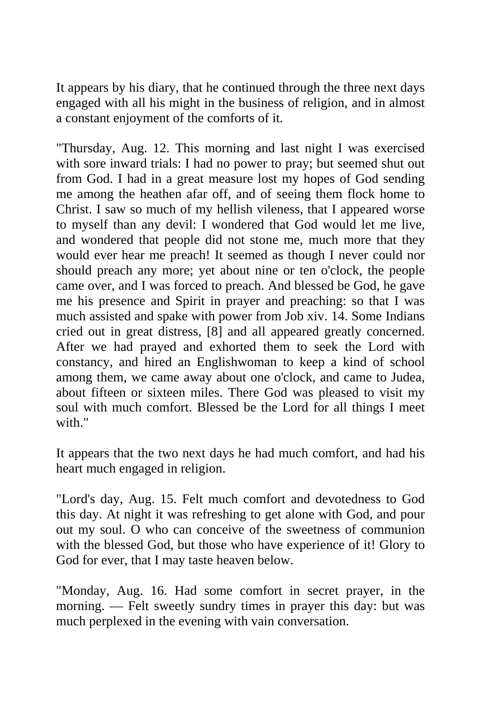It appears by his diary, that he continued through the three next days engaged with all his might in the business of religion, and in almost a constant enjoyment of the comforts of it.

"Thursday, Aug. 12. This morning and last night I was exercised with sore inward trials: I had no power to pray; but seemed shut out from God. I had in a great measure lost my hopes of God sending me among the heathen afar off, and of seeing them flock home to Christ. I saw so much of my hellish vileness, that I appeared worse to myself than any devil: I wondered that God would let me live, and wondered that people did not stone me, much more that they would ever hear me preach! It seemed as though I never could nor should preach any more; yet about nine or ten o'clock, the people came over, and I was forced to preach. And blessed be God, he gave me his presence and Spirit in prayer and preaching: so that I was much assisted and spake with power from Job xiv. 14. Some Indians cried out in great distress, [8] and all appeared greatly concerned. After we had prayed and exhorted them to seek the Lord with constancy, and hired an Englishwoman to keep a kind of school among them, we came away about one o'clock, and came to Judea, about fifteen or sixteen miles. There God was pleased to visit my soul with much comfort. Blessed be the Lord for all things I meet with."

It appears that the two next days he had much comfort, and had his heart much engaged in religion.

"Lord's day, Aug. 15. Felt much comfort and devotedness to God this day. At night it was refreshing to get alone with God, and pour out my soul. O who can conceive of the sweetness of communion with the blessed God, but those who have experience of it! Glory to God for ever, that I may taste heaven below.

"Monday, Aug. 16. Had some comfort in secret prayer, in the morning. — Felt sweetly sundry times in prayer this day: but was much perplexed in the evening with vain conversation.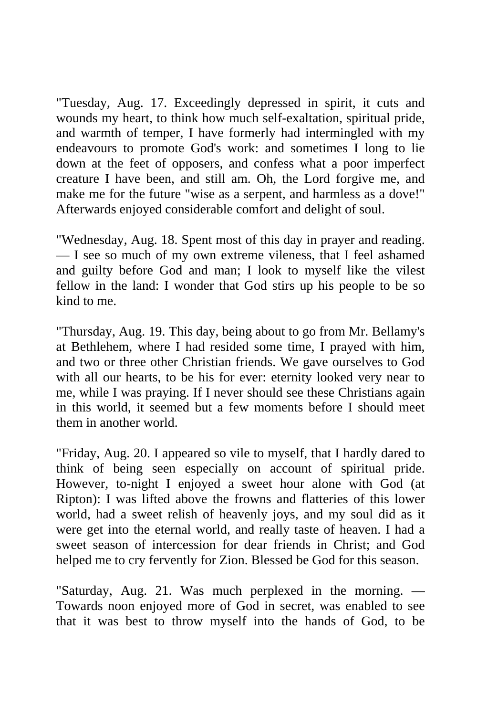"Tuesday, Aug. 17. Exceedingly depressed in spirit, it cuts and wounds my heart, to think how much self-exaltation, spiritual pride, and warmth of temper, I have formerly had intermingled with my endeavours to promote God's work: and sometimes I long to lie down at the feet of opposers, and confess what a poor imperfect creature I have been, and still am. Oh, the Lord forgive me, and make me for the future "wise as a serpent, and harmless as a dove!" Afterwards enjoyed considerable comfort and delight of soul.

"Wednesday, Aug. 18. Spent most of this day in prayer and reading. — I see so much of my own extreme vileness, that I feel ashamed and guilty before God and man; I look to myself like the vilest fellow in the land: I wonder that God stirs up his people to be so kind to me.

"Thursday, Aug. 19. This day, being about to go from Mr. Bellamy's at Bethlehem, where I had resided some time, I prayed with him, and two or three other Christian friends. We gave ourselves to God with all our hearts, to be his for ever: eternity looked very near to me, while I was praying. If I never should see these Christians again in this world, it seemed but a few moments before I should meet them in another world.

"Friday, Aug. 20. I appeared so vile to myself, that I hardly dared to think of being seen especially on account of spiritual pride. However, to-night I enjoyed a sweet hour alone with God (at Ripton): I was lifted above the frowns and flatteries of this lower world, had a sweet relish of heavenly joys, and my soul did as it were get into the eternal world, and really taste of heaven. I had a sweet season of intercession for dear friends in Christ; and God helped me to cry fervently for Zion. Blessed be God for this season.

"Saturday, Aug. 21. Was much perplexed in the morning. — Towards noon enjoyed more of God in secret, was enabled to see that it was best to throw myself into the hands of God, to be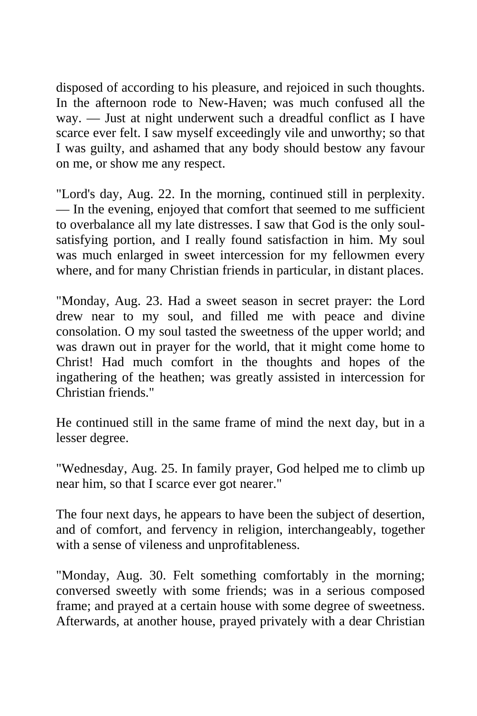disposed of according to his pleasure, and rejoiced in such thoughts. In the afternoon rode to New-Haven; was much confused all the way. — Just at night underwent such a dreadful conflict as I have scarce ever felt. I saw myself exceedingly vile and unworthy; so that I was guilty, and ashamed that any body should bestow any favour on me, or show me any respect.

"Lord's day, Aug. 22. In the morning, continued still in perplexity. — In the evening, enjoyed that comfort that seemed to me sufficient to overbalance all my late distresses. I saw that God is the only soulsatisfying portion, and I really found satisfaction in him. My soul was much enlarged in sweet intercession for my fellowmen every where, and for many Christian friends in particular, in distant places.

"Monday, Aug. 23. Had a sweet season in secret prayer: the Lord drew near to my soul, and filled me with peace and divine consolation. O my soul tasted the sweetness of the upper world; and was drawn out in prayer for the world, that it might come home to Christ! Had much comfort in the thoughts and hopes of the ingathering of the heathen; was greatly assisted in intercession for Christian friends."

He continued still in the same frame of mind the next day, but in a lesser degree.

"Wednesday, Aug. 25. In family prayer, God helped me to climb up near him, so that I scarce ever got nearer."

The four next days, he appears to have been the subject of desertion, and of comfort, and fervency in religion, interchangeably, together with a sense of vileness and unprofitableness.

"Monday, Aug. 30. Felt something comfortably in the morning; conversed sweetly with some friends; was in a serious composed frame; and prayed at a certain house with some degree of sweetness. Afterwards, at another house, prayed privately with a dear Christian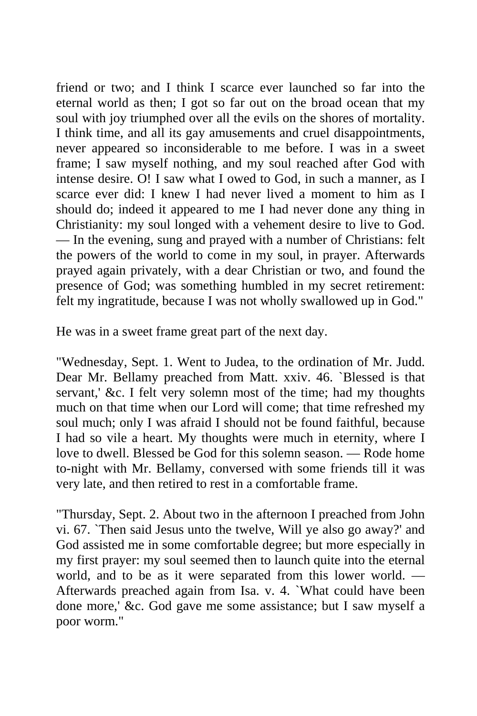friend or two; and I think I scarce ever launched so far into the eternal world as then; I got so far out on the broad ocean that my soul with joy triumphed over all the evils on the shores of mortality. I think time, and all its gay amusements and cruel disappointments, never appeared so inconsiderable to me before. I was in a sweet frame; I saw myself nothing, and my soul reached after God with intense desire. O! I saw what I owed to God, in such a manner, as I scarce ever did: I knew I had never lived a moment to him as I should do; indeed it appeared to me I had never done any thing in Christianity: my soul longed with a vehement desire to live to God. — In the evening, sung and prayed with a number of Christians: felt the powers of the world to come in my soul, in prayer. Afterwards prayed again privately, with a dear Christian or two, and found the presence of God; was something humbled in my secret retirement: felt my ingratitude, because I was not wholly swallowed up in God."

He was in a sweet frame great part of the next day.

"Wednesday, Sept. 1. Went to Judea, to the ordination of Mr. Judd. Dear Mr. Bellamy preached from Matt. xxiv. 46. `Blessed is that servant,' &c. I felt very solemn most of the time; had my thoughts much on that time when our Lord will come; that time refreshed my soul much; only I was afraid I should not be found faithful, because I had so vile a heart. My thoughts were much in eternity, where I love to dwell. Blessed be God for this solemn season. — Rode home to-night with Mr. Bellamy, conversed with some friends till it was very late, and then retired to rest in a comfortable frame.

"Thursday, Sept. 2. About two in the afternoon I preached from John vi. 67. `Then said Jesus unto the twelve, Will ye also go away?' and God assisted me in some comfortable degree; but more especially in my first prayer: my soul seemed then to launch quite into the eternal world, and to be as it were separated from this lower world. — Afterwards preached again from Isa. v. 4. `What could have been done more,' &c. God gave me some assistance; but I saw myself a poor worm."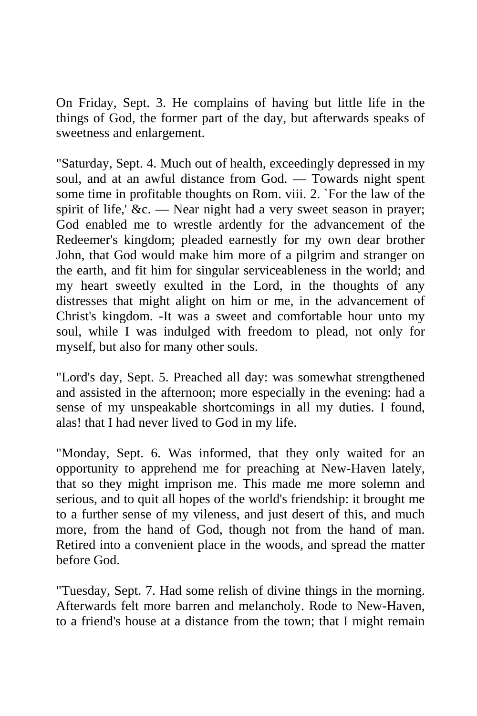On Friday, Sept. 3. He complains of having but little life in the things of God, the former part of the day, but afterwards speaks of sweetness and enlargement.

"Saturday, Sept. 4. Much out of health, exceedingly depressed in my soul, and at an awful distance from God. — Towards night spent some time in profitable thoughts on Rom. viii. 2. `For the law of the spirit of life,' &c. — Near night had a very sweet season in prayer; God enabled me to wrestle ardently for the advancement of the Redeemer's kingdom; pleaded earnestly for my own dear brother John, that God would make him more of a pilgrim and stranger on the earth, and fit him for singular serviceableness in the world; and my heart sweetly exulted in the Lord, in the thoughts of any distresses that might alight on him or me, in the advancement of Christ's kingdom. -It was a sweet and comfortable hour unto my soul, while I was indulged with freedom to plead, not only for myself, but also for many other souls.

"Lord's day, Sept. 5. Preached all day: was somewhat strengthened and assisted in the afternoon; more especially in the evening: had a sense of my unspeakable shortcomings in all my duties. I found, alas! that I had never lived to God in my life.

"Monday, Sept. 6. Was informed, that they only waited for an opportunity to apprehend me for preaching at New-Haven lately, that so they might imprison me. This made me more solemn and serious, and to quit all hopes of the world's friendship: it brought me to a further sense of my vileness, and just desert of this, and much more, from the hand of God, though not from the hand of man. Retired into a convenient place in the woods, and spread the matter before God.

"Tuesday, Sept. 7. Had some relish of divine things in the morning. Afterwards felt more barren and melancholy. Rode to New-Haven, to a friend's house at a distance from the town; that I might remain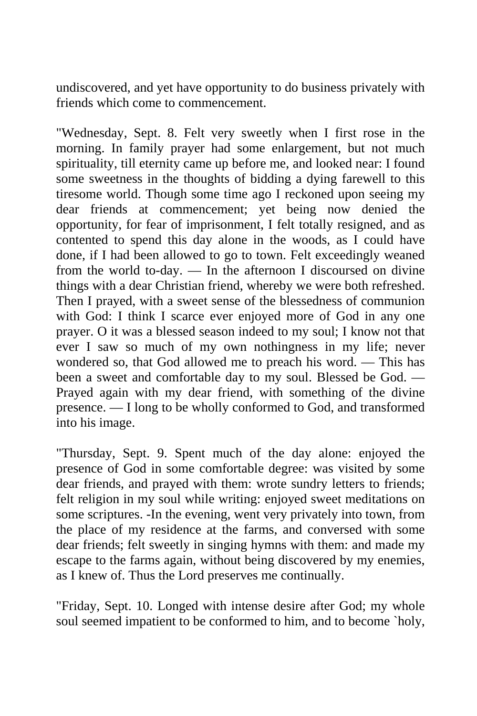undiscovered, and yet have opportunity to do business privately with friends which come to commencement.

"Wednesday, Sept. 8. Felt very sweetly when I first rose in the morning. In family prayer had some enlargement, but not much spirituality, till eternity came up before me, and looked near: I found some sweetness in the thoughts of bidding a dying farewell to this tiresome world. Though some time ago I reckoned upon seeing my dear friends at commencement; yet being now denied the opportunity, for fear of imprisonment, I felt totally resigned, and as contented to spend this day alone in the woods, as I could have done, if I had been allowed to go to town. Felt exceedingly weaned from the world to-day. — In the afternoon I discoursed on divine things with a dear Christian friend, whereby we were both refreshed. Then I prayed, with a sweet sense of the blessedness of communion with God: I think I scarce ever enjoyed more of God in any one prayer. O it was a blessed season indeed to my soul; I know not that ever I saw so much of my own nothingness in my life; never wondered so, that God allowed me to preach his word. — This has been a sweet and comfortable day to my soul. Blessed be God. — Prayed again with my dear friend, with something of the divine presence. — I long to be wholly conformed to God, and transformed into his image.

"Thursday, Sept. 9. Spent much of the day alone: enjoyed the presence of God in some comfortable degree: was visited by some dear friends, and prayed with them: wrote sundry letters to friends; felt religion in my soul while writing: enjoyed sweet meditations on some scriptures. -In the evening, went very privately into town, from the place of my residence at the farms, and conversed with some dear friends; felt sweetly in singing hymns with them: and made my escape to the farms again, without being discovered by my enemies, as I knew of. Thus the Lord preserves me continually.

"Friday, Sept. 10. Longed with intense desire after God; my whole soul seemed impatient to be conformed to him, and to become `holy,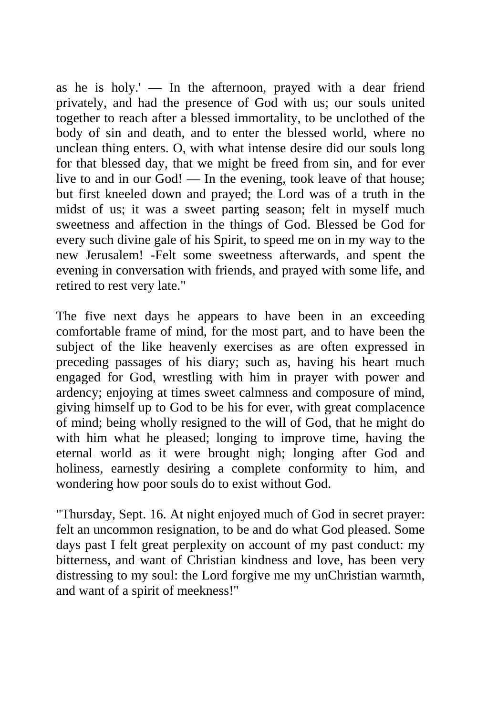as he is holy.' — In the afternoon, prayed with a dear friend privately, and had the presence of God with us; our souls united together to reach after a blessed immortality, to be unclothed of the body of sin and death, and to enter the blessed world, where no unclean thing enters. O, with what intense desire did our souls long for that blessed day, that we might be freed from sin, and for ever live to and in our God! — In the evening, took leave of that house; but first kneeled down and prayed; the Lord was of a truth in the midst of us; it was a sweet parting season; felt in myself much sweetness and affection in the things of God. Blessed be God for every such divine gale of his Spirit, to speed me on in my way to the new Jerusalem! -Felt some sweetness afterwards, and spent the evening in conversation with friends, and prayed with some life, and retired to rest very late."

The five next days he appears to have been in an exceeding comfortable frame of mind, for the most part, and to have been the subject of the like heavenly exercises as are often expressed in preceding passages of his diary; such as, having his heart much engaged for God, wrestling with him in prayer with power and ardency; enjoying at times sweet calmness and composure of mind, giving himself up to God to be his for ever, with great complacence of mind; being wholly resigned to the will of God, that he might do with him what he pleased; longing to improve time, having the eternal world as it were brought nigh; longing after God and holiness, earnestly desiring a complete conformity to him, and wondering how poor souls do to exist without God.

"Thursday, Sept. 16. At night enjoyed much of God in secret prayer: felt an uncommon resignation, to be and do what God pleased. Some days past I felt great perplexity on account of my past conduct: my bitterness, and want of Christian kindness and love, has been very distressing to my soul: the Lord forgive me my unChristian warmth, and want of a spirit of meekness!"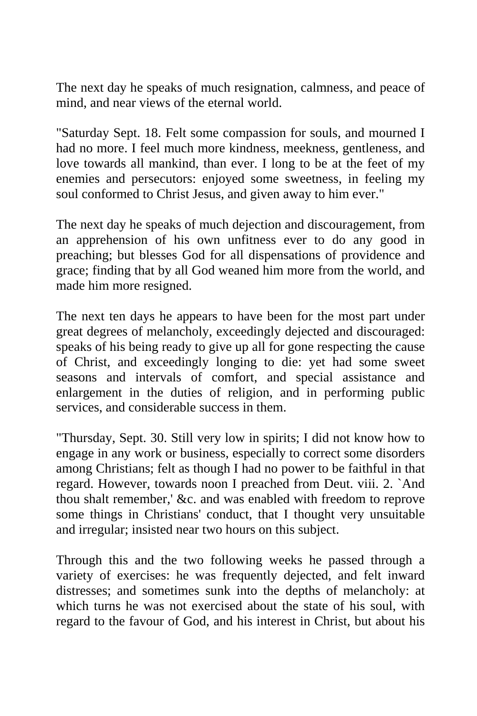The next day he speaks of much resignation, calmness, and peace of mind, and near views of the eternal world.

"Saturday Sept. 18. Felt some compassion for souls, and mourned I had no more. I feel much more kindness, meekness, gentleness, and love towards all mankind, than ever. I long to be at the feet of my enemies and persecutors: enjoyed some sweetness, in feeling my soul conformed to Christ Jesus, and given away to him ever."

The next day he speaks of much dejection and discouragement, from an apprehension of his own unfitness ever to do any good in preaching; but blesses God for all dispensations of providence and grace; finding that by all God weaned him more from the world, and made him more resigned.

The next ten days he appears to have been for the most part under great degrees of melancholy, exceedingly dejected and discouraged: speaks of his being ready to give up all for gone respecting the cause of Christ, and exceedingly longing to die: yet had some sweet seasons and intervals of comfort, and special assistance and enlargement in the duties of religion, and in performing public services, and considerable success in them.

"Thursday, Sept. 30. Still very low in spirits; I did not know how to engage in any work or business, especially to correct some disorders among Christians; felt as though I had no power to be faithful in that regard. However, towards noon I preached from Deut. viii. 2. `And thou shalt remember,' &c. and was enabled with freedom to reprove some things in Christians' conduct, that I thought very unsuitable and irregular; insisted near two hours on this subject.

Through this and the two following weeks he passed through a variety of exercises: he was frequently dejected, and felt inward distresses; and sometimes sunk into the depths of melancholy: at which turns he was not exercised about the state of his soul, with regard to the favour of God, and his interest in Christ, but about his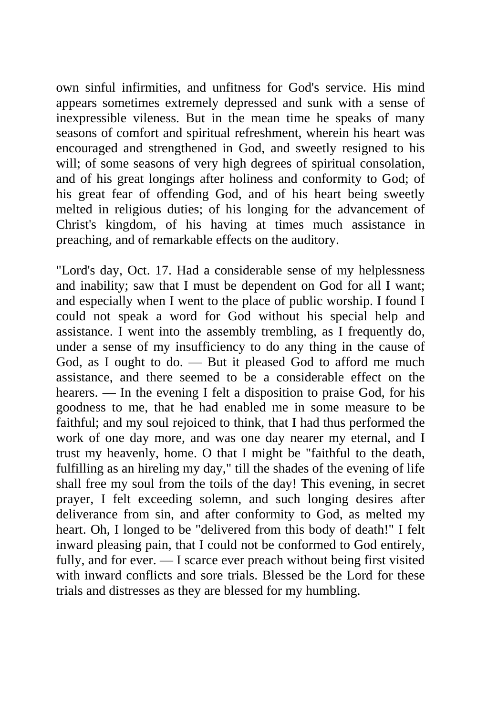own sinful infirmities, and unfitness for God's service. His mind appears sometimes extremely depressed and sunk with a sense of inexpressible vileness. But in the mean time he speaks of many seasons of comfort and spiritual refreshment, wherein his heart was encouraged and strengthened in God, and sweetly resigned to his will; of some seasons of very high degrees of spiritual consolation, and of his great longings after holiness and conformity to God; of his great fear of offending God, and of his heart being sweetly melted in religious duties; of his longing for the advancement of Christ's kingdom, of his having at times much assistance in preaching, and of remarkable effects on the auditory.

"Lord's day, Oct. 17. Had a considerable sense of my helplessness and inability; saw that I must be dependent on God for all I want; and especially when I went to the place of public worship. I found I could not speak a word for God without his special help and assistance. I went into the assembly trembling, as I frequently do, under a sense of my insufficiency to do any thing in the cause of God, as I ought to do. — But it pleased God to afford me much assistance, and there seemed to be a considerable effect on the hearers. — In the evening I felt a disposition to praise God, for his goodness to me, that he had enabled me in some measure to be faithful; and my soul rejoiced to think, that I had thus performed the work of one day more, and was one day nearer my eternal, and I trust my heavenly, home. O that I might be "faithful to the death, fulfilling as an hireling my day," till the shades of the evening of life shall free my soul from the toils of the day! This evening, in secret prayer, I felt exceeding solemn, and such longing desires after deliverance from sin, and after conformity to God, as melted my heart. Oh, I longed to be "delivered from this body of death!" I felt inward pleasing pain, that I could not be conformed to God entirely, fully, and for ever. — I scarce ever preach without being first visited with inward conflicts and sore trials. Blessed be the Lord for these trials and distresses as they are blessed for my humbling.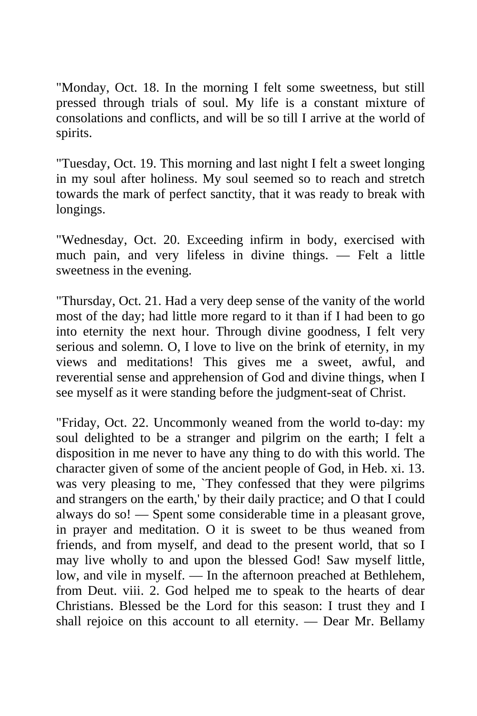"Monday, Oct. 18. In the morning I felt some sweetness, but still pressed through trials of soul. My life is a constant mixture of consolations and conflicts, and will be so till I arrive at the world of spirits.

"Tuesday, Oct. 19. This morning and last night I felt a sweet longing in my soul after holiness. My soul seemed so to reach and stretch towards the mark of perfect sanctity, that it was ready to break with longings.

"Wednesday, Oct. 20. Exceeding infirm in body, exercised with much pain, and very lifeless in divine things. — Felt a little sweetness in the evening.

"Thursday, Oct. 21. Had a very deep sense of the vanity of the world most of the day; had little more regard to it than if I had been to go into eternity the next hour. Through divine goodness, I felt very serious and solemn. O, I love to live on the brink of eternity, in my views and meditations! This gives me a sweet, awful, and reverential sense and apprehension of God and divine things, when I see myself as it were standing before the judgment-seat of Christ.

"Friday, Oct. 22. Uncommonly weaned from the world to-day: my soul delighted to be a stranger and pilgrim on the earth; I felt a disposition in me never to have any thing to do with this world. The character given of some of the ancient people of God, in Heb. xi. 13. was very pleasing to me, `They confessed that they were pilgrims and strangers on the earth,' by their daily practice; and O that I could always do so! — Spent some considerable time in a pleasant grove, in prayer and meditation. O it is sweet to be thus weaned from friends, and from myself, and dead to the present world, that so I may live wholly to and upon the blessed God! Saw myself little, low, and vile in myself. — In the afternoon preached at Bethlehem, from Deut. viii. 2. God helped me to speak to the hearts of dear Christians. Blessed be the Lord for this season: I trust they and I shall rejoice on this account to all eternity. — Dear Mr. Bellamy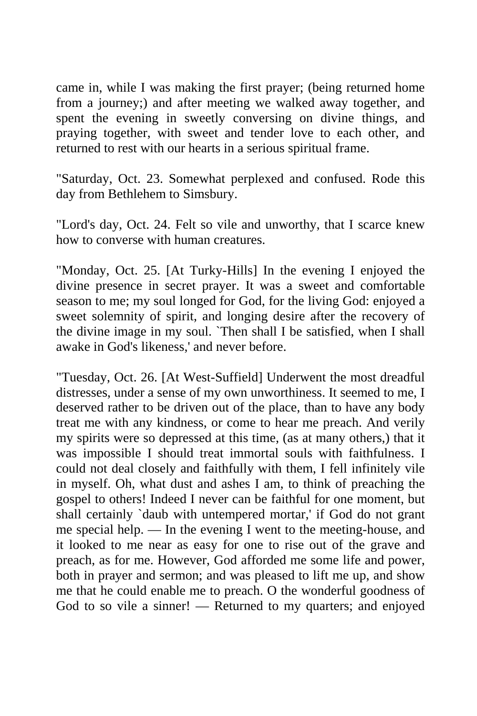came in, while I was making the first prayer; (being returned home from a journey;) and after meeting we walked away together, and spent the evening in sweetly conversing on divine things, and praying together, with sweet and tender love to each other, and returned to rest with our hearts in a serious spiritual frame.

"Saturday, Oct. 23. Somewhat perplexed and confused. Rode this day from Bethlehem to Simsbury.

"Lord's day, Oct. 24. Felt so vile and unworthy, that I scarce knew how to converse with human creatures.

"Monday, Oct. 25. [At Turky-Hills] In the evening I enjoyed the divine presence in secret prayer. It was a sweet and comfortable season to me; my soul longed for God, for the living God: enjoyed a sweet solemnity of spirit, and longing desire after the recovery of the divine image in my soul. `Then shall I be satisfied, when I shall awake in God's likeness,' and never before.

"Tuesday, Oct. 26. [At West-Suffield] Underwent the most dreadful distresses, under a sense of my own unworthiness. It seemed to me, I deserved rather to be driven out of the place, than to have any body treat me with any kindness, or come to hear me preach. And verily my spirits were so depressed at this time, (as at many others,) that it was impossible I should treat immortal souls with faithfulness. I could not deal closely and faithfully with them, I fell infinitely vile in myself. Oh, what dust and ashes I am, to think of preaching the gospel to others! Indeed I never can be faithful for one moment, but shall certainly `daub with untempered mortar,' if God do not grant me special help. — In the evening I went to the meeting-house, and it looked to me near as easy for one to rise out of the grave and preach, as for me. However, God afforded me some life and power, both in prayer and sermon; and was pleased to lift me up, and show me that he could enable me to preach. O the wonderful goodness of God to so vile a sinner! — Returned to my quarters; and enjoyed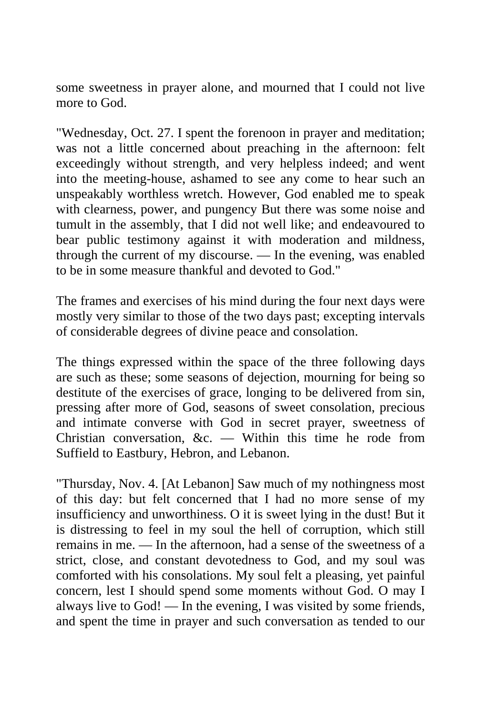some sweetness in prayer alone, and mourned that I could not live more to God.

"Wednesday, Oct. 27. I spent the forenoon in prayer and meditation; was not a little concerned about preaching in the afternoon: felt exceedingly without strength, and very helpless indeed; and went into the meeting-house, ashamed to see any come to hear such an unspeakably worthless wretch. However, God enabled me to speak with clearness, power, and pungency But there was some noise and tumult in the assembly, that I did not well like; and endeavoured to bear public testimony against it with moderation and mildness, through the current of my discourse. — In the evening, was enabled to be in some measure thankful and devoted to God."

The frames and exercises of his mind during the four next days were mostly very similar to those of the two days past; excepting intervals of considerable degrees of divine peace and consolation.

The things expressed within the space of the three following days are such as these; some seasons of dejection, mourning for being so destitute of the exercises of grace, longing to be delivered from sin, pressing after more of God, seasons of sweet consolation, precious and intimate converse with God in secret prayer, sweetness of Christian conversation, &c. — Within this time he rode from Suffield to Eastbury, Hebron, and Lebanon.

"Thursday, Nov. 4. [At Lebanon] Saw much of my nothingness most of this day: but felt concerned that I had no more sense of my insufficiency and unworthiness. O it is sweet lying in the dust! But it is distressing to feel in my soul the hell of corruption, which still remains in me. — In the afternoon, had a sense of the sweetness of a strict, close, and constant devotedness to God, and my soul was comforted with his consolations. My soul felt a pleasing, yet painful concern, lest I should spend some moments without God. O may I always live to God! — In the evening, I was visited by some friends, and spent the time in prayer and such conversation as tended to our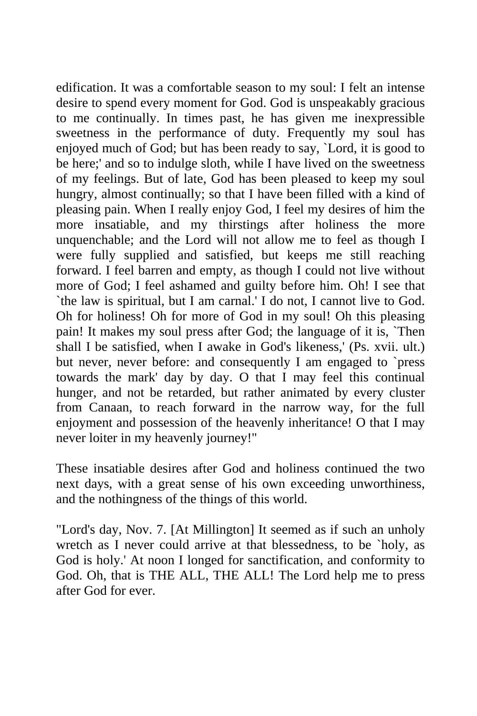edification. It was a comfortable season to my soul: I felt an intense desire to spend every moment for God. God is unspeakably gracious to me continually. In times past, he has given me inexpressible sweetness in the performance of duty. Frequently my soul has enjoyed much of God; but has been ready to say, `Lord, it is good to be here;' and so to indulge sloth, while I have lived on the sweetness of my feelings. But of late, God has been pleased to keep my soul hungry, almost continually; so that I have been filled with a kind of pleasing pain. When I really enjoy God, I feel my desires of him the more insatiable, and my thirstings after holiness the more unquenchable; and the Lord will not allow me to feel as though I were fully supplied and satisfied, but keeps me still reaching forward. I feel barren and empty, as though I could not live without more of God; I feel ashamed and guilty before him. Oh! I see that `the law is spiritual, but I am carnal.' I do not, I cannot live to God. Oh for holiness! Oh for more of God in my soul! Oh this pleasing pain! It makes my soul press after God; the language of it is, `Then shall I be satisfied, when I awake in God's likeness,' (Ps. xvii. ult.) but never, never before: and consequently I am engaged to `press towards the mark' day by day. O that I may feel this continual hunger, and not be retarded, but rather animated by every cluster from Canaan, to reach forward in the narrow way, for the full enjoyment and possession of the heavenly inheritance! O that I may never loiter in my heavenly journey!"

These insatiable desires after God and holiness continued the two next days, with a great sense of his own exceeding unworthiness, and the nothingness of the things of this world.

"Lord's day, Nov. 7. [At Millington] It seemed as if such an unholy wretch as I never could arrive at that blessedness, to be `holy, as God is holy.' At noon I longed for sanctification, and conformity to God. Oh, that is THE ALL, THE ALL! The Lord help me to press after God for ever.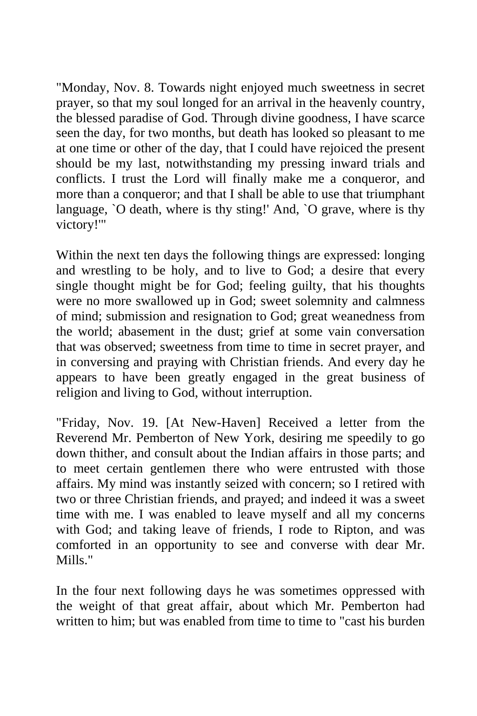"Monday, Nov. 8. Towards night enjoyed much sweetness in secret prayer, so that my soul longed for an arrival in the heavenly country, the blessed paradise of God. Through divine goodness, I have scarce seen the day, for two months, but death has looked so pleasant to me at one time or other of the day, that I could have rejoiced the present should be my last, notwithstanding my pressing inward trials and conflicts. I trust the Lord will finally make me a conqueror, and more than a conqueror; and that I shall be able to use that triumphant language, `O death, where is thy sting!' And, `O grave, where is thy victory!'"

Within the next ten days the following things are expressed: longing and wrestling to be holy, and to live to God; a desire that every single thought might be for God; feeling guilty, that his thoughts were no more swallowed up in God; sweet solemnity and calmness of mind; submission and resignation to God; great weanedness from the world; abasement in the dust; grief at some vain conversation that was observed; sweetness from time to time in secret prayer, and in conversing and praying with Christian friends. And every day he appears to have been greatly engaged in the great business of religion and living to God, without interruption.

"Friday, Nov. 19. [At New-Haven] Received a letter from the Reverend Mr. Pemberton of New York, desiring me speedily to go down thither, and consult about the Indian affairs in those parts; and to meet certain gentlemen there who were entrusted with those affairs. My mind was instantly seized with concern; so I retired with two or three Christian friends, and prayed; and indeed it was a sweet time with me. I was enabled to leave myself and all my concerns with God; and taking leave of friends, I rode to Ripton, and was comforted in an opportunity to see and converse with dear Mr. Mills."

In the four next following days he was sometimes oppressed with the weight of that great affair, about which Mr. Pemberton had written to him; but was enabled from time to time to "cast his burden"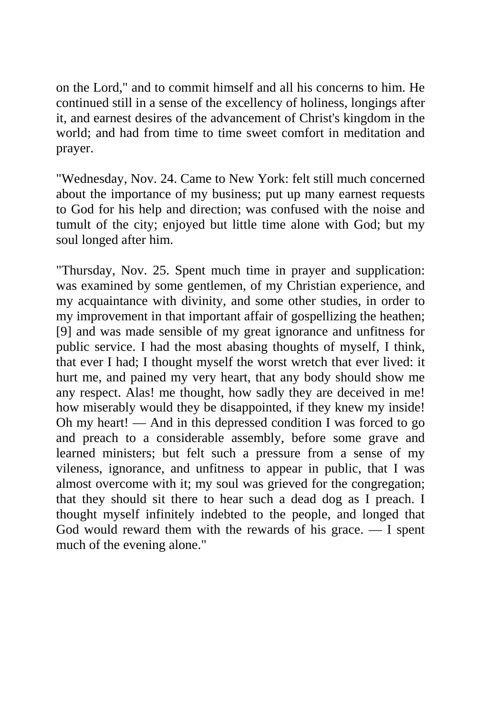on the Lord," and to commit himself and all his concerns to him. He continued still in a sense of the excellency of holiness, longings after it, and earnest desires of the advancement of Christ's kingdom in the world; and had from time to time sweet comfort in meditation and prayer.

"Wednesday, Nov. 24. Came to New York: felt still much concerned about the importance of my business; put up many earnest requests to God for his help and direction; was confused with the noise and tumult of the city; enjoyed but little time alone with God; but my soul longed after him.

"Thursday, Nov. 25. Spent much time in prayer and supplication: was examined by some gentlemen, of my Christian experience, and my acquaintance with divinity, and some other studies, in order to my improvement in that important affair of gospellizing the heathen; [9] and was made sensible of my great ignorance and unfitness for public service. I had the most abasing thoughts of myself, I think, that ever I had; I thought myself the worst wretch that ever lived: it hurt me, and pained my very heart, that any body should show me any respect. Alas! me thought, how sadly they are deceived in me! how miserably would they be disappointed, if they knew my inside! Oh my heart! — And in this depressed condition I was forced to go and preach to a considerable assembly, before some grave and learned ministers; but felt such a pressure from a sense of my vileness, ignorance, and unfitness to appear in public, that I was almost overcome with it; my soul was grieved for the congregation; that they should sit there to hear such a dead dog as I preach. I thought myself infinitely indebted to the people, and longed that God would reward them with the rewards of his grace. — I spent much of the evening alone."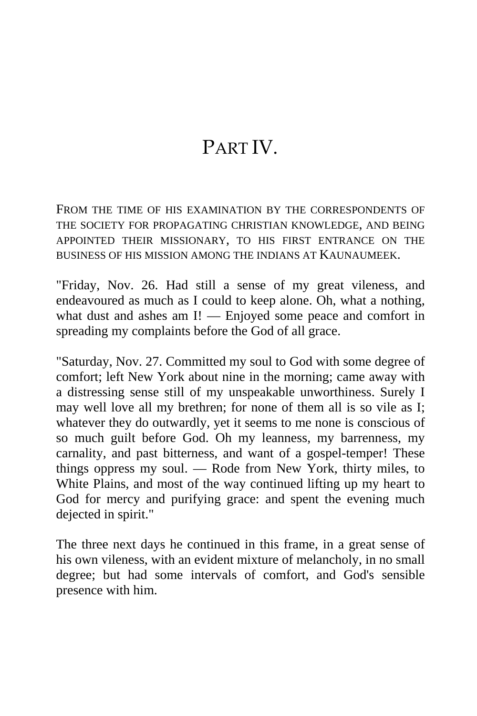## PART IV.

FROM THE TIME OF HIS EXAMINATION BY THE CORRESPONDENTS OF THE SOCIETY FOR PROPAGATING CHRISTIAN KNOWLEDGE, AND BEING APPOINTED THEIR MISSIONARY, TO HIS FIRST ENTRANCE ON THE BUSINESS OF HIS MISSION AMONG THE INDIANS AT KAUNAUMEEK.

"Friday, Nov. 26. Had still a sense of my great vileness, and endeavoured as much as I could to keep alone. Oh, what a nothing, what dust and ashes am I! — Enjoyed some peace and comfort in spreading my complaints before the God of all grace.

"Saturday, Nov. 27. Committed my soul to God with some degree of comfort; left New York about nine in the morning; came away with a distressing sense still of my unspeakable unworthiness. Surely I may well love all my brethren; for none of them all is so vile as I; whatever they do outwardly, yet it seems to me none is conscious of so much guilt before God. Oh my leanness, my barrenness, my carnality, and past bitterness, and want of a gospel-temper! These things oppress my soul. — Rode from New York, thirty miles, to White Plains, and most of the way continued lifting up my heart to God for mercy and purifying grace: and spent the evening much dejected in spirit."

The three next days he continued in this frame, in a great sense of his own vileness, with an evident mixture of melancholy, in no small degree; but had some intervals of comfort, and God's sensible presence with him.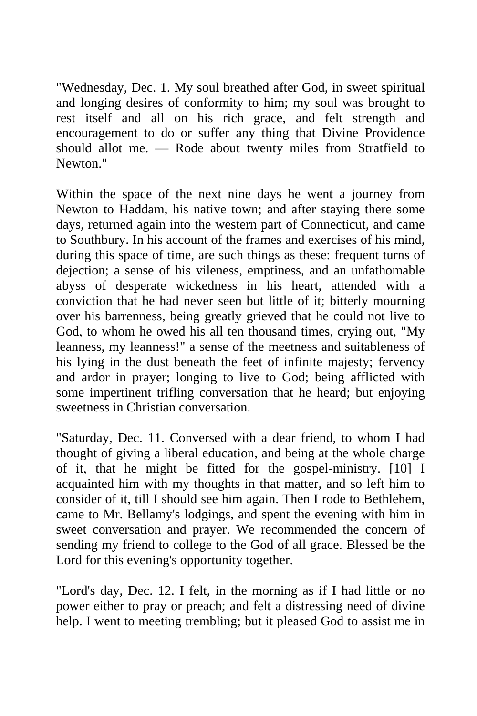"Wednesday, Dec. 1. My soul breathed after God, in sweet spiritual and longing desires of conformity to him; my soul was brought to rest itself and all on his rich grace, and felt strength and encouragement to do or suffer any thing that Divine Providence should allot me. — Rode about twenty miles from Stratfield to Newton."

Within the space of the next nine days he went a journey from Newton to Haddam, his native town; and after staying there some days, returned again into the western part of Connecticut, and came to Southbury. In his account of the frames and exercises of his mind, during this space of time, are such things as these: frequent turns of dejection; a sense of his vileness, emptiness, and an unfathomable abyss of desperate wickedness in his heart, attended with a conviction that he had never seen but little of it; bitterly mourning over his barrenness, being greatly grieved that he could not live to God, to whom he owed his all ten thousand times, crying out, "My leanness, my leanness!" a sense of the meetness and suitableness of his lying in the dust beneath the feet of infinite majesty; fervency and ardor in prayer; longing to live to God; being afflicted with some impertinent trifling conversation that he heard; but enjoying sweetness in Christian conversation.

"Saturday, Dec. 11. Conversed with a dear friend, to whom I had thought of giving a liberal education, and being at the whole charge of it, that he might be fitted for the gospel-ministry. [10] I acquainted him with my thoughts in that matter, and so left him to consider of it, till I should see him again. Then I rode to Bethlehem, came to Mr. Bellamy's lodgings, and spent the evening with him in sweet conversation and prayer. We recommended the concern of sending my friend to college to the God of all grace. Blessed be the Lord for this evening's opportunity together.

"Lord's day, Dec. 12. I felt, in the morning as if I had little or no power either to pray or preach; and felt a distressing need of divine help. I went to meeting trembling; but it pleased God to assist me in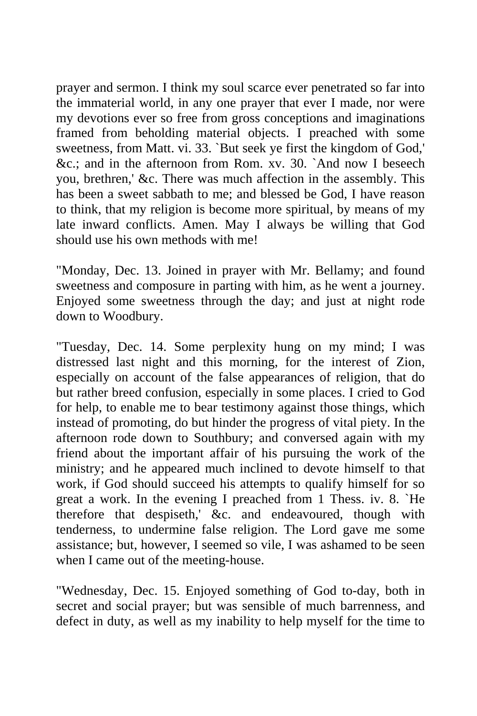prayer and sermon. I think my soul scarce ever penetrated so far into the immaterial world, in any one prayer that ever I made, nor were my devotions ever so free from gross conceptions and imaginations framed from beholding material objects. I preached with some sweetness, from Matt. vi. 33. `But seek ye first the kingdom of God,' &c.; and in the afternoon from Rom. xv. 30. `And now I beseech you, brethren,' &c. There was much affection in the assembly. This has been a sweet sabbath to me; and blessed be God, I have reason to think, that my religion is become more spiritual, by means of my late inward conflicts. Amen. May I always be willing that God should use his own methods with me!

"Monday, Dec. 13. Joined in prayer with Mr. Bellamy; and found sweetness and composure in parting with him, as he went a journey. Enjoyed some sweetness through the day; and just at night rode down to Woodbury.

"Tuesday, Dec. 14. Some perplexity hung on my mind; I was distressed last night and this morning, for the interest of Zion, especially on account of the false appearances of religion, that do but rather breed confusion, especially in some places. I cried to God for help, to enable me to bear testimony against those things, which instead of promoting, do but hinder the progress of vital piety. In the afternoon rode down to Southbury; and conversed again with my friend about the important affair of his pursuing the work of the ministry; and he appeared much inclined to devote himself to that work, if God should succeed his attempts to qualify himself for so great a work. In the evening I preached from 1 Thess. iv. 8. `He therefore that despiseth,' &c. and endeavoured, though with tenderness, to undermine false religion. The Lord gave me some assistance; but, however, I seemed so vile, I was ashamed to be seen when I came out of the meeting-house.

"Wednesday, Dec. 15. Enjoyed something of God to-day, both in secret and social prayer; but was sensible of much barrenness, and defect in duty, as well as my inability to help myself for the time to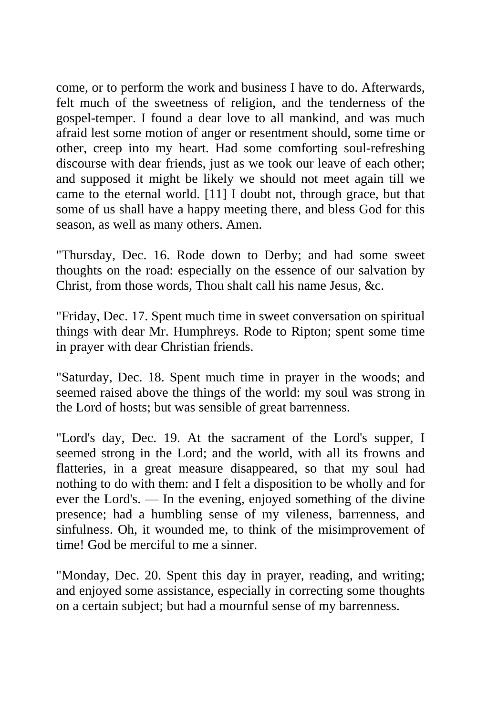come, or to perform the work and business I have to do. Afterwards, felt much of the sweetness of religion, and the tenderness of the gospel-temper. I found a dear love to all mankind, and was much afraid lest some motion of anger or resentment should, some time or other, creep into my heart. Had some comforting soul-refreshing discourse with dear friends, just as we took our leave of each other; and supposed it might be likely we should not meet again till we came to the eternal world. [11] I doubt not, through grace, but that some of us shall have a happy meeting there, and bless God for this season, as well as many others. Amen.

"Thursday, Dec. 16. Rode down to Derby; and had some sweet thoughts on the road: especially on the essence of our salvation by Christ, from those words, Thou shalt call his name Jesus, &c.

"Friday, Dec. 17. Spent much time in sweet conversation on spiritual things with dear Mr. Humphreys. Rode to Ripton; spent some time in prayer with dear Christian friends.

"Saturday, Dec. 18. Spent much time in prayer in the woods; and seemed raised above the things of the world: my soul was strong in the Lord of hosts; but was sensible of great barrenness.

"Lord's day, Dec. 19. At the sacrament of the Lord's supper, I seemed strong in the Lord; and the world, with all its frowns and flatteries, in a great measure disappeared, so that my soul had nothing to do with them: and I felt a disposition to be wholly and for ever the Lord's. — In the evening, enjoyed something of the divine presence; had a humbling sense of my vileness, barrenness, and sinfulness. Oh, it wounded me, to think of the misimprovement of time! God be merciful to me a sinner.

"Monday, Dec. 20. Spent this day in prayer, reading, and writing; and enjoyed some assistance, especially in correcting some thoughts on a certain subject; but had a mournful sense of my barrenness.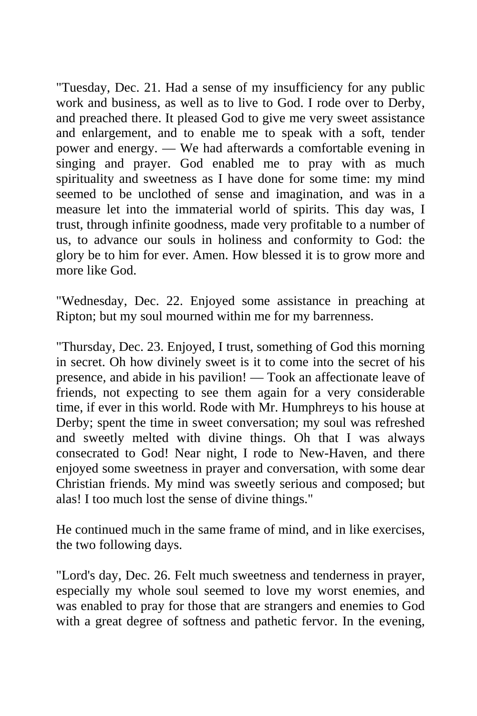"Tuesday, Dec. 21. Had a sense of my insufficiency for any public work and business, as well as to live to God. I rode over to Derby, and preached there. It pleased God to give me very sweet assistance and enlargement, and to enable me to speak with a soft, tender power and energy. — We had afterwards a comfortable evening in singing and prayer. God enabled me to pray with as much spirituality and sweetness as I have done for some time: my mind seemed to be unclothed of sense and imagination, and was in a measure let into the immaterial world of spirits. This day was, I trust, through infinite goodness, made very profitable to a number of us, to advance our souls in holiness and conformity to God: the glory be to him for ever. Amen. How blessed it is to grow more and more like God.

"Wednesday, Dec. 22. Enjoyed some assistance in preaching at Ripton; but my soul mourned within me for my barrenness.

"Thursday, Dec. 23. Enjoyed, I trust, something of God this morning in secret. Oh how divinely sweet is it to come into the secret of his presence, and abide in his pavilion! — Took an affectionate leave of friends, not expecting to see them again for a very considerable time, if ever in this world. Rode with Mr. Humphreys to his house at Derby; spent the time in sweet conversation; my soul was refreshed and sweetly melted with divine things. Oh that I was always consecrated to God! Near night, I rode to New-Haven, and there enjoyed some sweetness in prayer and conversation, with some dear Christian friends. My mind was sweetly serious and composed; but alas! I too much lost the sense of divine things."

He continued much in the same frame of mind, and in like exercises, the two following days.

"Lord's day, Dec. 26. Felt much sweetness and tenderness in prayer, especially my whole soul seemed to love my worst enemies, and was enabled to pray for those that are strangers and enemies to God with a great degree of softness and pathetic fervor. In the evening,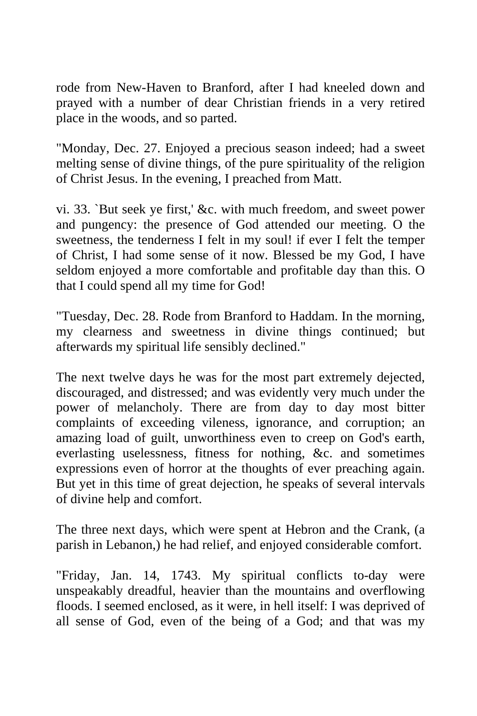rode from New-Haven to Branford, after I had kneeled down and prayed with a number of dear Christian friends in a very retired place in the woods, and so parted.

"Monday, Dec. 27. Enjoyed a precious season indeed; had a sweet melting sense of divine things, of the pure spirituality of the religion of Christ Jesus. In the evening, I preached from Matt.

vi. 33. `But seek ye first,' &c. with much freedom, and sweet power and pungency: the presence of God attended our meeting. O the sweetness, the tenderness I felt in my soul! if ever I felt the temper of Christ, I had some sense of it now. Blessed be my God, I have seldom enjoyed a more comfortable and profitable day than this. O that I could spend all my time for God!

"Tuesday, Dec. 28. Rode from Branford to Haddam. In the morning, my clearness and sweetness in divine things continued; but afterwards my spiritual life sensibly declined."

The next twelve days he was for the most part extremely dejected, discouraged, and distressed; and was evidently very much under the power of melancholy. There are from day to day most bitter complaints of exceeding vileness, ignorance, and corruption; an amazing load of guilt, unworthiness even to creep on God's earth, everlasting uselessness, fitness for nothing, &c. and sometimes expressions even of horror at the thoughts of ever preaching again. But yet in this time of great dejection, he speaks of several intervals of divine help and comfort.

The three next days, which were spent at Hebron and the Crank, (a parish in Lebanon,) he had relief, and enjoyed considerable comfort.

"Friday, Jan. 14, 1743. My spiritual conflicts to-day were unspeakably dreadful, heavier than the mountains and overflowing floods. I seemed enclosed, as it were, in hell itself: I was deprived of all sense of God, even of the being of a God; and that was my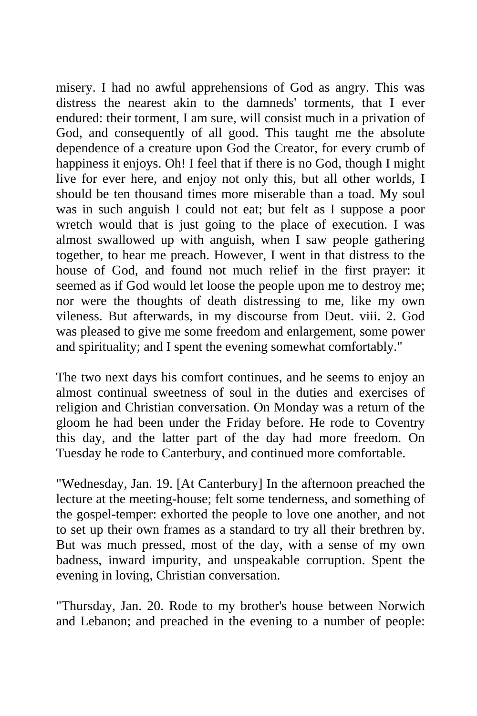misery. I had no awful apprehensions of God as angry. This was distress the nearest akin to the damneds' torments, that I ever endured: their torment, I am sure, will consist much in a privation of God, and consequently of all good. This taught me the absolute dependence of a creature upon God the Creator, for every crumb of happiness it enjoys. Oh! I feel that if there is no God, though I might live for ever here, and enjoy not only this, but all other worlds, I should be ten thousand times more miserable than a toad. My soul was in such anguish I could not eat; but felt as I suppose a poor wretch would that is just going to the place of execution. I was almost swallowed up with anguish, when I saw people gathering together, to hear me preach. However, I went in that distress to the house of God, and found not much relief in the first prayer: it seemed as if God would let loose the people upon me to destroy me; nor were the thoughts of death distressing to me, like my own vileness. But afterwards, in my discourse from Deut. viii. 2. God was pleased to give me some freedom and enlargement, some power and spirituality; and I spent the evening somewhat comfortably."

The two next days his comfort continues, and he seems to enjoy an almost continual sweetness of soul in the duties and exercises of religion and Christian conversation. On Monday was a return of the gloom he had been under the Friday before. He rode to Coventry this day, and the latter part of the day had more freedom. On Tuesday he rode to Canterbury, and continued more comfortable.

"Wednesday, Jan. 19. [At Canterbury] In the afternoon preached the lecture at the meeting-house; felt some tenderness, and something of the gospel-temper: exhorted the people to love one another, and not to set up their own frames as a standard to try all their brethren by. But was much pressed, most of the day, with a sense of my own badness, inward impurity, and unspeakable corruption. Spent the evening in loving, Christian conversation.

"Thursday, Jan. 20. Rode to my brother's house between Norwich and Lebanon; and preached in the evening to a number of people: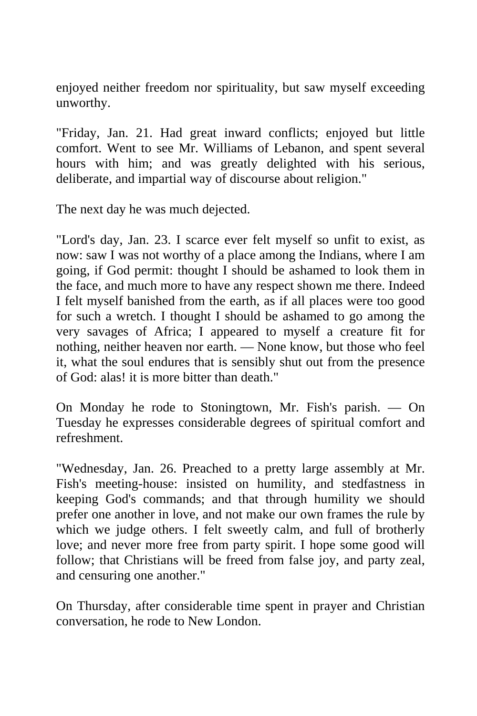enjoyed neither freedom nor spirituality, but saw myself exceeding unworthy.

"Friday, Jan. 21. Had great inward conflicts; enjoyed but little comfort. Went to see Mr. Williams of Lebanon, and spent several hours with him; and was greatly delighted with his serious, deliberate, and impartial way of discourse about religion."

The next day he was much dejected.

"Lord's day, Jan. 23. I scarce ever felt myself so unfit to exist, as now: saw I was not worthy of a place among the Indians, where I am going, if God permit: thought I should be ashamed to look them in the face, and much more to have any respect shown me there. Indeed I felt myself banished from the earth, as if all places were too good for such a wretch. I thought I should be ashamed to go among the very savages of Africa; I appeared to myself a creature fit for nothing, neither heaven nor earth. — None know, but those who feel it, what the soul endures that is sensibly shut out from the presence of God: alas! it is more bitter than death."

On Monday he rode to Stoningtown, Mr. Fish's parish. — On Tuesday he expresses considerable degrees of spiritual comfort and refreshment.

"Wednesday, Jan. 26. Preached to a pretty large assembly at Mr. Fish's meeting-house: insisted on humility, and stedfastness in keeping God's commands; and that through humility we should prefer one another in love, and not make our own frames the rule by which we judge others. I felt sweetly calm, and full of brotherly love; and never more free from party spirit. I hope some good will follow; that Christians will be freed from false joy, and party zeal, and censuring one another."

On Thursday, after considerable time spent in prayer and Christian conversation, he rode to New London.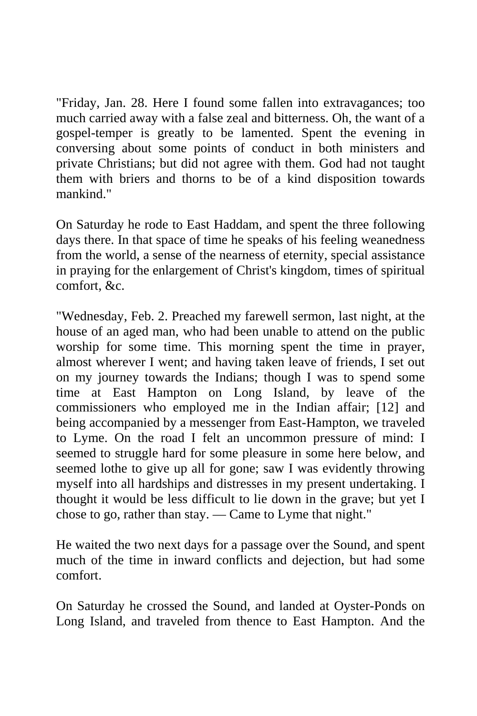"Friday, Jan. 28. Here I found some fallen into extravagances; too much carried away with a false zeal and bitterness. Oh, the want of a gospel-temper is greatly to be lamented. Spent the evening in conversing about some points of conduct in both ministers and private Christians; but did not agree with them. God had not taught them with briers and thorns to be of a kind disposition towards mankind."

On Saturday he rode to East Haddam, and spent the three following days there. In that space of time he speaks of his feeling weanedness from the world, a sense of the nearness of eternity, special assistance in praying for the enlargement of Christ's kingdom, times of spiritual comfort, &c.

"Wednesday, Feb. 2. Preached my farewell sermon, last night, at the house of an aged man, who had been unable to attend on the public worship for some time. This morning spent the time in prayer, almost wherever I went; and having taken leave of friends, I set out on my journey towards the Indians; though I was to spend some time at East Hampton on Long Island, by leave of the commissioners who employed me in the Indian affair; [12] and being accompanied by a messenger from East-Hampton, we traveled to Lyme. On the road I felt an uncommon pressure of mind: I seemed to struggle hard for some pleasure in some here below, and seemed lothe to give up all for gone; saw I was evidently throwing myself into all hardships and distresses in my present undertaking. I thought it would be less difficult to lie down in the grave; but yet I chose to go, rather than stay. — Came to Lyme that night."

He waited the two next days for a passage over the Sound, and spent much of the time in inward conflicts and dejection, but had some comfort.

On Saturday he crossed the Sound, and landed at Oyster-Ponds on Long Island, and traveled from thence to East Hampton. And the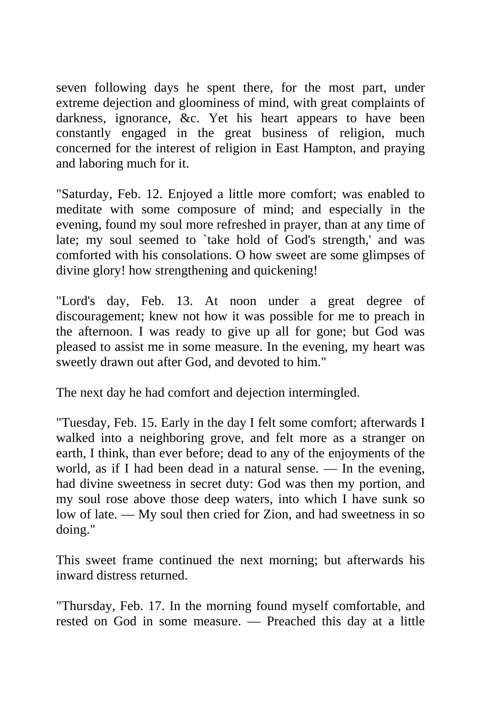seven following days he spent there, for the most part, under extreme dejection and gloominess of mind, with great complaints of darkness, ignorance, &c. Yet his heart appears to have been constantly engaged in the great business of religion, much concerned for the interest of religion in East Hampton, and praying and laboring much for it.

"Saturday, Feb. 12. Enjoyed a little more comfort; was enabled to meditate with some composure of mind; and especially in the evening, found my soul more refreshed in prayer, than at any time of late; my soul seemed to `take hold of God's strength,' and was comforted with his consolations. O how sweet are some glimpses of divine glory! how strengthening and quickening!

"Lord's day, Feb. 13. At noon under a great degree of discouragement; knew not how it was possible for me to preach in the afternoon. I was ready to give up all for gone; but God was pleased to assist me in some measure. In the evening, my heart was sweetly drawn out after God, and devoted to him."

The next day he had comfort and dejection intermingled.

"Tuesday, Feb. 15. Early in the day I felt some comfort; afterwards I walked into a neighboring grove, and felt more as a stranger on earth, I think, than ever before; dead to any of the enjoyments of the world, as if I had been dead in a natural sense. — In the evening, had divine sweetness in secret duty: God was then my portion, and my soul rose above those deep waters, into which I have sunk so low of late. — My soul then cried for Zion, and had sweetness in so doing."

This sweet frame continued the next morning; but afterwards his inward distress returned.

"Thursday, Feb. 17. In the morning found myself comfortable, and rested on God in some measure. — Preached this day at a little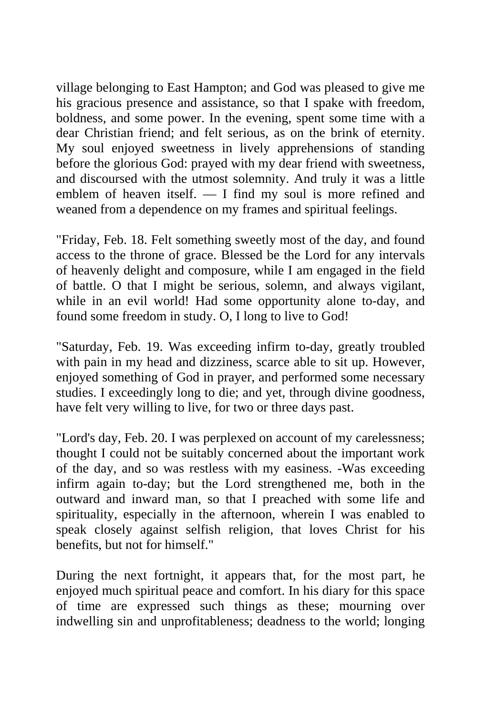village belonging to East Hampton; and God was pleased to give me his gracious presence and assistance, so that I spake with freedom, boldness, and some power. In the evening, spent some time with a dear Christian friend; and felt serious, as on the brink of eternity. My soul enjoyed sweetness in lively apprehensions of standing before the glorious God: prayed with my dear friend with sweetness, and discoursed with the utmost solemnity. And truly it was a little emblem of heaven itself. — I find my soul is more refined and weaned from a dependence on my frames and spiritual feelings.

"Friday, Feb. 18. Felt something sweetly most of the day, and found access to the throne of grace. Blessed be the Lord for any intervals of heavenly delight and composure, while I am engaged in the field of battle. O that I might be serious, solemn, and always vigilant, while in an evil world! Had some opportunity alone to-day, and found some freedom in study. O, I long to live to God!

"Saturday, Feb. 19. Was exceeding infirm to-day, greatly troubled with pain in my head and dizziness, scarce able to sit up. However, enjoyed something of God in prayer, and performed some necessary studies. I exceedingly long to die; and yet, through divine goodness, have felt very willing to live, for two or three days past.

"Lord's day, Feb. 20. I was perplexed on account of my carelessness; thought I could not be suitably concerned about the important work of the day, and so was restless with my easiness. -Was exceeding infirm again to-day; but the Lord strengthened me, both in the outward and inward man, so that I preached with some life and spirituality, especially in the afternoon, wherein I was enabled to speak closely against selfish religion, that loves Christ for his benefits, but not for himself."

During the next fortnight, it appears that, for the most part, he enjoyed much spiritual peace and comfort. In his diary for this space of time are expressed such things as these; mourning over indwelling sin and unprofitableness; deadness to the world; longing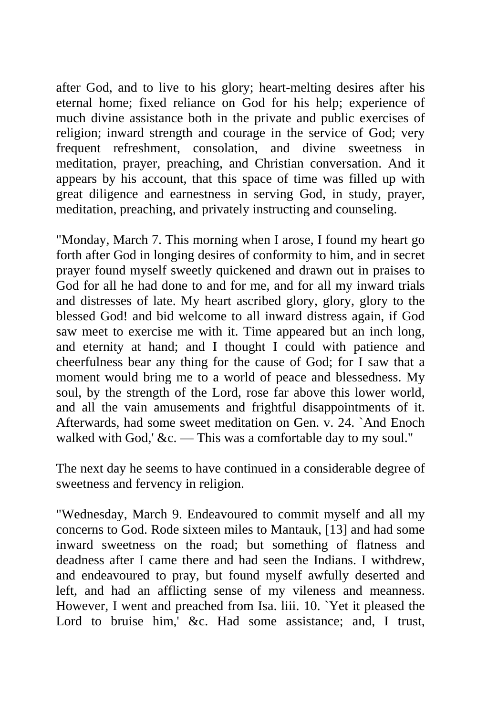after God, and to live to his glory; heart-melting desires after his eternal home; fixed reliance on God for his help; experience of much divine assistance both in the private and public exercises of religion; inward strength and courage in the service of God; very frequent refreshment, consolation, and divine sweetness in meditation, prayer, preaching, and Christian conversation. And it appears by his account, that this space of time was filled up with great diligence and earnestness in serving God, in study, prayer, meditation, preaching, and privately instructing and counseling.

"Monday, March 7. This morning when I arose, I found my heart go forth after God in longing desires of conformity to him, and in secret prayer found myself sweetly quickened and drawn out in praises to God for all he had done to and for me, and for all my inward trials and distresses of late. My heart ascribed glory, glory, glory to the blessed God! and bid welcome to all inward distress again, if God saw meet to exercise me with it. Time appeared but an inch long, and eternity at hand; and I thought I could with patience and cheerfulness bear any thing for the cause of God; for I saw that a moment would bring me to a world of peace and blessedness. My soul, by the strength of the Lord, rose far above this lower world, and all the vain amusements and frightful disappointments of it. Afterwards, had some sweet meditation on Gen. v. 24. `And Enoch walked with God,' &c. - This was a comfortable day to my soul."

The next day he seems to have continued in a considerable degree of sweetness and fervency in religion.

"Wednesday, March 9. Endeavoured to commit myself and all my concerns to God. Rode sixteen miles to Mantauk, [13] and had some inward sweetness on the road; but something of flatness and deadness after I came there and had seen the Indians. I withdrew, and endeavoured to pray, but found myself awfully deserted and left, and had an afflicting sense of my vileness and meanness. However, I went and preached from Isa. liii. 10. `Yet it pleased the Lord to bruise him,' &c. Had some assistance; and, I trust,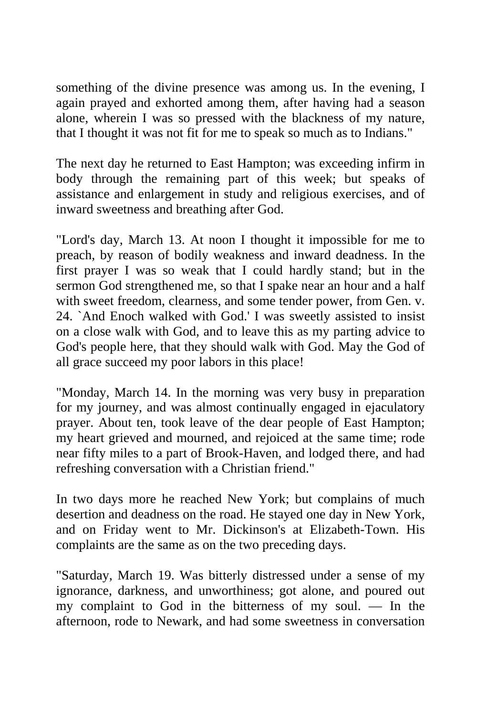something of the divine presence was among us. In the evening, I again prayed and exhorted among them, after having had a season alone, wherein I was so pressed with the blackness of my nature, that I thought it was not fit for me to speak so much as to Indians."

The next day he returned to East Hampton; was exceeding infirm in body through the remaining part of this week; but speaks of assistance and enlargement in study and religious exercises, and of inward sweetness and breathing after God.

"Lord's day, March 13. At noon I thought it impossible for me to preach, by reason of bodily weakness and inward deadness. In the first prayer I was so weak that I could hardly stand; but in the sermon God strengthened me, so that I spake near an hour and a half with sweet freedom, clearness, and some tender power, from Gen. v. 24. `And Enoch walked with God.' I was sweetly assisted to insist on a close walk with God, and to leave this as my parting advice to God's people here, that they should walk with God. May the God of all grace succeed my poor labors in this place!

"Monday, March 14. In the morning was very busy in preparation for my journey, and was almost continually engaged in ejaculatory prayer. About ten, took leave of the dear people of East Hampton; my heart grieved and mourned, and rejoiced at the same time; rode near fifty miles to a part of Brook-Haven, and lodged there, and had refreshing conversation with a Christian friend."

In two days more he reached New York; but complains of much desertion and deadness on the road. He stayed one day in New York, and on Friday went to Mr. Dickinson's at Elizabeth-Town. His complaints are the same as on the two preceding days.

"Saturday, March 19. Was bitterly distressed under a sense of my ignorance, darkness, and unworthiness; got alone, and poured out my complaint to God in the bitterness of my soul. — In the afternoon, rode to Newark, and had some sweetness in conversation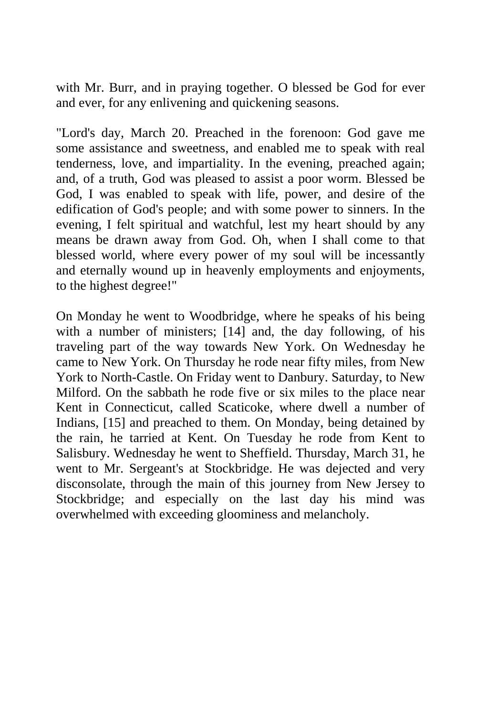with Mr. Burr, and in praying together. O blessed be God for ever and ever, for any enlivening and quickening seasons.

"Lord's day, March 20. Preached in the forenoon: God gave me some assistance and sweetness, and enabled me to speak with real tenderness, love, and impartiality. In the evening, preached again; and, of a truth, God was pleased to assist a poor worm. Blessed be God, I was enabled to speak with life, power, and desire of the edification of God's people; and with some power to sinners. In the evening, I felt spiritual and watchful, lest my heart should by any means be drawn away from God. Oh, when I shall come to that blessed world, where every power of my soul will be incessantly and eternally wound up in heavenly employments and enjoyments, to the highest degree!"

On Monday he went to Woodbridge, where he speaks of his being with a number of ministers; [14] and, the day following, of his traveling part of the way towards New York. On Wednesday he came to New York. On Thursday he rode near fifty miles, from New York to North-Castle. On Friday went to Danbury. Saturday, to New Milford. On the sabbath he rode five or six miles to the place near Kent in Connecticut, called Scaticoke, where dwell a number of Indians, [15] and preached to them. On Monday, being detained by the rain, he tarried at Kent. On Tuesday he rode from Kent to Salisbury. Wednesday he went to Sheffield. Thursday, March 31, he went to Mr. Sergeant's at Stockbridge. He was dejected and very disconsolate, through the main of this journey from New Jersey to Stockbridge; and especially on the last day his mind was overwhelmed with exceeding gloominess and melancholy.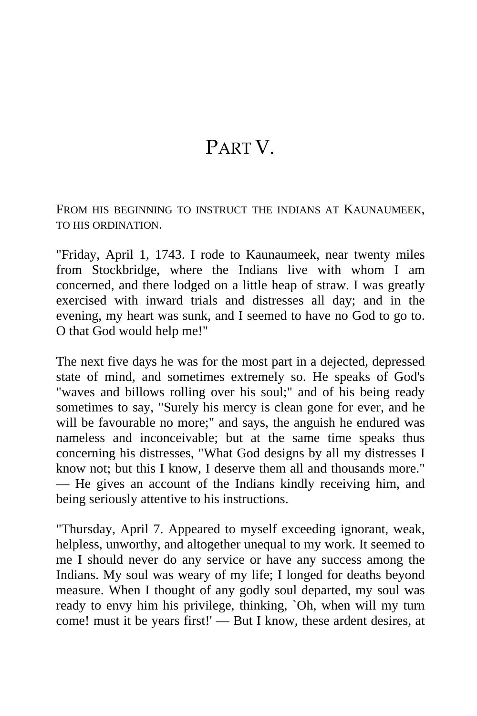## PART V.

FROM HIS BEGINNING TO INSTRUCT THE INDIANS AT KAUNAUMEEK, TO HIS ORDINATION.

"Friday, April 1, 1743. I rode to Kaunaumeek, near twenty miles from Stockbridge, where the Indians live with whom I am concerned, and there lodged on a little heap of straw. I was greatly exercised with inward trials and distresses all day; and in the evening, my heart was sunk, and I seemed to have no God to go to. O that God would help me!"

The next five days he was for the most part in a dejected, depressed state of mind, and sometimes extremely so. He speaks of God's "waves and billows rolling over his soul;" and of his being ready sometimes to say, "Surely his mercy is clean gone for ever, and he will be favourable no more;" and says, the anguish he endured was nameless and inconceivable; but at the same time speaks thus concerning his distresses, "What God designs by all my distresses I know not; but this I know, I deserve them all and thousands more." — He gives an account of the Indians kindly receiving him, and being seriously attentive to his instructions.

"Thursday, April 7. Appeared to myself exceeding ignorant, weak, helpless, unworthy, and altogether unequal to my work. It seemed to me I should never do any service or have any success among the Indians. My soul was weary of my life; I longed for deaths beyond measure. When I thought of any godly soul departed, my soul was ready to envy him his privilege, thinking, `Oh, when will my turn come! must it be years first!' — But I know, these ardent desires, at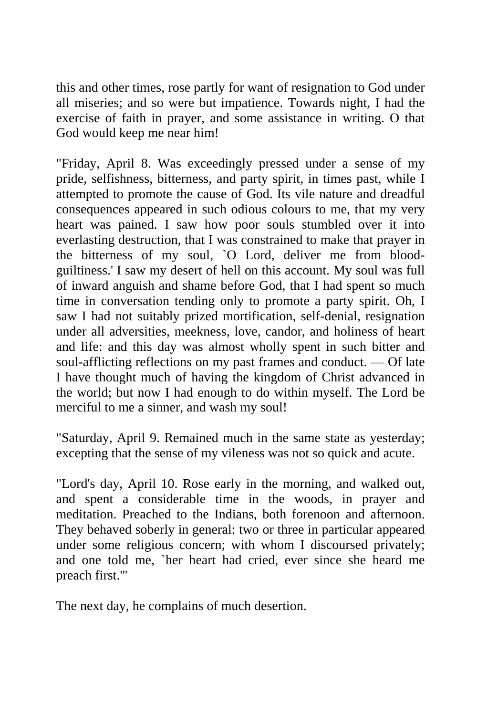this and other times, rose partly for want of resignation to God under all miseries; and so were but impatience. Towards night, I had the exercise of faith in prayer, and some assistance in writing. O that God would keep me near him!

"Friday, April 8. Was exceedingly pressed under a sense of my pride, selfishness, bitterness, and party spirit, in times past, while I attempted to promote the cause of God. Its vile nature and dreadful consequences appeared in such odious colours to me, that my very heart was pained. I saw how poor souls stumbled over it into everlasting destruction, that I was constrained to make that prayer in the bitterness of my soul, `O Lord, deliver me from bloodguiltiness.' I saw my desert of hell on this account. My soul was full of inward anguish and shame before God, that I had spent so much time in conversation tending only to promote a party spirit. Oh, I saw I had not suitably prized mortification, self-denial, resignation under all adversities, meekness, love, candor, and holiness of heart and life: and this day was almost wholly spent in such bitter and soul-afflicting reflections on my past frames and conduct. — Of late I have thought much of having the kingdom of Christ advanced in the world; but now I had enough to do within myself. The Lord be merciful to me a sinner, and wash my soul!

"Saturday, April 9. Remained much in the same state as yesterday; excepting that the sense of my vileness was not so quick and acute.

"Lord's day, April 10. Rose early in the morning, and walked out, and spent a considerable time in the woods, in prayer and meditation. Preached to the Indians, both forenoon and afternoon. They behaved soberly in general: two or three in particular appeared under some religious concern; with whom I discoursed privately; and one told me, `her heart had cried, ever since she heard me preach first.'"

The next day, he complains of much desertion.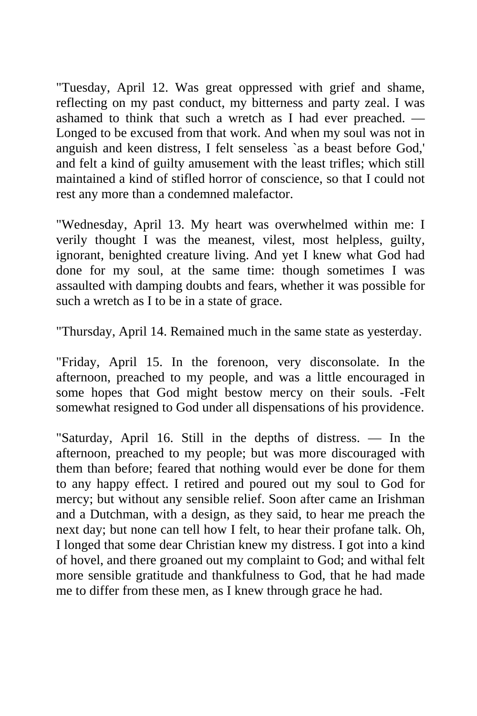"Tuesday, April 12. Was great oppressed with grief and shame, reflecting on my past conduct, my bitterness and party zeal. I was ashamed to think that such a wretch as I had ever preached. — Longed to be excused from that work. And when my soul was not in anguish and keen distress, I felt senseless `as a beast before God,' and felt a kind of guilty amusement with the least trifles; which still maintained a kind of stifled horror of conscience, so that I could not rest any more than a condemned malefactor.

"Wednesday, April 13. My heart was overwhelmed within me: I verily thought I was the meanest, vilest, most helpless, guilty, ignorant, benighted creature living. And yet I knew what God had done for my soul, at the same time: though sometimes I was assaulted with damping doubts and fears, whether it was possible for such a wretch as I to be in a state of grace.

"Thursday, April 14. Remained much in the same state as yesterday.

"Friday, April 15. In the forenoon, very disconsolate. In the afternoon, preached to my people, and was a little encouraged in some hopes that God might bestow mercy on their souls. -Felt somewhat resigned to God under all dispensations of his providence.

"Saturday, April 16. Still in the depths of distress. — In the afternoon, preached to my people; but was more discouraged with them than before; feared that nothing would ever be done for them to any happy effect. I retired and poured out my soul to God for mercy; but without any sensible relief. Soon after came an Irishman and a Dutchman, with a design, as they said, to hear me preach the next day; but none can tell how I felt, to hear their profane talk. Oh, I longed that some dear Christian knew my distress. I got into a kind of hovel, and there groaned out my complaint to God; and withal felt more sensible gratitude and thankfulness to God, that he had made me to differ from these men, as I knew through grace he had.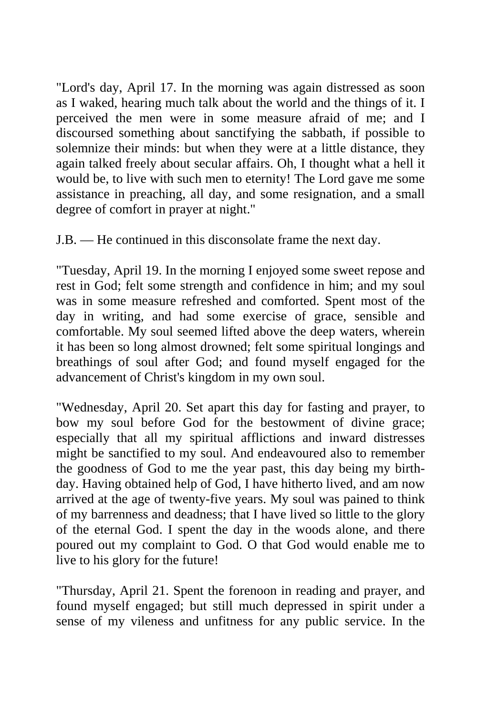"Lord's day, April 17. In the morning was again distressed as soon as I waked, hearing much talk about the world and the things of it. I perceived the men were in some measure afraid of me; and I discoursed something about sanctifying the sabbath, if possible to solemnize their minds: but when they were at a little distance, they again talked freely about secular affairs. Oh, I thought what a hell it would be, to live with such men to eternity! The Lord gave me some assistance in preaching, all day, and some resignation, and a small degree of comfort in prayer at night."

J.B. — He continued in this disconsolate frame the next day.

"Tuesday, April 19. In the morning I enjoyed some sweet repose and rest in God; felt some strength and confidence in him; and my soul was in some measure refreshed and comforted. Spent most of the day in writing, and had some exercise of grace, sensible and comfortable. My soul seemed lifted above the deep waters, wherein it has been so long almost drowned; felt some spiritual longings and breathings of soul after God; and found myself engaged for the advancement of Christ's kingdom in my own soul.

"Wednesday, April 20. Set apart this day for fasting and prayer, to bow my soul before God for the bestowment of divine grace; especially that all my spiritual afflictions and inward distresses might be sanctified to my soul. And endeavoured also to remember the goodness of God to me the year past, this day being my birthday. Having obtained help of God, I have hitherto lived, and am now arrived at the age of twenty-five years. My soul was pained to think of my barrenness and deadness; that I have lived so little to the glory of the eternal God. I spent the day in the woods alone, and there poured out my complaint to God. O that God would enable me to live to his glory for the future!

"Thursday, April 21. Spent the forenoon in reading and prayer, and found myself engaged; but still much depressed in spirit under a sense of my vileness and unfitness for any public service. In the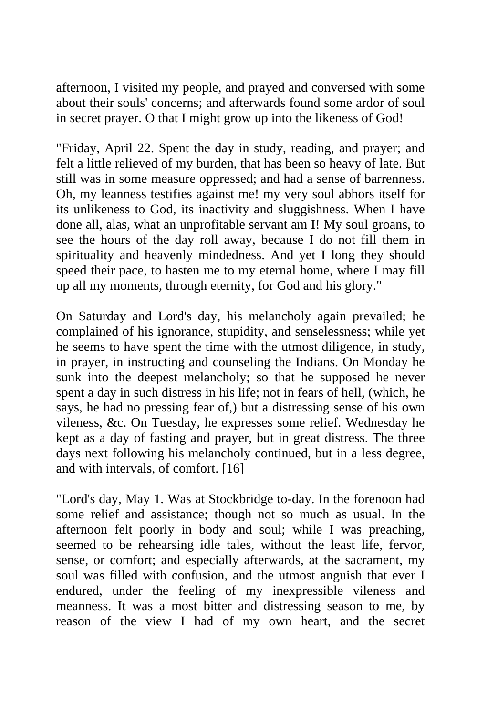afternoon, I visited my people, and prayed and conversed with some about their souls' concerns; and afterwards found some ardor of soul in secret prayer. O that I might grow up into the likeness of God!

"Friday, April 22. Spent the day in study, reading, and prayer; and felt a little relieved of my burden, that has been so heavy of late. But still was in some measure oppressed; and had a sense of barrenness. Oh, my leanness testifies against me! my very soul abhors itself for its unlikeness to God, its inactivity and sluggishness. When I have done all, alas, what an unprofitable servant am I! My soul groans, to see the hours of the day roll away, because I do not fill them in spirituality and heavenly mindedness. And yet I long they should speed their pace, to hasten me to my eternal home, where I may fill up all my moments, through eternity, for God and his glory."

On Saturday and Lord's day, his melancholy again prevailed; he complained of his ignorance, stupidity, and senselessness; while yet he seems to have spent the time with the utmost diligence, in study, in prayer, in instructing and counseling the Indians. On Monday he sunk into the deepest melancholy; so that he supposed he never spent a day in such distress in his life; not in fears of hell, (which, he says, he had no pressing fear of,) but a distressing sense of his own vileness, &c. On Tuesday, he expresses some relief. Wednesday he kept as a day of fasting and prayer, but in great distress. The three days next following his melancholy continued, but in a less degree, and with intervals, of comfort. [16]

"Lord's day, May 1. Was at Stockbridge to-day. In the forenoon had some relief and assistance; though not so much as usual. In the afternoon felt poorly in body and soul; while I was preaching, seemed to be rehearsing idle tales, without the least life, fervor, sense, or comfort; and especially afterwards, at the sacrament, my soul was filled with confusion, and the utmost anguish that ever I endured, under the feeling of my inexpressible vileness and meanness. It was a most bitter and distressing season to me, by reason of the view I had of my own heart, and the secret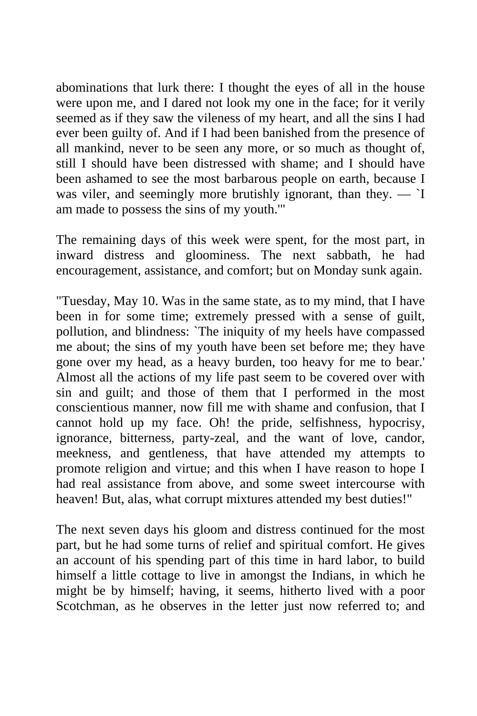abominations that lurk there: I thought the eyes of all in the house were upon me, and I dared not look my one in the face; for it verily seemed as if they saw the vileness of my heart, and all the sins I had ever been guilty of. And if I had been banished from the presence of all mankind, never to be seen any more, or so much as thought of, still I should have been distressed with shame; and I should have been ashamed to see the most barbarous people on earth, because I was viler, and seemingly more brutishly ignorant, than they.  $\overline{\phantom{a}}$   $\overline{\phantom{a}}$ am made to possess the sins of my youth.'"

The remaining days of this week were spent, for the most part, in inward distress and gloominess. The next sabbath, he had encouragement, assistance, and comfort; but on Monday sunk again.

"Tuesday, May 10. Was in the same state, as to my mind, that I have been in for some time; extremely pressed with a sense of guilt, pollution, and blindness: `The iniquity of my heels have compassed me about; the sins of my youth have been set before me; they have gone over my head, as a heavy burden, too heavy for me to bear.' Almost all the actions of my life past seem to be covered over with sin and guilt; and those of them that I performed in the most conscientious manner, now fill me with shame and confusion, that I cannot hold up my face. Oh! the pride, selfishness, hypocrisy, ignorance, bitterness, party-zeal, and the want of love, candor, meekness, and gentleness, that have attended my attempts to promote religion and virtue; and this when I have reason to hope I had real assistance from above, and some sweet intercourse with heaven! But, alas, what corrupt mixtures attended my best duties!"

The next seven days his gloom and distress continued for the most part, but he had some turns of relief and spiritual comfort. He gives an account of his spending part of this time in hard labor, to build himself a little cottage to live in amongst the Indians, in which he might be by himself; having, it seems, hitherto lived with a poor Scotchman, as he observes in the letter just now referred to; and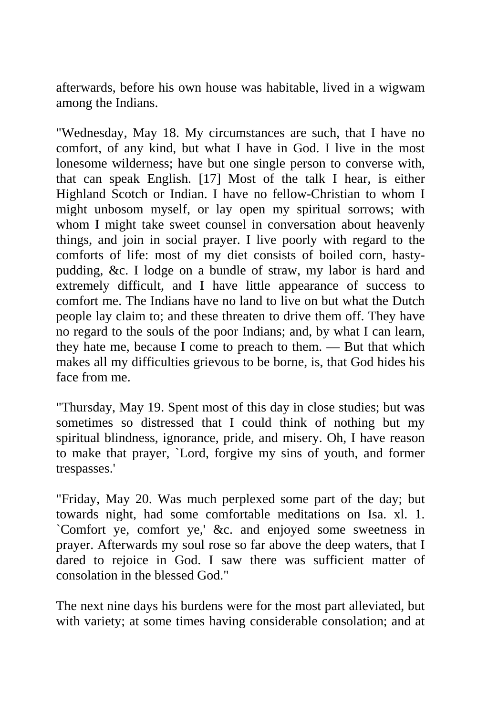afterwards, before his own house was habitable, lived in a wigwam among the Indians.

"Wednesday, May 18. My circumstances are such, that I have no comfort, of any kind, but what I have in God. I live in the most lonesome wilderness; have but one single person to converse with, that can speak English. [17] Most of the talk I hear, is either Highland Scotch or Indian. I have no fellow-Christian to whom I might unbosom myself, or lay open my spiritual sorrows; with whom I might take sweet counsel in conversation about heavenly things, and join in social prayer. I live poorly with regard to the comforts of life: most of my diet consists of boiled corn, hastypudding, &c. I lodge on a bundle of straw, my labor is hard and extremely difficult, and I have little appearance of success to comfort me. The Indians have no land to live on but what the Dutch people lay claim to; and these threaten to drive them off. They have no regard to the souls of the poor Indians; and, by what I can learn, they hate me, because I come to preach to them. — But that which makes all my difficulties grievous to be borne, is, that God hides his face from me.

"Thursday, May 19. Spent most of this day in close studies; but was sometimes so distressed that I could think of nothing but my spiritual blindness, ignorance, pride, and misery. Oh, I have reason to make that prayer, `Lord, forgive my sins of youth, and former trespasses.'

"Friday, May 20. Was much perplexed some part of the day; but towards night, had some comfortable meditations on Isa. xl. 1. `Comfort ye, comfort ye,' &c. and enjoyed some sweetness in prayer. Afterwards my soul rose so far above the deep waters, that I dared to rejoice in God. I saw there was sufficient matter of consolation in the blessed God."

The next nine days his burdens were for the most part alleviated, but with variety; at some times having considerable consolation; and at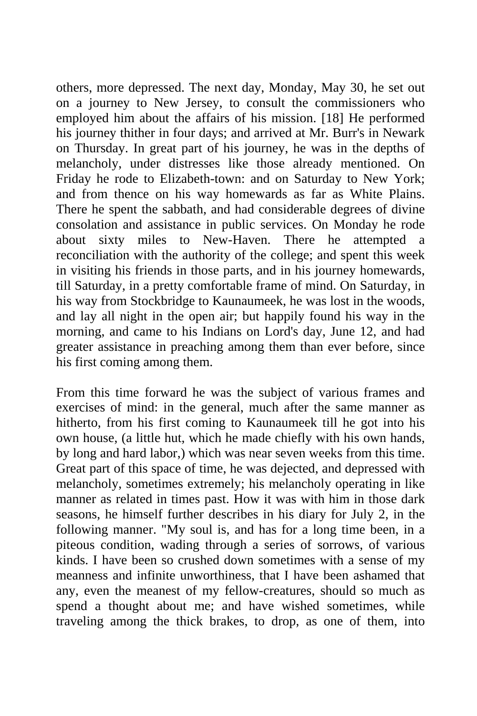others, more depressed. The next day, Monday, May 30, he set out on a journey to New Jersey, to consult the commissioners who employed him about the affairs of his mission. [18] He performed his journey thither in four days; and arrived at Mr. Burr's in Newark on Thursday. In great part of his journey, he was in the depths of melancholy, under distresses like those already mentioned. On Friday he rode to Elizabeth-town: and on Saturday to New York; and from thence on his way homewards as far as White Plains. There he spent the sabbath, and had considerable degrees of divine consolation and assistance in public services. On Monday he rode about sixty miles to New-Haven. There he attempted a reconciliation with the authority of the college; and spent this week in visiting his friends in those parts, and in his journey homewards, till Saturday, in a pretty comfortable frame of mind. On Saturday, in his way from Stockbridge to Kaunaumeek, he was lost in the woods, and lay all night in the open air; but happily found his way in the morning, and came to his Indians on Lord's day, June 12, and had greater assistance in preaching among them than ever before, since his first coming among them.

From this time forward he was the subject of various frames and exercises of mind: in the general, much after the same manner as hitherto, from his first coming to Kaunaumeek till he got into his own house, (a little hut, which he made chiefly with his own hands, by long and hard labor,) which was near seven weeks from this time. Great part of this space of time, he was dejected, and depressed with melancholy, sometimes extremely; his melancholy operating in like manner as related in times past. How it was with him in those dark seasons, he himself further describes in his diary for July 2, in the following manner. "My soul is, and has for a long time been, in a piteous condition, wading through a series of sorrows, of various kinds. I have been so crushed down sometimes with a sense of my meanness and infinite unworthiness, that I have been ashamed that any, even the meanest of my fellow-creatures, should so much as spend a thought about me; and have wished sometimes, while traveling among the thick brakes, to drop, as one of them, into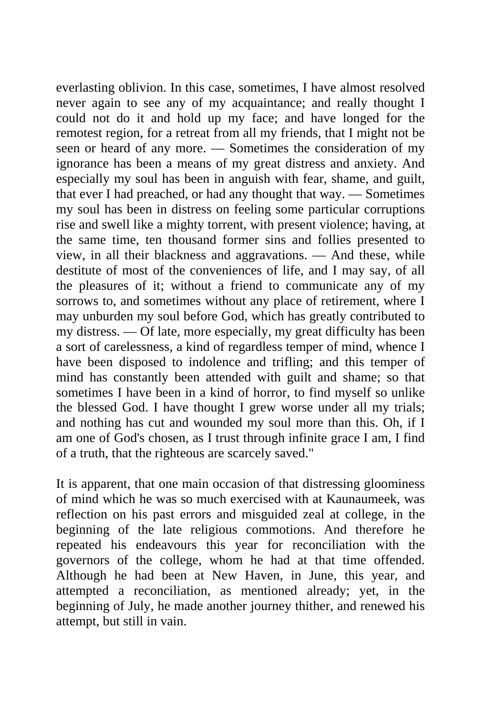everlasting oblivion. In this case, sometimes, I have almost resolved never again to see any of my acquaintance; and really thought I could not do it and hold up my face; and have longed for the remotest region, for a retreat from all my friends, that I might not be seen or heard of any more. — Sometimes the consideration of my ignorance has been a means of my great distress and anxiety. And especially my soul has been in anguish with fear, shame, and guilt, that ever I had preached, or had any thought that way. — Sometimes my soul has been in distress on feeling some particular corruptions rise and swell like a mighty torrent, with present violence; having, at the same time, ten thousand former sins and follies presented to view, in all their blackness and aggravations. — And these, while destitute of most of the conveniences of life, and I may say, of all the pleasures of it; without a friend to communicate any of my sorrows to, and sometimes without any place of retirement, where I may unburden my soul before God, which has greatly contributed to my distress. — Of late, more especially, my great difficulty has been a sort of carelessness, a kind of regardless temper of mind, whence I have been disposed to indolence and trifling; and this temper of mind has constantly been attended with guilt and shame; so that sometimes I have been in a kind of horror, to find myself so unlike the blessed God. I have thought I grew worse under all my trials; and nothing has cut and wounded my soul more than this. Oh, if I am one of God's chosen, as I trust through infinite grace I am, I find of a truth, that the righteous are scarcely saved."

It is apparent, that one main occasion of that distressing gloominess of mind which he was so much exercised with at Kaunaumeek, was reflection on his past errors and misguided zeal at college, in the beginning of the late religious commotions. And therefore he repeated his endeavours this year for reconciliation with the governors of the college, whom he had at that time offended. Although he had been at New Haven, in June, this year, and attempted a reconciliation, as mentioned already; yet, in the beginning of July, he made another journey thither, and renewed his attempt, but still in vain.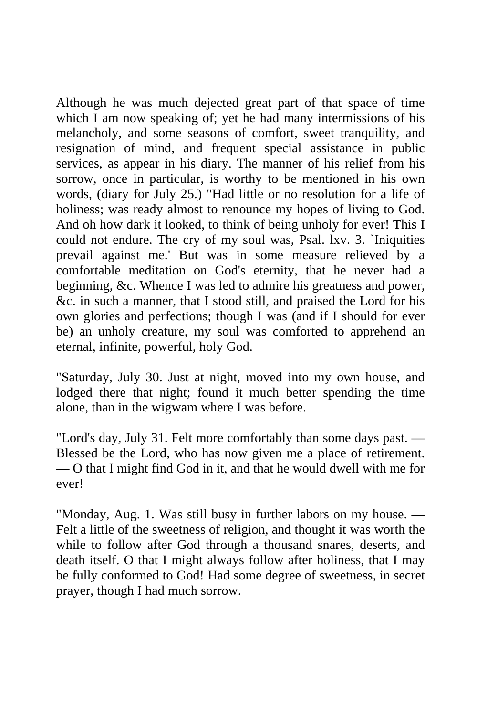Although he was much dejected great part of that space of time which I am now speaking of; yet he had many intermissions of his melancholy, and some seasons of comfort, sweet tranquility, and resignation of mind, and frequent special assistance in public services, as appear in his diary. The manner of his relief from his sorrow, once in particular, is worthy to be mentioned in his own words, (diary for July 25.) "Had little or no resolution for a life of holiness; was ready almost to renounce my hopes of living to God. And oh how dark it looked, to think of being unholy for ever! This I could not endure. The cry of my soul was, Psal. lxv. 3. `Iniquities prevail against me.' But was in some measure relieved by a comfortable meditation on God's eternity, that he never had a beginning, &c. Whence I was led to admire his greatness and power, &c. in such a manner, that I stood still, and praised the Lord for his own glories and perfections; though I was (and if I should for ever be) an unholy creature, my soul was comforted to apprehend an eternal, infinite, powerful, holy God.

"Saturday, July 30. Just at night, moved into my own house, and lodged there that night; found it much better spending the time alone, than in the wigwam where I was before.

"Lord's day, July 31. Felt more comfortably than some days past. — Blessed be the Lord, who has now given me a place of retirement. — O that I might find God in it, and that he would dwell with me for ever!

"Monday, Aug. 1. Was still busy in further labors on my house. — Felt a little of the sweetness of religion, and thought it was worth the while to follow after God through a thousand snares, deserts, and death itself. O that I might always follow after holiness, that I may be fully conformed to God! Had some degree of sweetness, in secret prayer, though I had much sorrow.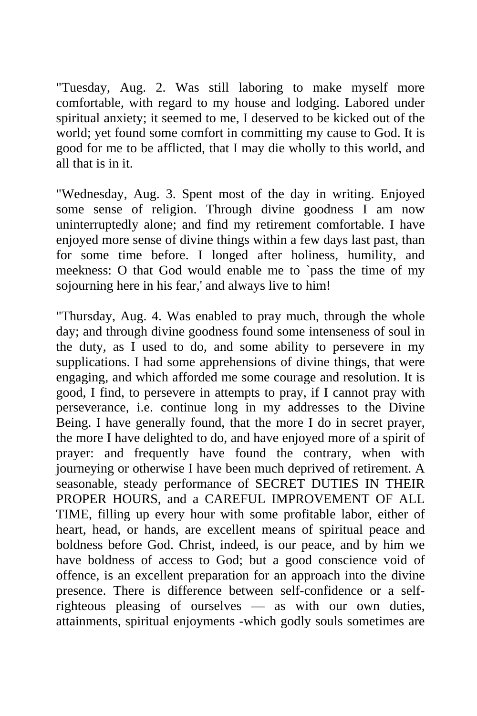"Tuesday, Aug. 2. Was still laboring to make myself more comfortable, with regard to my house and lodging. Labored under spiritual anxiety; it seemed to me, I deserved to be kicked out of the world; yet found some comfort in committing my cause to God. It is good for me to be afflicted, that I may die wholly to this world, and all that is in it.

"Wednesday, Aug. 3. Spent most of the day in writing. Enjoyed some sense of religion. Through divine goodness I am now uninterruptedly alone; and find my retirement comfortable. I have enjoyed more sense of divine things within a few days last past, than for some time before. I longed after holiness, humility, and meekness: O that God would enable me to `pass the time of my sojourning here in his fear,' and always live to him!

"Thursday, Aug. 4. Was enabled to pray much, through the whole day; and through divine goodness found some intenseness of soul in the duty, as I used to do, and some ability to persevere in my supplications. I had some apprehensions of divine things, that were engaging, and which afforded me some courage and resolution. It is good, I find, to persevere in attempts to pray, if I cannot pray with perseverance, i.e. continue long in my addresses to the Divine Being. I have generally found, that the more I do in secret prayer, the more I have delighted to do, and have enjoyed more of a spirit of prayer: and frequently have found the contrary, when with journeying or otherwise I have been much deprived of retirement. A seasonable, steady performance of SECRET DUTIES IN THEIR PROPER HOURS, and a CAREFUL IMPROVEMENT OF ALL TIME, filling up every hour with some profitable labor, either of heart, head, or hands, are excellent means of spiritual peace and boldness before God. Christ, indeed, is our peace, and by him we have boldness of access to God; but a good conscience void of offence, is an excellent preparation for an approach into the divine presence. There is difference between self-confidence or a selfrighteous pleasing of ourselves — as with our own duties, attainments, spiritual enjoyments -which godly souls sometimes are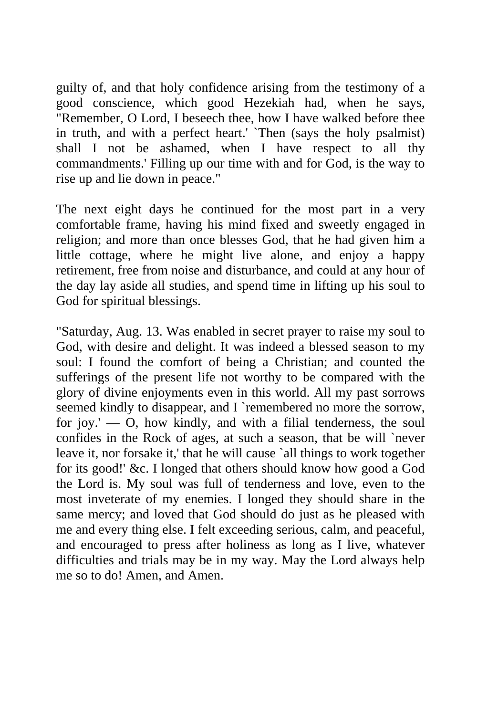guilty of, and that holy confidence arising from the testimony of a good conscience, which good Hezekiah had, when he says, "Remember, O Lord, I beseech thee, how I have walked before thee in truth, and with a perfect heart.' `Then (says the holy psalmist) shall I not be ashamed, when I have respect to all thy commandments.' Filling up our time with and for God, is the way to rise up and lie down in peace."

The next eight days he continued for the most part in a very comfortable frame, having his mind fixed and sweetly engaged in religion; and more than once blesses God, that he had given him a little cottage, where he might live alone, and enjoy a happy retirement, free from noise and disturbance, and could at any hour of the day lay aside all studies, and spend time in lifting up his soul to God for spiritual blessings.

"Saturday, Aug. 13. Was enabled in secret prayer to raise my soul to God, with desire and delight. It was indeed a blessed season to my soul: I found the comfort of being a Christian; and counted the sufferings of the present life not worthy to be compared with the glory of divine enjoyments even in this world. All my past sorrows seemed kindly to disappear, and I `remembered no more the sorrow, for joy.'  $-$  O, how kindly, and with a filial tenderness, the soul confides in the Rock of ages, at such a season, that be will `never leave it, nor forsake it,' that he will cause `all things to work together for its good!' &c. I longed that others should know how good a God the Lord is. My soul was full of tenderness and love, even to the most inveterate of my enemies. I longed they should share in the same mercy; and loved that God should do just as he pleased with me and every thing else. I felt exceeding serious, calm, and peaceful, and encouraged to press after holiness as long as I live, whatever difficulties and trials may be in my way. May the Lord always help me so to do! Amen, and Amen.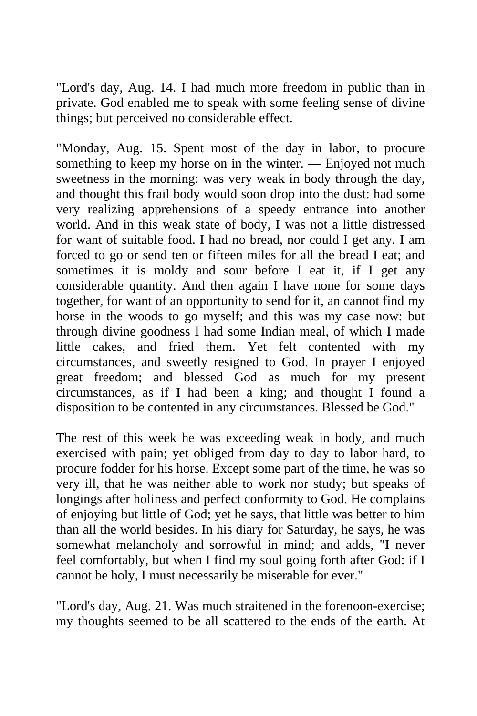"Lord's day, Aug. 14. I had much more freedom in public than in private. God enabled me to speak with some feeling sense of divine things; but perceived no considerable effect.

"Monday, Aug. 15. Spent most of the day in labor, to procure something to keep my horse on in the winter. — Enjoyed not much sweetness in the morning: was very weak in body through the day, and thought this frail body would soon drop into the dust: had some very realizing apprehensions of a speedy entrance into another world. And in this weak state of body, I was not a little distressed for want of suitable food. I had no bread, nor could I get any. I am forced to go or send ten or fifteen miles for all the bread I eat; and sometimes it is moldy and sour before I eat it, if I get any considerable quantity. And then again I have none for some days together, for want of an opportunity to send for it, an cannot find my horse in the woods to go myself; and this was my case now: but through divine goodness I had some Indian meal, of which I made little cakes, and fried them. Yet felt contented with my circumstances, and sweetly resigned to God. In prayer I enjoyed great freedom; and blessed God as much for my present circumstances, as if I had been a king; and thought I found a disposition to be contented in any circumstances. Blessed be God."

The rest of this week he was exceeding weak in body, and much exercised with pain; yet obliged from day to day to labor hard, to procure fodder for his horse. Except some part of the time, he was so very ill, that he was neither able to work nor study; but speaks of longings after holiness and perfect conformity to God. He complains of enjoying but little of God; yet he says, that little was better to him than all the world besides. In his diary for Saturday, he says, he was somewhat melancholy and sorrowful in mind; and adds, "I never feel comfortably, but when I find my soul going forth after God: if I cannot be holy, I must necessarily be miserable for ever."

"Lord's day, Aug. 21. Was much straitened in the forenoon-exercise; my thoughts seemed to be all scattered to the ends of the earth. At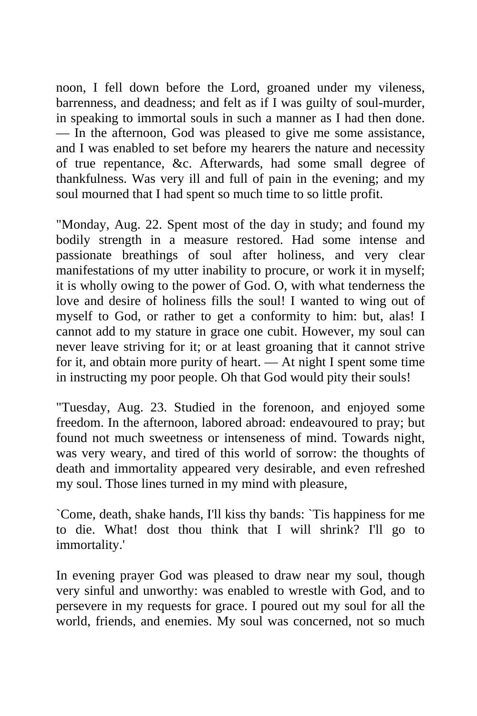noon, I fell down before the Lord, groaned under my vileness, barrenness, and deadness; and felt as if I was guilty of soul-murder, in speaking to immortal souls in such a manner as I had then done. — In the afternoon, God was pleased to give me some assistance, and I was enabled to set before my hearers the nature and necessity of true repentance, &c. Afterwards, had some small degree of thankfulness. Was very ill and full of pain in the evening; and my soul mourned that I had spent so much time to so little profit.

"Monday, Aug. 22. Spent most of the day in study; and found my bodily strength in a measure restored. Had some intense and passionate breathings of soul after holiness, and very clear manifestations of my utter inability to procure, or work it in myself; it is wholly owing to the power of God. O, with what tenderness the love and desire of holiness fills the soul! I wanted to wing out of myself to God, or rather to get a conformity to him: but, alas! I cannot add to my stature in grace one cubit. However, my soul can never leave striving for it; or at least groaning that it cannot strive for it, and obtain more purity of heart. — At night I spent some time in instructing my poor people. Oh that God would pity their souls!

"Tuesday, Aug. 23. Studied in the forenoon, and enjoyed some freedom. In the afternoon, labored abroad: endeavoured to pray; but found not much sweetness or intenseness of mind. Towards night, was very weary, and tired of this world of sorrow: the thoughts of death and immortality appeared very desirable, and even refreshed my soul. Those lines turned in my mind with pleasure,

`Come, death, shake hands, I'll kiss thy bands: `Tis happiness for me to die. What! dost thou think that I will shrink? I'll go to immortality.'

In evening prayer God was pleased to draw near my soul, though very sinful and unworthy: was enabled to wrestle with God, and to persevere in my requests for grace. I poured out my soul for all the world, friends, and enemies. My soul was concerned, not so much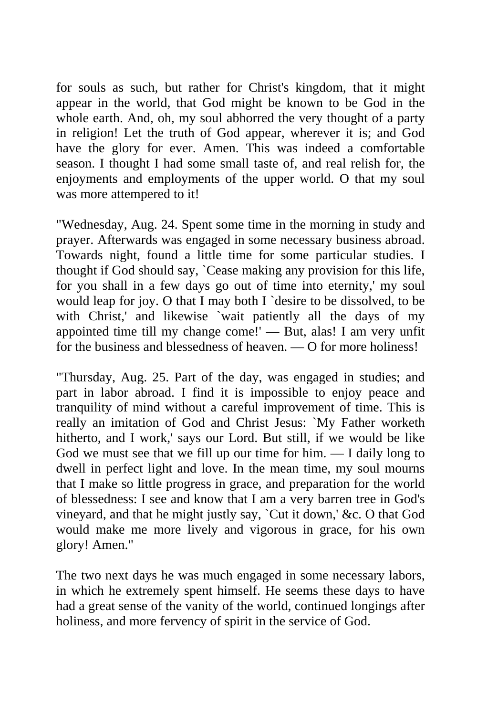for souls as such, but rather for Christ's kingdom, that it might appear in the world, that God might be known to be God in the whole earth. And, oh, my soul abhorred the very thought of a party in religion! Let the truth of God appear, wherever it is; and God have the glory for ever. Amen. This was indeed a comfortable season. I thought I had some small taste of, and real relish for, the enjoyments and employments of the upper world. O that my soul was more attempered to it!

"Wednesday, Aug. 24. Spent some time in the morning in study and prayer. Afterwards was engaged in some necessary business abroad. Towards night, found a little time for some particular studies. I thought if God should say, `Cease making any provision for this life, for you shall in a few days go out of time into eternity,' my soul would leap for joy. O that I may both I `desire to be dissolved, to be with Christ,' and likewise `wait patiently all the days of my appointed time till my change come!' — But, alas! I am very unfit for the business and blessedness of heaven.  $\sim$  O for more holiness!

"Thursday, Aug. 25. Part of the day, was engaged in studies; and part in labor abroad. I find it is impossible to enjoy peace and tranquility of mind without a careful improvement of time. This is really an imitation of God and Christ Jesus: `My Father worketh hitherto, and I work,' says our Lord. But still, if we would be like God we must see that we fill up our time for him. — I daily long to dwell in perfect light and love. In the mean time, my soul mourns that I make so little progress in grace, and preparation for the world of blessedness: I see and know that I am a very barren tree in God's vineyard, and that he might justly say, `Cut it down,' &c. O that God would make me more lively and vigorous in grace, for his own glory! Amen."

The two next days he was much engaged in some necessary labors, in which he extremely spent himself. He seems these days to have had a great sense of the vanity of the world, continued longings after holiness, and more fervency of spirit in the service of God.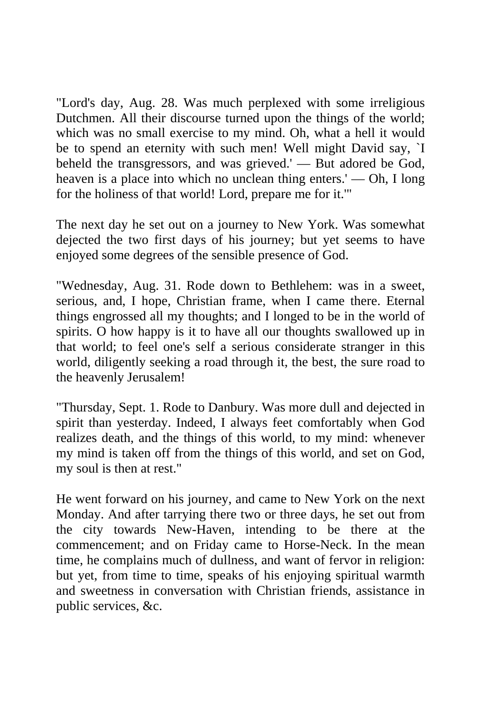"Lord's day, Aug. 28. Was much perplexed with some irreligious Dutchmen. All their discourse turned upon the things of the world; which was no small exercise to my mind. Oh, what a hell it would be to spend an eternity with such men! Well might David say, `I beheld the transgressors, and was grieved.' — But adored be God, heaven is a place into which no unclean thing enters.' — Oh, I long for the holiness of that world! Lord, prepare me for it.'"

The next day he set out on a journey to New York. Was somewhat dejected the two first days of his journey; but yet seems to have enjoyed some degrees of the sensible presence of God.

"Wednesday, Aug. 31. Rode down to Bethlehem: was in a sweet, serious, and, I hope, Christian frame, when I came there. Eternal things engrossed all my thoughts; and I longed to be in the world of spirits. O how happy is it to have all our thoughts swallowed up in that world; to feel one's self a serious considerate stranger in this world, diligently seeking a road through it, the best, the sure road to the heavenly Jerusalem!

"Thursday, Sept. 1. Rode to Danbury. Was more dull and dejected in spirit than yesterday. Indeed, I always feet comfortably when God realizes death, and the things of this world, to my mind: whenever my mind is taken off from the things of this world, and set on God, my soul is then at rest."

He went forward on his journey, and came to New York on the next Monday. And after tarrying there two or three days, he set out from the city towards New-Haven, intending to be there at the commencement; and on Friday came to Horse-Neck. In the mean time, he complains much of dullness, and want of fervor in religion: but yet, from time to time, speaks of his enjoying spiritual warmth and sweetness in conversation with Christian friends, assistance in public services, &c.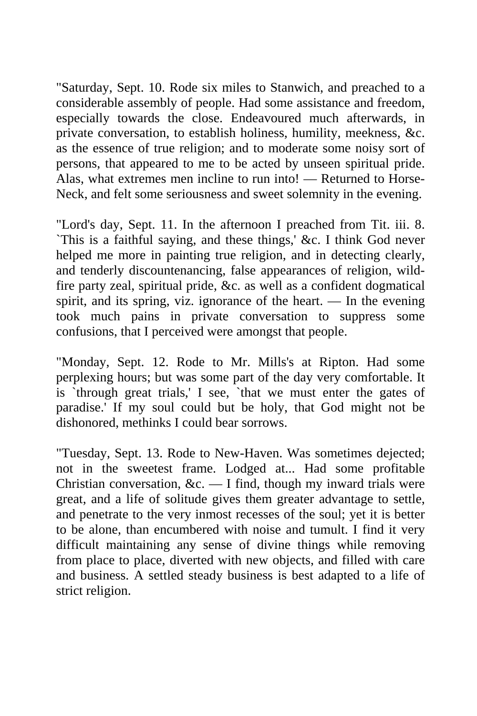"Saturday, Sept. 10. Rode six miles to Stanwich, and preached to a considerable assembly of people. Had some assistance and freedom, especially towards the close. Endeavoured much afterwards, in private conversation, to establish holiness, humility, meekness, &c. as the essence of true religion; and to moderate some noisy sort of persons, that appeared to me to be acted by unseen spiritual pride. Alas, what extremes men incline to run into! — Returned to Horse-Neck, and felt some seriousness and sweet solemnity in the evening.

"Lord's day, Sept. 11. In the afternoon I preached from Tit. iii. 8. `This is a faithful saying, and these things,' &c. I think God never helped me more in painting true religion, and in detecting clearly, and tenderly discountenancing, false appearances of religion, wildfire party zeal, spiritual pride, &c. as well as a confident dogmatical spirit, and its spring, viz. ignorance of the heart. — In the evening took much pains in private conversation to suppress some confusions, that I perceived were amongst that people.

"Monday, Sept. 12. Rode to Mr. Mills's at Ripton. Had some perplexing hours; but was some part of the day very comfortable. It is `through great trials,' I see, `that we must enter the gates of paradise.' If my soul could but be holy, that God might not be dishonored, methinks I could bear sorrows.

"Tuesday, Sept. 13. Rode to New-Haven. Was sometimes dejected; not in the sweetest frame. Lodged at... Had some profitable Christian conversation,  $\&c$ .  $\qquad$  I find, though my inward trials were great, and a life of solitude gives them greater advantage to settle, and penetrate to the very inmost recesses of the soul; yet it is better to be alone, than encumbered with noise and tumult. I find it very difficult maintaining any sense of divine things while removing from place to place, diverted with new objects, and filled with care and business. A settled steady business is best adapted to a life of strict religion.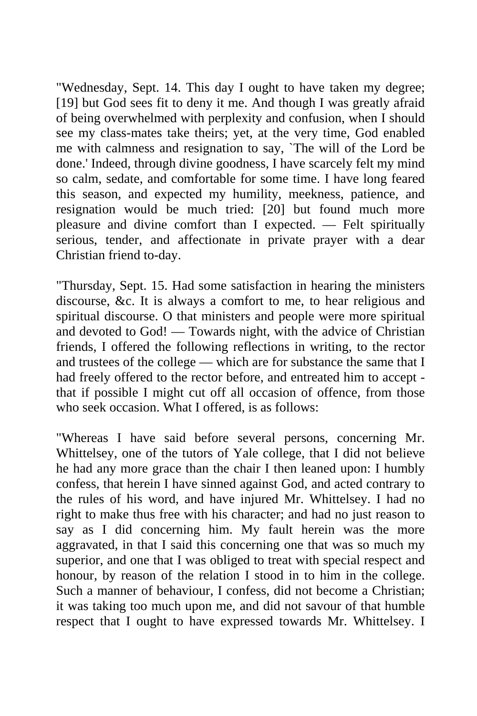"Wednesday, Sept. 14. This day I ought to have taken my degree; [19] but God sees fit to deny it me. And though I was greatly afraid of being overwhelmed with perplexity and confusion, when I should see my class-mates take theirs; yet, at the very time, God enabled me with calmness and resignation to say, `The will of the Lord be done.' Indeed, through divine goodness, I have scarcely felt my mind so calm, sedate, and comfortable for some time. I have long feared this season, and expected my humility, meekness, patience, and resignation would be much tried: [20] but found much more pleasure and divine comfort than I expected. — Felt spiritually serious, tender, and affectionate in private prayer with a dear Christian friend to-day.

"Thursday, Sept. 15. Had some satisfaction in hearing the ministers discourse, &c. It is always a comfort to me, to hear religious and spiritual discourse. O that ministers and people were more spiritual and devoted to God! — Towards night, with the advice of Christian friends, I offered the following reflections in writing, to the rector and trustees of the college — which are for substance the same that I had freely offered to the rector before, and entreated him to accept that if possible I might cut off all occasion of offence, from those who seek occasion. What I offered, is as follows:

"Whereas I have said before several persons, concerning Mr. Whittelsey, one of the tutors of Yale college, that I did not believe he had any more grace than the chair I then leaned upon: I humbly confess, that herein I have sinned against God, and acted contrary to the rules of his word, and have injured Mr. Whittelsey. I had no right to make thus free with his character; and had no just reason to say as I did concerning him. My fault herein was the more aggravated, in that I said this concerning one that was so much my superior, and one that I was obliged to treat with special respect and honour, by reason of the relation I stood in to him in the college. Such a manner of behaviour, I confess, did not become a Christian; it was taking too much upon me, and did not savour of that humble respect that I ought to have expressed towards Mr. Whittelsey. I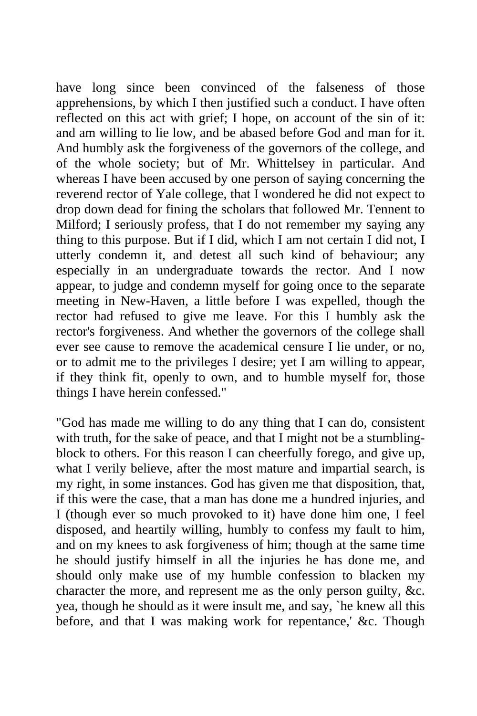have long since been convinced of the falseness of those apprehensions, by which I then justified such a conduct. I have often reflected on this act with grief; I hope, on account of the sin of it: and am willing to lie low, and be abased before God and man for it. And humbly ask the forgiveness of the governors of the college, and of the whole society; but of Mr. Whittelsey in particular. And whereas I have been accused by one person of saying concerning the reverend rector of Yale college, that I wondered he did not expect to drop down dead for fining the scholars that followed Mr. Tennent to Milford; I seriously profess, that I do not remember my saying any thing to this purpose. But if I did, which I am not certain I did not, I utterly condemn it, and detest all such kind of behaviour; any especially in an undergraduate towards the rector. And I now appear, to judge and condemn myself for going once to the separate meeting in New-Haven, a little before I was expelled, though the rector had refused to give me leave. For this I humbly ask the rector's forgiveness. And whether the governors of the college shall ever see cause to remove the academical censure I lie under, or no, or to admit me to the privileges I desire; yet I am willing to appear, if they think fit, openly to own, and to humble myself for, those things I have herein confessed."

"God has made me willing to do any thing that I can do, consistent with truth, for the sake of peace, and that I might not be a stumblingblock to others. For this reason I can cheerfully forego, and give up, what I verily believe, after the most mature and impartial search, is my right, in some instances. God has given me that disposition, that, if this were the case, that a man has done me a hundred injuries, and I (though ever so much provoked to it) have done him one, I feel disposed, and heartily willing, humbly to confess my fault to him, and on my knees to ask forgiveness of him; though at the same time he should justify himself in all the injuries he has done me, and should only make use of my humble confession to blacken my character the more, and represent me as the only person guilty, &c. yea, though he should as it were insult me, and say, `he knew all this before, and that I was making work for repentance,' &c. Though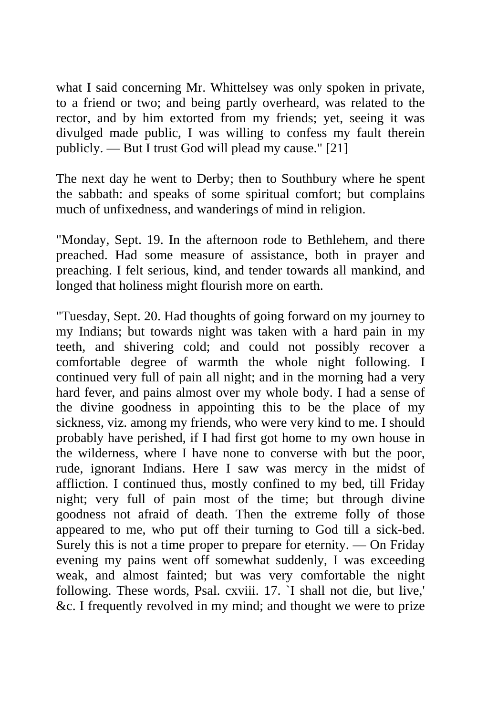what I said concerning Mr. Whittelsey was only spoken in private, to a friend or two; and being partly overheard, was related to the rector, and by him extorted from my friends; yet, seeing it was divulged made public, I was willing to confess my fault therein publicly. — But I trust God will plead my cause." [21]

The next day he went to Derby; then to Southbury where he spent the sabbath: and speaks of some spiritual comfort; but complains much of unfixedness, and wanderings of mind in religion.

"Monday, Sept. 19. In the afternoon rode to Bethlehem, and there preached. Had some measure of assistance, both in prayer and preaching. I felt serious, kind, and tender towards all mankind, and longed that holiness might flourish more on earth.

"Tuesday, Sept. 20. Had thoughts of going forward on my journey to my Indians; but towards night was taken with a hard pain in my teeth, and shivering cold; and could not possibly recover a comfortable degree of warmth the whole night following. I continued very full of pain all night; and in the morning had a very hard fever, and pains almost over my whole body. I had a sense of the divine goodness in appointing this to be the place of my sickness, viz. among my friends, who were very kind to me. I should probably have perished, if I had first got home to my own house in the wilderness, where I have none to converse with but the poor, rude, ignorant Indians. Here I saw was mercy in the midst of affliction. I continued thus, mostly confined to my bed, till Friday night; very full of pain most of the time; but through divine goodness not afraid of death. Then the extreme folly of those appeared to me, who put off their turning to God till a sick-bed. Surely this is not a time proper to prepare for eternity.  $\sim$  On Friday evening my pains went off somewhat suddenly, I was exceeding weak, and almost fainted; but was very comfortable the night following. These words, Psal. cxviii. 17. `I shall not die, but live,' &c. I frequently revolved in my mind; and thought we were to prize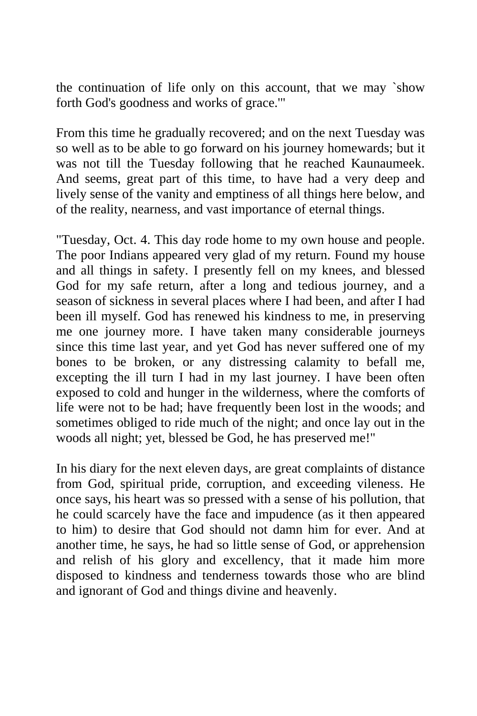the continuation of life only on this account, that we may `show forth God's goodness and works of grace.'"

From this time he gradually recovered; and on the next Tuesday was so well as to be able to go forward on his journey homewards; but it was not till the Tuesday following that he reached Kaunaumeek. And seems, great part of this time, to have had a very deep and lively sense of the vanity and emptiness of all things here below, and of the reality, nearness, and vast importance of eternal things.

"Tuesday, Oct. 4. This day rode home to my own house and people. The poor Indians appeared very glad of my return. Found my house and all things in safety. I presently fell on my knees, and blessed God for my safe return, after a long and tedious journey, and a season of sickness in several places where I had been, and after I had been ill myself. God has renewed his kindness to me, in preserving me one journey more. I have taken many considerable journeys since this time last year, and yet God has never suffered one of my bones to be broken, or any distressing calamity to befall me, excepting the ill turn I had in my last journey. I have been often exposed to cold and hunger in the wilderness, where the comforts of life were not to be had; have frequently been lost in the woods; and sometimes obliged to ride much of the night; and once lay out in the woods all night; yet, blessed be God, he has preserved me!"

In his diary for the next eleven days, are great complaints of distance from God, spiritual pride, corruption, and exceeding vileness. He once says, his heart was so pressed with a sense of his pollution, that he could scarcely have the face and impudence (as it then appeared to him) to desire that God should not damn him for ever. And at another time, he says, he had so little sense of God, or apprehension and relish of his glory and excellency, that it made him more disposed to kindness and tenderness towards those who are blind and ignorant of God and things divine and heavenly.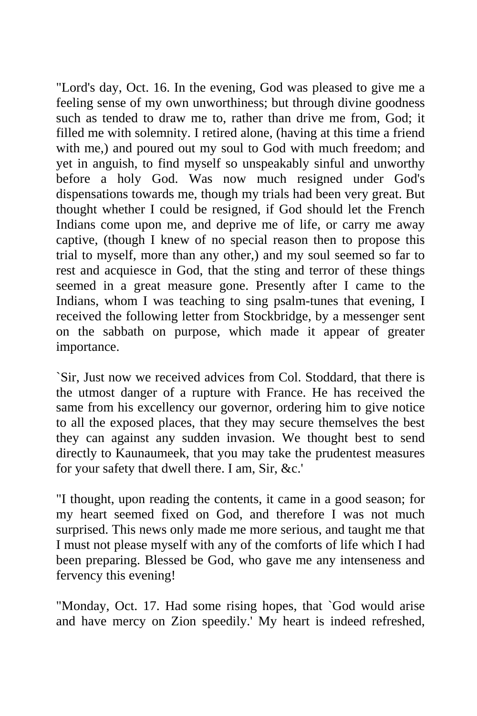"Lord's day, Oct. 16. In the evening, God was pleased to give me a feeling sense of my own unworthiness; but through divine goodness such as tended to draw me to, rather than drive me from, God; it filled me with solemnity. I retired alone, (having at this time a friend with me,) and poured out my soul to God with much freedom; and yet in anguish, to find myself so unspeakably sinful and unworthy before a holy God. Was now much resigned under God's dispensations towards me, though my trials had been very great. But thought whether I could be resigned, if God should let the French Indians come upon me, and deprive me of life, or carry me away captive, (though I knew of no special reason then to propose this trial to myself, more than any other,) and my soul seemed so far to rest and acquiesce in God, that the sting and terror of these things seemed in a great measure gone. Presently after I came to the Indians, whom I was teaching to sing psalm-tunes that evening, I received the following letter from Stockbridge, by a messenger sent on the sabbath on purpose, which made it appear of greater importance.

`Sir, Just now we received advices from Col. Stoddard, that there is the utmost danger of a rupture with France. He has received the same from his excellency our governor, ordering him to give notice to all the exposed places, that they may secure themselves the best they can against any sudden invasion. We thought best to send directly to Kaunaumeek, that you may take the prudentest measures for your safety that dwell there. I am, Sir, &c.'

"I thought, upon reading the contents, it came in a good season; for my heart seemed fixed on God, and therefore I was not much surprised. This news only made me more serious, and taught me that I must not please myself with any of the comforts of life which I had been preparing. Blessed be God, who gave me any intenseness and fervency this evening!

"Monday, Oct. 17. Had some rising hopes, that `God would arise and have mercy on Zion speedily.' My heart is indeed refreshed,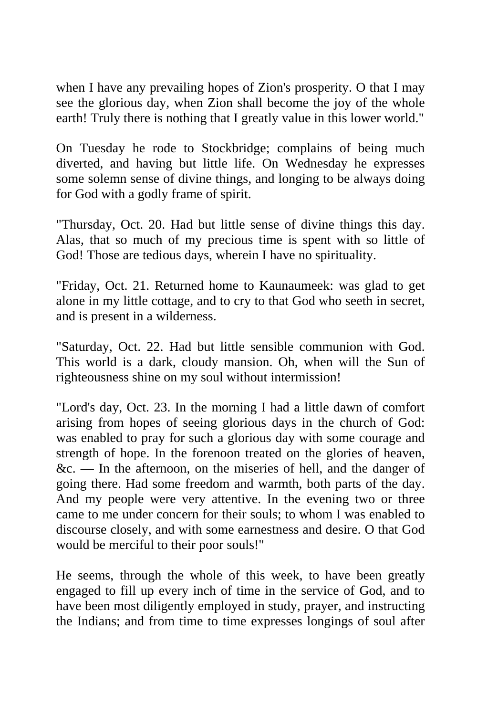when I have any prevailing hopes of Zion's prosperity. O that I may see the glorious day, when Zion shall become the joy of the whole earth! Truly there is nothing that I greatly value in this lower world."

On Tuesday he rode to Stockbridge; complains of being much diverted, and having but little life. On Wednesday he expresses some solemn sense of divine things, and longing to be always doing for God with a godly frame of spirit.

"Thursday, Oct. 20. Had but little sense of divine things this day. Alas, that so much of my precious time is spent with so little of God! Those are tedious days, wherein I have no spirituality.

"Friday, Oct. 21. Returned home to Kaunaumeek: was glad to get alone in my little cottage, and to cry to that God who seeth in secret, and is present in a wilderness.

"Saturday, Oct. 22. Had but little sensible communion with God. This world is a dark, cloudy mansion. Oh, when will the Sun of righteousness shine on my soul without intermission!

"Lord's day, Oct. 23. In the morning I had a little dawn of comfort arising from hopes of seeing glorious days in the church of God: was enabled to pray for such a glorious day with some courage and strength of hope. In the forenoon treated on the glories of heaven, &c. — In the afternoon, on the miseries of hell, and the danger of going there. Had some freedom and warmth, both parts of the day. And my people were very attentive. In the evening two or three came to me under concern for their souls; to whom I was enabled to discourse closely, and with some earnestness and desire. O that God would be merciful to their poor souls!"

He seems, through the whole of this week, to have been greatly engaged to fill up every inch of time in the service of God, and to have been most diligently employed in study, prayer, and instructing the Indians; and from time to time expresses longings of soul after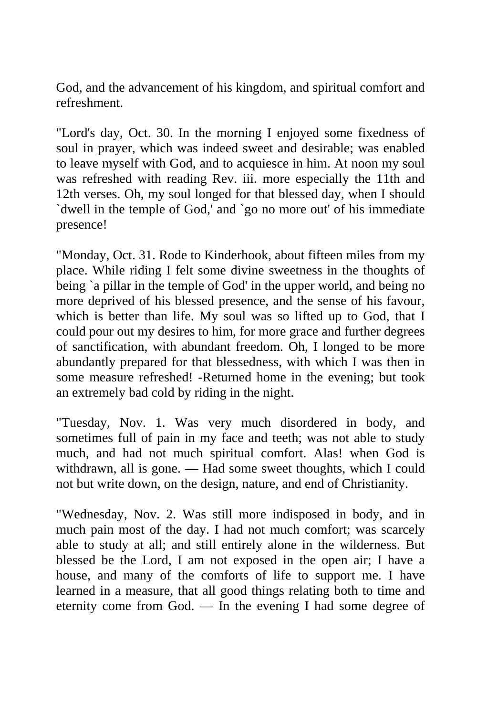God, and the advancement of his kingdom, and spiritual comfort and refreshment.

"Lord's day, Oct. 30. In the morning I enjoyed some fixedness of soul in prayer, which was indeed sweet and desirable; was enabled to leave myself with God, and to acquiesce in him. At noon my soul was refreshed with reading Rev. iii. more especially the 11th and 12th verses. Oh, my soul longed for that blessed day, when I should `dwell in the temple of God,' and `go no more out' of his immediate presence!

"Monday, Oct. 31. Rode to Kinderhook, about fifteen miles from my place. While riding I felt some divine sweetness in the thoughts of being `a pillar in the temple of God' in the upper world, and being no more deprived of his blessed presence, and the sense of his favour, which is better than life. My soul was so lifted up to God, that I could pour out my desires to him, for more grace and further degrees of sanctification, with abundant freedom. Oh, I longed to be more abundantly prepared for that blessedness, with which I was then in some measure refreshed! -Returned home in the evening; but took an extremely bad cold by riding in the night.

"Tuesday, Nov. 1. Was very much disordered in body, and sometimes full of pain in my face and teeth; was not able to study much, and had not much spiritual comfort. Alas! when God is withdrawn, all is gone. — Had some sweet thoughts, which I could not but write down, on the design, nature, and end of Christianity.

"Wednesday, Nov. 2. Was still more indisposed in body, and in much pain most of the day. I had not much comfort; was scarcely able to study at all; and still entirely alone in the wilderness. But blessed be the Lord, I am not exposed in the open air; I have a house, and many of the comforts of life to support me. I have learned in a measure, that all good things relating both to time and eternity come from God. — In the evening I had some degree of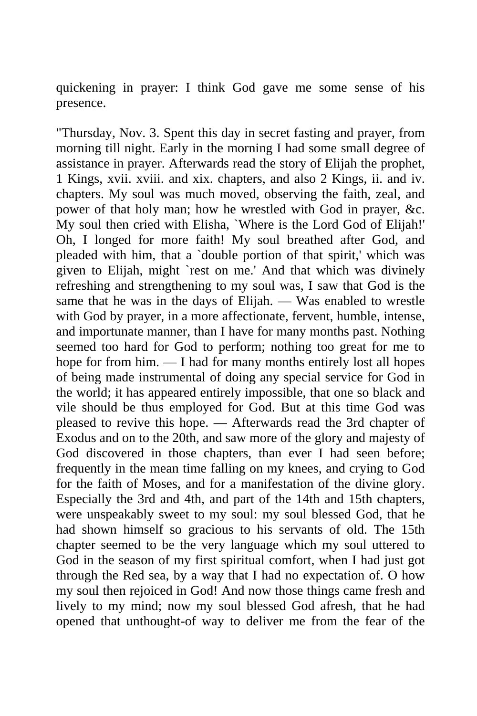quickening in prayer: I think God gave me some sense of his presence.

"Thursday, Nov. 3. Spent this day in secret fasting and prayer, from morning till night. Early in the morning I had some small degree of assistance in prayer. Afterwards read the story of Elijah the prophet, 1 Kings, xvii. xviii. and xix. chapters, and also 2 Kings, ii. and iv. chapters. My soul was much moved, observing the faith, zeal, and power of that holy man; how he wrestled with God in prayer, &c. My soul then cried with Elisha, `Where is the Lord God of Elijah!' Oh, I longed for more faith! My soul breathed after God, and pleaded with him, that a `double portion of that spirit,' which was given to Elijah, might `rest on me.' And that which was divinely refreshing and strengthening to my soul was, I saw that God is the same that he was in the days of Elijah. — Was enabled to wrestle with God by prayer, in a more affectionate, fervent, humble, intense, and importunate manner, than I have for many months past. Nothing seemed too hard for God to perform; nothing too great for me to hope for from him. — I had for many months entirely lost all hopes of being made instrumental of doing any special service for God in the world; it has appeared entirely impossible, that one so black and vile should be thus employed for God. But at this time God was pleased to revive this hope. — Afterwards read the 3rd chapter of Exodus and on to the 20th, and saw more of the glory and majesty of God discovered in those chapters, than ever I had seen before; frequently in the mean time falling on my knees, and crying to God for the faith of Moses, and for a manifestation of the divine glory. Especially the 3rd and 4th, and part of the 14th and 15th chapters, were unspeakably sweet to my soul: my soul blessed God, that he had shown himself so gracious to his servants of old. The 15th chapter seemed to be the very language which my soul uttered to God in the season of my first spiritual comfort, when I had just got through the Red sea, by a way that I had no expectation of. O how my soul then rejoiced in God! And now those things came fresh and lively to my mind; now my soul blessed God afresh, that he had opened that unthought-of way to deliver me from the fear of the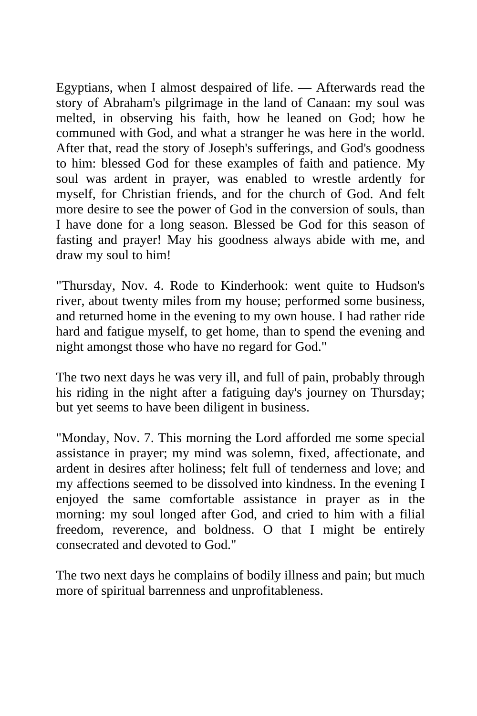Egyptians, when I almost despaired of life. — Afterwards read the story of Abraham's pilgrimage in the land of Canaan: my soul was melted, in observing his faith, how he leaned on God; how he communed with God, and what a stranger he was here in the world. After that, read the story of Joseph's sufferings, and God's goodness to him: blessed God for these examples of faith and patience. My soul was ardent in prayer, was enabled to wrestle ardently for myself, for Christian friends, and for the church of God. And felt more desire to see the power of God in the conversion of souls, than I have done for a long season. Blessed be God for this season of fasting and prayer! May his goodness always abide with me, and draw my soul to him!

"Thursday, Nov. 4. Rode to Kinderhook: went quite to Hudson's river, about twenty miles from my house; performed some business, and returned home in the evening to my own house. I had rather ride hard and fatigue myself, to get home, than to spend the evening and night amongst those who have no regard for God."

The two next days he was very ill, and full of pain, probably through his riding in the night after a fatiguing day's journey on Thursday; but yet seems to have been diligent in business.

"Monday, Nov. 7. This morning the Lord afforded me some special assistance in prayer; my mind was solemn, fixed, affectionate, and ardent in desires after holiness; felt full of tenderness and love; and my affections seemed to be dissolved into kindness. In the evening I enjoyed the same comfortable assistance in prayer as in the morning: my soul longed after God, and cried to him with a filial freedom, reverence, and boldness. O that I might be entirely consecrated and devoted to God."

The two next days he complains of bodily illness and pain; but much more of spiritual barrenness and unprofitableness.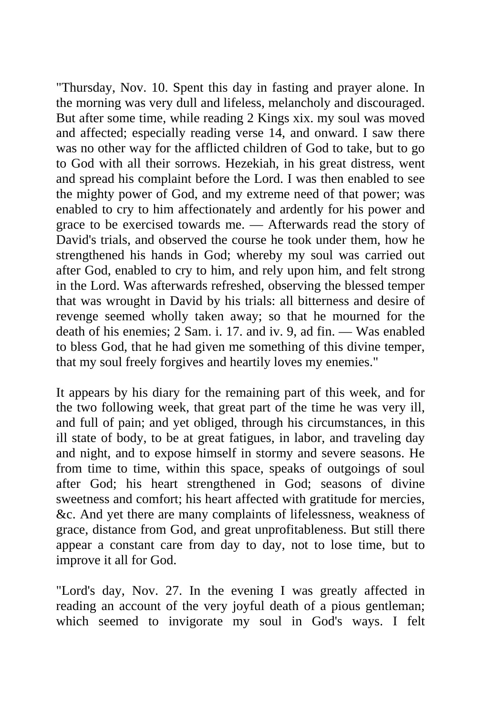"Thursday, Nov. 10. Spent this day in fasting and prayer alone. In the morning was very dull and lifeless, melancholy and discouraged. But after some time, while reading 2 Kings xix. my soul was moved and affected; especially reading verse 14, and onward. I saw there was no other way for the afflicted children of God to take, but to go to God with all their sorrows. Hezekiah, in his great distress, went and spread his complaint before the Lord. I was then enabled to see the mighty power of God, and my extreme need of that power; was enabled to cry to him affectionately and ardently for his power and grace to be exercised towards me. — Afterwards read the story of David's trials, and observed the course he took under them, how he strengthened his hands in God; whereby my soul was carried out after God, enabled to cry to him, and rely upon him, and felt strong in the Lord. Was afterwards refreshed, observing the blessed temper that was wrought in David by his trials: all bitterness and desire of revenge seemed wholly taken away; so that he mourned for the death of his enemies; 2 Sam. i. 17. and iv. 9, ad fin. — Was enabled to bless God, that he had given me something of this divine temper, that my soul freely forgives and heartily loves my enemies."

It appears by his diary for the remaining part of this week, and for the two following week, that great part of the time he was very ill, and full of pain; and yet obliged, through his circumstances, in this ill state of body, to be at great fatigues, in labor, and traveling day and night, and to expose himself in stormy and severe seasons. He from time to time, within this space, speaks of outgoings of soul after God; his heart strengthened in God; seasons of divine sweetness and comfort; his heart affected with gratitude for mercies, &c. And yet there are many complaints of lifelessness, weakness of grace, distance from God, and great unprofitableness. But still there appear a constant care from day to day, not to lose time, but to improve it all for God.

"Lord's day, Nov. 27. In the evening I was greatly affected in reading an account of the very joyful death of a pious gentleman; which seemed to invigorate my soul in God's ways. I felt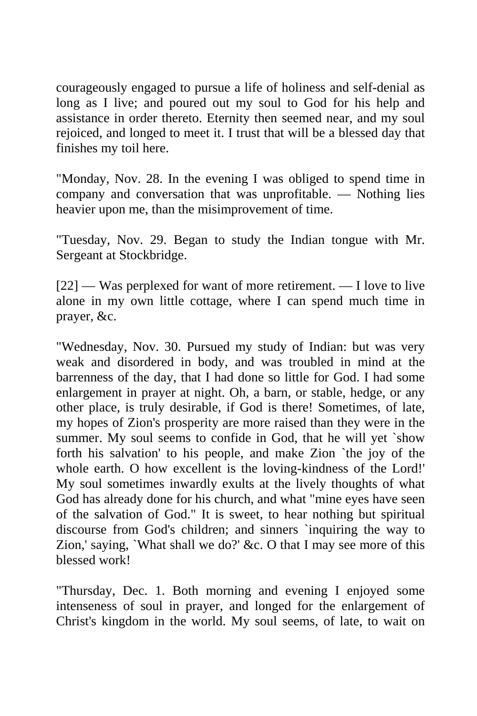courageously engaged to pursue a life of holiness and self-denial as long as I live; and poured out my soul to God for his help and assistance in order thereto. Eternity then seemed near, and my soul rejoiced, and longed to meet it. I trust that will be a blessed day that finishes my toil here.

"Monday, Nov. 28. In the evening I was obliged to spend time in company and conversation that was unprofitable. — Nothing lies heavier upon me, than the misimprovement of time.

"Tuesday, Nov. 29. Began to study the Indian tongue with Mr. Sergeant at Stockbridge.

[22] — Was perplexed for want of more retirement. — I love to live alone in my own little cottage, where I can spend much time in prayer, &c.

"Wednesday, Nov. 30. Pursued my study of Indian: but was very weak and disordered in body, and was troubled in mind at the barrenness of the day, that I had done so little for God. I had some enlargement in prayer at night. Oh, a barn, or stable, hedge, or any other place, is truly desirable, if God is there! Sometimes, of late, my hopes of Zion's prosperity are more raised than they were in the summer. My soul seems to confide in God, that he will yet `show forth his salvation' to his people, and make Zion `the joy of the whole earth. O how excellent is the loving-kindness of the Lord!' My soul sometimes inwardly exults at the lively thoughts of what God has already done for his church, and what "mine eyes have seen of the salvation of God." It is sweet, to hear nothing but spiritual discourse from God's children; and sinners `inquiring the way to Zion,' saying, `What shall we do?' &c. O that I may see more of this blessed work!

"Thursday, Dec. 1. Both morning and evening I enjoyed some intenseness of soul in prayer, and longed for the enlargement of Christ's kingdom in the world. My soul seems, of late, to wait on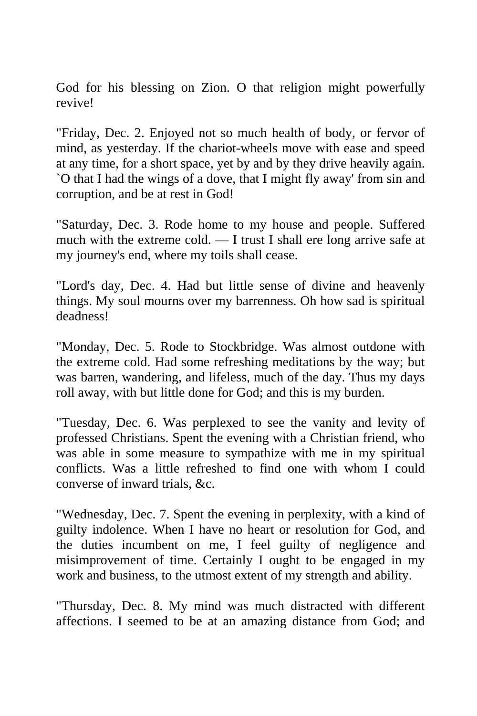God for his blessing on Zion. O that religion might powerfully revive!

"Friday, Dec. 2. Enjoyed not so much health of body, or fervor of mind, as yesterday. If the chariot-wheels move with ease and speed at any time, for a short space, yet by and by they drive heavily again. `O that I had the wings of a dove, that I might fly away' from sin and corruption, and be at rest in God!

"Saturday, Dec. 3. Rode home to my house and people. Suffered much with the extreme cold. — I trust I shall ere long arrive safe at my journey's end, where my toils shall cease.

"Lord's day, Dec. 4. Had but little sense of divine and heavenly things. My soul mourns over my barrenness. Oh how sad is spiritual deadness!

"Monday, Dec. 5. Rode to Stockbridge. Was almost outdone with the extreme cold. Had some refreshing meditations by the way; but was barren, wandering, and lifeless, much of the day. Thus my days roll away, with but little done for God; and this is my burden.

"Tuesday, Dec. 6. Was perplexed to see the vanity and levity of professed Christians. Spent the evening with a Christian friend, who was able in some measure to sympathize with me in my spiritual conflicts. Was a little refreshed to find one with whom I could converse of inward trials, &c.

"Wednesday, Dec. 7. Spent the evening in perplexity, with a kind of guilty indolence. When I have no heart or resolution for God, and the duties incumbent on me, I feel guilty of negligence and misimprovement of time. Certainly I ought to be engaged in my work and business, to the utmost extent of my strength and ability.

"Thursday, Dec. 8. My mind was much distracted with different affections. I seemed to be at an amazing distance from God; and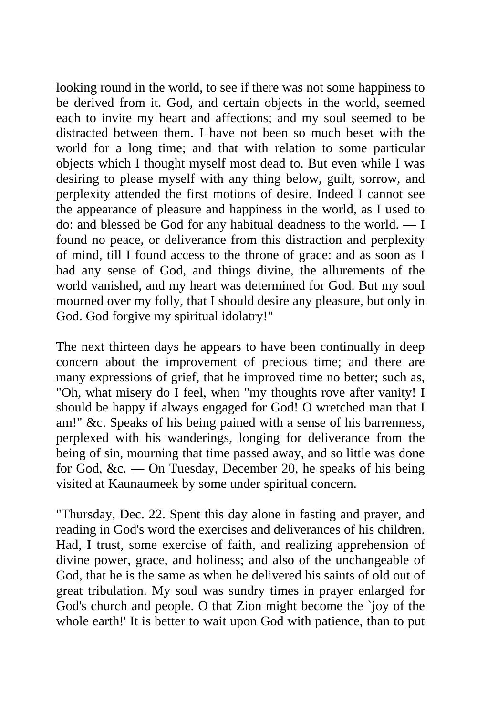looking round in the world, to see if there was not some happiness to be derived from it. God, and certain objects in the world, seemed each to invite my heart and affections; and my soul seemed to be distracted between them. I have not been so much beset with the world for a long time; and that with relation to some particular objects which I thought myself most dead to. But even while I was desiring to please myself with any thing below, guilt, sorrow, and perplexity attended the first motions of desire. Indeed I cannot see the appearance of pleasure and happiness in the world, as I used to do: and blessed be God for any habitual deadness to the world. — I found no peace, or deliverance from this distraction and perplexity of mind, till I found access to the throne of grace: and as soon as I had any sense of God, and things divine, the allurements of the world vanished, and my heart was determined for God. But my soul mourned over my folly, that I should desire any pleasure, but only in God. God forgive my spiritual idolatry!"

The next thirteen days he appears to have been continually in deep concern about the improvement of precious time; and there are many expressions of grief, that he improved time no better; such as, "Oh, what misery do I feel, when "my thoughts rove after vanity! I should be happy if always engaged for God! O wretched man that I am!" &c. Speaks of his being pained with a sense of his barrenness, perplexed with his wanderings, longing for deliverance from the being of sin, mourning that time passed away, and so little was done for God, &c. — On Tuesday, December 20, he speaks of his being visited at Kaunaumeek by some under spiritual concern.

"Thursday, Dec. 22. Spent this day alone in fasting and prayer, and reading in God's word the exercises and deliverances of his children. Had, I trust, some exercise of faith, and realizing apprehension of divine power, grace, and holiness; and also of the unchangeable of God, that he is the same as when he delivered his saints of old out of great tribulation. My soul was sundry times in prayer enlarged for God's church and people. O that Zion might become the `joy of the whole earth!' It is better to wait upon God with patience, than to put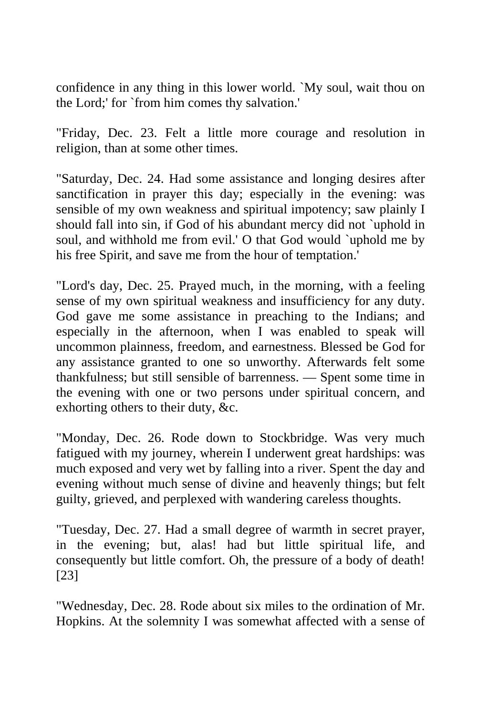confidence in any thing in this lower world. `My soul, wait thou on the Lord;' for `from him comes thy salvation.'

"Friday, Dec. 23. Felt a little more courage and resolution in religion, than at some other times.

"Saturday, Dec. 24. Had some assistance and longing desires after sanctification in prayer this day; especially in the evening: was sensible of my own weakness and spiritual impotency; saw plainly I should fall into sin, if God of his abundant mercy did not `uphold in soul, and withhold me from evil.' O that God would `uphold me by his free Spirit, and save me from the hour of temptation.'

"Lord's day, Dec. 25. Prayed much, in the morning, with a feeling sense of my own spiritual weakness and insufficiency for any duty. God gave me some assistance in preaching to the Indians; and especially in the afternoon, when I was enabled to speak will uncommon plainness, freedom, and earnestness. Blessed be God for any assistance granted to one so unworthy. Afterwards felt some thankfulness; but still sensible of barrenness. — Spent some time in the evening with one or two persons under spiritual concern, and exhorting others to their duty, &c.

"Monday, Dec. 26. Rode down to Stockbridge. Was very much fatigued with my journey, wherein I underwent great hardships: was much exposed and very wet by falling into a river. Spent the day and evening without much sense of divine and heavenly things; but felt guilty, grieved, and perplexed with wandering careless thoughts.

"Tuesday, Dec. 27. Had a small degree of warmth in secret prayer, in the evening; but, alas! had but little spiritual life, and consequently but little comfort. Oh, the pressure of a body of death! [23]

"Wednesday, Dec. 28. Rode about six miles to the ordination of Mr. Hopkins. At the solemnity I was somewhat affected with a sense of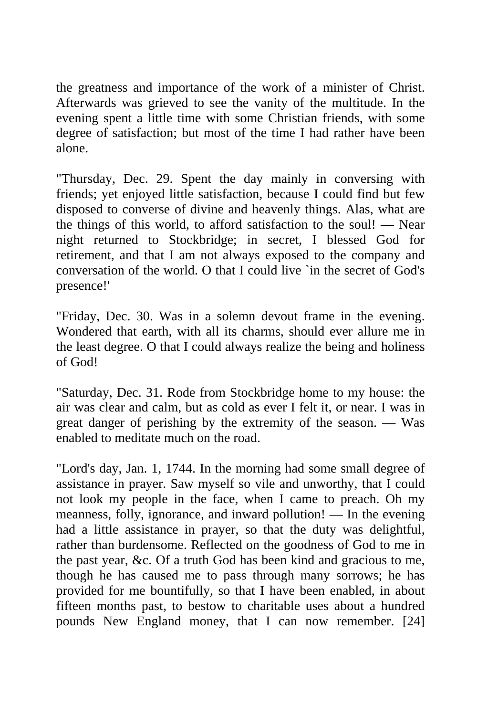the greatness and importance of the work of a minister of Christ. Afterwards was grieved to see the vanity of the multitude. In the evening spent a little time with some Christian friends, with some degree of satisfaction; but most of the time I had rather have been alone.

"Thursday, Dec. 29. Spent the day mainly in conversing with friends; yet enjoyed little satisfaction, because I could find but few disposed to converse of divine and heavenly things. Alas, what are the things of this world, to afford satisfaction to the soul! — Near night returned to Stockbridge; in secret, I blessed God for retirement, and that I am not always exposed to the company and conversation of the world. O that I could live `in the secret of God's presence!'

"Friday, Dec. 30. Was in a solemn devout frame in the evening. Wondered that earth, with all its charms, should ever allure me in the least degree. O that I could always realize the being and holiness of God!

"Saturday, Dec. 31. Rode from Stockbridge home to my house: the air was clear and calm, but as cold as ever I felt it, or near. I was in great danger of perishing by the extremity of the season. — Was enabled to meditate much on the road.

"Lord's day, Jan. 1, 1744. In the morning had some small degree of assistance in prayer. Saw myself so vile and unworthy, that I could not look my people in the face, when I came to preach. Oh my meanness, folly, ignorance, and inward pollution! — In the evening had a little assistance in prayer, so that the duty was delightful, rather than burdensome. Reflected on the goodness of God to me in the past year, &c. Of a truth God has been kind and gracious to me, though he has caused me to pass through many sorrows; he has provided for me bountifully, so that I have been enabled, in about fifteen months past, to bestow to charitable uses about a hundred pounds New England money, that I can now remember. [24]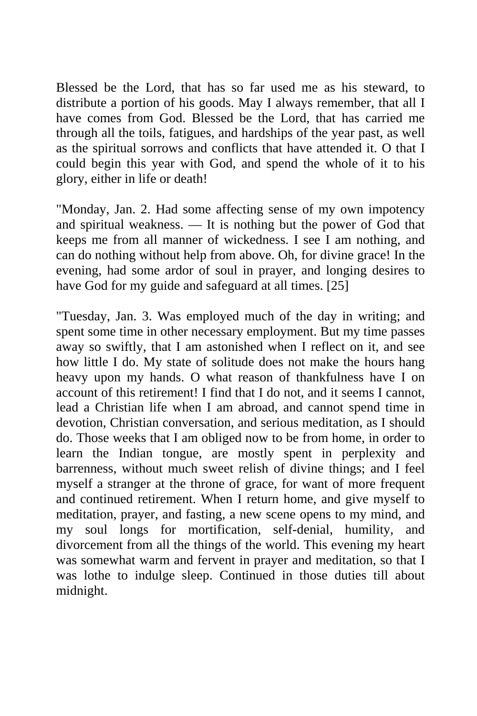Blessed be the Lord, that has so far used me as his steward, to distribute a portion of his goods. May I always remember, that all I have comes from God. Blessed be the Lord, that has carried me through all the toils, fatigues, and hardships of the year past, as well as the spiritual sorrows and conflicts that have attended it. O that I could begin this year with God, and spend the whole of it to his glory, either in life or death!

"Monday, Jan. 2. Had some affecting sense of my own impotency and spiritual weakness. — It is nothing but the power of God that keeps me from all manner of wickedness. I see I am nothing, and can do nothing without help from above. Oh, for divine grace! In the evening, had some ardor of soul in prayer, and longing desires to have God for my guide and safeguard at all times. [25]

"Tuesday, Jan. 3. Was employed much of the day in writing; and spent some time in other necessary employment. But my time passes away so swiftly, that I am astonished when I reflect on it, and see how little I do. My state of solitude does not make the hours hang heavy upon my hands. O what reason of thankfulness have I on account of this retirement! I find that I do not, and it seems I cannot, lead a Christian life when I am abroad, and cannot spend time in devotion, Christian conversation, and serious meditation, as I should do. Those weeks that I am obliged now to be from home, in order to learn the Indian tongue, are mostly spent in perplexity and barrenness, without much sweet relish of divine things; and I feel myself a stranger at the throne of grace, for want of more frequent and continued retirement. When I return home, and give myself to meditation, prayer, and fasting, a new scene opens to my mind, and my soul longs for mortification, self-denial, humility, and divorcement from all the things of the world. This evening my heart was somewhat warm and fervent in prayer and meditation, so that I was lothe to indulge sleep. Continued in those duties till about midnight.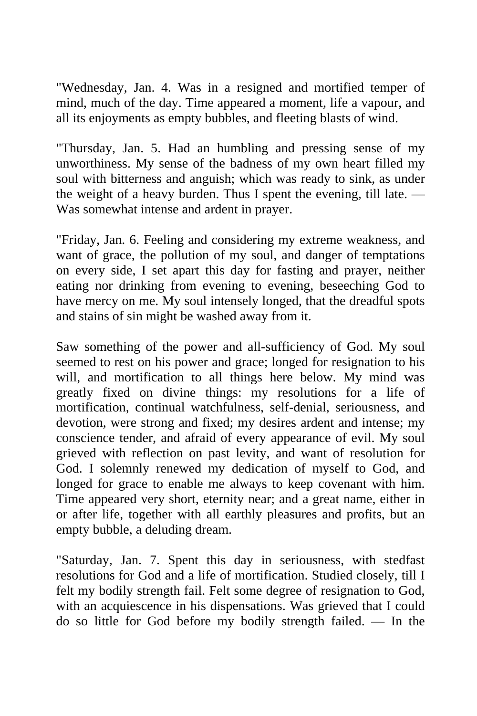"Wednesday, Jan. 4. Was in a resigned and mortified temper of mind, much of the day. Time appeared a moment, life a vapour, and all its enjoyments as empty bubbles, and fleeting blasts of wind.

"Thursday, Jan. 5. Had an humbling and pressing sense of my unworthiness. My sense of the badness of my own heart filled my soul with bitterness and anguish; which was ready to sink, as under the weight of a heavy burden. Thus I spent the evening, till late. — Was somewhat intense and ardent in prayer.

"Friday, Jan. 6. Feeling and considering my extreme weakness, and want of grace, the pollution of my soul, and danger of temptations on every side, I set apart this day for fasting and prayer, neither eating nor drinking from evening to evening, beseeching God to have mercy on me. My soul intensely longed, that the dreadful spots and stains of sin might be washed away from it.

Saw something of the power and all-sufficiency of God. My soul seemed to rest on his power and grace; longed for resignation to his will, and mortification to all things here below. My mind was greatly fixed on divine things: my resolutions for a life of mortification, continual watchfulness, self-denial, seriousness, and devotion, were strong and fixed; my desires ardent and intense; my conscience tender, and afraid of every appearance of evil. My soul grieved with reflection on past levity, and want of resolution for God. I solemnly renewed my dedication of myself to God, and longed for grace to enable me always to keep covenant with him. Time appeared very short, eternity near; and a great name, either in or after life, together with all earthly pleasures and profits, but an empty bubble, a deluding dream.

"Saturday, Jan. 7. Spent this day in seriousness, with stedfast resolutions for God and a life of mortification. Studied closely, till I felt my bodily strength fail. Felt some degree of resignation to God, with an acquiescence in his dispensations. Was grieved that I could do so little for God before my bodily strength failed. — In the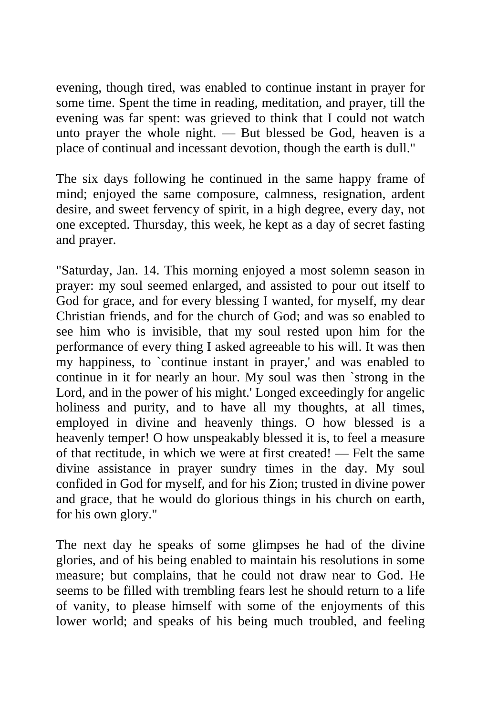evening, though tired, was enabled to continue instant in prayer for some time. Spent the time in reading, meditation, and prayer, till the evening was far spent: was grieved to think that I could not watch unto prayer the whole night. — But blessed be God, heaven is a place of continual and incessant devotion, though the earth is dull."

The six days following he continued in the same happy frame of mind; enjoyed the same composure, calmness, resignation, ardent desire, and sweet fervency of spirit, in a high degree, every day, not one excepted. Thursday, this week, he kept as a day of secret fasting and prayer.

"Saturday, Jan. 14. This morning enjoyed a most solemn season in prayer: my soul seemed enlarged, and assisted to pour out itself to God for grace, and for every blessing I wanted, for myself, my dear Christian friends, and for the church of God; and was so enabled to see him who is invisible, that my soul rested upon him for the performance of every thing I asked agreeable to his will. It was then my happiness, to `continue instant in prayer,' and was enabled to continue in it for nearly an hour. My soul was then `strong in the Lord, and in the power of his might.' Longed exceedingly for angelic holiness and purity, and to have all my thoughts, at all times, employed in divine and heavenly things. O how blessed is a heavenly temper! O how unspeakably blessed it is, to feel a measure of that rectitude, in which we were at first created! — Felt the same divine assistance in prayer sundry times in the day. My soul confided in God for myself, and for his Zion; trusted in divine power and grace, that he would do glorious things in his church on earth, for his own glory."

The next day he speaks of some glimpses he had of the divine glories, and of his being enabled to maintain his resolutions in some measure; but complains, that he could not draw near to God. He seems to be filled with trembling fears lest he should return to a life of vanity, to please himself with some of the enjoyments of this lower world; and speaks of his being much troubled, and feeling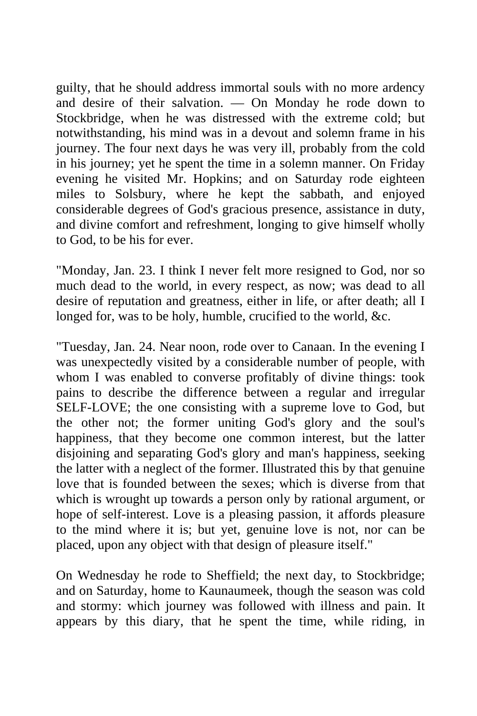guilty, that he should address immortal souls with no more ardency and desire of their salvation. — On Monday he rode down to Stockbridge, when he was distressed with the extreme cold; but notwithstanding, his mind was in a devout and solemn frame in his journey. The four next days he was very ill, probably from the cold in his journey; yet he spent the time in a solemn manner. On Friday evening he visited Mr. Hopkins; and on Saturday rode eighteen miles to Solsbury, where he kept the sabbath, and enjoyed considerable degrees of God's gracious presence, assistance in duty, and divine comfort and refreshment, longing to give himself wholly to God, to be his for ever.

"Monday, Jan. 23. I think I never felt more resigned to God, nor so much dead to the world, in every respect, as now; was dead to all desire of reputation and greatness, either in life, or after death; all I longed for, was to be holy, humble, crucified to the world, &c.

"Tuesday, Jan. 24. Near noon, rode over to Canaan. In the evening I was unexpectedly visited by a considerable number of people, with whom I was enabled to converse profitably of divine things: took pains to describe the difference between a regular and irregular SELF-LOVE; the one consisting with a supreme love to God, but the other not; the former uniting God's glory and the soul's happiness, that they become one common interest, but the latter disjoining and separating God's glory and man's happiness, seeking the latter with a neglect of the former. Illustrated this by that genuine love that is founded between the sexes; which is diverse from that which is wrought up towards a person only by rational argument, or hope of self-interest. Love is a pleasing passion, it affords pleasure to the mind where it is; but yet, genuine love is not, nor can be placed, upon any object with that design of pleasure itself."

On Wednesday he rode to Sheffield; the next day, to Stockbridge; and on Saturday, home to Kaunaumeek, though the season was cold and stormy: which journey was followed with illness and pain. It appears by this diary, that he spent the time, while riding, in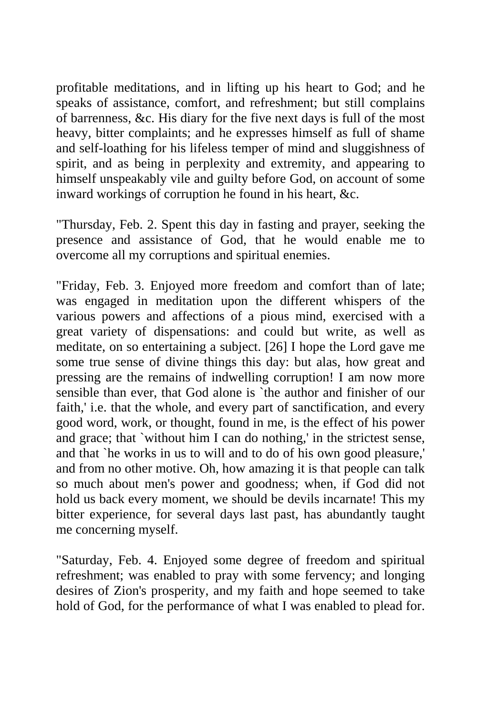profitable meditations, and in lifting up his heart to God; and he speaks of assistance, comfort, and refreshment; but still complains of barrenness, &c. His diary for the five next days is full of the most heavy, bitter complaints; and he expresses himself as full of shame and self-loathing for his lifeless temper of mind and sluggishness of spirit, and as being in perplexity and extremity, and appearing to himself unspeakably vile and guilty before God, on account of some inward workings of corruption he found in his heart, &c.

"Thursday, Feb. 2. Spent this day in fasting and prayer, seeking the presence and assistance of God, that he would enable me to overcome all my corruptions and spiritual enemies.

"Friday, Feb. 3. Enjoyed more freedom and comfort than of late; was engaged in meditation upon the different whispers of the various powers and affections of a pious mind, exercised with a great variety of dispensations: and could but write, as well as meditate, on so entertaining a subject. [26] I hope the Lord gave me some true sense of divine things this day: but alas, how great and pressing are the remains of indwelling corruption! I am now more sensible than ever, that God alone is `the author and finisher of our faith,' i.e. that the whole, and every part of sanctification, and every good word, work, or thought, found in me, is the effect of his power and grace; that `without him I can do nothing,' in the strictest sense, and that `he works in us to will and to do of his own good pleasure,' and from no other motive. Oh, how amazing it is that people can talk so much about men's power and goodness; when, if God did not hold us back every moment, we should be devils incarnate! This my bitter experience, for several days last past, has abundantly taught me concerning myself.

"Saturday, Feb. 4. Enjoyed some degree of freedom and spiritual refreshment; was enabled to pray with some fervency; and longing desires of Zion's prosperity, and my faith and hope seemed to take hold of God, for the performance of what I was enabled to plead for.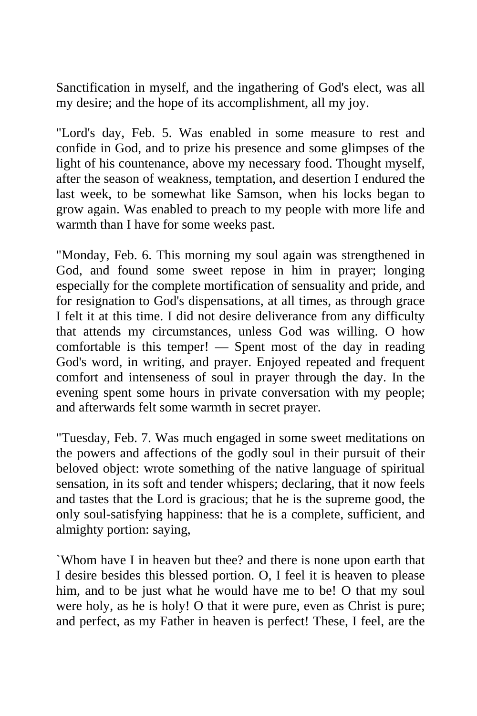Sanctification in myself, and the ingathering of God's elect, was all my desire; and the hope of its accomplishment, all my joy.

"Lord's day, Feb. 5. Was enabled in some measure to rest and confide in God, and to prize his presence and some glimpses of the light of his countenance, above my necessary food. Thought myself, after the season of weakness, temptation, and desertion I endured the last week, to be somewhat like Samson, when his locks began to grow again. Was enabled to preach to my people with more life and warmth than I have for some weeks past.

"Monday, Feb. 6. This morning my soul again was strengthened in God, and found some sweet repose in him in prayer; longing especially for the complete mortification of sensuality and pride, and for resignation to God's dispensations, at all times, as through grace I felt it at this time. I did not desire deliverance from any difficulty that attends my circumstances, unless God was willing. O how comfortable is this temper! — Spent most of the day in reading God's word, in writing, and prayer. Enjoyed repeated and frequent comfort and intenseness of soul in prayer through the day. In the evening spent some hours in private conversation with my people; and afterwards felt some warmth in secret prayer.

"Tuesday, Feb. 7. Was much engaged in some sweet meditations on the powers and affections of the godly soul in their pursuit of their beloved object: wrote something of the native language of spiritual sensation, in its soft and tender whispers; declaring, that it now feels and tastes that the Lord is gracious; that he is the supreme good, the only soul-satisfying happiness: that he is a complete, sufficient, and almighty portion: saying,

`Whom have I in heaven but thee? and there is none upon earth that I desire besides this blessed portion. O, I feel it is heaven to please him, and to be just what he would have me to be! O that my soul were holy, as he is holy! O that it were pure, even as Christ is pure; and perfect, as my Father in heaven is perfect! These, I feel, are the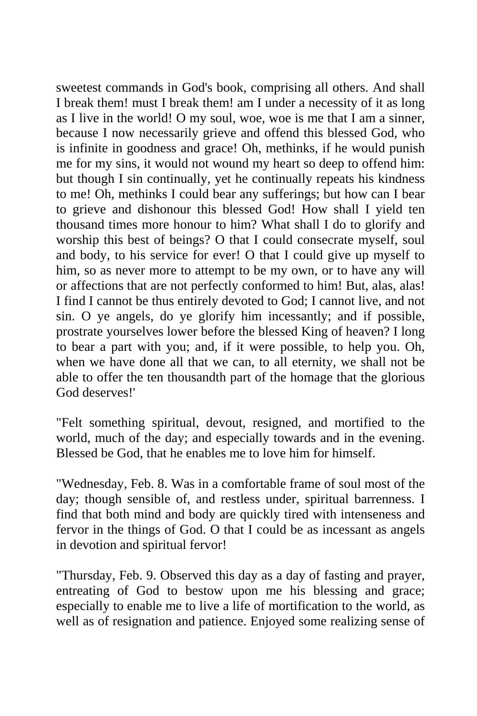sweetest commands in God's book, comprising all others. And shall I break them! must I break them! am I under a necessity of it as long as I live in the world! O my soul, woe, woe is me that I am a sinner, because I now necessarily grieve and offend this blessed God, who is infinite in goodness and grace! Oh, methinks, if he would punish me for my sins, it would not wound my heart so deep to offend him: but though I sin continually, yet he continually repeats his kindness to me! Oh, methinks I could bear any sufferings; but how can I bear to grieve and dishonour this blessed God! How shall I yield ten thousand times more honour to him? What shall I do to glorify and worship this best of beings? O that I could consecrate myself, soul and body, to his service for ever! O that I could give up myself to him, so as never more to attempt to be my own, or to have any will or affections that are not perfectly conformed to him! But, alas, alas! I find I cannot be thus entirely devoted to God; I cannot live, and not sin. O ye angels, do ye glorify him incessantly; and if possible, prostrate yourselves lower before the blessed King of heaven? I long to bear a part with you; and, if it were possible, to help you. Oh, when we have done all that we can, to all eternity, we shall not be able to offer the ten thousandth part of the homage that the glorious God deserves!'

"Felt something spiritual, devout, resigned, and mortified to the world, much of the day; and especially towards and in the evening. Blessed be God, that he enables me to love him for himself.

"Wednesday, Feb. 8. Was in a comfortable frame of soul most of the day; though sensible of, and restless under, spiritual barrenness. I find that both mind and body are quickly tired with intenseness and fervor in the things of God. O that I could be as incessant as angels in devotion and spiritual fervor!

"Thursday, Feb. 9. Observed this day as a day of fasting and prayer, entreating of God to bestow upon me his blessing and grace; especially to enable me to live a life of mortification to the world, as well as of resignation and patience. Enjoyed some realizing sense of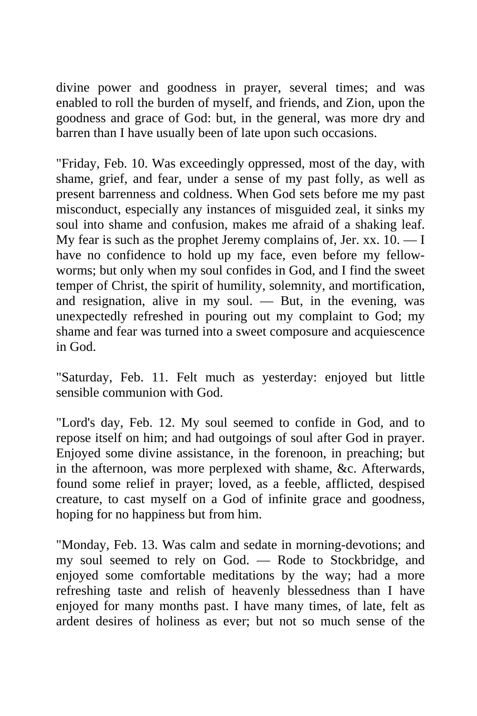divine power and goodness in prayer, several times; and was enabled to roll the burden of myself, and friends, and Zion, upon the goodness and grace of God: but, in the general, was more dry and barren than I have usually been of late upon such occasions.

"Friday, Feb. 10. Was exceedingly oppressed, most of the day, with shame, grief, and fear, under a sense of my past folly, as well as present barrenness and coldness. When God sets before me my past misconduct, especially any instances of misguided zeal, it sinks my soul into shame and confusion, makes me afraid of a shaking leaf. My fear is such as the prophet Jeremy complains of, Jer. xx.  $10. - I$ have no confidence to hold up my face, even before my fellowworms; but only when my soul confides in God, and I find the sweet temper of Christ, the spirit of humility, solemnity, and mortification, and resignation, alive in my soul. — But, in the evening, was unexpectedly refreshed in pouring out my complaint to God; my shame and fear was turned into a sweet composure and acquiescence in God.

"Saturday, Feb. 11. Felt much as yesterday: enjoyed but little sensible communion with God.

"Lord's day, Feb. 12. My soul seemed to confide in God, and to repose itself on him; and had outgoings of soul after God in prayer. Enjoyed some divine assistance, in the forenoon, in preaching; but in the afternoon, was more perplexed with shame, &c. Afterwards, found some relief in prayer; loved, as a feeble, afflicted, despised creature, to cast myself on a God of infinite grace and goodness, hoping for no happiness but from him.

"Monday, Feb. 13. Was calm and sedate in morning-devotions; and my soul seemed to rely on God. — Rode to Stockbridge, and enjoyed some comfortable meditations by the way; had a more refreshing taste and relish of heavenly blessedness than I have enjoyed for many months past. I have many times, of late, felt as ardent desires of holiness as ever; but not so much sense of the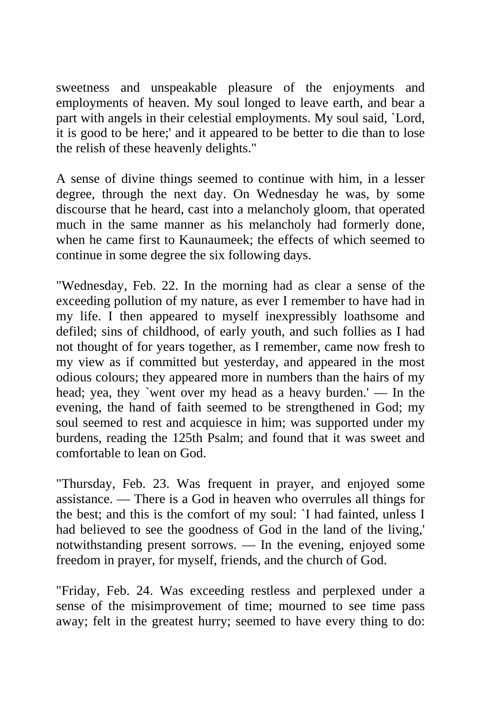sweetness and unspeakable pleasure of the enjoyments and employments of heaven. My soul longed to leave earth, and bear a part with angels in their celestial employments. My soul said, `Lord, it is good to be here;' and it appeared to be better to die than to lose the relish of these heavenly delights."

A sense of divine things seemed to continue with him, in a lesser degree, through the next day. On Wednesday he was, by some discourse that he heard, cast into a melancholy gloom, that operated much in the same manner as his melancholy had formerly done, when he came first to Kaunaumeek; the effects of which seemed to continue in some degree the six following days.

"Wednesday, Feb. 22. In the morning had as clear a sense of the exceeding pollution of my nature, as ever I remember to have had in my life. I then appeared to myself inexpressibly loathsome and defiled; sins of childhood, of early youth, and such follies as I had not thought of for years together, as I remember, came now fresh to my view as if committed but yesterday, and appeared in the most odious colours; they appeared more in numbers than the hairs of my head; yea, they `went over my head as a heavy burden.' — In the evening, the hand of faith seemed to be strengthened in God; my soul seemed to rest and acquiesce in him; was supported under my burdens, reading the 125th Psalm; and found that it was sweet and comfortable to lean on God.

"Thursday, Feb. 23. Was frequent in prayer, and enjoyed some assistance. — There is a God in heaven who overrules all things for the best; and this is the comfort of my soul: `I had fainted, unless I had believed to see the goodness of God in the land of the living,' notwithstanding present sorrows. — In the evening, enjoyed some freedom in prayer, for myself, friends, and the church of God.

"Friday, Feb. 24. Was exceeding restless and perplexed under a sense of the misimprovement of time; mourned to see time pass away; felt in the greatest hurry; seemed to have every thing to do: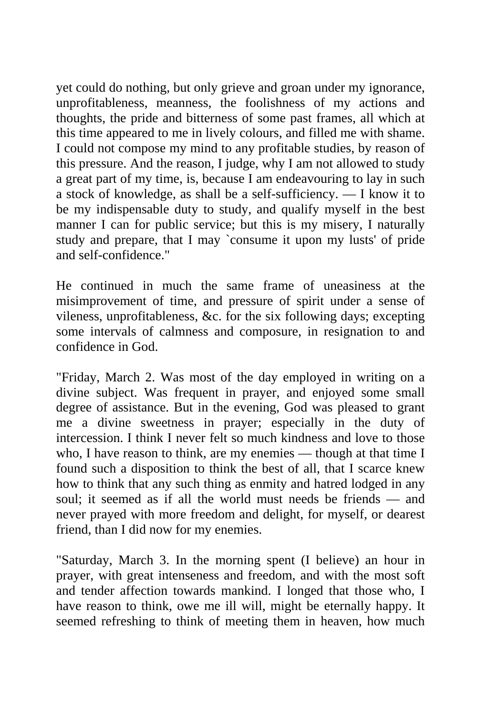yet could do nothing, but only grieve and groan under my ignorance, unprofitableness, meanness, the foolishness of my actions and thoughts, the pride and bitterness of some past frames, all which at this time appeared to me in lively colours, and filled me with shame. I could not compose my mind to any profitable studies, by reason of this pressure. And the reason, I judge, why I am not allowed to study a great part of my time, is, because I am endeavouring to lay in such a stock of knowledge, as shall be a self-sufficiency. — I know it to be my indispensable duty to study, and qualify myself in the best manner I can for public service; but this is my misery, I naturally study and prepare, that I may `consume it upon my lusts' of pride and self-confidence."

He continued in much the same frame of uneasiness at the misimprovement of time, and pressure of spirit under a sense of vileness, unprofitableness, &c. for the six following days; excepting some intervals of calmness and composure, in resignation to and confidence in God.

"Friday, March 2. Was most of the day employed in writing on a divine subject. Was frequent in prayer, and enjoyed some small degree of assistance. But in the evening, God was pleased to grant me a divine sweetness in prayer; especially in the duty of intercession. I think I never felt so much kindness and love to those who, I have reason to think, are my enemies — though at that time I found such a disposition to think the best of all, that I scarce knew how to think that any such thing as enmity and hatred lodged in any soul; it seemed as if all the world must needs be friends — and never prayed with more freedom and delight, for myself, or dearest friend, than I did now for my enemies.

"Saturday, March 3. In the morning spent (I believe) an hour in prayer, with great intenseness and freedom, and with the most soft and tender affection towards mankind. I longed that those who, I have reason to think, owe me ill will, might be eternally happy. It seemed refreshing to think of meeting them in heaven, how much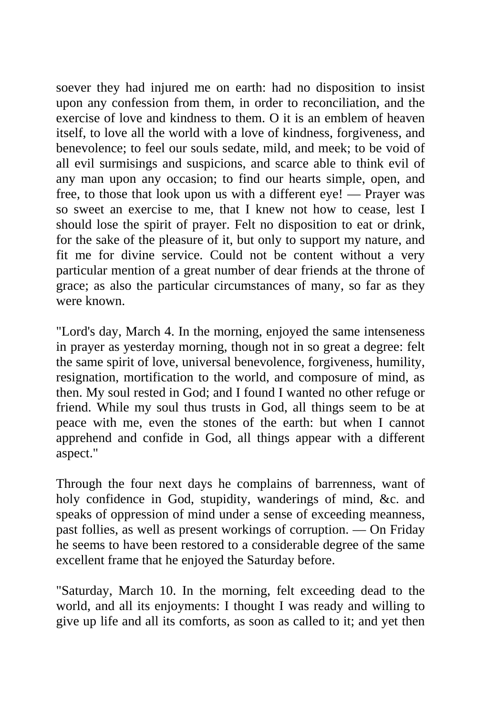soever they had injured me on earth: had no disposition to insist upon any confession from them, in order to reconciliation, and the exercise of love and kindness to them. O it is an emblem of heaven itself, to love all the world with a love of kindness, forgiveness, and benevolence; to feel our souls sedate, mild, and meek; to be void of all evil surmisings and suspicions, and scarce able to think evil of any man upon any occasion; to find our hearts simple, open, and free, to those that look upon us with a different eye! — Prayer was so sweet an exercise to me, that I knew not how to cease, lest I should lose the spirit of prayer. Felt no disposition to eat or drink, for the sake of the pleasure of it, but only to support my nature, and fit me for divine service. Could not be content without a very particular mention of a great number of dear friends at the throne of grace; as also the particular circumstances of many, so far as they were known.

"Lord's day, March 4. In the morning, enjoyed the same intenseness in prayer as yesterday morning, though not in so great a degree: felt the same spirit of love, universal benevolence, forgiveness, humility, resignation, mortification to the world, and composure of mind, as then. My soul rested in God; and I found I wanted no other refuge or friend. While my soul thus trusts in God, all things seem to be at peace with me, even the stones of the earth: but when I cannot apprehend and confide in God, all things appear with a different aspect."

Through the four next days he complains of barrenness, want of holy confidence in God, stupidity, wanderings of mind, &c. and speaks of oppression of mind under a sense of exceeding meanness, past follies, as well as present workings of corruption. — On Friday he seems to have been restored to a considerable degree of the same excellent frame that he enjoyed the Saturday before.

"Saturday, March 10. In the morning, felt exceeding dead to the world, and all its enjoyments: I thought I was ready and willing to give up life and all its comforts, as soon as called to it; and yet then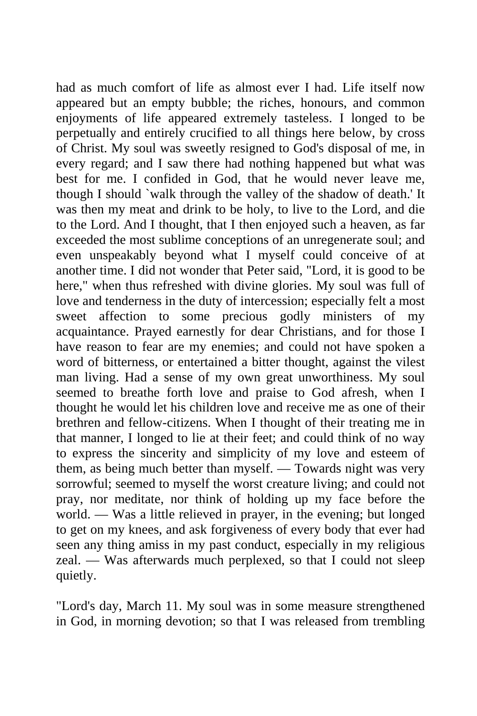had as much comfort of life as almost ever I had. Life itself now appeared but an empty bubble; the riches, honours, and common enjoyments of life appeared extremely tasteless. I longed to be perpetually and entirely crucified to all things here below, by cross of Christ. My soul was sweetly resigned to God's disposal of me, in every regard; and I saw there had nothing happened but what was best for me. I confided in God, that he would never leave me, though I should `walk through the valley of the shadow of death.' It was then my meat and drink to be holy, to live to the Lord, and die to the Lord. And I thought, that I then enjoyed such a heaven, as far exceeded the most sublime conceptions of an unregenerate soul; and even unspeakably beyond what I myself could conceive of at another time. I did not wonder that Peter said, "Lord, it is good to be here," when thus refreshed with divine glories. My soul was full of love and tenderness in the duty of intercession; especially felt a most sweet affection to some precious godly ministers of my acquaintance. Prayed earnestly for dear Christians, and for those I have reason to fear are my enemies; and could not have spoken a word of bitterness, or entertained a bitter thought, against the vilest man living. Had a sense of my own great unworthiness. My soul seemed to breathe forth love and praise to God afresh, when I thought he would let his children love and receive me as one of their brethren and fellow-citizens. When I thought of their treating me in that manner, I longed to lie at their feet; and could think of no way to express the sincerity and simplicity of my love and esteem of them, as being much better than myself. — Towards night was very sorrowful; seemed to myself the worst creature living; and could not pray, nor meditate, nor think of holding up my face before the world. — Was a little relieved in prayer, in the evening; but longed to get on my knees, and ask forgiveness of every body that ever had seen any thing amiss in my past conduct, especially in my religious zeal. — Was afterwards much perplexed, so that I could not sleep quietly.

"Lord's day, March 11. My soul was in some measure strengthened in God, in morning devotion; so that I was released from trembling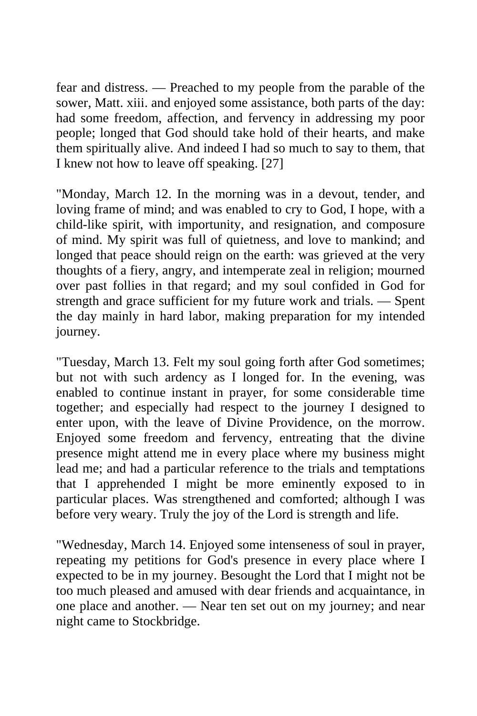fear and distress. — Preached to my people from the parable of the sower, Matt. xiii. and enjoyed some assistance, both parts of the day: had some freedom, affection, and fervency in addressing my poor people; longed that God should take hold of their hearts, and make them spiritually alive. And indeed I had so much to say to them, that I knew not how to leave off speaking. [27]

"Monday, March 12. In the morning was in a devout, tender, and loving frame of mind; and was enabled to cry to God, I hope, with a child-like spirit, with importunity, and resignation, and composure of mind. My spirit was full of quietness, and love to mankind; and longed that peace should reign on the earth: was grieved at the very thoughts of a fiery, angry, and intemperate zeal in religion; mourned over past follies in that regard; and my soul confided in God for strength and grace sufficient for my future work and trials. — Spent the day mainly in hard labor, making preparation for my intended journey.

"Tuesday, March 13. Felt my soul going forth after God sometimes; but not with such ardency as I longed for. In the evening, was enabled to continue instant in prayer, for some considerable time together; and especially had respect to the journey I designed to enter upon, with the leave of Divine Providence, on the morrow. Enjoyed some freedom and fervency, entreating that the divine presence might attend me in every place where my business might lead me; and had a particular reference to the trials and temptations that I apprehended I might be more eminently exposed to in particular places. Was strengthened and comforted; although I was before very weary. Truly the joy of the Lord is strength and life.

"Wednesday, March 14. Enjoyed some intenseness of soul in prayer, repeating my petitions for God's presence in every place where I expected to be in my journey. Besought the Lord that I might not be too much pleased and amused with dear friends and acquaintance, in one place and another. — Near ten set out on my journey; and near night came to Stockbridge.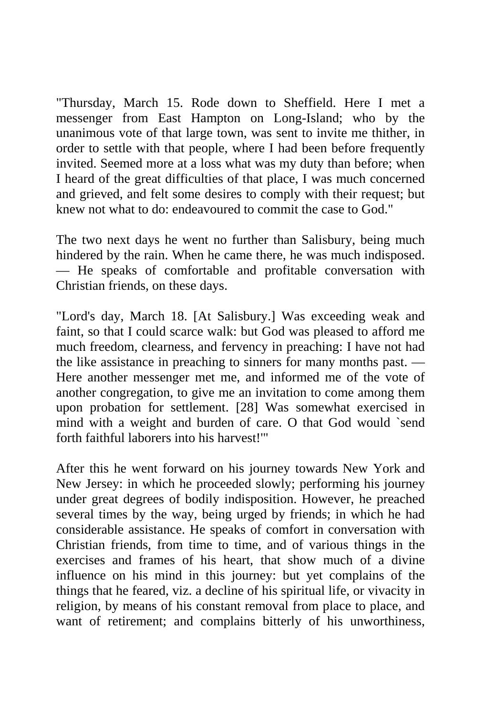"Thursday, March 15. Rode down to Sheffield. Here I met a messenger from East Hampton on Long-Island; who by the unanimous vote of that large town, was sent to invite me thither, in order to settle with that people, where I had been before frequently invited. Seemed more at a loss what was my duty than before; when I heard of the great difficulties of that place, I was much concerned and grieved, and felt some desires to comply with their request; but knew not what to do: endeavoured to commit the case to God."

The two next days he went no further than Salisbury, being much hindered by the rain. When he came there, he was much indisposed. — He speaks of comfortable and profitable conversation with Christian friends, on these days.

"Lord's day, March 18. [At Salisbury.] Was exceeding weak and faint, so that I could scarce walk: but God was pleased to afford me much freedom, clearness, and fervency in preaching: I have not had the like assistance in preaching to sinners for many months past. — Here another messenger met me, and informed me of the vote of another congregation, to give me an invitation to come among them upon probation for settlement. [28] Was somewhat exercised in mind with a weight and burden of care. O that God would `send forth faithful laborers into his harvest!'"

After this he went forward on his journey towards New York and New Jersey: in which he proceeded slowly; performing his journey under great degrees of bodily indisposition. However, he preached several times by the way, being urged by friends; in which he had considerable assistance. He speaks of comfort in conversation with Christian friends, from time to time, and of various things in the exercises and frames of his heart, that show much of a divine influence on his mind in this journey: but yet complains of the things that he feared, viz. a decline of his spiritual life, or vivacity in religion, by means of his constant removal from place to place, and want of retirement; and complains bitterly of his unworthiness,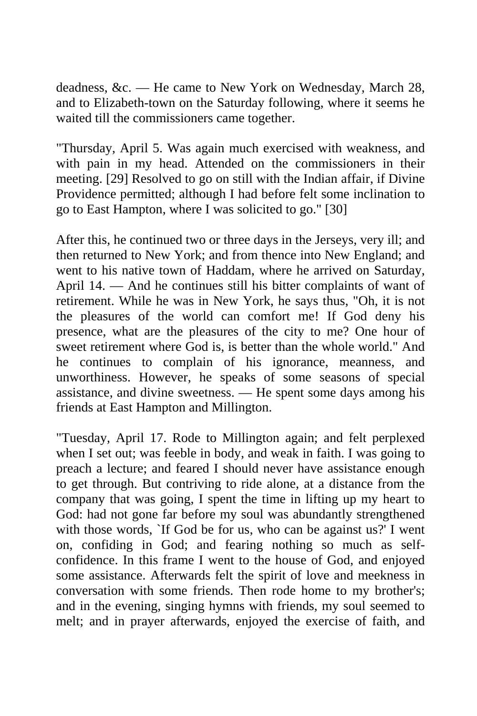deadness, &c. — He came to New York on Wednesday, March 28, and to Elizabeth-town on the Saturday following, where it seems he waited till the commissioners came together.

"Thursday, April 5. Was again much exercised with weakness, and with pain in my head. Attended on the commissioners in their meeting. [29] Resolved to go on still with the Indian affair, if Divine Providence permitted; although I had before felt some inclination to go to East Hampton, where I was solicited to go." [30]

After this, he continued two or three days in the Jerseys, very ill; and then returned to New York; and from thence into New England; and went to his native town of Haddam, where he arrived on Saturday, April 14. — And he continues still his bitter complaints of want of retirement. While he was in New York, he says thus, "Oh, it is not the pleasures of the world can comfort me! If God deny his presence, what are the pleasures of the city to me? One hour of sweet retirement where God is, is better than the whole world." And he continues to complain of his ignorance, meanness, and unworthiness. However, he speaks of some seasons of special assistance, and divine sweetness. — He spent some days among his friends at East Hampton and Millington.

"Tuesday, April 17. Rode to Millington again; and felt perplexed when I set out; was feeble in body, and weak in faith. I was going to preach a lecture; and feared I should never have assistance enough to get through. But contriving to ride alone, at a distance from the company that was going, I spent the time in lifting up my heart to God: had not gone far before my soul was abundantly strengthened with those words, `If God be for us, who can be against us?' I went on, confiding in God; and fearing nothing so much as selfconfidence. In this frame I went to the house of God, and enjoyed some assistance. Afterwards felt the spirit of love and meekness in conversation with some friends. Then rode home to my brother's; and in the evening, singing hymns with friends, my soul seemed to melt; and in prayer afterwards, enjoyed the exercise of faith, and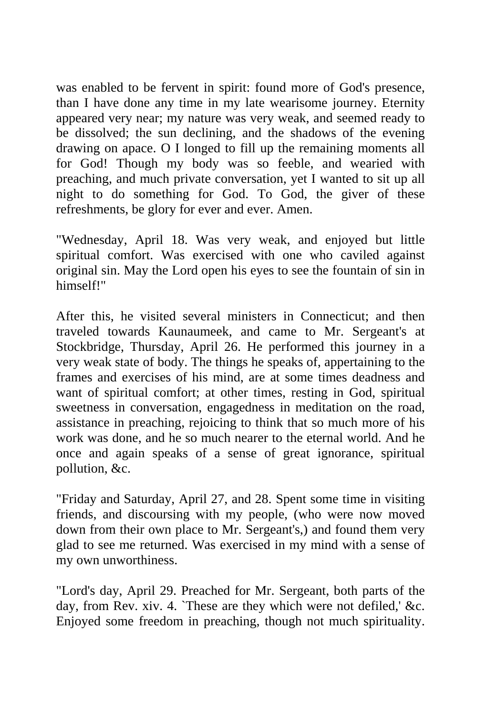was enabled to be fervent in spirit: found more of God's presence, than I have done any time in my late wearisome journey. Eternity appeared very near; my nature was very weak, and seemed ready to be dissolved; the sun declining, and the shadows of the evening drawing on apace. O I longed to fill up the remaining moments all for God! Though my body was so feeble, and wearied with preaching, and much private conversation, yet I wanted to sit up all night to do something for God. To God, the giver of these refreshments, be glory for ever and ever. Amen.

"Wednesday, April 18. Was very weak, and enjoyed but little spiritual comfort. Was exercised with one who caviled against original sin. May the Lord open his eyes to see the fountain of sin in himself!"

After this, he visited several ministers in Connecticut; and then traveled towards Kaunaumeek, and came to Mr. Sergeant's at Stockbridge, Thursday, April 26. He performed this journey in a very weak state of body. The things he speaks of, appertaining to the frames and exercises of his mind, are at some times deadness and want of spiritual comfort; at other times, resting in God, spiritual sweetness in conversation, engagedness in meditation on the road, assistance in preaching, rejoicing to think that so much more of his work was done, and he so much nearer to the eternal world. And he once and again speaks of a sense of great ignorance, spiritual pollution, &c.

"Friday and Saturday, April 27, and 28. Spent some time in visiting friends, and discoursing with my people, (who were now moved down from their own place to Mr. Sergeant's,) and found them very glad to see me returned. Was exercised in my mind with a sense of my own unworthiness.

"Lord's day, April 29. Preached for Mr. Sergeant, both parts of the day, from Rev. xiv. 4. `These are they which were not defiled,' &c. Enjoyed some freedom in preaching, though not much spirituality.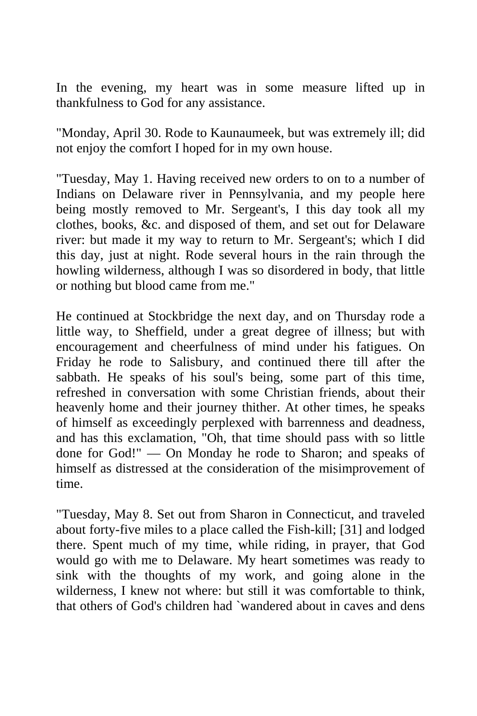In the evening, my heart was in some measure lifted up in thankfulness to God for any assistance.

"Monday, April 30. Rode to Kaunaumeek, but was extremely ill; did not enjoy the comfort I hoped for in my own house.

"Tuesday, May 1. Having received new orders to on to a number of Indians on Delaware river in Pennsylvania, and my people here being mostly removed to Mr. Sergeant's, I this day took all my clothes, books, &c. and disposed of them, and set out for Delaware river: but made it my way to return to Mr. Sergeant's; which I did this day, just at night. Rode several hours in the rain through the howling wilderness, although I was so disordered in body, that little or nothing but blood came from me."

He continued at Stockbridge the next day, and on Thursday rode a little way, to Sheffield, under a great degree of illness; but with encouragement and cheerfulness of mind under his fatigues. On Friday he rode to Salisbury, and continued there till after the sabbath. He speaks of his soul's being, some part of this time, refreshed in conversation with some Christian friends, about their heavenly home and their journey thither. At other times, he speaks of himself as exceedingly perplexed with barrenness and deadness, and has this exclamation, "Oh, that time should pass with so little done for God!" — On Monday he rode to Sharon; and speaks of himself as distressed at the consideration of the misimprovement of time.

"Tuesday, May 8. Set out from Sharon in Connecticut, and traveled about forty-five miles to a place called the Fish-kill; [31] and lodged there. Spent much of my time, while riding, in prayer, that God would go with me to Delaware. My heart sometimes was ready to sink with the thoughts of my work, and going alone in the wilderness, I knew not where: but still it was comfortable to think, that others of God's children had `wandered about in caves and dens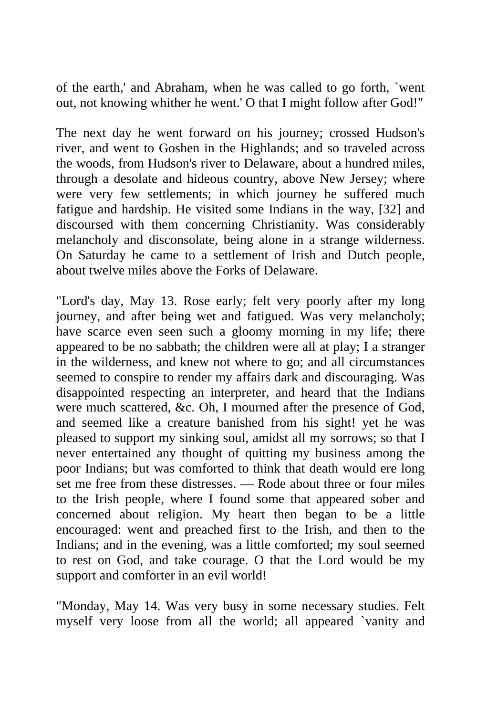of the earth,' and Abraham, when he was called to go forth, `went out, not knowing whither he went.' O that I might follow after God!"

The next day he went forward on his journey; crossed Hudson's river, and went to Goshen in the Highlands; and so traveled across the woods, from Hudson's river to Delaware, about a hundred miles, through a desolate and hideous country, above New Jersey; where were very few settlements; in which journey he suffered much fatigue and hardship. He visited some Indians in the way, [32] and discoursed with them concerning Christianity. Was considerably melancholy and disconsolate, being alone in a strange wilderness. On Saturday he came to a settlement of Irish and Dutch people, about twelve miles above the Forks of Delaware.

"Lord's day, May 13. Rose early; felt very poorly after my long journey, and after being wet and fatigued. Was very melancholy; have scarce even seen such a gloomy morning in my life; there appeared to be no sabbath; the children were all at play; I a stranger in the wilderness, and knew not where to go; and all circumstances seemed to conspire to render my affairs dark and discouraging. Was disappointed respecting an interpreter, and heard that the Indians were much scattered, &c. Oh, I mourned after the presence of God, and seemed like a creature banished from his sight! yet he was pleased to support my sinking soul, amidst all my sorrows; so that I never entertained any thought of quitting my business among the poor Indians; but was comforted to think that death would ere long set me free from these distresses. — Rode about three or four miles to the Irish people, where I found some that appeared sober and concerned about religion. My heart then began to be a little encouraged: went and preached first to the Irish, and then to the Indians; and in the evening, was a little comforted; my soul seemed to rest on God, and take courage. O that the Lord would be my support and comforter in an evil world!

"Monday, May 14. Was very busy in some necessary studies. Felt myself very loose from all the world; all appeared `vanity and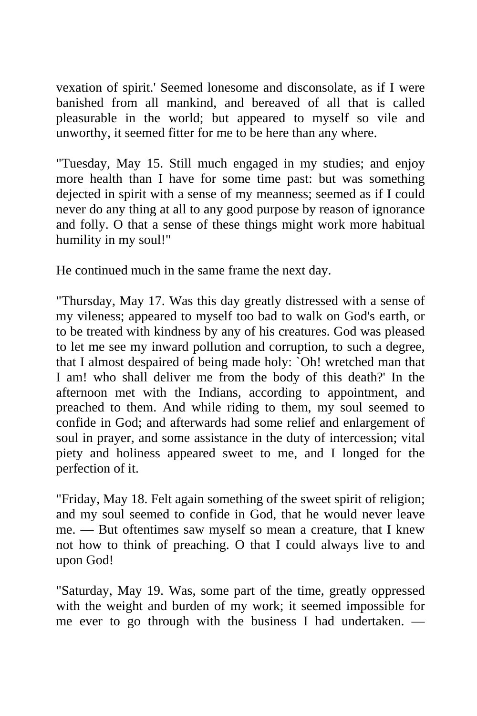vexation of spirit.' Seemed lonesome and disconsolate, as if I were banished from all mankind, and bereaved of all that is called pleasurable in the world; but appeared to myself so vile and unworthy, it seemed fitter for me to be here than any where.

"Tuesday, May 15. Still much engaged in my studies; and enjoy more health than I have for some time past: but was something dejected in spirit with a sense of my meanness; seemed as if I could never do any thing at all to any good purpose by reason of ignorance and folly. O that a sense of these things might work more habitual humility in my soul!"

He continued much in the same frame the next day.

"Thursday, May 17. Was this day greatly distressed with a sense of my vileness; appeared to myself too bad to walk on God's earth, or to be treated with kindness by any of his creatures. God was pleased to let me see my inward pollution and corruption, to such a degree, that I almost despaired of being made holy: `Oh! wretched man that I am! who shall deliver me from the body of this death?' In the afternoon met with the Indians, according to appointment, and preached to them. And while riding to them, my soul seemed to confide in God; and afterwards had some relief and enlargement of soul in prayer, and some assistance in the duty of intercession; vital piety and holiness appeared sweet to me, and I longed for the perfection of it.

"Friday, May 18. Felt again something of the sweet spirit of religion; and my soul seemed to confide in God, that he would never leave me. — But oftentimes saw myself so mean a creature, that I knew not how to think of preaching. O that I could always live to and upon God!

"Saturday, May 19. Was, some part of the time, greatly oppressed with the weight and burden of my work; it seemed impossible for me ever to go through with the business I had undertaken. —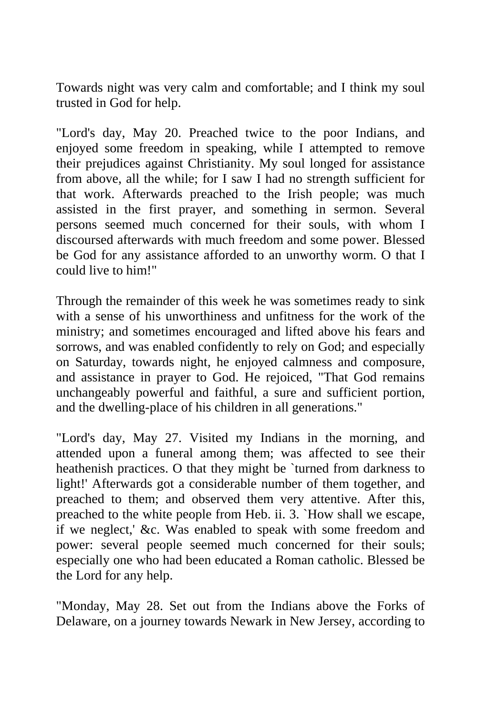Towards night was very calm and comfortable; and I think my soul trusted in God for help.

"Lord's day, May 20. Preached twice to the poor Indians, and enjoyed some freedom in speaking, while I attempted to remove their prejudices against Christianity. My soul longed for assistance from above, all the while; for I saw I had no strength sufficient for that work. Afterwards preached to the Irish people; was much assisted in the first prayer, and something in sermon. Several persons seemed much concerned for their souls, with whom I discoursed afterwards with much freedom and some power. Blessed be God for any assistance afforded to an unworthy worm. O that I could live to him!"

Through the remainder of this week he was sometimes ready to sink with a sense of his unworthiness and unfitness for the work of the ministry; and sometimes encouraged and lifted above his fears and sorrows, and was enabled confidently to rely on God; and especially on Saturday, towards night, he enjoyed calmness and composure, and assistance in prayer to God. He rejoiced, "That God remains unchangeably powerful and faithful, a sure and sufficient portion, and the dwelling-place of his children in all generations."

"Lord's day, May 27. Visited my Indians in the morning, and attended upon a funeral among them; was affected to see their heathenish practices. O that they might be 'turned from darkness to light!' Afterwards got a considerable number of them together, and preached to them; and observed them very attentive. After this, preached to the white people from Heb. ii. 3. `How shall we escape, if we neglect,' &c. Was enabled to speak with some freedom and power: several people seemed much concerned for their souls; especially one who had been educated a Roman catholic. Blessed be the Lord for any help.

"Monday, May 28. Set out from the Indians above the Forks of Delaware, on a journey towards Newark in New Jersey, according to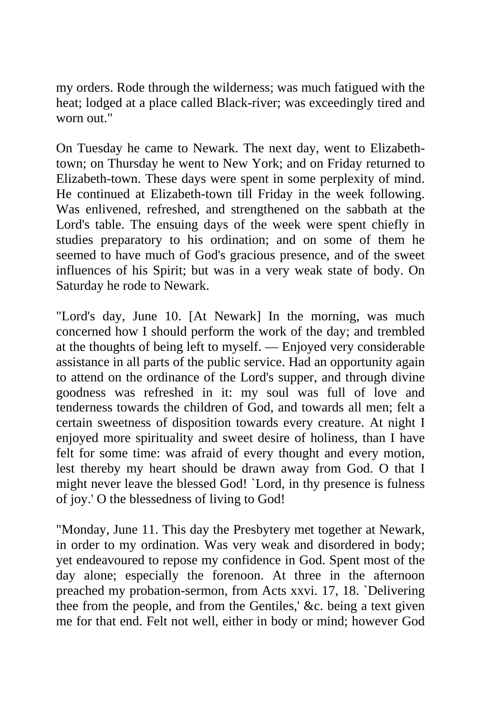my orders. Rode through the wilderness; was much fatigued with the heat; lodged at a place called Black-river; was exceedingly tired and worn out."

On Tuesday he came to Newark. The next day, went to Elizabethtown; on Thursday he went to New York; and on Friday returned to Elizabeth-town. These days were spent in some perplexity of mind. He continued at Elizabeth-town till Friday in the week following. Was enlivened, refreshed, and strengthened on the sabbath at the Lord's table. The ensuing days of the week were spent chiefly in studies preparatory to his ordination; and on some of them he seemed to have much of God's gracious presence, and of the sweet influences of his Spirit; but was in a very weak state of body. On Saturday he rode to Newark.

"Lord's day, June 10. [At Newark] In the morning, was much concerned how I should perform the work of the day; and trembled at the thoughts of being left to myself. — Enjoyed very considerable assistance in all parts of the public service. Had an opportunity again to attend on the ordinance of the Lord's supper, and through divine goodness was refreshed in it: my soul was full of love and tenderness towards the children of God, and towards all men; felt a certain sweetness of disposition towards every creature. At night I enjoyed more spirituality and sweet desire of holiness, than I have felt for some time: was afraid of every thought and every motion, lest thereby my heart should be drawn away from God. O that I might never leave the blessed God! `Lord, in thy presence is fulness of joy.' O the blessedness of living to God!

"Monday, June 11. This day the Presbytery met together at Newark, in order to my ordination. Was very weak and disordered in body; yet endeavoured to repose my confidence in God. Spent most of the day alone; especially the forenoon. At three in the afternoon preached my probation-sermon, from Acts xxvi. 17, 18. `Delivering thee from the people, and from the Gentiles,' &c. being a text given me for that end. Felt not well, either in body or mind; however God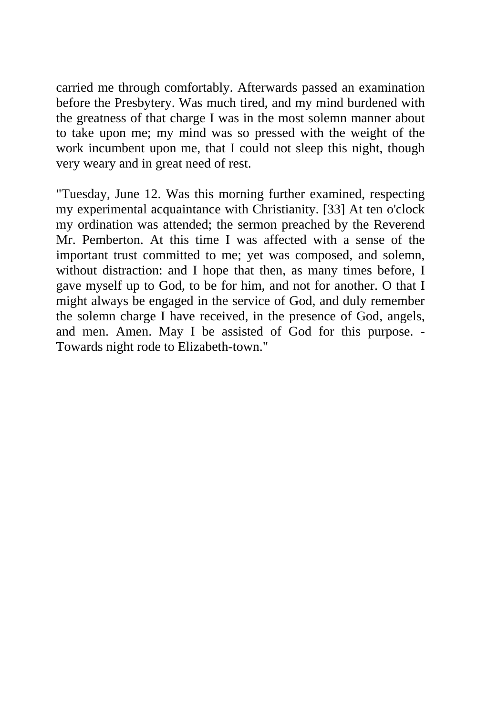carried me through comfortably. Afterwards passed an examination before the Presbytery. Was much tired, and my mind burdened with the greatness of that charge I was in the most solemn manner about to take upon me; my mind was so pressed with the weight of the work incumbent upon me, that I could not sleep this night, though very weary and in great need of rest.

"Tuesday, June 12. Was this morning further examined, respecting my experimental acquaintance with Christianity. [33] At ten o'clock my ordination was attended; the sermon preached by the Reverend Mr. Pemberton. At this time I was affected with a sense of the important trust committed to me; yet was composed, and solemn, without distraction: and I hope that then, as many times before, I gave myself up to God, to be for him, and not for another. O that I might always be engaged in the service of God, and duly remember the solemn charge I have received, in the presence of God, angels, and men. Amen. May I be assisted of God for this purpose. - Towards night rode to Elizabeth-town."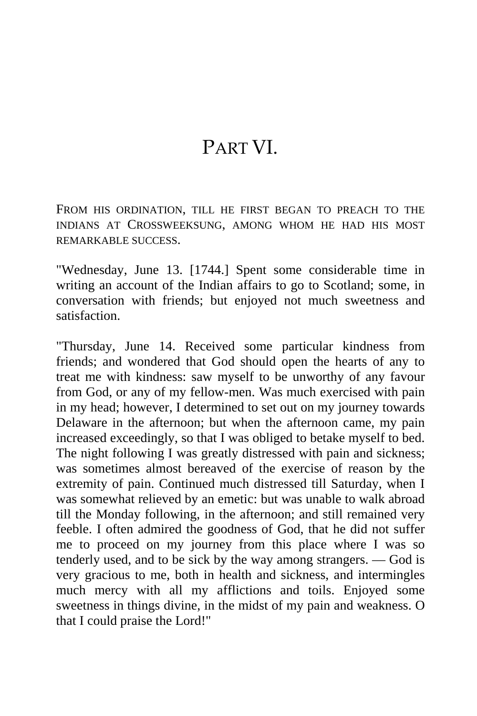## PART VI.

FROM HIS ORDINATION, TILL HE FIRST BEGAN TO PREACH TO THE INDIANS AT CROSSWEEKSUNG, AMONG WHOM HE HAD HIS MOST REMARKABLE SUCCESS.

"Wednesday, June 13. [1744.] Spent some considerable time in writing an account of the Indian affairs to go to Scotland; some, in conversation with friends; but enjoyed not much sweetness and satisfaction.

"Thursday, June 14. Received some particular kindness from friends; and wondered that God should open the hearts of any to treat me with kindness: saw myself to be unworthy of any favour from God, or any of my fellow-men. Was much exercised with pain in my head; however, I determined to set out on my journey towards Delaware in the afternoon; but when the afternoon came, my pain increased exceedingly, so that I was obliged to betake myself to bed. The night following I was greatly distressed with pain and sickness; was sometimes almost bereaved of the exercise of reason by the extremity of pain. Continued much distressed till Saturday, when I was somewhat relieved by an emetic: but was unable to walk abroad till the Monday following, in the afternoon; and still remained very feeble. I often admired the goodness of God, that he did not suffer me to proceed on my journey from this place where I was so tenderly used, and to be sick by the way among strangers. — God is very gracious to me, both in health and sickness, and intermingles much mercy with all my afflictions and toils. Enjoyed some sweetness in things divine, in the midst of my pain and weakness. O that I could praise the Lord!"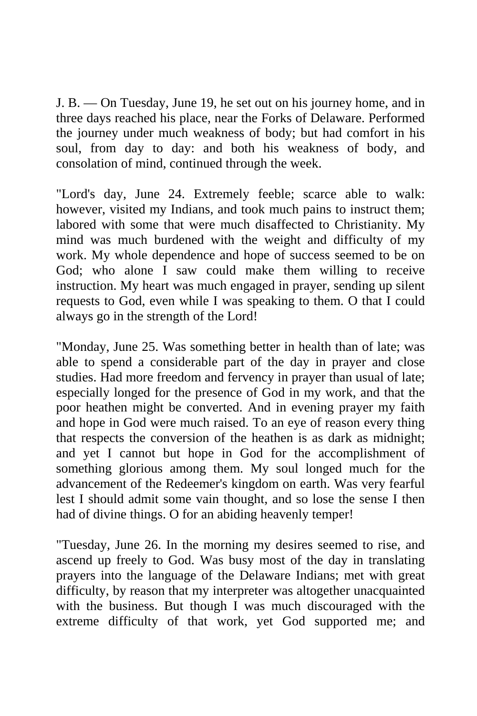J. B. — On Tuesday, June 19, he set out on his journey home, and in three days reached his place, near the Forks of Delaware. Performed the journey under much weakness of body; but had comfort in his soul, from day to day: and both his weakness of body, and consolation of mind, continued through the week.

"Lord's day, June 24. Extremely feeble; scarce able to walk: however, visited my Indians, and took much pains to instruct them; labored with some that were much disaffected to Christianity. My mind was much burdened with the weight and difficulty of my work. My whole dependence and hope of success seemed to be on God; who alone I saw could make them willing to receive instruction. My heart was much engaged in prayer, sending up silent requests to God, even while I was speaking to them. O that I could always go in the strength of the Lord!

"Monday, June 25. Was something better in health than of late; was able to spend a considerable part of the day in prayer and close studies. Had more freedom and fervency in prayer than usual of late; especially longed for the presence of God in my work, and that the poor heathen might be converted. And in evening prayer my faith and hope in God were much raised. To an eye of reason every thing that respects the conversion of the heathen is as dark as midnight; and yet I cannot but hope in God for the accomplishment of something glorious among them. My soul longed much for the advancement of the Redeemer's kingdom on earth. Was very fearful lest I should admit some vain thought, and so lose the sense I then had of divine things. O for an abiding heavenly temper!

"Tuesday, June 26. In the morning my desires seemed to rise, and ascend up freely to God. Was busy most of the day in translating prayers into the language of the Delaware Indians; met with great difficulty, by reason that my interpreter was altogether unacquainted with the business. But though I was much discouraged with the extreme difficulty of that work, yet God supported me; and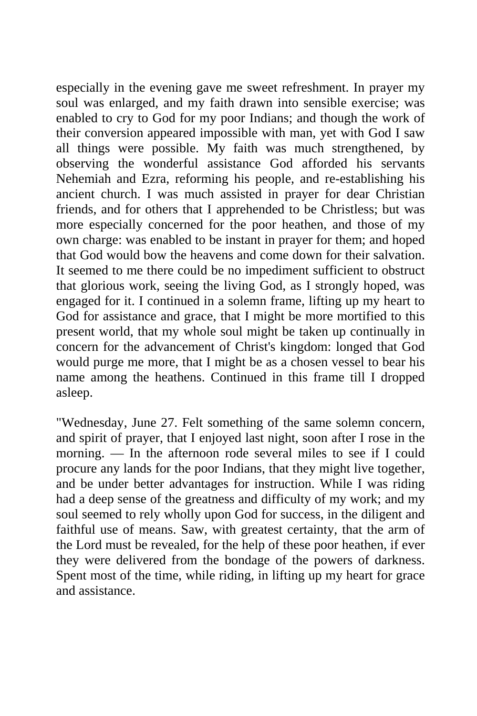especially in the evening gave me sweet refreshment. In prayer my soul was enlarged, and my faith drawn into sensible exercise; was enabled to cry to God for my poor Indians; and though the work of their conversion appeared impossible with man, yet with God I saw all things were possible. My faith was much strengthened, by observing the wonderful assistance God afforded his servants Nehemiah and Ezra, reforming his people, and re-establishing his ancient church. I was much assisted in prayer for dear Christian friends, and for others that I apprehended to be Christless; but was more especially concerned for the poor heathen, and those of my own charge: was enabled to be instant in prayer for them; and hoped that God would bow the heavens and come down for their salvation. It seemed to me there could be no impediment sufficient to obstruct that glorious work, seeing the living God, as I strongly hoped, was engaged for it. I continued in a solemn frame, lifting up my heart to God for assistance and grace, that I might be more mortified to this present world, that my whole soul might be taken up continually in concern for the advancement of Christ's kingdom: longed that God would purge me more, that I might be as a chosen vessel to bear his name among the heathens. Continued in this frame till I dropped asleep.

"Wednesday, June 27. Felt something of the same solemn concern, and spirit of prayer, that I enjoyed last night, soon after I rose in the morning. — In the afternoon rode several miles to see if I could procure any lands for the poor Indians, that they might live together, and be under better advantages for instruction. While I was riding had a deep sense of the greatness and difficulty of my work; and my soul seemed to rely wholly upon God for success, in the diligent and faithful use of means. Saw, with greatest certainty, that the arm of the Lord must be revealed, for the help of these poor heathen, if ever they were delivered from the bondage of the powers of darkness. Spent most of the time, while riding, in lifting up my heart for grace and assistance.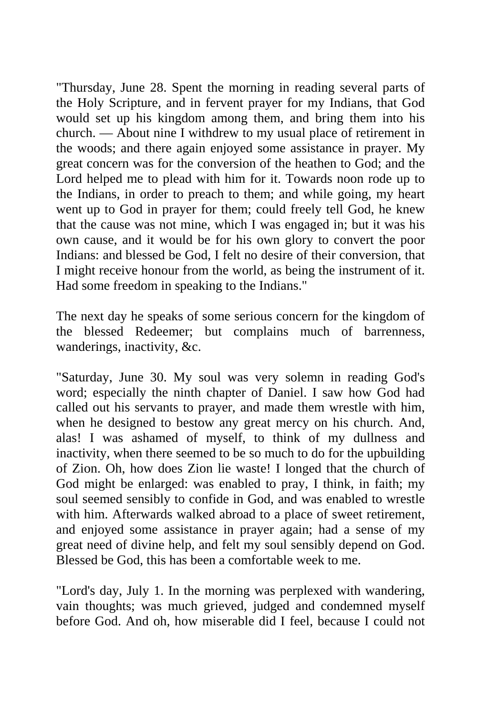"Thursday, June 28. Spent the morning in reading several parts of the Holy Scripture, and in fervent prayer for my Indians, that God would set up his kingdom among them, and bring them into his church. — About nine I withdrew to my usual place of retirement in the woods; and there again enjoyed some assistance in prayer. My great concern was for the conversion of the heathen to God; and the Lord helped me to plead with him for it. Towards noon rode up to the Indians, in order to preach to them; and while going, my heart went up to God in prayer for them; could freely tell God, he knew that the cause was not mine, which I was engaged in; but it was his own cause, and it would be for his own glory to convert the poor Indians: and blessed be God, I felt no desire of their conversion, that I might receive honour from the world, as being the instrument of it. Had some freedom in speaking to the Indians."

The next day he speaks of some serious concern for the kingdom of the blessed Redeemer; but complains much of barrenness, wanderings, inactivity, &c.

"Saturday, June 30. My soul was very solemn in reading God's word; especially the ninth chapter of Daniel. I saw how God had called out his servants to prayer, and made them wrestle with him, when he designed to bestow any great mercy on his church. And, alas! I was ashamed of myself, to think of my dullness and inactivity, when there seemed to be so much to do for the upbuilding of Zion. Oh, how does Zion lie waste! I longed that the church of God might be enlarged: was enabled to pray, I think, in faith; my soul seemed sensibly to confide in God, and was enabled to wrestle with him. Afterwards walked abroad to a place of sweet retirement, and enjoyed some assistance in prayer again; had a sense of my great need of divine help, and felt my soul sensibly depend on God. Blessed be God, this has been a comfortable week to me.

"Lord's day, July 1. In the morning was perplexed with wandering, vain thoughts; was much grieved, judged and condemned myself before God. And oh, how miserable did I feel, because I could not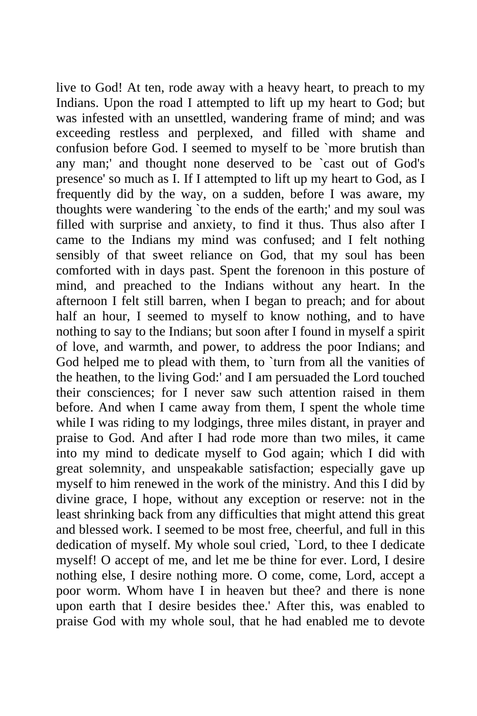live to God! At ten, rode away with a heavy heart, to preach to my Indians. Upon the road I attempted to lift up my heart to God; but was infested with an unsettled, wandering frame of mind; and was exceeding restless and perplexed, and filled with shame and confusion before God. I seemed to myself to be `more brutish than any man;' and thought none deserved to be `cast out of God's presence' so much as I. If I attempted to lift up my heart to God, as I frequently did by the way, on a sudden, before I was aware, my thoughts were wandering `to the ends of the earth;' and my soul was filled with surprise and anxiety, to find it thus. Thus also after I came to the Indians my mind was confused; and I felt nothing sensibly of that sweet reliance on God, that my soul has been comforted with in days past. Spent the forenoon in this posture of mind, and preached to the Indians without any heart. In the afternoon I felt still barren, when I began to preach; and for about half an hour, I seemed to myself to know nothing, and to have nothing to say to the Indians; but soon after I found in myself a spirit of love, and warmth, and power, to address the poor Indians; and God helped me to plead with them, to `turn from all the vanities of the heathen, to the living God:' and I am persuaded the Lord touched their consciences; for I never saw such attention raised in them before. And when I came away from them, I spent the whole time while I was riding to my lodgings, three miles distant, in prayer and praise to God. And after I had rode more than two miles, it came into my mind to dedicate myself to God again; which I did with great solemnity, and unspeakable satisfaction; especially gave up myself to him renewed in the work of the ministry. And this I did by divine grace, I hope, without any exception or reserve: not in the least shrinking back from any difficulties that might attend this great and blessed work. I seemed to be most free, cheerful, and full in this dedication of myself. My whole soul cried, `Lord, to thee I dedicate myself! O accept of me, and let me be thine for ever. Lord, I desire nothing else, I desire nothing more. O come, come, Lord, accept a poor worm. Whom have I in heaven but thee? and there is none upon earth that I desire besides thee.' After this, was enabled to praise God with my whole soul, that he had enabled me to devote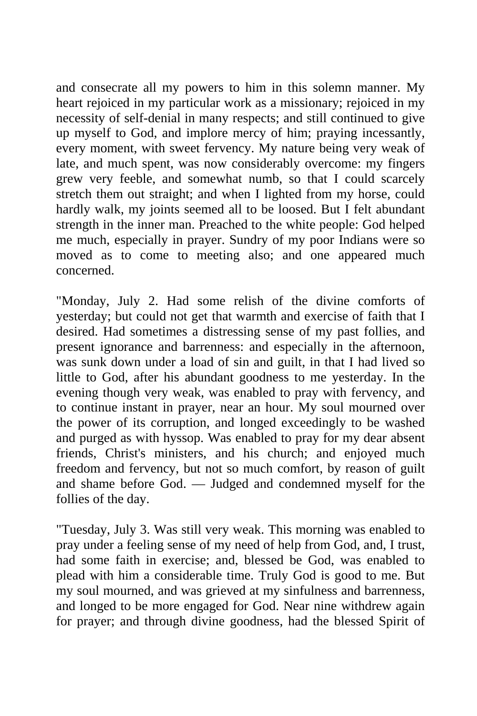and consecrate all my powers to him in this solemn manner. My heart rejoiced in my particular work as a missionary; rejoiced in my necessity of self-denial in many respects; and still continued to give up myself to God, and implore mercy of him; praying incessantly, every moment, with sweet fervency. My nature being very weak of late, and much spent, was now considerably overcome: my fingers grew very feeble, and somewhat numb, so that I could scarcely stretch them out straight; and when I lighted from my horse, could hardly walk, my joints seemed all to be loosed. But I felt abundant strength in the inner man. Preached to the white people: God helped me much, especially in prayer. Sundry of my poor Indians were so moved as to come to meeting also; and one appeared much concerned.

"Monday, July 2. Had some relish of the divine comforts of yesterday; but could not get that warmth and exercise of faith that I desired. Had sometimes a distressing sense of my past follies, and present ignorance and barrenness: and especially in the afternoon, was sunk down under a load of sin and guilt, in that I had lived so little to God, after his abundant goodness to me yesterday. In the evening though very weak, was enabled to pray with fervency, and to continue instant in prayer, near an hour. My soul mourned over the power of its corruption, and longed exceedingly to be washed and purged as with hyssop. Was enabled to pray for my dear absent friends, Christ's ministers, and his church; and enjoyed much freedom and fervency, but not so much comfort, by reason of guilt and shame before God. — Judged and condemned myself for the follies of the day.

"Tuesday, July 3. Was still very weak. This morning was enabled to pray under a feeling sense of my need of help from God, and, I trust, had some faith in exercise; and, blessed be God, was enabled to plead with him a considerable time. Truly God is good to me. But my soul mourned, and was grieved at my sinfulness and barrenness, and longed to be more engaged for God. Near nine withdrew again for prayer; and through divine goodness, had the blessed Spirit of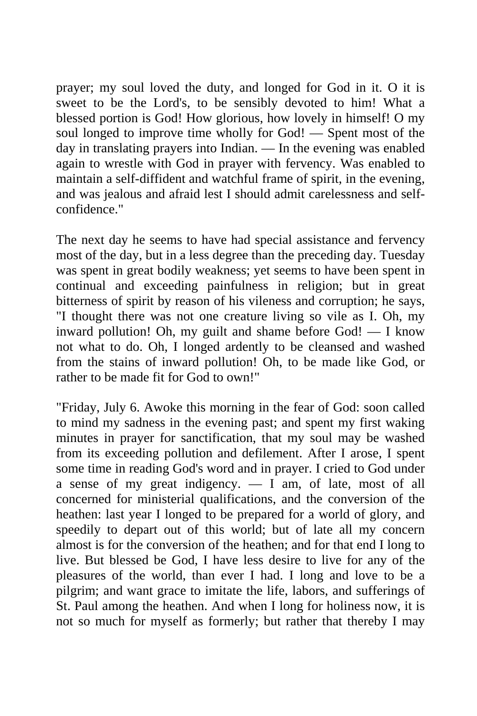prayer; my soul loved the duty, and longed for God in it. O it is sweet to be the Lord's, to be sensibly devoted to him! What a blessed portion is God! How glorious, how lovely in himself! O my soul longed to improve time wholly for God! — Spent most of the day in translating prayers into Indian. — In the evening was enabled again to wrestle with God in prayer with fervency. Was enabled to maintain a self-diffident and watchful frame of spirit, in the evening, and was jealous and afraid lest I should admit carelessness and selfconfidence."

The next day he seems to have had special assistance and fervency most of the day, but in a less degree than the preceding day. Tuesday was spent in great bodily weakness; yet seems to have been spent in continual and exceeding painfulness in religion; but in great bitterness of spirit by reason of his vileness and corruption; he says, "I thought there was not one creature living so vile as I. Oh, my inward pollution! Oh, my guilt and shame before God! — I know not what to do. Oh, I longed ardently to be cleansed and washed from the stains of inward pollution! Oh, to be made like God, or rather to be made fit for God to own!"

"Friday, July 6. Awoke this morning in the fear of God: soon called to mind my sadness in the evening past; and spent my first waking minutes in prayer for sanctification, that my soul may be washed from its exceeding pollution and defilement. After I arose, I spent some time in reading God's word and in prayer. I cried to God under a sense of my great indigency. — I am, of late, most of all concerned for ministerial qualifications, and the conversion of the heathen: last year I longed to be prepared for a world of glory, and speedily to depart out of this world; but of late all my concern almost is for the conversion of the heathen; and for that end I long to live. But blessed be God, I have less desire to live for any of the pleasures of the world, than ever I had. I long and love to be a pilgrim; and want grace to imitate the life, labors, and sufferings of St. Paul among the heathen. And when I long for holiness now, it is not so much for myself as formerly; but rather that thereby I may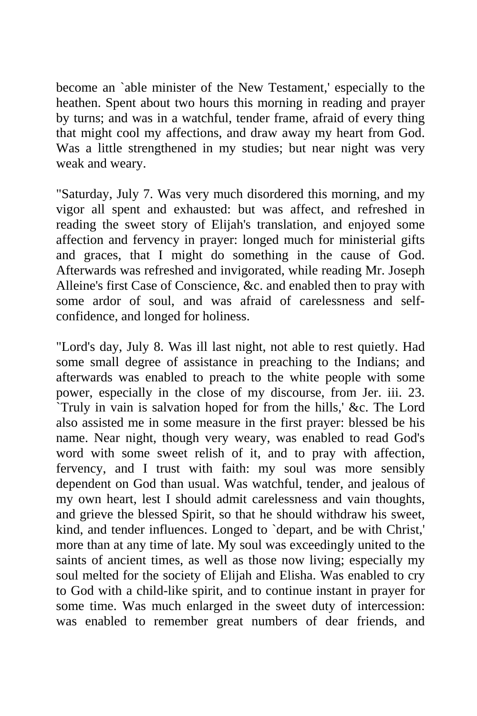become an `able minister of the New Testament,' especially to the heathen. Spent about two hours this morning in reading and prayer by turns; and was in a watchful, tender frame, afraid of every thing that might cool my affections, and draw away my heart from God. Was a little strengthened in my studies; but near night was very weak and weary.

"Saturday, July 7. Was very much disordered this morning, and my vigor all spent and exhausted: but was affect, and refreshed in reading the sweet story of Elijah's translation, and enjoyed some affection and fervency in prayer: longed much for ministerial gifts and graces, that I might do something in the cause of God. Afterwards was refreshed and invigorated, while reading Mr. Joseph Alleine's first Case of Conscience, &c. and enabled then to pray with some ardor of soul, and was afraid of carelessness and selfconfidence, and longed for holiness.

"Lord's day, July 8. Was ill last night, not able to rest quietly. Had some small degree of assistance in preaching to the Indians; and afterwards was enabled to preach to the white people with some power, especially in the close of my discourse, from Jer. iii. 23. `Truly in vain is salvation hoped for from the hills,' &c. The Lord also assisted me in some measure in the first prayer: blessed be his name. Near night, though very weary, was enabled to read God's word with some sweet relish of it, and to pray with affection, fervency, and I trust with faith: my soul was more sensibly dependent on God than usual. Was watchful, tender, and jealous of my own heart, lest I should admit carelessness and vain thoughts, and grieve the blessed Spirit, so that he should withdraw his sweet, kind, and tender influences. Longed to `depart, and be with Christ,' more than at any time of late. My soul was exceedingly united to the saints of ancient times, as well as those now living; especially my soul melted for the society of Elijah and Elisha. Was enabled to cry to God with a child-like spirit, and to continue instant in prayer for some time. Was much enlarged in the sweet duty of intercession: was enabled to remember great numbers of dear friends, and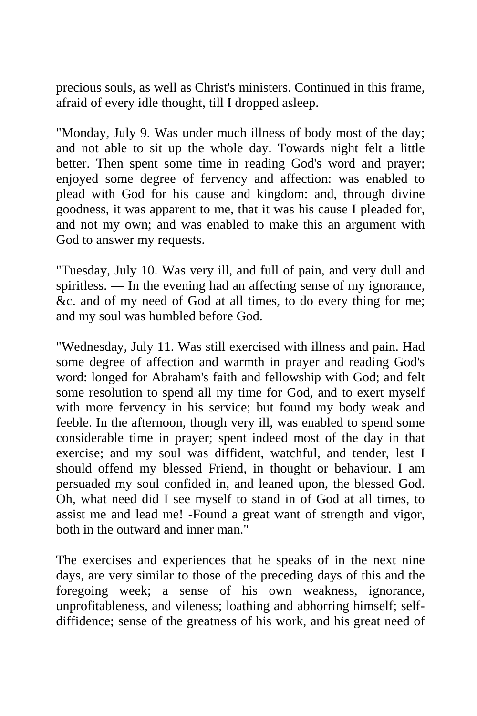precious souls, as well as Christ's ministers. Continued in this frame, afraid of every idle thought, till I dropped asleep.

"Monday, July 9. Was under much illness of body most of the day; and not able to sit up the whole day. Towards night felt a little better. Then spent some time in reading God's word and prayer; enjoyed some degree of fervency and affection: was enabled to plead with God for his cause and kingdom: and, through divine goodness, it was apparent to me, that it was his cause I pleaded for, and not my own; and was enabled to make this an argument with God to answer my requests.

"Tuesday, July 10. Was very ill, and full of pain, and very dull and spiritless. — In the evening had an affecting sense of my ignorance, &c. and of my need of God at all times, to do every thing for me; and my soul was humbled before God.

"Wednesday, July 11. Was still exercised with illness and pain. Had some degree of affection and warmth in prayer and reading God's word: longed for Abraham's faith and fellowship with God; and felt some resolution to spend all my time for God, and to exert myself with more fervency in his service; but found my body weak and feeble. In the afternoon, though very ill, was enabled to spend some considerable time in prayer; spent indeed most of the day in that exercise; and my soul was diffident, watchful, and tender, lest I should offend my blessed Friend, in thought or behaviour. I am persuaded my soul confided in, and leaned upon, the blessed God. Oh, what need did I see myself to stand in of God at all times, to assist me and lead me! -Found a great want of strength and vigor, both in the outward and inner man."

The exercises and experiences that he speaks of in the next nine days, are very similar to those of the preceding days of this and the foregoing week; a sense of his own weakness, ignorance, unprofitableness, and vileness; loathing and abhorring himself; selfdiffidence; sense of the greatness of his work, and his great need of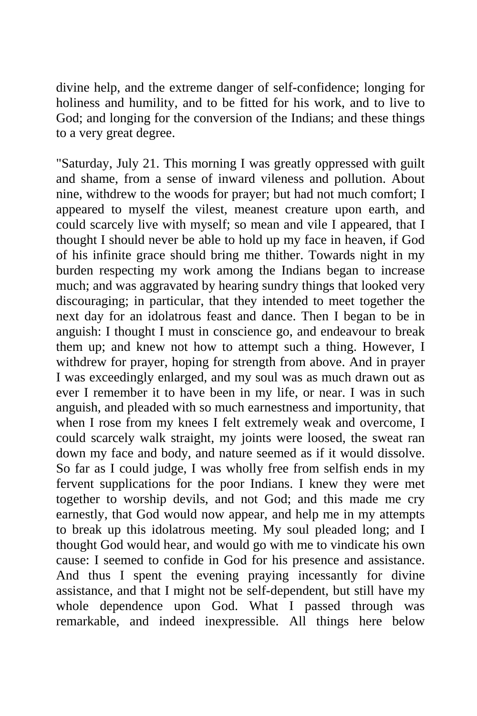divine help, and the extreme danger of self-confidence; longing for holiness and humility, and to be fitted for his work, and to live to God; and longing for the conversion of the Indians; and these things to a very great degree.

"Saturday, July 21. This morning I was greatly oppressed with guilt and shame, from a sense of inward vileness and pollution. About nine, withdrew to the woods for prayer; but had not much comfort; I appeared to myself the vilest, meanest creature upon earth, and could scarcely live with myself; so mean and vile I appeared, that I thought I should never be able to hold up my face in heaven, if God of his infinite grace should bring me thither. Towards night in my burden respecting my work among the Indians began to increase much; and was aggravated by hearing sundry things that looked very discouraging; in particular, that they intended to meet together the next day for an idolatrous feast and dance. Then I began to be in anguish: I thought I must in conscience go, and endeavour to break them up; and knew not how to attempt such a thing. However, I withdrew for prayer, hoping for strength from above. And in prayer I was exceedingly enlarged, and my soul was as much drawn out as ever I remember it to have been in my life, or near. I was in such anguish, and pleaded with so much earnestness and importunity, that when I rose from my knees I felt extremely weak and overcome, I could scarcely walk straight, my joints were loosed, the sweat ran down my face and body, and nature seemed as if it would dissolve. So far as I could judge, I was wholly free from selfish ends in my fervent supplications for the poor Indians. I knew they were met together to worship devils, and not God; and this made me cry earnestly, that God would now appear, and help me in my attempts to break up this idolatrous meeting. My soul pleaded long; and I thought God would hear, and would go with me to vindicate his own cause: I seemed to confide in God for his presence and assistance. And thus I spent the evening praying incessantly for divine assistance, and that I might not be self-dependent, but still have my whole dependence upon God. What I passed through was remarkable, and indeed inexpressible. All things here below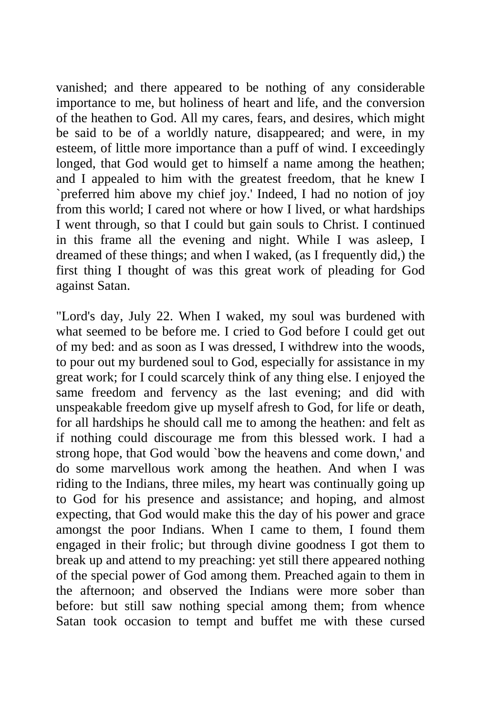vanished; and there appeared to be nothing of any considerable importance to me, but holiness of heart and life, and the conversion of the heathen to God. All my cares, fears, and desires, which might be said to be of a worldly nature, disappeared; and were, in my esteem, of little more importance than a puff of wind. I exceedingly longed, that God would get to himself a name among the heathen; and I appealed to him with the greatest freedom, that he knew I `preferred him above my chief joy.' Indeed, I had no notion of joy from this world; I cared not where or how I lived, or what hardships I went through, so that I could but gain souls to Christ. I continued in this frame all the evening and night. While I was asleep, I dreamed of these things; and when I waked, (as I frequently did,) the first thing I thought of was this great work of pleading for God against Satan.

"Lord's day, July 22. When I waked, my soul was burdened with what seemed to be before me. I cried to God before I could get out of my bed: and as soon as I was dressed, I withdrew into the woods, to pour out my burdened soul to God, especially for assistance in my great work; for I could scarcely think of any thing else. I enjoyed the same freedom and fervency as the last evening; and did with unspeakable freedom give up myself afresh to God, for life or death, for all hardships he should call me to among the heathen: and felt as if nothing could discourage me from this blessed work. I had a strong hope, that God would `bow the heavens and come down,' and do some marvellous work among the heathen. And when I was riding to the Indians, three miles, my heart was continually going up to God for his presence and assistance; and hoping, and almost expecting, that God would make this the day of his power and grace amongst the poor Indians. When I came to them, I found them engaged in their frolic; but through divine goodness I got them to break up and attend to my preaching: yet still there appeared nothing of the special power of God among them. Preached again to them in the afternoon; and observed the Indians were more sober than before: but still saw nothing special among them; from whence Satan took occasion to tempt and buffet me with these cursed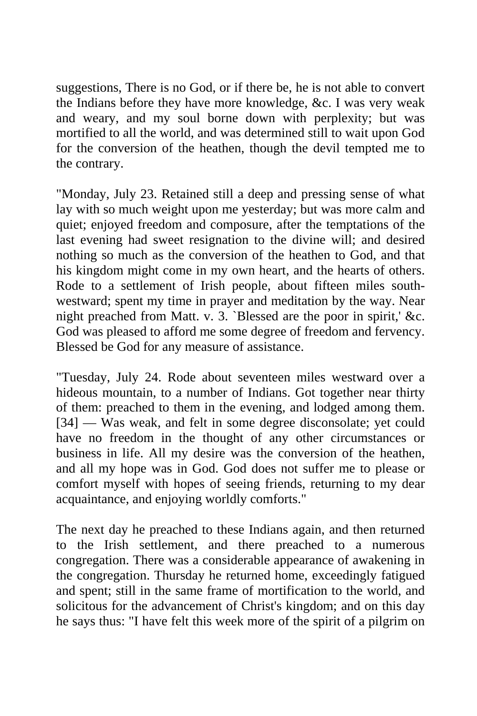suggestions, There is no God, or if there be, he is not able to convert the Indians before they have more knowledge, &c. I was very weak and weary, and my soul borne down with perplexity; but was mortified to all the world, and was determined still to wait upon God for the conversion of the heathen, though the devil tempted me to the contrary.

"Monday, July 23. Retained still a deep and pressing sense of what lay with so much weight upon me yesterday; but was more calm and quiet; enjoyed freedom and composure, after the temptations of the last evening had sweet resignation to the divine will; and desired nothing so much as the conversion of the heathen to God, and that his kingdom might come in my own heart, and the hearts of others. Rode to a settlement of Irish people, about fifteen miles southwestward; spent my time in prayer and meditation by the way. Near night preached from Matt. v. 3. `Blessed are the poor in spirit,' &c. God was pleased to afford me some degree of freedom and fervency. Blessed be God for any measure of assistance.

"Tuesday, July 24. Rode about seventeen miles westward over a hideous mountain, to a number of Indians. Got together near thirty of them: preached to them in the evening, and lodged among them. [34] — Was weak, and felt in some degree disconsolate; yet could have no freedom in the thought of any other circumstances or business in life. All my desire was the conversion of the heathen, and all my hope was in God. God does not suffer me to please or comfort myself with hopes of seeing friends, returning to my dear acquaintance, and enjoying worldly comforts."

The next day he preached to these Indians again, and then returned to the Irish settlement, and there preached to a numerous congregation. There was a considerable appearance of awakening in the congregation. Thursday he returned home, exceedingly fatigued and spent; still in the same frame of mortification to the world, and solicitous for the advancement of Christ's kingdom; and on this day he says thus: "I have felt this week more of the spirit of a pilgrim on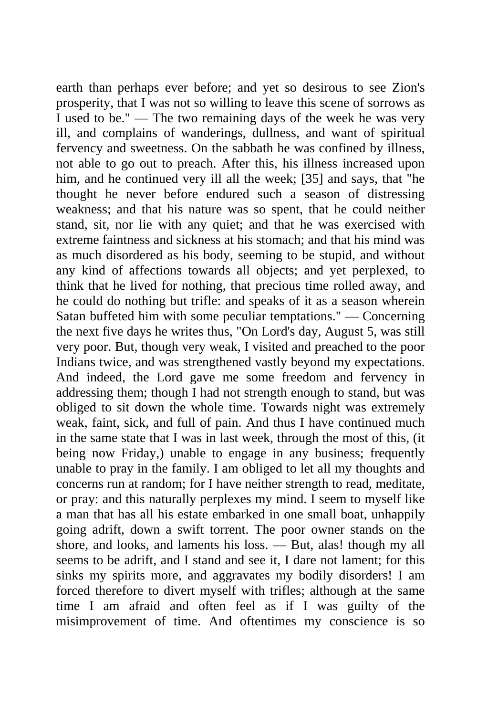earth than perhaps ever before; and yet so desirous to see Zion's prosperity, that I was not so willing to leave this scene of sorrows as I used to be." — The two remaining days of the week he was very ill, and complains of wanderings, dullness, and want of spiritual fervency and sweetness. On the sabbath he was confined by illness, not able to go out to preach. After this, his illness increased upon him, and he continued very ill all the week; [35] and says, that "he thought he never before endured such a season of distressing weakness; and that his nature was so spent, that he could neither stand, sit, nor lie with any quiet; and that he was exercised with extreme faintness and sickness at his stomach; and that his mind was as much disordered as his body, seeming to be stupid, and without any kind of affections towards all objects; and yet perplexed, to think that he lived for nothing, that precious time rolled away, and he could do nothing but trifle: and speaks of it as a season wherein Satan buffeted him with some peculiar temptations." — Concerning the next five days he writes thus, "On Lord's day, August 5, was still very poor. But, though very weak, I visited and preached to the poor Indians twice, and was strengthened vastly beyond my expectations. And indeed, the Lord gave me some freedom and fervency in addressing them; though I had not strength enough to stand, but was obliged to sit down the whole time. Towards night was extremely weak, faint, sick, and full of pain. And thus I have continued much in the same state that I was in last week, through the most of this, (it being now Friday,) unable to engage in any business; frequently unable to pray in the family. I am obliged to let all my thoughts and concerns run at random; for I have neither strength to read, meditate, or pray: and this naturally perplexes my mind. I seem to myself like a man that has all his estate embarked in one small boat, unhappily going adrift, down a swift torrent. The poor owner stands on the shore, and looks, and laments his loss. — But, alas! though my all seems to be adrift, and I stand and see it, I dare not lament; for this sinks my spirits more, and aggravates my bodily disorders! I am forced therefore to divert myself with trifles; although at the same time I am afraid and often feel as if I was guilty of the misimprovement of time. And oftentimes my conscience is so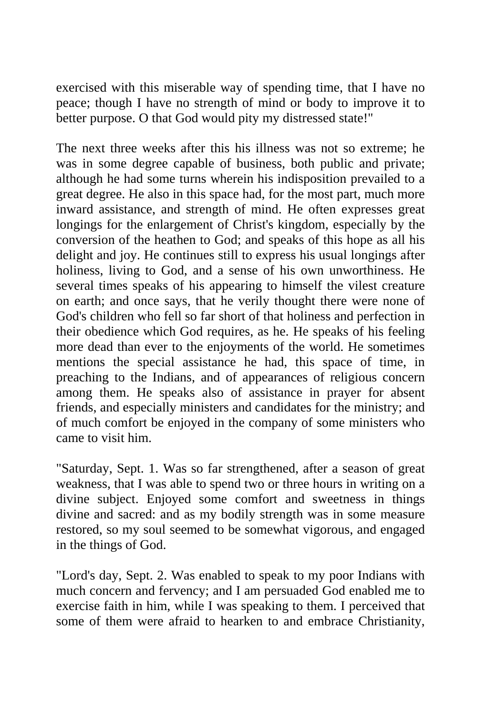exercised with this miserable way of spending time, that I have no peace; though I have no strength of mind or body to improve it to better purpose. O that God would pity my distressed state!"

The next three weeks after this his illness was not so extreme; he was in some degree capable of business, both public and private; although he had some turns wherein his indisposition prevailed to a great degree. He also in this space had, for the most part, much more inward assistance, and strength of mind. He often expresses great longings for the enlargement of Christ's kingdom, especially by the conversion of the heathen to God; and speaks of this hope as all his delight and joy. He continues still to express his usual longings after holiness, living to God, and a sense of his own unworthiness. He several times speaks of his appearing to himself the vilest creature on earth; and once says, that he verily thought there were none of God's children who fell so far short of that holiness and perfection in their obedience which God requires, as he. He speaks of his feeling more dead than ever to the enjoyments of the world. He sometimes mentions the special assistance he had, this space of time, in preaching to the Indians, and of appearances of religious concern among them. He speaks also of assistance in prayer for absent friends, and especially ministers and candidates for the ministry; and of much comfort be enjoyed in the company of some ministers who came to visit him.

"Saturday, Sept. 1. Was so far strengthened, after a season of great weakness, that I was able to spend two or three hours in writing on a divine subject. Enjoyed some comfort and sweetness in things divine and sacred: and as my bodily strength was in some measure restored, so my soul seemed to be somewhat vigorous, and engaged in the things of God.

"Lord's day, Sept. 2. Was enabled to speak to my poor Indians with much concern and fervency; and I am persuaded God enabled me to exercise faith in him, while I was speaking to them. I perceived that some of them were afraid to hearken to and embrace Christianity,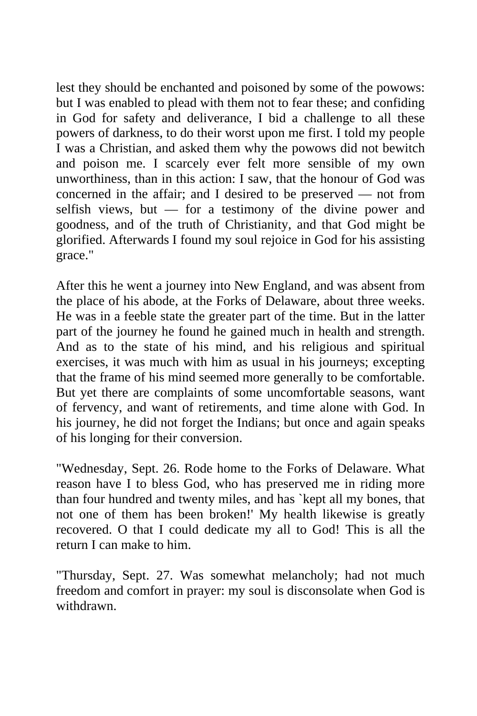lest they should be enchanted and poisoned by some of the powows: but I was enabled to plead with them not to fear these; and confiding in God for safety and deliverance, I bid a challenge to all these powers of darkness, to do their worst upon me first. I told my people I was a Christian, and asked them why the powows did not bewitch and poison me. I scarcely ever felt more sensible of my own unworthiness, than in this action: I saw, that the honour of God was concerned in the affair; and I desired to be preserved — not from selfish views, but — for a testimony of the divine power and goodness, and of the truth of Christianity, and that God might be glorified. Afterwards I found my soul rejoice in God for his assisting grace."

After this he went a journey into New England, and was absent from the place of his abode, at the Forks of Delaware, about three weeks. He was in a feeble state the greater part of the time. But in the latter part of the journey he found he gained much in health and strength. And as to the state of his mind, and his religious and spiritual exercises, it was much with him as usual in his journeys; excepting that the frame of his mind seemed more generally to be comfortable. But yet there are complaints of some uncomfortable seasons, want of fervency, and want of retirements, and time alone with God. In his journey, he did not forget the Indians; but once and again speaks of his longing for their conversion.

"Wednesday, Sept. 26. Rode home to the Forks of Delaware. What reason have I to bless God, who has preserved me in riding more than four hundred and twenty miles, and has `kept all my bones, that not one of them has been broken!' My health likewise is greatly recovered. O that I could dedicate my all to God! This is all the return I can make to him.

"Thursday, Sept. 27. Was somewhat melancholy; had not much freedom and comfort in prayer: my soul is disconsolate when God is withdrawn.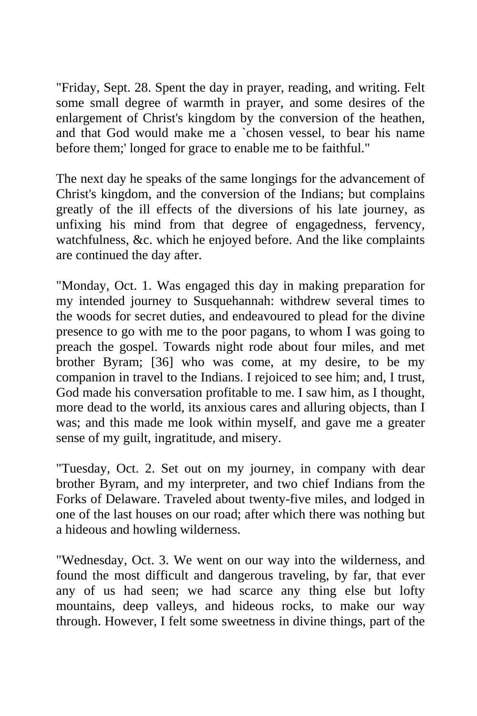"Friday, Sept. 28. Spent the day in prayer, reading, and writing. Felt some small degree of warmth in prayer, and some desires of the enlargement of Christ's kingdom by the conversion of the heathen, and that God would make me a `chosen vessel, to bear his name before them;' longed for grace to enable me to be faithful."

The next day he speaks of the same longings for the advancement of Christ's kingdom, and the conversion of the Indians; but complains greatly of the ill effects of the diversions of his late journey, as unfixing his mind from that degree of engagedness, fervency, watchfulness, &c. which he enjoyed before. And the like complaints are continued the day after.

"Monday, Oct. 1. Was engaged this day in making preparation for my intended journey to Susquehannah: withdrew several times to the woods for secret duties, and endeavoured to plead for the divine presence to go with me to the poor pagans, to whom I was going to preach the gospel. Towards night rode about four miles, and met brother Byram; [36] who was come, at my desire, to be my companion in travel to the Indians. I rejoiced to see him; and, I trust, God made his conversation profitable to me. I saw him, as I thought, more dead to the world, its anxious cares and alluring objects, than I was; and this made me look within myself, and gave me a greater sense of my guilt, ingratitude, and misery.

"Tuesday, Oct. 2. Set out on my journey, in company with dear brother Byram, and my interpreter, and two chief Indians from the Forks of Delaware. Traveled about twenty-five miles, and lodged in one of the last houses on our road; after which there was nothing but a hideous and howling wilderness.

"Wednesday, Oct. 3. We went on our way into the wilderness, and found the most difficult and dangerous traveling, by far, that ever any of us had seen; we had scarce any thing else but lofty mountains, deep valleys, and hideous rocks, to make our way through. However, I felt some sweetness in divine things, part of the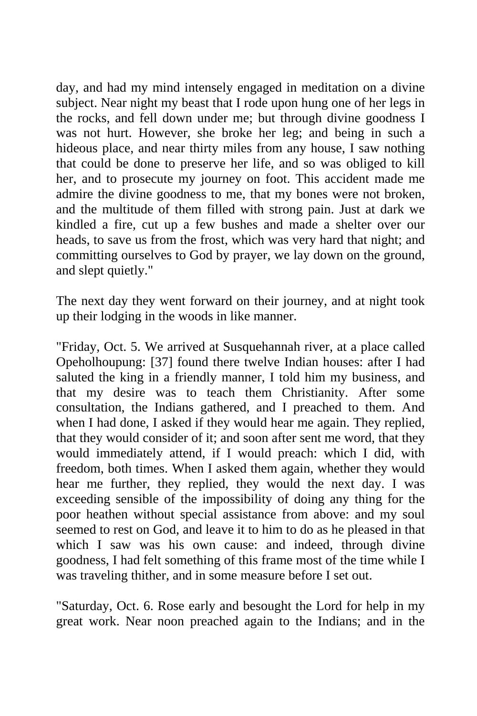day, and had my mind intensely engaged in meditation on a divine subject. Near night my beast that I rode upon hung one of her legs in the rocks, and fell down under me; but through divine goodness I was not hurt. However, she broke her leg; and being in such a hideous place, and near thirty miles from any house, I saw nothing that could be done to preserve her life, and so was obliged to kill her, and to prosecute my journey on foot. This accident made me admire the divine goodness to me, that my bones were not broken, and the multitude of them filled with strong pain. Just at dark we kindled a fire, cut up a few bushes and made a shelter over our heads, to save us from the frost, which was very hard that night; and committing ourselves to God by prayer, we lay down on the ground, and slept quietly."

The next day they went forward on their journey, and at night took up their lodging in the woods in like manner.

"Friday, Oct. 5. We arrived at Susquehannah river, at a place called Opeholhoupung: [37] found there twelve Indian houses: after I had saluted the king in a friendly manner, I told him my business, and that my desire was to teach them Christianity. After some consultation, the Indians gathered, and I preached to them. And when I had done, I asked if they would hear me again. They replied, that they would consider of it; and soon after sent me word, that they would immediately attend, if I would preach: which I did, with freedom, both times. When I asked them again, whether they would hear me further, they replied, they would the next day. I was exceeding sensible of the impossibility of doing any thing for the poor heathen without special assistance from above: and my soul seemed to rest on God, and leave it to him to do as he pleased in that which I saw was his own cause: and indeed, through divine goodness, I had felt something of this frame most of the time while I was traveling thither, and in some measure before I set out.

"Saturday, Oct. 6. Rose early and besought the Lord for help in my great work. Near noon preached again to the Indians; and in the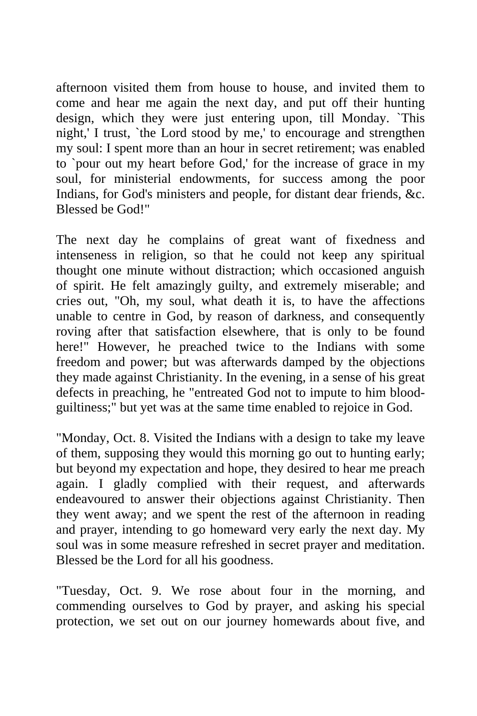afternoon visited them from house to house, and invited them to come and hear me again the next day, and put off their hunting design, which they were just entering upon, till Monday. `This night,' I trust, `the Lord stood by me,' to encourage and strengthen my soul: I spent more than an hour in secret retirement; was enabled to `pour out my heart before God,' for the increase of grace in my soul, for ministerial endowments, for success among the poor Indians, for God's ministers and people, for distant dear friends, &c. Blessed be God!"

The next day he complains of great want of fixedness and intenseness in religion, so that he could not keep any spiritual thought one minute without distraction; which occasioned anguish of spirit. He felt amazingly guilty, and extremely miserable; and cries out, "Oh, my soul, what death it is, to have the affections unable to centre in God, by reason of darkness, and consequently roving after that satisfaction elsewhere, that is only to be found here!" However, he preached twice to the Indians with some freedom and power; but was afterwards damped by the objections they made against Christianity. In the evening, in a sense of his great defects in preaching, he "entreated God not to impute to him bloodguiltiness;" but yet was at the same time enabled to rejoice in God.

"Monday, Oct. 8. Visited the Indians with a design to take my leave of them, supposing they would this morning go out to hunting early; but beyond my expectation and hope, they desired to hear me preach again. I gladly complied with their request, and afterwards endeavoured to answer their objections against Christianity. Then they went away; and we spent the rest of the afternoon in reading and prayer, intending to go homeward very early the next day. My soul was in some measure refreshed in secret prayer and meditation. Blessed be the Lord for all his goodness.

"Tuesday, Oct. 9. We rose about four in the morning, and commending ourselves to God by prayer, and asking his special protection, we set out on our journey homewards about five, and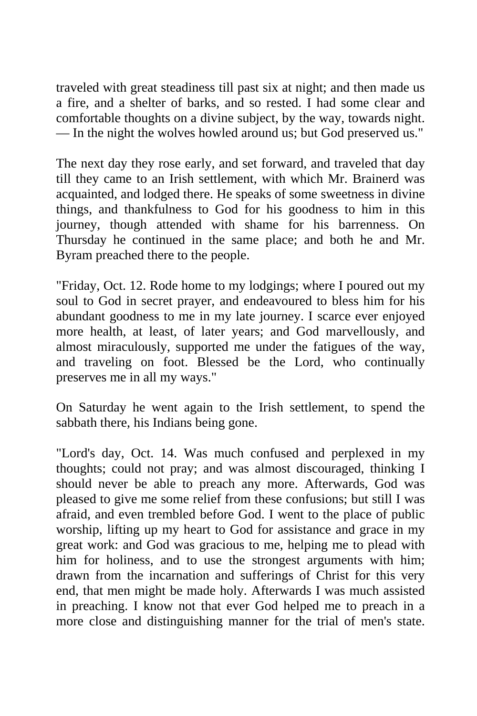traveled with great steadiness till past six at night; and then made us a fire, and a shelter of barks, and so rested. I had some clear and comfortable thoughts on a divine subject, by the way, towards night. — In the night the wolves howled around us; but God preserved us."

The next day they rose early, and set forward, and traveled that day till they came to an Irish settlement, with which Mr. Brainerd was acquainted, and lodged there. He speaks of some sweetness in divine things, and thankfulness to God for his goodness to him in this journey, though attended with shame for his barrenness. On Thursday he continued in the same place; and both he and Mr. Byram preached there to the people.

"Friday, Oct. 12. Rode home to my lodgings; where I poured out my soul to God in secret prayer, and endeavoured to bless him for his abundant goodness to me in my late journey. I scarce ever enjoyed more health, at least, of later years; and God marvellously, and almost miraculously, supported me under the fatigues of the way, and traveling on foot. Blessed be the Lord, who continually preserves me in all my ways."

On Saturday he went again to the Irish settlement, to spend the sabbath there, his Indians being gone.

"Lord's day, Oct. 14. Was much confused and perplexed in my thoughts; could not pray; and was almost discouraged, thinking I should never be able to preach any more. Afterwards, God was pleased to give me some relief from these confusions; but still I was afraid, and even trembled before God. I went to the place of public worship, lifting up my heart to God for assistance and grace in my great work: and God was gracious to me, helping me to plead with him for holiness, and to use the strongest arguments with him; drawn from the incarnation and sufferings of Christ for this very end, that men might be made holy. Afterwards I was much assisted in preaching. I know not that ever God helped me to preach in a more close and distinguishing manner for the trial of men's state.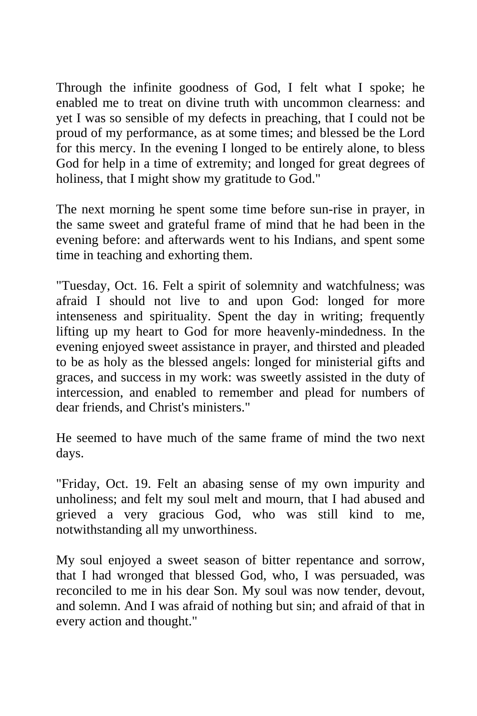Through the infinite goodness of God, I felt what I spoke; he enabled me to treat on divine truth with uncommon clearness: and yet I was so sensible of my defects in preaching, that I could not be proud of my performance, as at some times; and blessed be the Lord for this mercy. In the evening I longed to be entirely alone, to bless God for help in a time of extremity; and longed for great degrees of holiness, that I might show my gratitude to God."

The next morning he spent some time before sun-rise in prayer, in the same sweet and grateful frame of mind that he had been in the evening before: and afterwards went to his Indians, and spent some time in teaching and exhorting them.

"Tuesday, Oct. 16. Felt a spirit of solemnity and watchfulness; was afraid I should not live to and upon God: longed for more intenseness and spirituality. Spent the day in writing; frequently lifting up my heart to God for more heavenly-mindedness. In the evening enjoyed sweet assistance in prayer, and thirsted and pleaded to be as holy as the blessed angels: longed for ministerial gifts and graces, and success in my work: was sweetly assisted in the duty of intercession, and enabled to remember and plead for numbers of dear friends, and Christ's ministers."

He seemed to have much of the same frame of mind the two next days.

"Friday, Oct. 19. Felt an abasing sense of my own impurity and unholiness; and felt my soul melt and mourn, that I had abused and grieved a very gracious God, who was still kind to me, notwithstanding all my unworthiness.

My soul enjoyed a sweet season of bitter repentance and sorrow, that I had wronged that blessed God, who, I was persuaded, was reconciled to me in his dear Son. My soul was now tender, devout, and solemn. And I was afraid of nothing but sin; and afraid of that in every action and thought."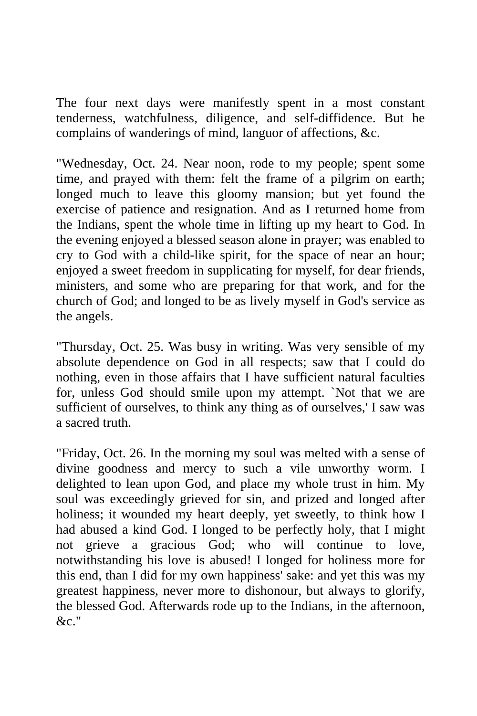The four next days were manifestly spent in a most constant tenderness, watchfulness, diligence, and self-diffidence. But he complains of wanderings of mind, languor of affections, &c.

"Wednesday, Oct. 24. Near noon, rode to my people; spent some time, and prayed with them: felt the frame of a pilgrim on earth; longed much to leave this gloomy mansion; but yet found the exercise of patience and resignation. And as I returned home from the Indians, spent the whole time in lifting up my heart to God. In the evening enjoyed a blessed season alone in prayer; was enabled to cry to God with a child-like spirit, for the space of near an hour; enjoyed a sweet freedom in supplicating for myself, for dear friends, ministers, and some who are preparing for that work, and for the church of God; and longed to be as lively myself in God's service as the angels.

"Thursday, Oct. 25. Was busy in writing. Was very sensible of my absolute dependence on God in all respects; saw that I could do nothing, even in those affairs that I have sufficient natural faculties for, unless God should smile upon my attempt. `Not that we are sufficient of ourselves, to think any thing as of ourselves,' I saw was a sacred truth.

"Friday, Oct. 26. In the morning my soul was melted with a sense of divine goodness and mercy to such a vile unworthy worm. I delighted to lean upon God, and place my whole trust in him. My soul was exceedingly grieved for sin, and prized and longed after holiness; it wounded my heart deeply, yet sweetly, to think how I had abused a kind God. I longed to be perfectly holy, that I might not grieve a gracious God; who will continue to love, notwithstanding his love is abused! I longed for holiness more for this end, than I did for my own happiness' sake: and yet this was my greatest happiness, never more to dishonour, but always to glorify, the blessed God. Afterwards rode up to the Indians, in the afternoon, &c."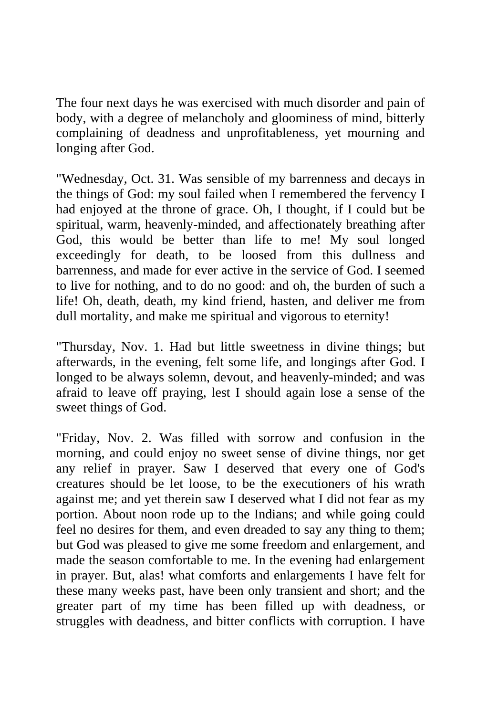The four next days he was exercised with much disorder and pain of body, with a degree of melancholy and gloominess of mind, bitterly complaining of deadness and unprofitableness, yet mourning and longing after God.

"Wednesday, Oct. 31. Was sensible of my barrenness and decays in the things of God: my soul failed when I remembered the fervency I had enjoyed at the throne of grace. Oh, I thought, if I could but be spiritual, warm, heavenly-minded, and affectionately breathing after God, this would be better than life to me! My soul longed exceedingly for death, to be loosed from this dullness and barrenness, and made for ever active in the service of God. I seemed to live for nothing, and to do no good: and oh, the burden of such a life! Oh, death, death, my kind friend, hasten, and deliver me from dull mortality, and make me spiritual and vigorous to eternity!

"Thursday, Nov. 1. Had but little sweetness in divine things; but afterwards, in the evening, felt some life, and longings after God. I longed to be always solemn, devout, and heavenly-minded; and was afraid to leave off praying, lest I should again lose a sense of the sweet things of God.

"Friday, Nov. 2. Was filled with sorrow and confusion in the morning, and could enjoy no sweet sense of divine things, nor get any relief in prayer. Saw I deserved that every one of God's creatures should be let loose, to be the executioners of his wrath against me; and yet therein saw I deserved what I did not fear as my portion. About noon rode up to the Indians; and while going could feel no desires for them, and even dreaded to say any thing to them; but God was pleased to give me some freedom and enlargement, and made the season comfortable to me. In the evening had enlargement in prayer. But, alas! what comforts and enlargements I have felt for these many weeks past, have been only transient and short; and the greater part of my time has been filled up with deadness, or struggles with deadness, and bitter conflicts with corruption. I have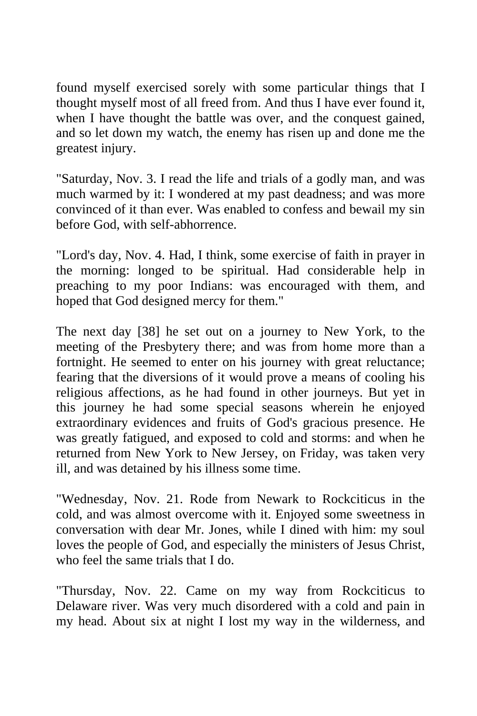found myself exercised sorely with some particular things that I thought myself most of all freed from. And thus I have ever found it, when I have thought the battle was over, and the conquest gained, and so let down my watch, the enemy has risen up and done me the greatest injury.

"Saturday, Nov. 3. I read the life and trials of a godly man, and was much warmed by it: I wondered at my past deadness; and was more convinced of it than ever. Was enabled to confess and bewail my sin before God, with self-abhorrence.

"Lord's day, Nov. 4. Had, I think, some exercise of faith in prayer in the morning: longed to be spiritual. Had considerable help in preaching to my poor Indians: was encouraged with them, and hoped that God designed mercy for them."

The next day [38] he set out on a journey to New York, to the meeting of the Presbytery there; and was from home more than a fortnight. He seemed to enter on his journey with great reluctance; fearing that the diversions of it would prove a means of cooling his religious affections, as he had found in other journeys. But yet in this journey he had some special seasons wherein he enjoyed extraordinary evidences and fruits of God's gracious presence. He was greatly fatigued, and exposed to cold and storms: and when he returned from New York to New Jersey, on Friday, was taken very ill, and was detained by his illness some time.

"Wednesday, Nov. 21. Rode from Newark to Rockciticus in the cold, and was almost overcome with it. Enjoyed some sweetness in conversation with dear Mr. Jones, while I dined with him: my soul loves the people of God, and especially the ministers of Jesus Christ, who feel the same trials that I do.

"Thursday, Nov. 22. Came on my way from Rockciticus to Delaware river. Was very much disordered with a cold and pain in my head. About six at night I lost my way in the wilderness, and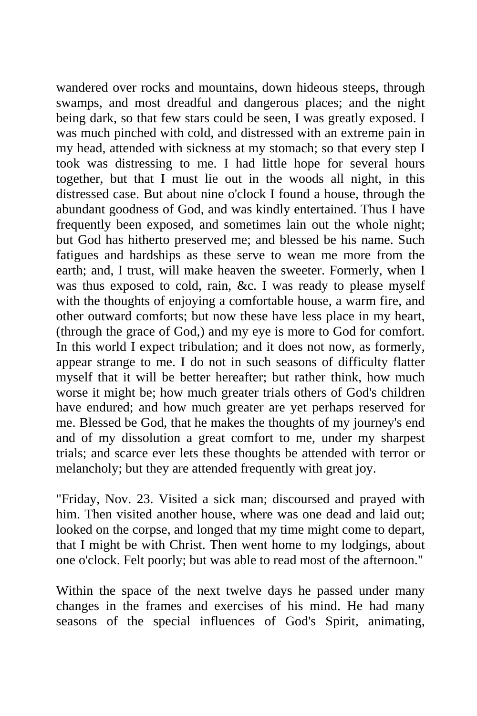wandered over rocks and mountains, down hideous steeps, through swamps, and most dreadful and dangerous places; and the night being dark, so that few stars could be seen, I was greatly exposed. I was much pinched with cold, and distressed with an extreme pain in my head, attended with sickness at my stomach; so that every step I took was distressing to me. I had little hope for several hours together, but that I must lie out in the woods all night, in this distressed case. But about nine o'clock I found a house, through the abundant goodness of God, and was kindly entertained. Thus I have frequently been exposed, and sometimes lain out the whole night; but God has hitherto preserved me; and blessed be his name. Such fatigues and hardships as these serve to wean me more from the earth; and, I trust, will make heaven the sweeter. Formerly, when I was thus exposed to cold, rain, &c. I was ready to please myself with the thoughts of enjoying a comfortable house, a warm fire, and other outward comforts; but now these have less place in my heart, (through the grace of God,) and my eye is more to God for comfort. In this world I expect tribulation; and it does not now, as formerly, appear strange to me. I do not in such seasons of difficulty flatter myself that it will be better hereafter; but rather think, how much worse it might be; how much greater trials others of God's children have endured; and how much greater are yet perhaps reserved for me. Blessed be God, that he makes the thoughts of my journey's end and of my dissolution a great comfort to me, under my sharpest trials; and scarce ever lets these thoughts be attended with terror or melancholy; but they are attended frequently with great joy.

"Friday, Nov. 23. Visited a sick man; discoursed and prayed with him. Then visited another house, where was one dead and laid out; looked on the corpse, and longed that my time might come to depart, that I might be with Christ. Then went home to my lodgings, about one o'clock. Felt poorly; but was able to read most of the afternoon."

Within the space of the next twelve days he passed under many changes in the frames and exercises of his mind. He had many seasons of the special influences of God's Spirit, animating,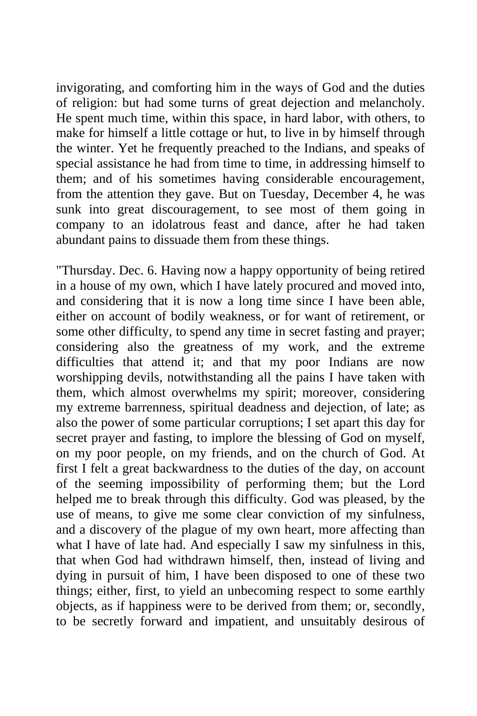invigorating, and comforting him in the ways of God and the duties of religion: but had some turns of great dejection and melancholy. He spent much time, within this space, in hard labor, with others, to make for himself a little cottage or hut, to live in by himself through the winter. Yet he frequently preached to the Indians, and speaks of special assistance he had from time to time, in addressing himself to them; and of his sometimes having considerable encouragement, from the attention they gave. But on Tuesday, December 4, he was sunk into great discouragement, to see most of them going in company to an idolatrous feast and dance, after he had taken abundant pains to dissuade them from these things.

"Thursday. Dec. 6. Having now a happy opportunity of being retired in a house of my own, which I have lately procured and moved into, and considering that it is now a long time since I have been able, either on account of bodily weakness, or for want of retirement, or some other difficulty, to spend any time in secret fasting and prayer; considering also the greatness of my work, and the extreme difficulties that attend it; and that my poor Indians are now worshipping devils, notwithstanding all the pains I have taken with them, which almost overwhelms my spirit; moreover, considering my extreme barrenness, spiritual deadness and dejection, of late; as also the power of some particular corruptions; I set apart this day for secret prayer and fasting, to implore the blessing of God on myself, on my poor people, on my friends, and on the church of God. At first I felt a great backwardness to the duties of the day, on account of the seeming impossibility of performing them; but the Lord helped me to break through this difficulty. God was pleased, by the use of means, to give me some clear conviction of my sinfulness, and a discovery of the plague of my own heart, more affecting than what I have of late had. And especially I saw my sinfulness in this, that when God had withdrawn himself, then, instead of living and dying in pursuit of him, I have been disposed to one of these two things; either, first, to yield an unbecoming respect to some earthly objects, as if happiness were to be derived from them; or, secondly, to be secretly forward and impatient, and unsuitably desirous of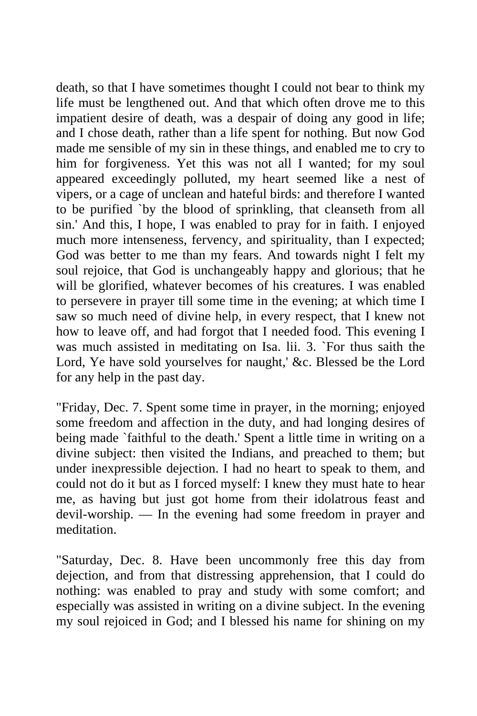death, so that I have sometimes thought I could not bear to think my life must be lengthened out. And that which often drove me to this impatient desire of death, was a despair of doing any good in life; and I chose death, rather than a life spent for nothing. But now God made me sensible of my sin in these things, and enabled me to cry to him for forgiveness. Yet this was not all I wanted; for my soul appeared exceedingly polluted, my heart seemed like a nest of vipers, or a cage of unclean and hateful birds: and therefore I wanted to be purified `by the blood of sprinkling, that cleanseth from all sin.' And this, I hope, I was enabled to pray for in faith. I enjoyed much more intenseness, fervency, and spirituality, than I expected; God was better to me than my fears. And towards night I felt my soul rejoice, that God is unchangeably happy and glorious; that he will be glorified, whatever becomes of his creatures. I was enabled to persevere in prayer till some time in the evening; at which time I saw so much need of divine help, in every respect, that I knew not how to leave off, and had forgot that I needed food. This evening I was much assisted in meditating on Isa. lii. 3. `For thus saith the Lord, Ye have sold yourselves for naught,' &c. Blessed be the Lord for any help in the past day.

"Friday, Dec. 7. Spent some time in prayer, in the morning; enjoyed some freedom and affection in the duty, and had longing desires of being made `faithful to the death.' Spent a little time in writing on a divine subject: then visited the Indians, and preached to them; but under inexpressible dejection. I had no heart to speak to them, and could not do it but as I forced myself: I knew they must hate to hear me, as having but just got home from their idolatrous feast and devil-worship. — In the evening had some freedom in prayer and meditation.

"Saturday, Dec. 8. Have been uncommonly free this day from dejection, and from that distressing apprehension, that I could do nothing: was enabled to pray and study with some comfort; and especially was assisted in writing on a divine subject. In the evening my soul rejoiced in God; and I blessed his name for shining on my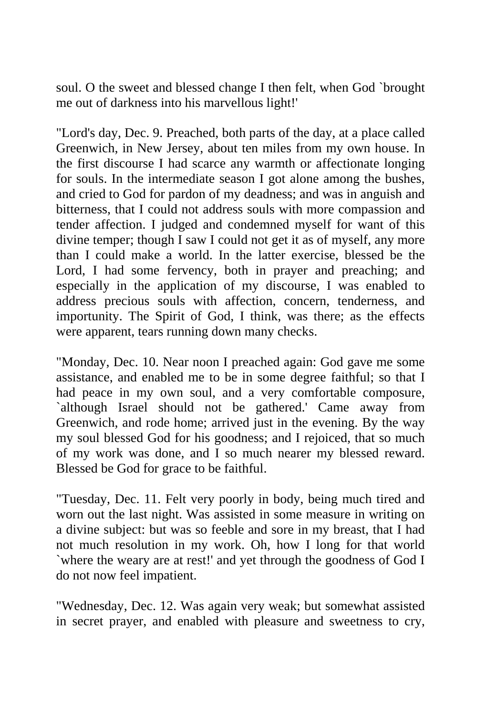soul. O the sweet and blessed change I then felt, when God `brought me out of darkness into his marvellous light!'

"Lord's day, Dec. 9. Preached, both parts of the day, at a place called Greenwich, in New Jersey, about ten miles from my own house. In the first discourse I had scarce any warmth or affectionate longing for souls. In the intermediate season I got alone among the bushes, and cried to God for pardon of my deadness; and was in anguish and bitterness, that I could not address souls with more compassion and tender affection. I judged and condemned myself for want of this divine temper; though I saw I could not get it as of myself, any more than I could make a world. In the latter exercise, blessed be the Lord, I had some fervency, both in prayer and preaching; and especially in the application of my discourse, I was enabled to address precious souls with affection, concern, tenderness, and importunity. The Spirit of God, I think, was there; as the effects were apparent, tears running down many checks.

"Monday, Dec. 10. Near noon I preached again: God gave me some assistance, and enabled me to be in some degree faithful; so that I had peace in my own soul, and a very comfortable composure, `although Israel should not be gathered.' Came away from Greenwich, and rode home; arrived just in the evening. By the way my soul blessed God for his goodness; and I rejoiced, that so much of my work was done, and I so much nearer my blessed reward. Blessed be God for grace to be faithful.

"Tuesday, Dec. 11. Felt very poorly in body, being much tired and worn out the last night. Was assisted in some measure in writing on a divine subject: but was so feeble and sore in my breast, that I had not much resolution in my work. Oh, how I long for that world `where the weary are at rest!' and yet through the goodness of God I do not now feel impatient.

"Wednesday, Dec. 12. Was again very weak; but somewhat assisted in secret prayer, and enabled with pleasure and sweetness to cry,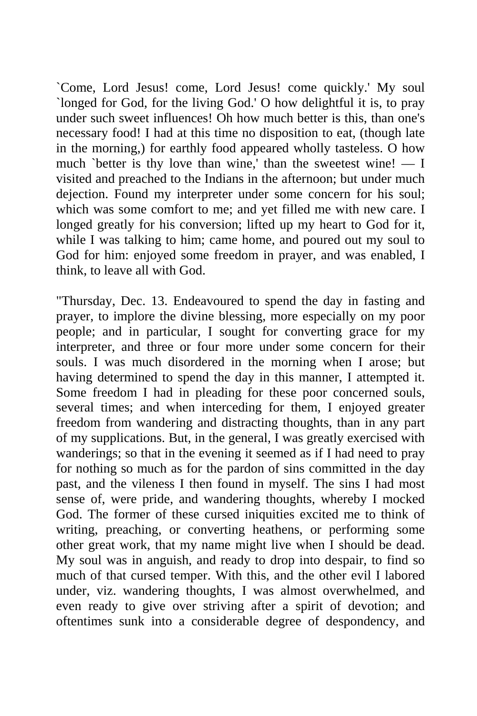`Come, Lord Jesus! come, Lord Jesus! come quickly.' My soul `longed for God, for the living God.' O how delightful it is, to pray under such sweet influences! Oh how much better is this, than one's necessary food! I had at this time no disposition to eat, (though late in the morning,) for earthly food appeared wholly tasteless. O how much `better is thy love than wine,' than the sweetest wine!  $-1$ visited and preached to the Indians in the afternoon; but under much dejection. Found my interpreter under some concern for his soul; which was some comfort to me; and yet filled me with new care. I longed greatly for his conversion; lifted up my heart to God for it, while I was talking to him; came home, and poured out my soul to God for him: enjoyed some freedom in prayer, and was enabled, I think, to leave all with God.

"Thursday, Dec. 13. Endeavoured to spend the day in fasting and prayer, to implore the divine blessing, more especially on my poor people; and in particular, I sought for converting grace for my interpreter, and three or four more under some concern for their souls. I was much disordered in the morning when I arose; but having determined to spend the day in this manner, I attempted it. Some freedom I had in pleading for these poor concerned souls, several times; and when interceding for them, I enjoyed greater freedom from wandering and distracting thoughts, than in any part of my supplications. But, in the general, I was greatly exercised with wanderings; so that in the evening it seemed as if I had need to pray for nothing so much as for the pardon of sins committed in the day past, and the vileness I then found in myself. The sins I had most sense of, were pride, and wandering thoughts, whereby I mocked God. The former of these cursed iniquities excited me to think of writing, preaching, or converting heathens, or performing some other great work, that my name might live when I should be dead. My soul was in anguish, and ready to drop into despair, to find so much of that cursed temper. With this, and the other evil I labored under, viz. wandering thoughts, I was almost overwhelmed, and even ready to give over striving after a spirit of devotion; and oftentimes sunk into a considerable degree of despondency, and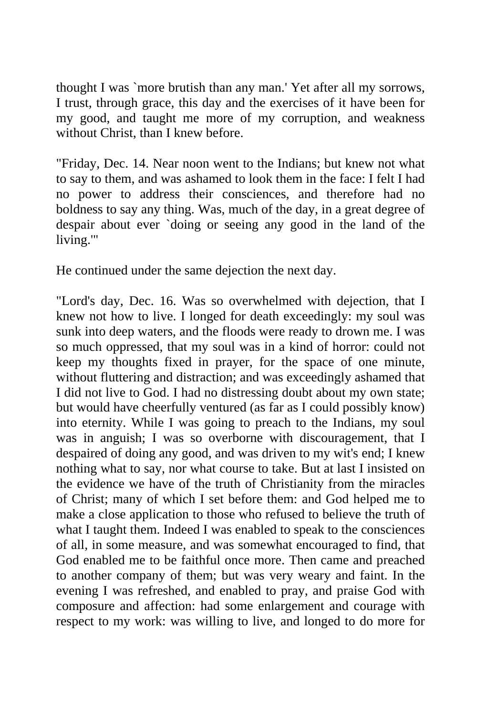thought I was `more brutish than any man.' Yet after all my sorrows, I trust, through grace, this day and the exercises of it have been for my good, and taught me more of my corruption, and weakness without Christ, than I knew before.

"Friday, Dec. 14. Near noon went to the Indians; but knew not what to say to them, and was ashamed to look them in the face: I felt I had no power to address their consciences, and therefore had no boldness to say any thing. Was, much of the day, in a great degree of despair about ever `doing or seeing any good in the land of the living.'"

He continued under the same dejection the next day.

"Lord's day, Dec. 16. Was so overwhelmed with dejection, that I knew not how to live. I longed for death exceedingly: my soul was sunk into deep waters, and the floods were ready to drown me. I was so much oppressed, that my soul was in a kind of horror: could not keep my thoughts fixed in prayer, for the space of one minute, without fluttering and distraction; and was exceedingly ashamed that I did not live to God. I had no distressing doubt about my own state; but would have cheerfully ventured (as far as I could possibly know) into eternity. While I was going to preach to the Indians, my soul was in anguish; I was so overborne with discouragement, that I despaired of doing any good, and was driven to my wit's end; I knew nothing what to say, nor what course to take. But at last I insisted on the evidence we have of the truth of Christianity from the miracles of Christ; many of which I set before them: and God helped me to make a close application to those who refused to believe the truth of what I taught them. Indeed I was enabled to speak to the consciences of all, in some measure, and was somewhat encouraged to find, that God enabled me to be faithful once more. Then came and preached to another company of them; but was very weary and faint. In the evening I was refreshed, and enabled to pray, and praise God with composure and affection: had some enlargement and courage with respect to my work: was willing to live, and longed to do more for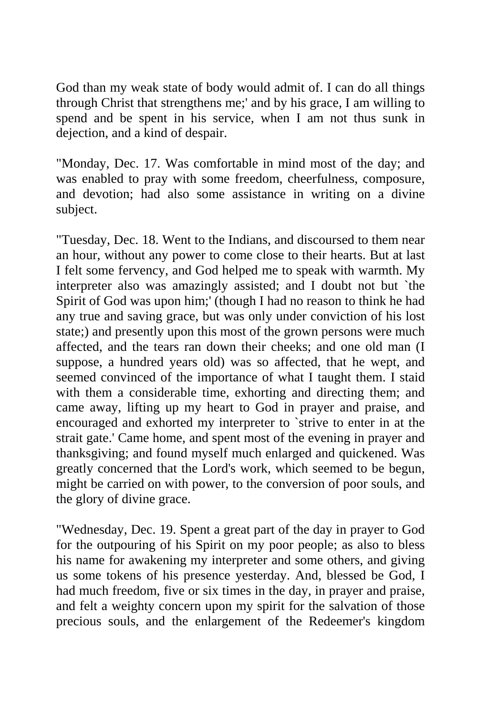God than my weak state of body would admit of. I can do all things through Christ that strengthens me;' and by his grace, I am willing to spend and be spent in his service, when I am not thus sunk in dejection, and a kind of despair.

"Monday, Dec. 17. Was comfortable in mind most of the day; and was enabled to pray with some freedom, cheerfulness, composure, and devotion; had also some assistance in writing on a divine subject.

"Tuesday, Dec. 18. Went to the Indians, and discoursed to them near an hour, without any power to come close to their hearts. But at last I felt some fervency, and God helped me to speak with warmth. My interpreter also was amazingly assisted; and I doubt not but `the Spirit of God was upon him;' (though I had no reason to think he had any true and saving grace, but was only under conviction of his lost state;) and presently upon this most of the grown persons were much affected, and the tears ran down their cheeks; and one old man (I suppose, a hundred years old) was so affected, that he wept, and seemed convinced of the importance of what I taught them. I staid with them a considerable time, exhorting and directing them; and came away, lifting up my heart to God in prayer and praise, and encouraged and exhorted my interpreter to `strive to enter in at the strait gate.' Came home, and spent most of the evening in prayer and thanksgiving; and found myself much enlarged and quickened. Was greatly concerned that the Lord's work, which seemed to be begun, might be carried on with power, to the conversion of poor souls, and the glory of divine grace.

"Wednesday, Dec. 19. Spent a great part of the day in prayer to God for the outpouring of his Spirit on my poor people; as also to bless his name for awakening my interpreter and some others, and giving us some tokens of his presence yesterday. And, blessed be God, I had much freedom, five or six times in the day, in prayer and praise, and felt a weighty concern upon my spirit for the salvation of those precious souls, and the enlargement of the Redeemer's kingdom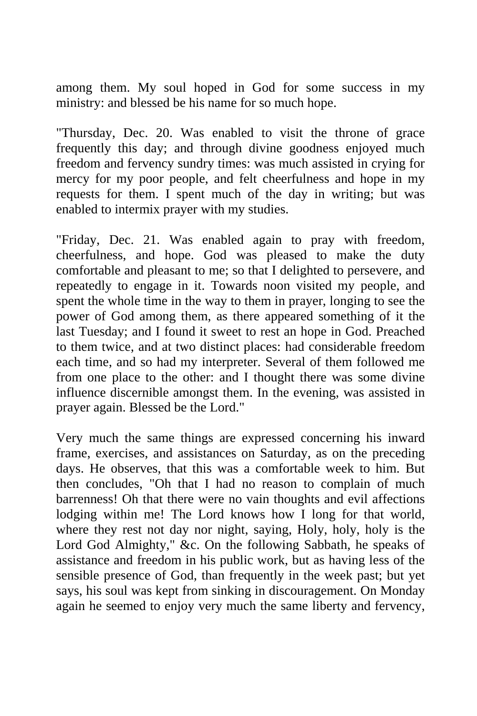among them. My soul hoped in God for some success in my ministry: and blessed be his name for so much hope.

"Thursday, Dec. 20. Was enabled to visit the throne of grace frequently this day; and through divine goodness enjoyed much freedom and fervency sundry times: was much assisted in crying for mercy for my poor people, and felt cheerfulness and hope in my requests for them. I spent much of the day in writing; but was enabled to intermix prayer with my studies.

"Friday, Dec. 21. Was enabled again to pray with freedom, cheerfulness, and hope. God was pleased to make the duty comfortable and pleasant to me; so that I delighted to persevere, and repeatedly to engage in it. Towards noon visited my people, and spent the whole time in the way to them in prayer, longing to see the power of God among them, as there appeared something of it the last Tuesday; and I found it sweet to rest an hope in God. Preached to them twice, and at two distinct places: had considerable freedom each time, and so had my interpreter. Several of them followed me from one place to the other: and I thought there was some divine influence discernible amongst them. In the evening, was assisted in prayer again. Blessed be the Lord."

Very much the same things are expressed concerning his inward frame, exercises, and assistances on Saturday, as on the preceding days. He observes, that this was a comfortable week to him. But then concludes, "Oh that I had no reason to complain of much barrenness! Oh that there were no vain thoughts and evil affections lodging within me! The Lord knows how I long for that world, where they rest not day nor night, saying, Holy, holy, holy is the Lord God Almighty," &c. On the following Sabbath, he speaks of assistance and freedom in his public work, but as having less of the sensible presence of God, than frequently in the week past; but yet says, his soul was kept from sinking in discouragement. On Monday again he seemed to enjoy very much the same liberty and fervency,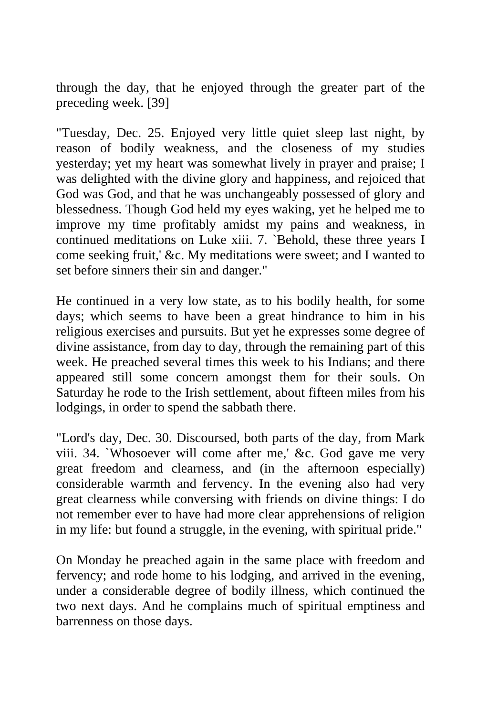through the day, that he enjoyed through the greater part of the preceding week. [39]

"Tuesday, Dec. 25. Enjoyed very little quiet sleep last night, by reason of bodily weakness, and the closeness of my studies yesterday; yet my heart was somewhat lively in prayer and praise; I was delighted with the divine glory and happiness, and rejoiced that God was God, and that he was unchangeably possessed of glory and blessedness. Though God held my eyes waking, yet he helped me to improve my time profitably amidst my pains and weakness, in continued meditations on Luke xiii. 7. `Behold, these three years I come seeking fruit,' &c. My meditations were sweet; and I wanted to set before sinners their sin and danger."

He continued in a very low state, as to his bodily health, for some days; which seems to have been a great hindrance to him in his religious exercises and pursuits. But yet he expresses some degree of divine assistance, from day to day, through the remaining part of this week. He preached several times this week to his Indians; and there appeared still some concern amongst them for their souls. On Saturday he rode to the Irish settlement, about fifteen miles from his lodgings, in order to spend the sabbath there.

"Lord's day, Dec. 30. Discoursed, both parts of the day, from Mark viii. 34. `Whosoever will come after me,' &c. God gave me very great freedom and clearness, and (in the afternoon especially) considerable warmth and fervency. In the evening also had very great clearness while conversing with friends on divine things: I do not remember ever to have had more clear apprehensions of religion in my life: but found a struggle, in the evening, with spiritual pride."

On Monday he preached again in the same place with freedom and fervency; and rode home to his lodging, and arrived in the evening, under a considerable degree of bodily illness, which continued the two next days. And he complains much of spiritual emptiness and barrenness on those days.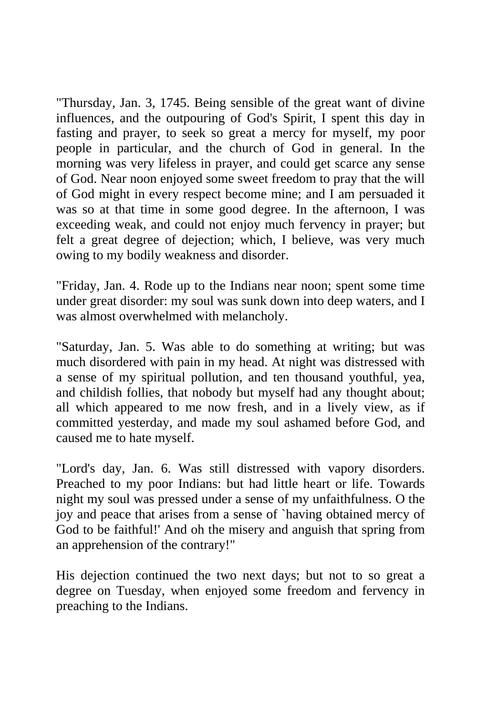"Thursday, Jan. 3, 1745. Being sensible of the great want of divine influences, and the outpouring of God's Spirit, I spent this day in fasting and prayer, to seek so great a mercy for myself, my poor people in particular, and the church of God in general. In the morning was very lifeless in prayer, and could get scarce any sense of God. Near noon enjoyed some sweet freedom to pray that the will of God might in every respect become mine; and I am persuaded it was so at that time in some good degree. In the afternoon, I was exceeding weak, and could not enjoy much fervency in prayer; but felt a great degree of dejection; which, I believe, was very much owing to my bodily weakness and disorder.

"Friday, Jan. 4. Rode up to the Indians near noon; spent some time under great disorder: my soul was sunk down into deep waters, and I was almost overwhelmed with melancholy.

"Saturday, Jan. 5. Was able to do something at writing; but was much disordered with pain in my head. At night was distressed with a sense of my spiritual pollution, and ten thousand youthful, yea, and childish follies, that nobody but myself had any thought about; all which appeared to me now fresh, and in a lively view, as if committed yesterday, and made my soul ashamed before God, and caused me to hate myself.

"Lord's day, Jan. 6. Was still distressed with vapory disorders. Preached to my poor Indians: but had little heart or life. Towards night my soul was pressed under a sense of my unfaithfulness. O the joy and peace that arises from a sense of `having obtained mercy of God to be faithful!' And oh the misery and anguish that spring from an apprehension of the contrary!"

His dejection continued the two next days; but not to so great a degree on Tuesday, when enjoyed some freedom and fervency in preaching to the Indians.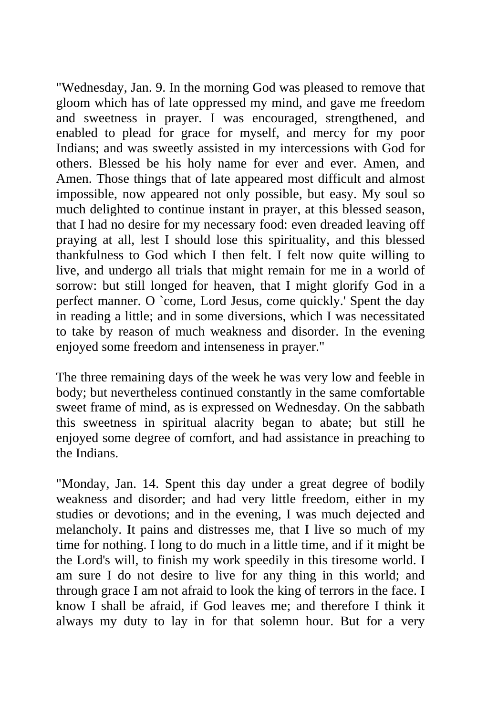"Wednesday, Jan. 9. In the morning God was pleased to remove that gloom which has of late oppressed my mind, and gave me freedom and sweetness in prayer. I was encouraged, strengthened, and enabled to plead for grace for myself, and mercy for my poor Indians; and was sweetly assisted in my intercessions with God for others. Blessed be his holy name for ever and ever. Amen, and Amen. Those things that of late appeared most difficult and almost impossible, now appeared not only possible, but easy. My soul so much delighted to continue instant in prayer, at this blessed season, that I had no desire for my necessary food: even dreaded leaving off praying at all, lest I should lose this spirituality, and this blessed thankfulness to God which I then felt. I felt now quite willing to live, and undergo all trials that might remain for me in a world of sorrow: but still longed for heaven, that I might glorify God in a perfect manner. O `come, Lord Jesus, come quickly.' Spent the day in reading a little; and in some diversions, which I was necessitated to take by reason of much weakness and disorder. In the evening enjoyed some freedom and intenseness in prayer."

The three remaining days of the week he was very low and feeble in body; but nevertheless continued constantly in the same comfortable sweet frame of mind, as is expressed on Wednesday. On the sabbath this sweetness in spiritual alacrity began to abate; but still he enjoyed some degree of comfort, and had assistance in preaching to the Indians.

"Monday, Jan. 14. Spent this day under a great degree of bodily weakness and disorder; and had very little freedom, either in my studies or devotions; and in the evening, I was much dejected and melancholy. It pains and distresses me, that I live so much of my time for nothing. I long to do much in a little time, and if it might be the Lord's will, to finish my work speedily in this tiresome world. I am sure I do not desire to live for any thing in this world; and through grace I am not afraid to look the king of terrors in the face. I know I shall be afraid, if God leaves me; and therefore I think it always my duty to lay in for that solemn hour. But for a very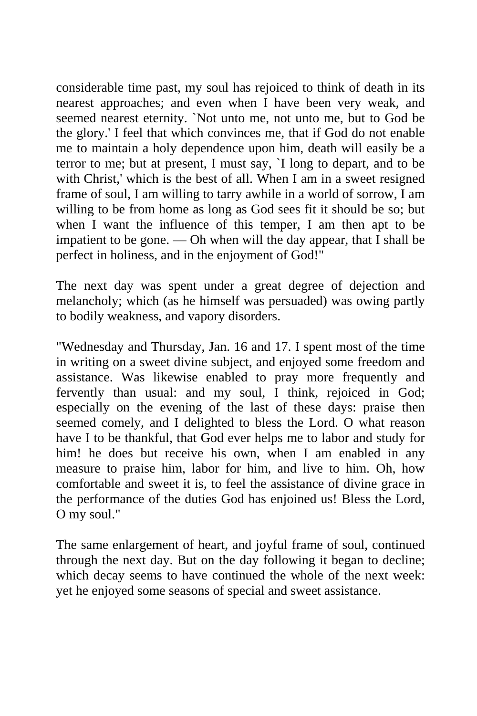considerable time past, my soul has rejoiced to think of death in its nearest approaches; and even when I have been very weak, and seemed nearest eternity. `Not unto me, not unto me, but to God be the glory.' I feel that which convinces me, that if God do not enable me to maintain a holy dependence upon him, death will easily be a terror to me; but at present, I must say, `I long to depart, and to be with Christ,' which is the best of all. When I am in a sweet resigned frame of soul, I am willing to tarry awhile in a world of sorrow, I am willing to be from home as long as God sees fit it should be so; but when I want the influence of this temper, I am then apt to be impatient to be gone. — Oh when will the day appear, that I shall be perfect in holiness, and in the enjoyment of God!"

The next day was spent under a great degree of dejection and melancholy; which (as he himself was persuaded) was owing partly to bodily weakness, and vapory disorders.

"Wednesday and Thursday, Jan. 16 and 17. I spent most of the time in writing on a sweet divine subject, and enjoyed some freedom and assistance. Was likewise enabled to pray more frequently and fervently than usual: and my soul, I think, rejoiced in God; especially on the evening of the last of these days: praise then seemed comely, and I delighted to bless the Lord. O what reason have I to be thankful, that God ever helps me to labor and study for him! he does but receive his own, when I am enabled in any measure to praise him, labor for him, and live to him. Oh, how comfortable and sweet it is, to feel the assistance of divine grace in the performance of the duties God has enjoined us! Bless the Lord, O my soul."

The same enlargement of heart, and joyful frame of soul, continued through the next day. But on the day following it began to decline; which decay seems to have continued the whole of the next week: yet he enjoyed some seasons of special and sweet assistance.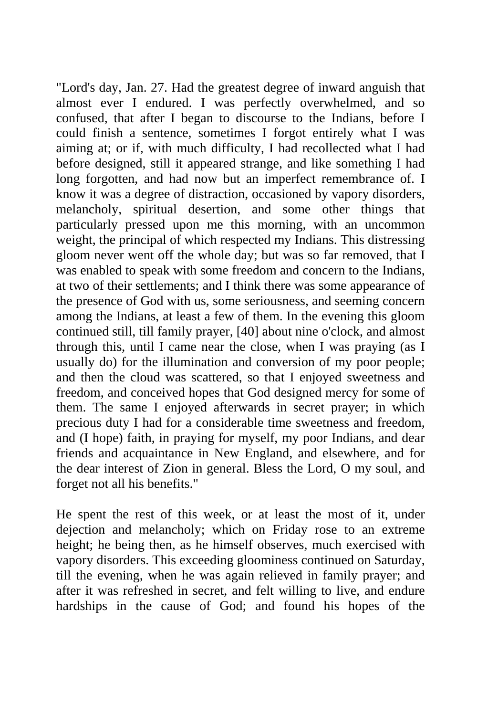"Lord's day, Jan. 27. Had the greatest degree of inward anguish that almost ever I endured. I was perfectly overwhelmed, and so confused, that after I began to discourse to the Indians, before I could finish a sentence, sometimes I forgot entirely what I was aiming at; or if, with much difficulty, I had recollected what I had before designed, still it appeared strange, and like something I had long forgotten, and had now but an imperfect remembrance of. I know it was a degree of distraction, occasioned by vapory disorders, melancholy, spiritual desertion, and some other things that particularly pressed upon me this morning, with an uncommon weight, the principal of which respected my Indians. This distressing gloom never went off the whole day; but was so far removed, that I was enabled to speak with some freedom and concern to the Indians, at two of their settlements; and I think there was some appearance of the presence of God with us, some seriousness, and seeming concern among the Indians, at least a few of them. In the evening this gloom continued still, till family prayer, [40] about nine o'clock, and almost through this, until I came near the close, when I was praying (as I usually do) for the illumination and conversion of my poor people; and then the cloud was scattered, so that I enjoyed sweetness and freedom, and conceived hopes that God designed mercy for some of them. The same I enjoyed afterwards in secret prayer; in which precious duty I had for a considerable time sweetness and freedom, and (I hope) faith, in praying for myself, my poor Indians, and dear friends and acquaintance in New England, and elsewhere, and for the dear interest of Zion in general. Bless the Lord, O my soul, and forget not all his benefits."

He spent the rest of this week, or at least the most of it, under dejection and melancholy; which on Friday rose to an extreme height; he being then, as he himself observes, much exercised with vapory disorders. This exceeding gloominess continued on Saturday, till the evening, when he was again relieved in family prayer; and after it was refreshed in secret, and felt willing to live, and endure hardships in the cause of God; and found his hopes of the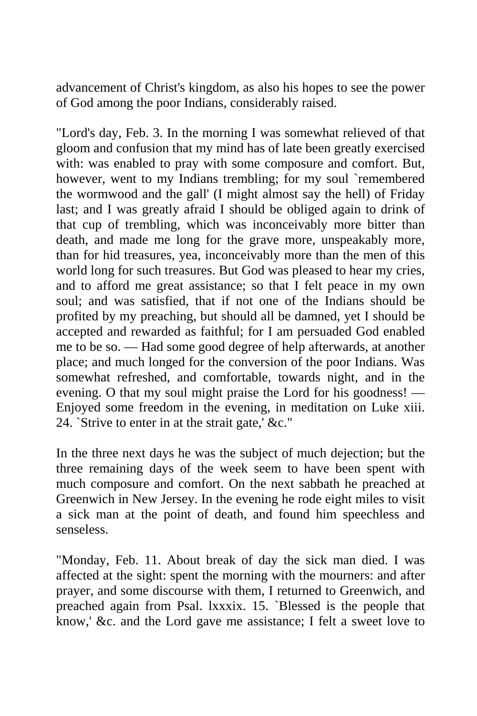advancement of Christ's kingdom, as also his hopes to see the power of God among the poor Indians, considerably raised.

"Lord's day, Feb. 3. In the morning I was somewhat relieved of that gloom and confusion that my mind has of late been greatly exercised with: was enabled to pray with some composure and comfort. But, however, went to my Indians trembling; for my soul `remembered the wormwood and the gall' (I might almost say the hell) of Friday last; and I was greatly afraid I should be obliged again to drink of that cup of trembling, which was inconceivably more bitter than death, and made me long for the grave more, unspeakably more, than for hid treasures, yea, inconceivably more than the men of this world long for such treasures. But God was pleased to hear my cries, and to afford me great assistance; so that I felt peace in my own soul; and was satisfied, that if not one of the Indians should be profited by my preaching, but should all be damned, yet I should be accepted and rewarded as faithful; for I am persuaded God enabled me to be so. — Had some good degree of help afterwards, at another place; and much longed for the conversion of the poor Indians. Was somewhat refreshed, and comfortable, towards night, and in the evening. O that my soul might praise the Lord for his goodness! — Enjoyed some freedom in the evening, in meditation on Luke xiii. 24. `Strive to enter in at the strait gate,' &c."

In the three next days he was the subject of much dejection; but the three remaining days of the week seem to have been spent with much composure and comfort. On the next sabbath he preached at Greenwich in New Jersey. In the evening he rode eight miles to visit a sick man at the point of death, and found him speechless and senseless.

"Monday, Feb. 11. About break of day the sick man died. I was affected at the sight: spent the morning with the mourners: and after prayer, and some discourse with them, I returned to Greenwich, and preached again from Psal. lxxxix. 15. `Blessed is the people that know,' &c. and the Lord gave me assistance; I felt a sweet love to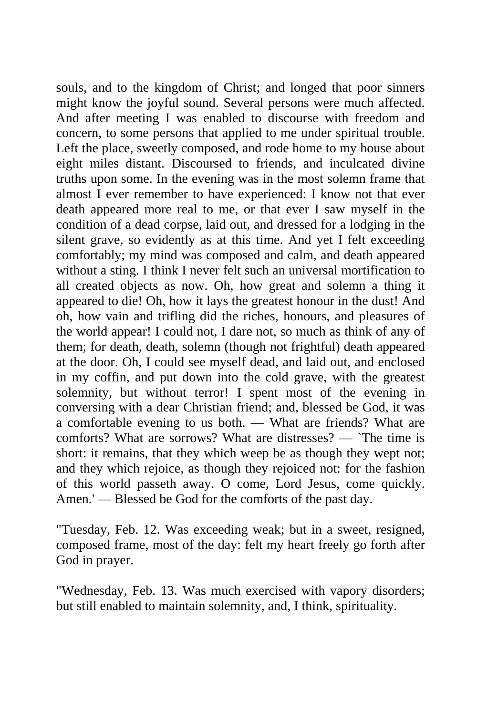souls, and to the kingdom of Christ; and longed that poor sinners might know the joyful sound. Several persons were much affected. And after meeting I was enabled to discourse with freedom and concern, to some persons that applied to me under spiritual trouble. Left the place, sweetly composed, and rode home to my house about eight miles distant. Discoursed to friends, and inculcated divine truths upon some. In the evening was in the most solemn frame that almost I ever remember to have experienced: I know not that ever death appeared more real to me, or that ever I saw myself in the condition of a dead corpse, laid out, and dressed for a lodging in the silent grave, so evidently as at this time. And yet I felt exceeding comfortably; my mind was composed and calm, and death appeared without a sting. I think I never felt such an universal mortification to all created objects as now. Oh, how great and solemn a thing it appeared to die! Oh, how it lays the greatest honour in the dust! And oh, how vain and trifling did the riches, honours, and pleasures of the world appear! I could not, I dare not, so much as think of any of them; for death, death, solemn (though not frightful) death appeared at the door. Oh, I could see myself dead, and laid out, and enclosed in my coffin, and put down into the cold grave, with the greatest solemnity, but without terror! I spent most of the evening in conversing with a dear Christian friend; and, blessed be God, it was a comfortable evening to us both. — What are friends? What are comforts? What are sorrows? What are distresses? — `The time is short: it remains, that they which weep be as though they wept not; and they which rejoice, as though they rejoiced not: for the fashion of this world passeth away. O come, Lord Jesus, come quickly. Amen.' — Blessed be God for the comforts of the past day.

"Tuesday, Feb. 12. Was exceeding weak; but in a sweet, resigned, composed frame, most of the day: felt my heart freely go forth after God in prayer.

"Wednesday, Feb. 13. Was much exercised with vapory disorders; but still enabled to maintain solemnity, and, I think, spirituality.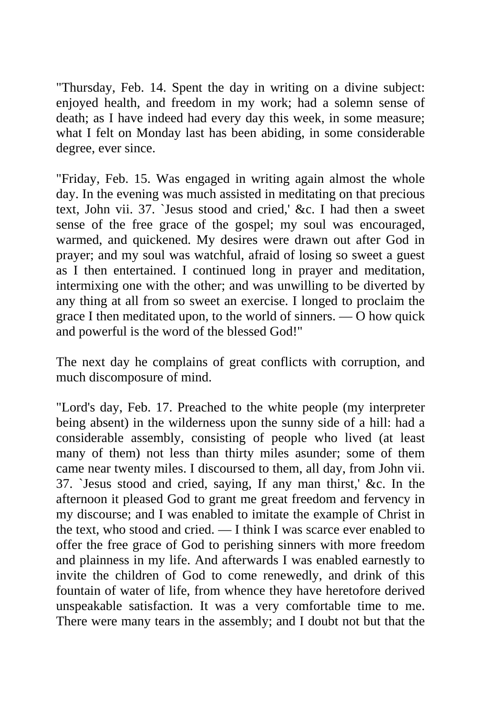"Thursday, Feb. 14. Spent the day in writing on a divine subject: enjoyed health, and freedom in my work; had a solemn sense of death; as I have indeed had every day this week, in some measure; what I felt on Monday last has been abiding, in some considerable degree, ever since.

"Friday, Feb. 15. Was engaged in writing again almost the whole day. In the evening was much assisted in meditating on that precious text, John vii. 37. `Jesus stood and cried,' &c. I had then a sweet sense of the free grace of the gospel; my soul was encouraged, warmed, and quickened. My desires were drawn out after God in prayer; and my soul was watchful, afraid of losing so sweet a guest as I then entertained. I continued long in prayer and meditation, intermixing one with the other; and was unwilling to be diverted by any thing at all from so sweet an exercise. I longed to proclaim the grace I then meditated upon, to the world of sinners. — O how quick and powerful is the word of the blessed God!"

The next day he complains of great conflicts with corruption, and much discomposure of mind.

"Lord's day, Feb. 17. Preached to the white people (my interpreter being absent) in the wilderness upon the sunny side of a hill: had a considerable assembly, consisting of people who lived (at least many of them) not less than thirty miles asunder; some of them came near twenty miles. I discoursed to them, all day, from John vii. 37. `Jesus stood and cried, saying, If any man thirst,' &c. In the afternoon it pleased God to grant me great freedom and fervency in my discourse; and I was enabled to imitate the example of Christ in the text, who stood and cried. — I think I was scarce ever enabled to offer the free grace of God to perishing sinners with more freedom and plainness in my life. And afterwards I was enabled earnestly to invite the children of God to come renewedly, and drink of this fountain of water of life, from whence they have heretofore derived unspeakable satisfaction. It was a very comfortable time to me. There were many tears in the assembly; and I doubt not but that the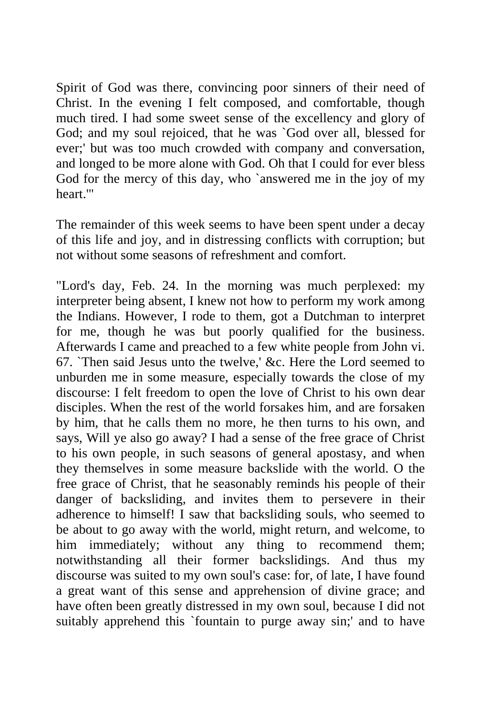Spirit of God was there, convincing poor sinners of their need of Christ. In the evening I felt composed, and comfortable, though much tired. I had some sweet sense of the excellency and glory of God; and my soul rejoiced, that he was `God over all, blessed for ever;' but was too much crowded with company and conversation, and longed to be more alone with God. Oh that I could for ever bless God for the mercy of this day, who `answered me in the joy of my heart.'"

The remainder of this week seems to have been spent under a decay of this life and joy, and in distressing conflicts with corruption; but not without some seasons of refreshment and comfort.

"Lord's day, Feb. 24. In the morning was much perplexed: my interpreter being absent, I knew not how to perform my work among the Indians. However, I rode to them, got a Dutchman to interpret for me, though he was but poorly qualified for the business. Afterwards I came and preached to a few white people from John vi. 67. `Then said Jesus unto the twelve,' &c. Here the Lord seemed to unburden me in some measure, especially towards the close of my discourse: I felt freedom to open the love of Christ to his own dear disciples. When the rest of the world forsakes him, and are forsaken by him, that he calls them no more, he then turns to his own, and says, Will ye also go away? I had a sense of the free grace of Christ to his own people, in such seasons of general apostasy, and when they themselves in some measure backslide with the world. O the free grace of Christ, that he seasonably reminds his people of their danger of backsliding, and invites them to persevere in their adherence to himself! I saw that backsliding souls, who seemed to be about to go away with the world, might return, and welcome, to him immediately; without any thing to recommend them; notwithstanding all their former backslidings. And thus my discourse was suited to my own soul's case: for, of late, I have found a great want of this sense and apprehension of divine grace; and have often been greatly distressed in my own soul, because I did not suitably apprehend this `fountain to purge away sin;' and to have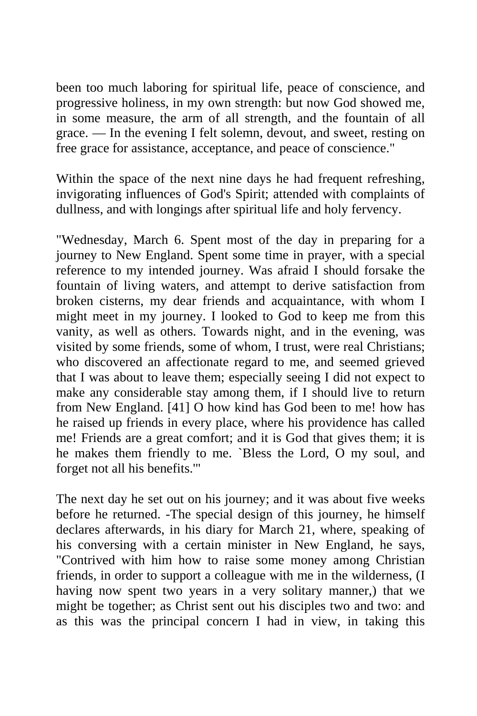been too much laboring for spiritual life, peace of conscience, and progressive holiness, in my own strength: but now God showed me, in some measure, the arm of all strength, and the fountain of all grace. — In the evening I felt solemn, devout, and sweet, resting on free grace for assistance, acceptance, and peace of conscience."

Within the space of the next nine days he had frequent refreshing, invigorating influences of God's Spirit; attended with complaints of dullness, and with longings after spiritual life and holy fervency.

"Wednesday, March 6. Spent most of the day in preparing for a journey to New England. Spent some time in prayer, with a special reference to my intended journey. Was afraid I should forsake the fountain of living waters, and attempt to derive satisfaction from broken cisterns, my dear friends and acquaintance, with whom I might meet in my journey. I looked to God to keep me from this vanity, as well as others. Towards night, and in the evening, was visited by some friends, some of whom, I trust, were real Christians; who discovered an affectionate regard to me, and seemed grieved that I was about to leave them; especially seeing I did not expect to make any considerable stay among them, if I should live to return from New England. [41] O how kind has God been to me! how has he raised up friends in every place, where his providence has called me! Friends are a great comfort; and it is God that gives them; it is he makes them friendly to me. `Bless the Lord, O my soul, and forget not all his benefits.'"

The next day he set out on his journey; and it was about five weeks before he returned. -The special design of this journey, he himself declares afterwards, in his diary for March 21, where, speaking of his conversing with a certain minister in New England, he says, "Contrived with him how to raise some money among Christian friends, in order to support a colleague with me in the wilderness, (I having now spent two years in a very solitary manner,) that we might be together; as Christ sent out his disciples two and two: and as this was the principal concern I had in view, in taking this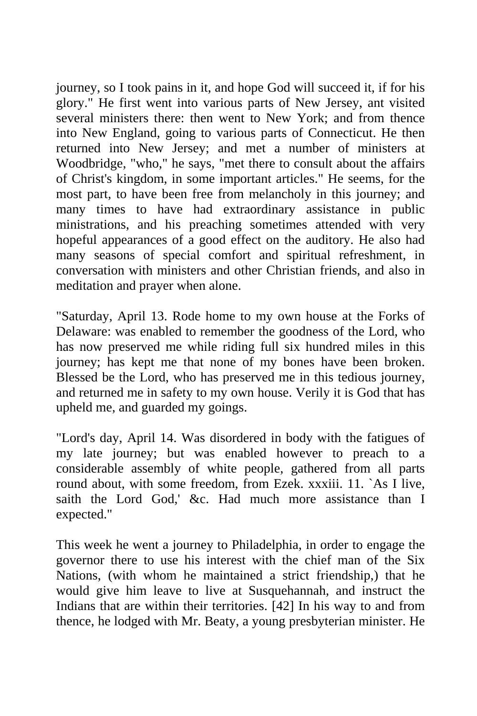journey, so I took pains in it, and hope God will succeed it, if for his glory." He first went into various parts of New Jersey, ant visited several ministers there: then went to New York; and from thence into New England, going to various parts of Connecticut. He then returned into New Jersey; and met a number of ministers at Woodbridge, "who," he says, "met there to consult about the affairs of Christ's kingdom, in some important articles." He seems, for the most part, to have been free from melancholy in this journey; and many times to have had extraordinary assistance in public ministrations, and his preaching sometimes attended with very hopeful appearances of a good effect on the auditory. He also had many seasons of special comfort and spiritual refreshment, in conversation with ministers and other Christian friends, and also in meditation and prayer when alone.

"Saturday, April 13. Rode home to my own house at the Forks of Delaware: was enabled to remember the goodness of the Lord, who has now preserved me while riding full six hundred miles in this journey; has kept me that none of my bones have been broken. Blessed be the Lord, who has preserved me in this tedious journey, and returned me in safety to my own house. Verily it is God that has upheld me, and guarded my goings.

"Lord's day, April 14. Was disordered in body with the fatigues of my late journey; but was enabled however to preach to a considerable assembly of white people, gathered from all parts round about, with some freedom, from Ezek. xxxiii. 11. `As I live, saith the Lord God,' &c. Had much more assistance than I expected."

This week he went a journey to Philadelphia, in order to engage the governor there to use his interest with the chief man of the Six Nations, (with whom he maintained a strict friendship,) that he would give him leave to live at Susquehannah, and instruct the Indians that are within their territories. [42] In his way to and from thence, he lodged with Mr. Beaty, a young presbyterian minister. He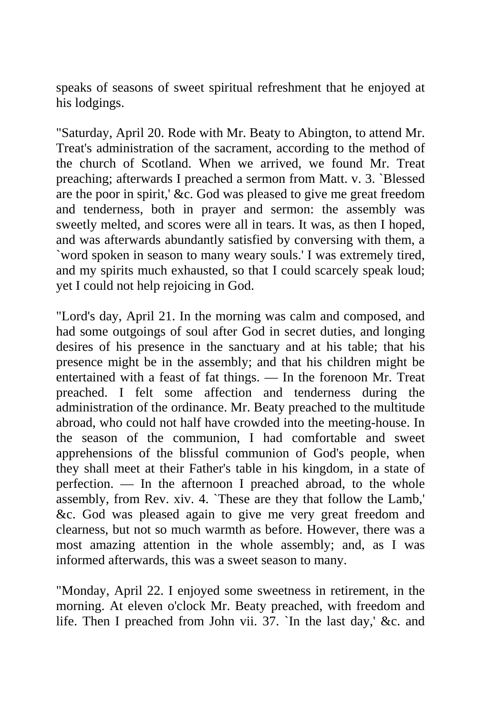speaks of seasons of sweet spiritual refreshment that he enjoyed at his lodgings.

"Saturday, April 20. Rode with Mr. Beaty to Abington, to attend Mr. Treat's administration of the sacrament, according to the method of the church of Scotland. When we arrived, we found Mr. Treat preaching; afterwards I preached a sermon from Matt. v. 3. `Blessed are the poor in spirit,' &c. God was pleased to give me great freedom and tenderness, both in prayer and sermon: the assembly was sweetly melted, and scores were all in tears. It was, as then I hoped, and was afterwards abundantly satisfied by conversing with them, a `word spoken in season to many weary souls.' I was extremely tired, and my spirits much exhausted, so that I could scarcely speak loud; yet I could not help rejoicing in God.

"Lord's day, April 21. In the morning was calm and composed, and had some outgoings of soul after God in secret duties, and longing desires of his presence in the sanctuary and at his table; that his presence might be in the assembly; and that his children might be entertained with a feast of fat things. — In the forenoon Mr. Treat preached. I felt some affection and tenderness during the administration of the ordinance. Mr. Beaty preached to the multitude abroad, who could not half have crowded into the meeting-house. In the season of the communion, I had comfortable and sweet apprehensions of the blissful communion of God's people, when they shall meet at their Father's table in his kingdom, in a state of perfection. — In the afternoon I preached abroad, to the whole assembly, from Rev. xiv. 4. `These are they that follow the Lamb,' &c. God was pleased again to give me very great freedom and clearness, but not so much warmth as before. However, there was a most amazing attention in the whole assembly; and, as I was informed afterwards, this was a sweet season to many.

"Monday, April 22. I enjoyed some sweetness in retirement, in the morning. At eleven o'clock Mr. Beaty preached, with freedom and life. Then I preached from John vii. 37. `In the last day,' &c. and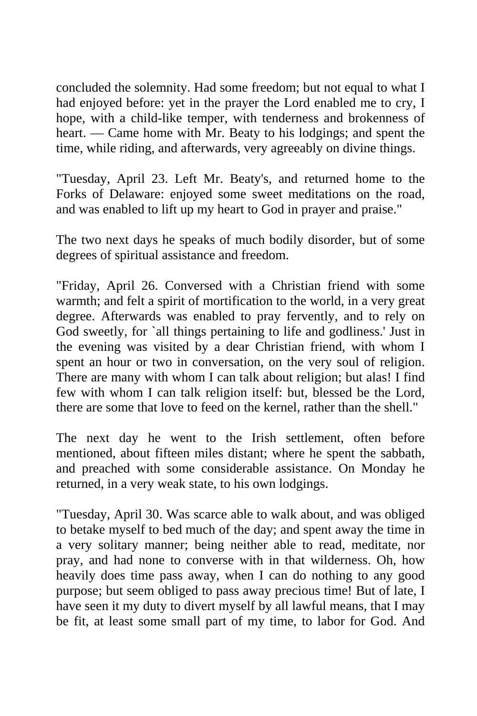concluded the solemnity. Had some freedom; but not equal to what I had enjoyed before: yet in the prayer the Lord enabled me to cry, I hope, with a child-like temper, with tenderness and brokenness of heart. — Came home with Mr. Beaty to his lodgings; and spent the time, while riding, and afterwards, very agreeably on divine things.

"Tuesday, April 23. Left Mr. Beaty's, and returned home to the Forks of Delaware: enjoyed some sweet meditations on the road, and was enabled to lift up my heart to God in prayer and praise."

The two next days he speaks of much bodily disorder, but of some degrees of spiritual assistance and freedom.

"Friday, April 26. Conversed with a Christian friend with some warmth; and felt a spirit of mortification to the world, in a very great degree. Afterwards was enabled to pray fervently, and to rely on God sweetly, for `all things pertaining to life and godliness.' Just in the evening was visited by a dear Christian friend, with whom I spent an hour or two in conversation, on the very soul of religion. There are many with whom I can talk about religion; but alas! I find few with whom I can talk religion itself: but, blessed be the Lord, there are some that love to feed on the kernel, rather than the shell."

The next day he went to the Irish settlement, often before mentioned, about fifteen miles distant; where he spent the sabbath, and preached with some considerable assistance. On Monday he returned, in a very weak state, to his own lodgings.

"Tuesday, April 30. Was scarce able to walk about, and was obliged to betake myself to bed much of the day; and spent away the time in a very solitary manner; being neither able to read, meditate, nor pray, and had none to converse with in that wilderness. Oh, how heavily does time pass away, when I can do nothing to any good purpose; but seem obliged to pass away precious time! But of late, I have seen it my duty to divert myself by all lawful means, that I may be fit, at least some small part of my time, to labor for God. And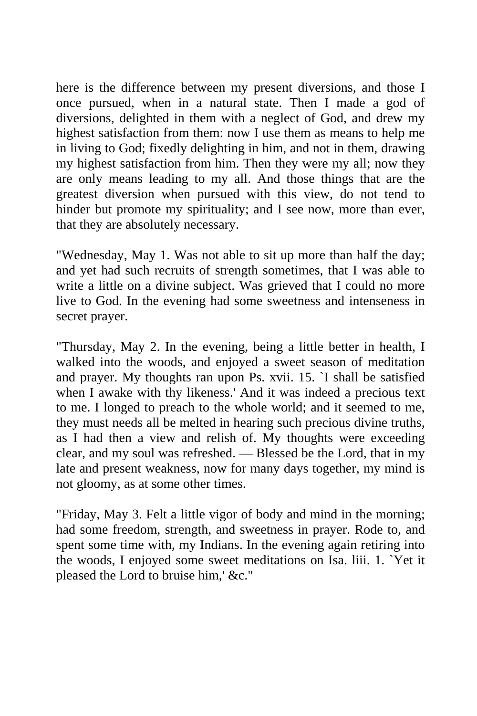here is the difference between my present diversions, and those I once pursued, when in a natural state. Then I made a god of diversions, delighted in them with a neglect of God, and drew my highest satisfaction from them: now I use them as means to help me in living to God; fixedly delighting in him, and not in them, drawing my highest satisfaction from him. Then they were my all; now they are only means leading to my all. And those things that are the greatest diversion when pursued with this view, do not tend to hinder but promote my spirituality; and I see now, more than ever, that they are absolutely necessary.

"Wednesday, May 1. Was not able to sit up more than half the day; and yet had such recruits of strength sometimes, that I was able to write a little on a divine subject. Was grieved that I could no more live to God. In the evening had some sweetness and intenseness in secret prayer.

"Thursday, May 2. In the evening, being a little better in health, I walked into the woods, and enjoyed a sweet season of meditation and prayer. My thoughts ran upon Ps. xvii. 15. `I shall be satisfied when I awake with thy likeness.' And it was indeed a precious text to me. I longed to preach to the whole world; and it seemed to me, they must needs all be melted in hearing such precious divine truths, as I had then a view and relish of. My thoughts were exceeding clear, and my soul was refreshed. — Blessed be the Lord, that in my late and present weakness, now for many days together, my mind is not gloomy, as at some other times.

"Friday, May 3. Felt a little vigor of body and mind in the morning; had some freedom, strength, and sweetness in prayer. Rode to, and spent some time with, my Indians. In the evening again retiring into the woods, I enjoyed some sweet meditations on Isa. liii. 1. `Yet it pleased the Lord to bruise him,' &c."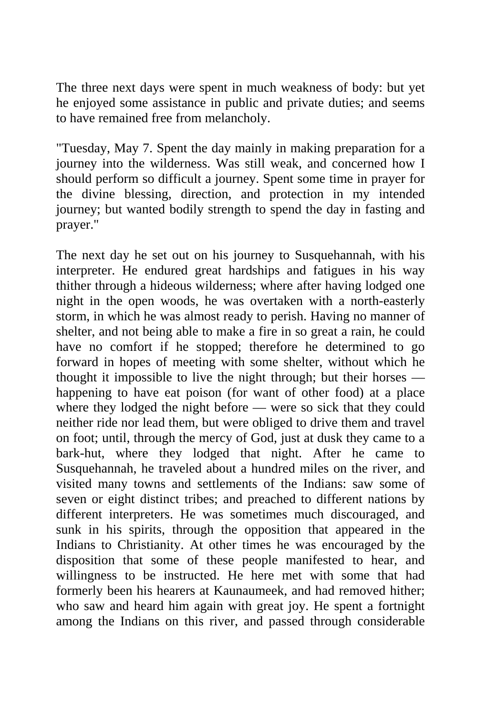The three next days were spent in much weakness of body: but yet he enjoyed some assistance in public and private duties; and seems to have remained free from melancholy.

"Tuesday, May 7. Spent the day mainly in making preparation for a journey into the wilderness. Was still weak, and concerned how I should perform so difficult a journey. Spent some time in prayer for the divine blessing, direction, and protection in my intended journey; but wanted bodily strength to spend the day in fasting and prayer."

The next day he set out on his journey to Susquehannah, with his interpreter. He endured great hardships and fatigues in his way thither through a hideous wilderness; where after having lodged one night in the open woods, he was overtaken with a north-easterly storm, in which he was almost ready to perish. Having no manner of shelter, and not being able to make a fire in so great a rain, he could have no comfort if he stopped; therefore he determined to go forward in hopes of meeting with some shelter, without which he thought it impossible to live the night through; but their horses happening to have eat poison (for want of other food) at a place where they lodged the night before — were so sick that they could neither ride nor lead them, but were obliged to drive them and travel on foot; until, through the mercy of God, just at dusk they came to a bark-hut, where they lodged that night. After he came to Susquehannah, he traveled about a hundred miles on the river, and visited many towns and settlements of the Indians: saw some of seven or eight distinct tribes; and preached to different nations by different interpreters. He was sometimes much discouraged, and sunk in his spirits, through the opposition that appeared in the Indians to Christianity. At other times he was encouraged by the disposition that some of these people manifested to hear, and willingness to be instructed. He here met with some that had formerly been his hearers at Kaunaumeek, and had removed hither; who saw and heard him again with great joy. He spent a fortnight among the Indians on this river, and passed through considerable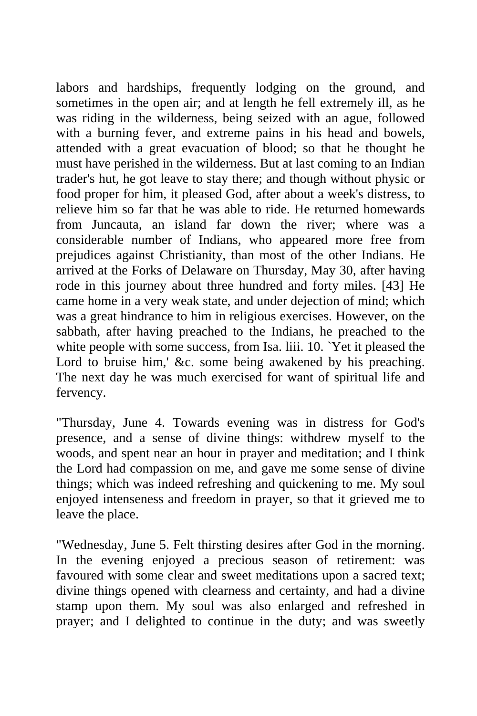labors and hardships, frequently lodging on the ground, and sometimes in the open air; and at length he fell extremely ill, as he was riding in the wilderness, being seized with an ague, followed with a burning fever, and extreme pains in his head and bowels, attended with a great evacuation of blood; so that he thought he must have perished in the wilderness. But at last coming to an Indian trader's hut, he got leave to stay there; and though without physic or food proper for him, it pleased God, after about a week's distress, to relieve him so far that he was able to ride. He returned homewards from Juncauta, an island far down the river; where was a considerable number of Indians, who appeared more free from prejudices against Christianity, than most of the other Indians. He arrived at the Forks of Delaware on Thursday, May 30, after having rode in this journey about three hundred and forty miles. [43] He came home in a very weak state, and under dejection of mind; which was a great hindrance to him in religious exercises. However, on the sabbath, after having preached to the Indians, he preached to the white people with some success, from Isa. liii. 10. `Yet it pleased the Lord to bruise him,' &c. some being awakened by his preaching. The next day he was much exercised for want of spiritual life and fervency.

"Thursday, June 4. Towards evening was in distress for God's presence, and a sense of divine things: withdrew myself to the woods, and spent near an hour in prayer and meditation; and I think the Lord had compassion on me, and gave me some sense of divine things; which was indeed refreshing and quickening to me. My soul enjoyed intenseness and freedom in prayer, so that it grieved me to leave the place.

"Wednesday, June 5. Felt thirsting desires after God in the morning. In the evening enjoyed a precious season of retirement: was favoured with some clear and sweet meditations upon a sacred text; divine things opened with clearness and certainty, and had a divine stamp upon them. My soul was also enlarged and refreshed in prayer; and I delighted to continue in the duty; and was sweetly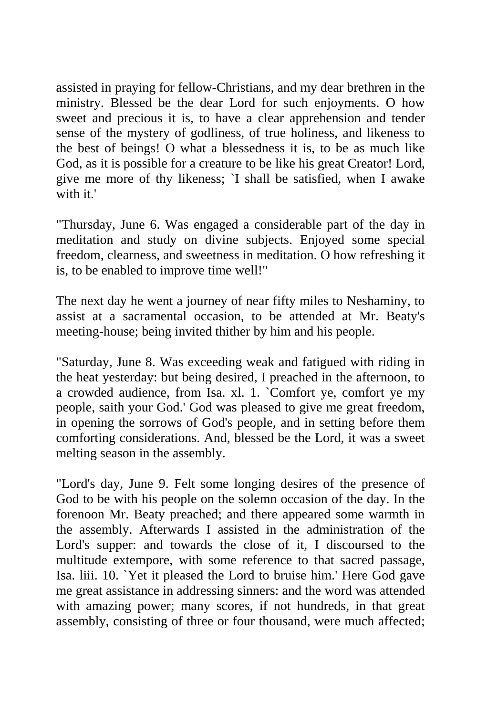assisted in praying for fellow-Christians, and my dear brethren in the ministry. Blessed be the dear Lord for such enjoyments. O how sweet and precious it is, to have a clear apprehension and tender sense of the mystery of godliness, of true holiness, and likeness to the best of beings! O what a blessedness it is, to be as much like God, as it is possible for a creature to be like his great Creator! Lord, give me more of thy likeness; `I shall be satisfied, when I awake with it.'

"Thursday, June 6. Was engaged a considerable part of the day in meditation and study on divine subjects. Enjoyed some special freedom, clearness, and sweetness in meditation. O how refreshing it is, to be enabled to improve time well!"

The next day he went a journey of near fifty miles to Neshaminy, to assist at a sacramental occasion, to be attended at Mr. Beaty's meeting-house; being invited thither by him and his people.

"Saturday, June 8. Was exceeding weak and fatigued with riding in the heat yesterday: but being desired, I preached in the afternoon, to a crowded audience, from Isa. xl. 1. `Comfort ye, comfort ye my people, saith your God.' God was pleased to give me great freedom, in opening the sorrows of God's people, and in setting before them comforting considerations. And, blessed be the Lord, it was a sweet melting season in the assembly.

"Lord's day, June 9. Felt some longing desires of the presence of God to be with his people on the solemn occasion of the day. In the forenoon Mr. Beaty preached; and there appeared some warmth in the assembly. Afterwards I assisted in the administration of the Lord's supper: and towards the close of it, I discoursed to the multitude extempore, with some reference to that sacred passage, Isa. liii. 10. `Yet it pleased the Lord to bruise him.' Here God gave me great assistance in addressing sinners: and the word was attended with amazing power; many scores, if not hundreds, in that great assembly, consisting of three or four thousand, were much affected;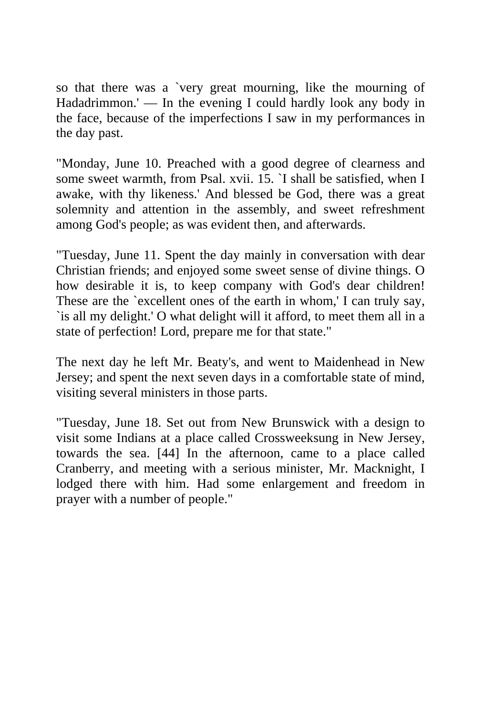so that there was a `very great mourning, like the mourning of Hadadrimmon.' — In the evening I could hardly look any body in the face, because of the imperfections I saw in my performances in the day past.

"Monday, June 10. Preached with a good degree of clearness and some sweet warmth, from Psal. xvii. 15. `I shall be satisfied, when I awake, with thy likeness.' And blessed be God, there was a great solemnity and attention in the assembly, and sweet refreshment among God's people; as was evident then, and afterwards.

"Tuesday, June 11. Spent the day mainly in conversation with dear Christian friends; and enjoyed some sweet sense of divine things. O how desirable it is, to keep company with God's dear children! These are the `excellent ones of the earth in whom,' I can truly say, `is all my delight.' O what delight will it afford, to meet them all in a state of perfection! Lord, prepare me for that state."

The next day he left Mr. Beaty's, and went to Maidenhead in New Jersey; and spent the next seven days in a comfortable state of mind, visiting several ministers in those parts.

"Tuesday, June 18. Set out from New Brunswick with a design to visit some Indians at a place called Crossweeksung in New Jersey, towards the sea. [44] In the afternoon, came to a place called Cranberry, and meeting with a serious minister, Mr. Macknight, I lodged there with him. Had some enlargement and freedom in prayer with a number of people."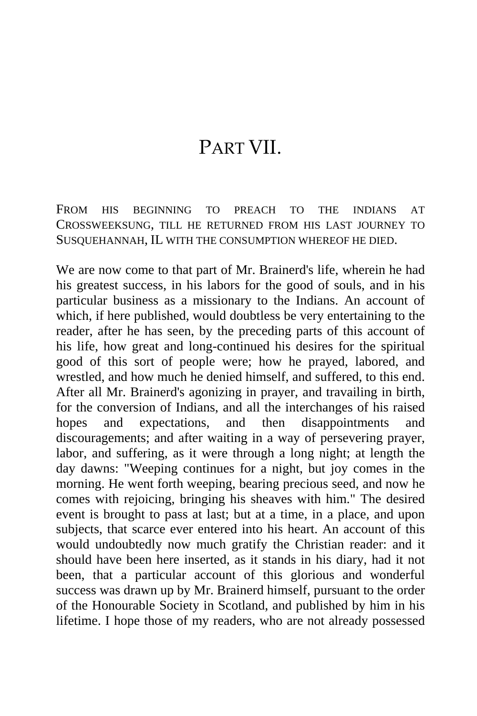## PART VII.

FROM HIS BEGINNING TO PREACH TO THE INDIANS AT CROSSWEEKSUNG, TILL HE RETURNED FROM HIS LAST JOURNEY TO SUSQUEHANNAH, IL WITH THE CONSUMPTION WHEREOF HE DIED.

We are now come to that part of Mr. Brainerd's life, wherein he had his greatest success, in his labors for the good of souls, and in his particular business as a missionary to the Indians. An account of which, if here published, would doubtless be very entertaining to the reader, after he has seen, by the preceding parts of this account of his life, how great and long-continued his desires for the spiritual good of this sort of people were; how he prayed, labored, and wrestled, and how much he denied himself, and suffered, to this end. After all Mr. Brainerd's agonizing in prayer, and travailing in birth, for the conversion of Indians, and all the interchanges of his raised hopes and expectations, and then disappointments and discouragements; and after waiting in a way of persevering prayer, labor, and suffering, as it were through a long night; at length the day dawns: "Weeping continues for a night, but joy comes in the morning. He went forth weeping, bearing precious seed, and now he comes with rejoicing, bringing his sheaves with him." The desired event is brought to pass at last; but at a time, in a place, and upon subjects, that scarce ever entered into his heart. An account of this would undoubtedly now much gratify the Christian reader: and it should have been here inserted, as it stands in his diary, had it not been, that a particular account of this glorious and wonderful success was drawn up by Mr. Brainerd himself, pursuant to the order of the Honourable Society in Scotland, and published by him in his lifetime. I hope those of my readers, who are not already possessed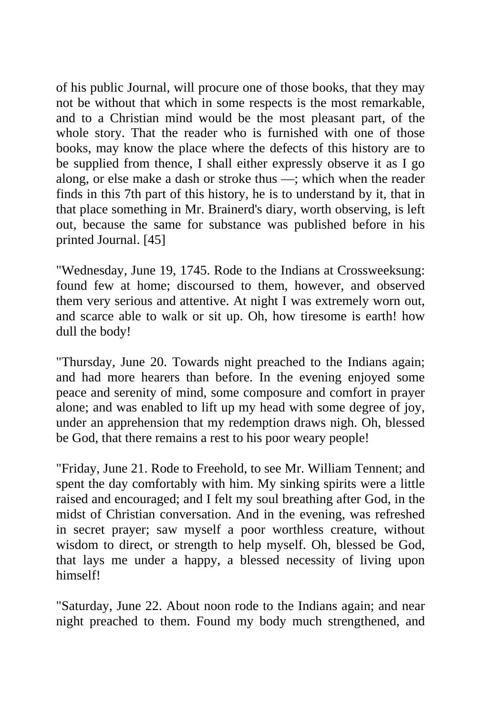of his public Journal, will procure one of those books, that they may not be without that which in some respects is the most remarkable, and to a Christian mind would be the most pleasant part, of the whole story. That the reader who is furnished with one of those books, may know the place where the defects of this history are to be supplied from thence, I shall either expressly observe it as I go along, or else make a dash or stroke thus —; which when the reader finds in this 7th part of this history, he is to understand by it, that in that place something in Mr. Brainerd's diary, worth observing, is left out, because the same for substance was published before in his printed Journal. [45]

"Wednesday, June 19, 1745. Rode to the Indians at Crossweeksung: found few at home; discoursed to them, however, and observed them very serious and attentive. At night I was extremely worn out, and scarce able to walk or sit up. Oh, how tiresome is earth! how dull the body!

"Thursday, June 20. Towards night preached to the Indians again; and had more hearers than before. In the evening enjoyed some peace and serenity of mind, some composure and comfort in prayer alone; and was enabled to lift up my head with some degree of joy, under an apprehension that my redemption draws nigh. Oh, blessed be God, that there remains a rest to his poor weary people!

"Friday, June 21. Rode to Freehold, to see Mr. William Tennent; and spent the day comfortably with him. My sinking spirits were a little raised and encouraged; and I felt my soul breathing after God, in the midst of Christian conversation. And in the evening, was refreshed in secret prayer; saw myself a poor worthless creature, without wisdom to direct, or strength to help myself. Oh, blessed be God, that lays me under a happy, a blessed necessity of living upon himself!

"Saturday, June 22. About noon rode to the Indians again; and near night preached to them. Found my body much strengthened, and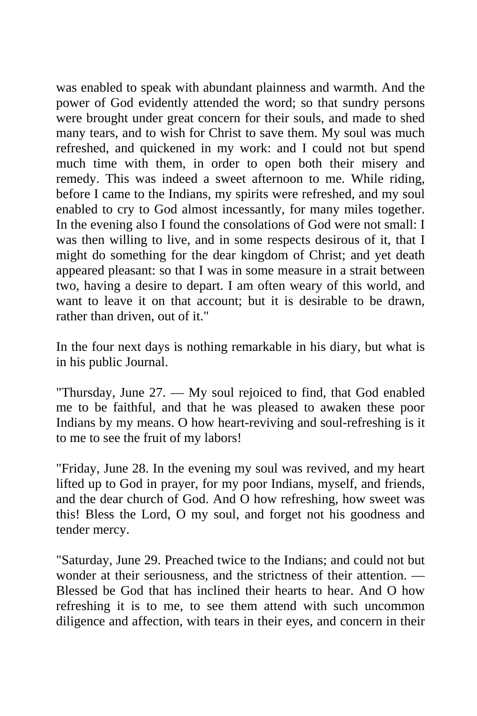was enabled to speak with abundant plainness and warmth. And the power of God evidently attended the word; so that sundry persons were brought under great concern for their souls, and made to shed many tears, and to wish for Christ to save them. My soul was much refreshed, and quickened in my work: and I could not but spend much time with them, in order to open both their misery and remedy. This was indeed a sweet afternoon to me. While riding, before I came to the Indians, my spirits were refreshed, and my soul enabled to cry to God almost incessantly, for many miles together. In the evening also I found the consolations of God were not small: I was then willing to live, and in some respects desirous of it, that I might do something for the dear kingdom of Christ; and yet death appeared pleasant: so that I was in some measure in a strait between two, having a desire to depart. I am often weary of this world, and want to leave it on that account; but it is desirable to be drawn, rather than driven, out of it."

In the four next days is nothing remarkable in his diary, but what is in his public Journal.

"Thursday, June 27. — My soul rejoiced to find, that God enabled me to be faithful, and that he was pleased to awaken these poor Indians by my means. O how heart-reviving and soul-refreshing is it to me to see the fruit of my labors!

"Friday, June 28. In the evening my soul was revived, and my heart lifted up to God in prayer, for my poor Indians, myself, and friends, and the dear church of God. And O how refreshing, how sweet was this! Bless the Lord, O my soul, and forget not his goodness and tender mercy.

"Saturday, June 29. Preached twice to the Indians; and could not but wonder at their seriousness, and the strictness of their attention. — Blessed be God that has inclined their hearts to hear. And O how refreshing it is to me, to see them attend with such uncommon diligence and affection, with tears in their eyes, and concern in their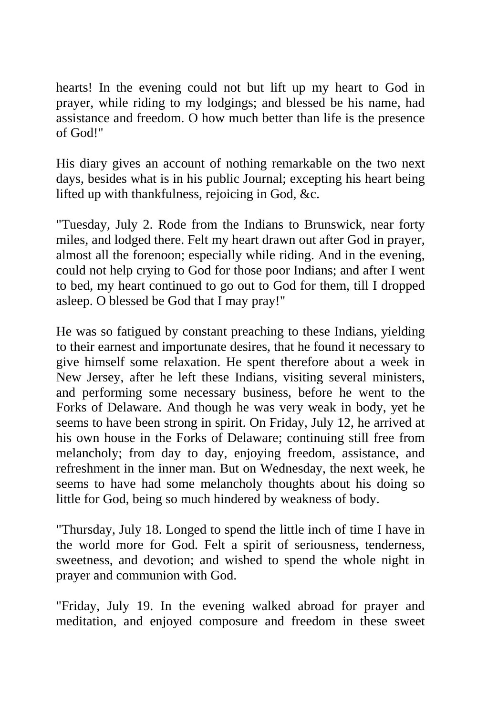hearts! In the evening could not but lift up my heart to God in prayer, while riding to my lodgings; and blessed be his name, had assistance and freedom. O how much better than life is the presence of God!"

His diary gives an account of nothing remarkable on the two next days, besides what is in his public Journal; excepting his heart being lifted up with thankfulness, rejoicing in God, &c.

"Tuesday, July 2. Rode from the Indians to Brunswick, near forty miles, and lodged there. Felt my heart drawn out after God in prayer, almost all the forenoon; especially while riding. And in the evening, could not help crying to God for those poor Indians; and after I went to bed, my heart continued to go out to God for them, till I dropped asleep. O blessed be God that I may pray!"

He was so fatigued by constant preaching to these Indians, yielding to their earnest and importunate desires, that he found it necessary to give himself some relaxation. He spent therefore about a week in New Jersey, after he left these Indians, visiting several ministers, and performing some necessary business, before he went to the Forks of Delaware. And though he was very weak in body, yet he seems to have been strong in spirit. On Friday, July 12, he arrived at his own house in the Forks of Delaware; continuing still free from melancholy; from day to day, enjoying freedom, assistance, and refreshment in the inner man. But on Wednesday, the next week, he seems to have had some melancholy thoughts about his doing so little for God, being so much hindered by weakness of body.

"Thursday, July 18. Longed to spend the little inch of time I have in the world more for God. Felt a spirit of seriousness, tenderness, sweetness, and devotion; and wished to spend the whole night in prayer and communion with God.

"Friday, July 19. In the evening walked abroad for prayer and meditation, and enjoyed composure and freedom in these sweet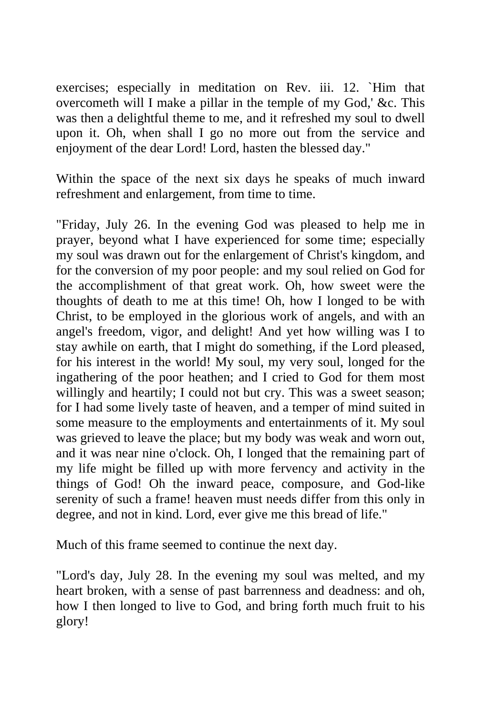exercises; especially in meditation on Rev. iii. 12. `Him that overcometh will I make a pillar in the temple of my God,' &c. This was then a delightful theme to me, and it refreshed my soul to dwell upon it. Oh, when shall I go no more out from the service and enjoyment of the dear Lord! Lord, hasten the blessed day."

Within the space of the next six days he speaks of much inward refreshment and enlargement, from time to time.

"Friday, July 26. In the evening God was pleased to help me in prayer, beyond what I have experienced for some time; especially my soul was drawn out for the enlargement of Christ's kingdom, and for the conversion of my poor people: and my soul relied on God for the accomplishment of that great work. Oh, how sweet were the thoughts of death to me at this time! Oh, how I longed to be with Christ, to be employed in the glorious work of angels, and with an angel's freedom, vigor, and delight! And yet how willing was I to stay awhile on earth, that I might do something, if the Lord pleased, for his interest in the world! My soul, my very soul, longed for the ingathering of the poor heathen; and I cried to God for them most willingly and heartily; I could not but cry. This was a sweet season; for I had some lively taste of heaven, and a temper of mind suited in some measure to the employments and entertainments of it. My soul was grieved to leave the place; but my body was weak and worn out, and it was near nine o'clock. Oh, I longed that the remaining part of my life might be filled up with more fervency and activity in the things of God! Oh the inward peace, composure, and God-like serenity of such a frame! heaven must needs differ from this only in degree, and not in kind. Lord, ever give me this bread of life."

Much of this frame seemed to continue the next day.

"Lord's day, July 28. In the evening my soul was melted, and my heart broken, with a sense of past barrenness and deadness: and oh, how I then longed to live to God, and bring forth much fruit to his glory!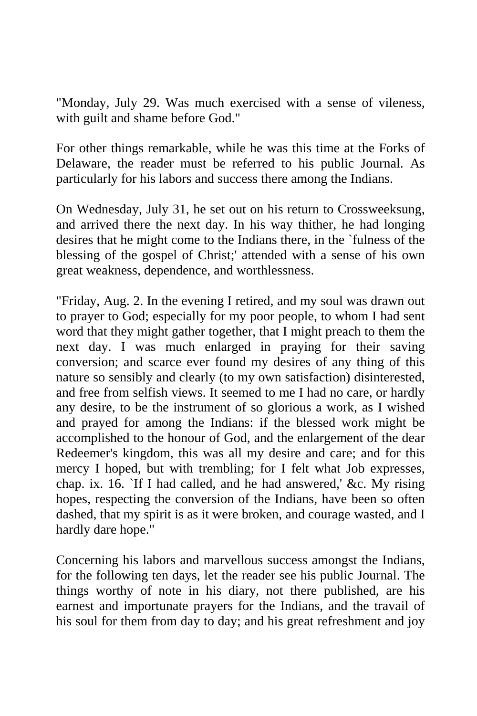"Monday, July 29. Was much exercised with a sense of vileness, with guilt and shame before God."

For other things remarkable, while he was this time at the Forks of Delaware, the reader must be referred to his public Journal. As particularly for his labors and success there among the Indians.

On Wednesday, July 31, he set out on his return to Crossweeksung, and arrived there the next day. In his way thither, he had longing desires that he might come to the Indians there, in the `fulness of the blessing of the gospel of Christ;' attended with a sense of his own great weakness, dependence, and worthlessness.

"Friday, Aug. 2. In the evening I retired, and my soul was drawn out to prayer to God; especially for my poor people, to whom I had sent word that they might gather together, that I might preach to them the next day. I was much enlarged in praying for their saving conversion; and scarce ever found my desires of any thing of this nature so sensibly and clearly (to my own satisfaction) disinterested, and free from selfish views. It seemed to me I had no care, or hardly any desire, to be the instrument of so glorious a work, as I wished and prayed for among the Indians: if the blessed work might be accomplished to the honour of God, and the enlargement of the dear Redeemer's kingdom, this was all my desire and care; and for this mercy I hoped, but with trembling; for I felt what Job expresses, chap. ix. 16. `If I had called, and he had answered,' &c. My rising hopes, respecting the conversion of the Indians, have been so often dashed, that my spirit is as it were broken, and courage wasted, and I hardly dare hope."

Concerning his labors and marvellous success amongst the Indians, for the following ten days, let the reader see his public Journal. The things worthy of note in his diary, not there published, are his earnest and importunate prayers for the Indians, and the travail of his soul for them from day to day; and his great refreshment and joy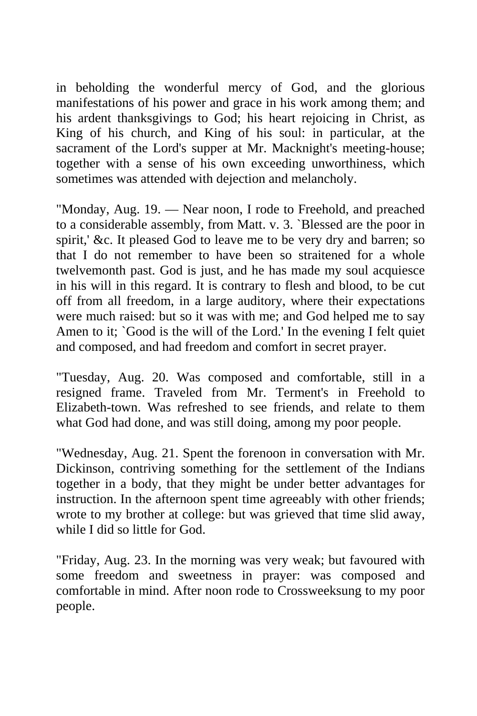in beholding the wonderful mercy of God, and the glorious manifestations of his power and grace in his work among them; and his ardent thanksgivings to God; his heart rejoicing in Christ, as King of his church, and King of his soul: in particular, at the sacrament of the Lord's supper at Mr. Macknight's meeting-house; together with a sense of his own exceeding unworthiness, which sometimes was attended with dejection and melancholy.

"Monday, Aug. 19. — Near noon, I rode to Freehold, and preached to a considerable assembly, from Matt. v. 3. `Blessed are the poor in spirit,' &c. It pleased God to leave me to be very dry and barren; so that I do not remember to have been so straitened for a whole twelvemonth past. God is just, and he has made my soul acquiesce in his will in this regard. It is contrary to flesh and blood, to be cut off from all freedom, in a large auditory, where their expectations were much raised: but so it was with me; and God helped me to say Amen to it; `Good is the will of the Lord.' In the evening I felt quiet and composed, and had freedom and comfort in secret prayer.

"Tuesday, Aug. 20. Was composed and comfortable, still in a resigned frame. Traveled from Mr. Terment's in Freehold to Elizabeth-town. Was refreshed to see friends, and relate to them what God had done, and was still doing, among my poor people.

"Wednesday, Aug. 21. Spent the forenoon in conversation with Mr. Dickinson, contriving something for the settlement of the Indians together in a body, that they might be under better advantages for instruction. In the afternoon spent time agreeably with other friends; wrote to my brother at college: but was grieved that time slid away, while I did so little for God.

"Friday, Aug. 23. In the morning was very weak; but favoured with some freedom and sweetness in prayer: was composed and comfortable in mind. After noon rode to Crossweeksung to my poor people.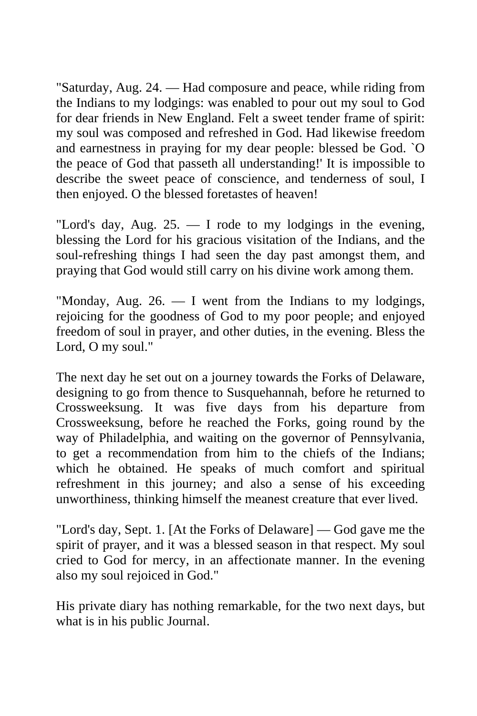"Saturday, Aug. 24. — Had composure and peace, while riding from the Indians to my lodgings: was enabled to pour out my soul to God for dear friends in New England. Felt a sweet tender frame of spirit: my soul was composed and refreshed in God. Had likewise freedom and earnestness in praying for my dear people: blessed be God. `O the peace of God that passeth all understanding!' It is impossible to describe the sweet peace of conscience, and tenderness of soul, I then enjoyed. O the blessed foretastes of heaven!

"Lord's day, Aug. 25. — I rode to my lodgings in the evening, blessing the Lord for his gracious visitation of the Indians, and the soul-refreshing things I had seen the day past amongst them, and praying that God would still carry on his divine work among them.

"Monday, Aug.  $26. - I$  went from the Indians to my lodgings, rejoicing for the goodness of God to my poor people; and enjoyed freedom of soul in prayer, and other duties, in the evening. Bless the Lord, O my soul."

The next day he set out on a journey towards the Forks of Delaware, designing to go from thence to Susquehannah, before he returned to Crossweeksung. It was five days from his departure from Crossweeksung, before he reached the Forks, going round by the way of Philadelphia, and waiting on the governor of Pennsylvania, to get a recommendation from him to the chiefs of the Indians; which he obtained. He speaks of much comfort and spiritual refreshment in this journey; and also a sense of his exceeding unworthiness, thinking himself the meanest creature that ever lived.

"Lord's day, Sept. 1. [At the Forks of Delaware] — God gave me the spirit of prayer, and it was a blessed season in that respect. My soul cried to God for mercy, in an affectionate manner. In the evening also my soul rejoiced in God."

His private diary has nothing remarkable, for the two next days, but what is in his public Journal.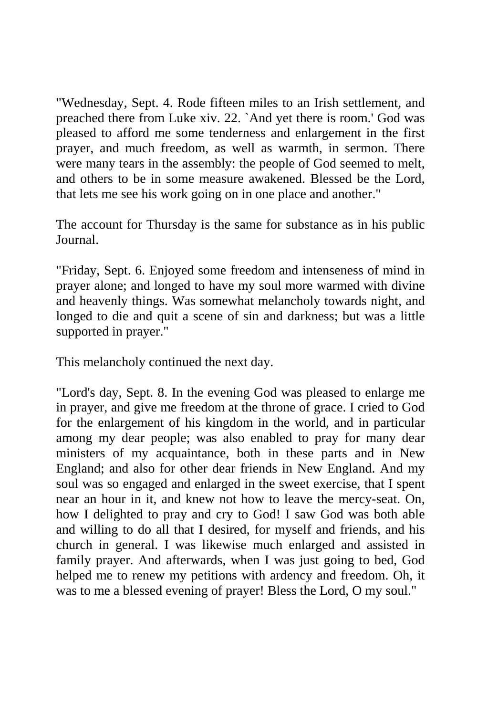"Wednesday, Sept. 4. Rode fifteen miles to an Irish settlement, and preached there from Luke xiv. 22. `And yet there is room.' God was pleased to afford me some tenderness and enlargement in the first prayer, and much freedom, as well as warmth, in sermon. There were many tears in the assembly: the people of God seemed to melt, and others to be in some measure awakened. Blessed be the Lord, that lets me see his work going on in one place and another."

The account for Thursday is the same for substance as in his public Journal.

"Friday, Sept. 6. Enjoyed some freedom and intenseness of mind in prayer alone; and longed to have my soul more warmed with divine and heavenly things. Was somewhat melancholy towards night, and longed to die and quit a scene of sin and darkness; but was a little supported in prayer."

This melancholy continued the next day.

"Lord's day, Sept. 8. In the evening God was pleased to enlarge me in prayer, and give me freedom at the throne of grace. I cried to God for the enlargement of his kingdom in the world, and in particular among my dear people; was also enabled to pray for many dear ministers of my acquaintance, both in these parts and in New England; and also for other dear friends in New England. And my soul was so engaged and enlarged in the sweet exercise, that I spent near an hour in it, and knew not how to leave the mercy-seat. On, how I delighted to pray and cry to God! I saw God was both able and willing to do all that I desired, for myself and friends, and his church in general. I was likewise much enlarged and assisted in family prayer. And afterwards, when I was just going to bed, God helped me to renew my petitions with ardency and freedom. Oh, it was to me a blessed evening of prayer! Bless the Lord, O my soul."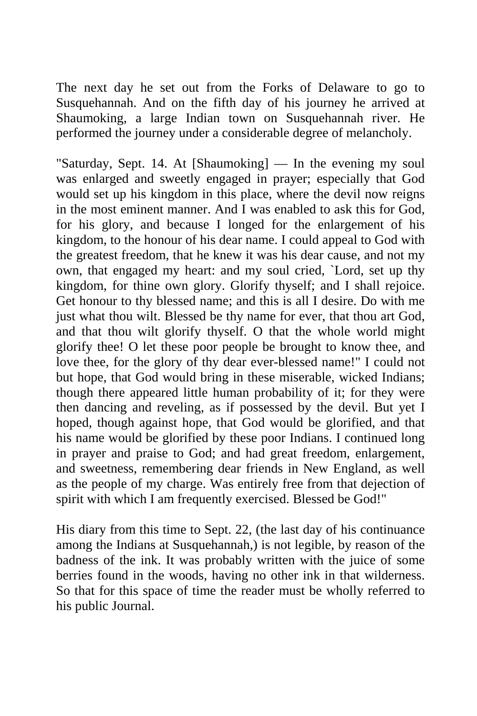The next day he set out from the Forks of Delaware to go to Susquehannah. And on the fifth day of his journey he arrived at Shaumoking, a large Indian town on Susquehannah river. He performed the journey under a considerable degree of melancholy.

"Saturday, Sept. 14. At [Shaumoking] — In the evening my soul was enlarged and sweetly engaged in prayer; especially that God would set up his kingdom in this place, where the devil now reigns in the most eminent manner. And I was enabled to ask this for God, for his glory, and because I longed for the enlargement of his kingdom, to the honour of his dear name. I could appeal to God with the greatest freedom, that he knew it was his dear cause, and not my own, that engaged my heart: and my soul cried, `Lord, set up thy kingdom, for thine own glory. Glorify thyself; and I shall rejoice. Get honour to thy blessed name; and this is all I desire. Do with me just what thou wilt. Blessed be thy name for ever, that thou art God, and that thou wilt glorify thyself. O that the whole world might glorify thee! O let these poor people be brought to know thee, and love thee, for the glory of thy dear ever-blessed name!" I could not but hope, that God would bring in these miserable, wicked Indians; though there appeared little human probability of it; for they were then dancing and reveling, as if possessed by the devil. But yet I hoped, though against hope, that God would be glorified, and that his name would be glorified by these poor Indians. I continued long in prayer and praise to God; and had great freedom, enlargement, and sweetness, remembering dear friends in New England, as well as the people of my charge. Was entirely free from that dejection of spirit with which I am frequently exercised. Blessed be God!"

His diary from this time to Sept. 22, (the last day of his continuance among the Indians at Susquehannah,) is not legible, by reason of the badness of the ink. It was probably written with the juice of some berries found in the woods, having no other ink in that wilderness. So that for this space of time the reader must be wholly referred to his public Journal.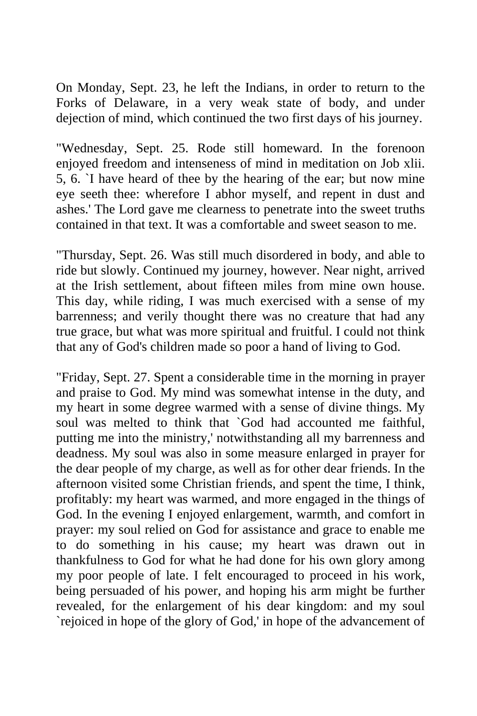On Monday, Sept. 23, he left the Indians, in order to return to the Forks of Delaware, in a very weak state of body, and under dejection of mind, which continued the two first days of his journey.

"Wednesday, Sept. 25. Rode still homeward. In the forenoon enjoyed freedom and intenseness of mind in meditation on Job xlii. 5, 6. `I have heard of thee by the hearing of the ear; but now mine eye seeth thee: wherefore I abhor myself, and repent in dust and ashes.' The Lord gave me clearness to penetrate into the sweet truths contained in that text. It was a comfortable and sweet season to me.

"Thursday, Sept. 26. Was still much disordered in body, and able to ride but slowly. Continued my journey, however. Near night, arrived at the Irish settlement, about fifteen miles from mine own house. This day, while riding, I was much exercised with a sense of my barrenness; and verily thought there was no creature that had any true grace, but what was more spiritual and fruitful. I could not think that any of God's children made so poor a hand of living to God.

"Friday, Sept. 27. Spent a considerable time in the morning in prayer and praise to God. My mind was somewhat intense in the duty, and my heart in some degree warmed with a sense of divine things. My soul was melted to think that `God had accounted me faithful, putting me into the ministry,' notwithstanding all my barrenness and deadness. My soul was also in some measure enlarged in prayer for the dear people of my charge, as well as for other dear friends. In the afternoon visited some Christian friends, and spent the time, I think, profitably: my heart was warmed, and more engaged in the things of God. In the evening I enjoyed enlargement, warmth, and comfort in prayer: my soul relied on God for assistance and grace to enable me to do something in his cause; my heart was drawn out in thankfulness to God for what he had done for his own glory among my poor people of late. I felt encouraged to proceed in his work, being persuaded of his power, and hoping his arm might be further revealed, for the enlargement of his dear kingdom: and my soul `rejoiced in hope of the glory of God,' in hope of the advancement of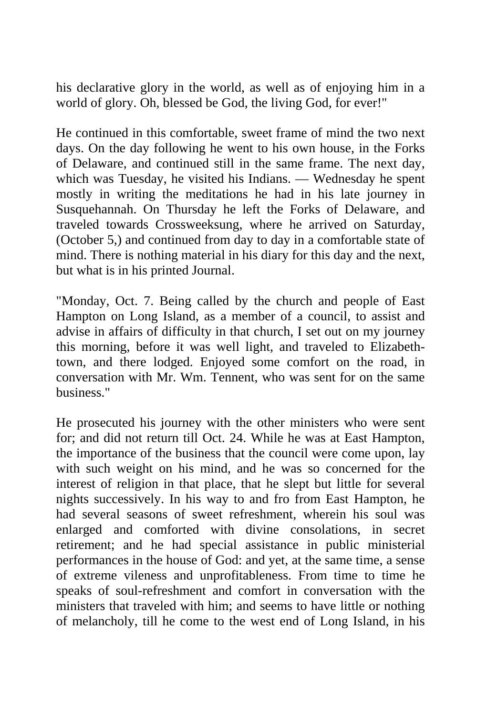his declarative glory in the world, as well as of enjoying him in a world of glory. Oh, blessed be God, the living God, for ever!"

He continued in this comfortable, sweet frame of mind the two next days. On the day following he went to his own house, in the Forks of Delaware, and continued still in the same frame. The next day, which was Tuesday, he visited his Indians. — Wednesday he spent mostly in writing the meditations he had in his late journey in Susquehannah. On Thursday he left the Forks of Delaware, and traveled towards Crossweeksung, where he arrived on Saturday, (October 5,) and continued from day to day in a comfortable state of mind. There is nothing material in his diary for this day and the next, but what is in his printed Journal.

"Monday, Oct. 7. Being called by the church and people of East Hampton on Long Island, as a member of a council, to assist and advise in affairs of difficulty in that church, I set out on my journey this morning, before it was well light, and traveled to Elizabethtown, and there lodged. Enjoyed some comfort on the road, in conversation with Mr. Wm. Tennent, who was sent for on the same business."

He prosecuted his journey with the other ministers who were sent for; and did not return till Oct. 24. While he was at East Hampton, the importance of the business that the council were come upon, lay with such weight on his mind, and he was so concerned for the interest of religion in that place, that he slept but little for several nights successively. In his way to and fro from East Hampton, he had several seasons of sweet refreshment, wherein his soul was enlarged and comforted with divine consolations, in secret retirement; and he had special assistance in public ministerial performances in the house of God: and yet, at the same time, a sense of extreme vileness and unprofitableness. From time to time he speaks of soul-refreshment and comfort in conversation with the ministers that traveled with him; and seems to have little or nothing of melancholy, till he come to the west end of Long Island, in his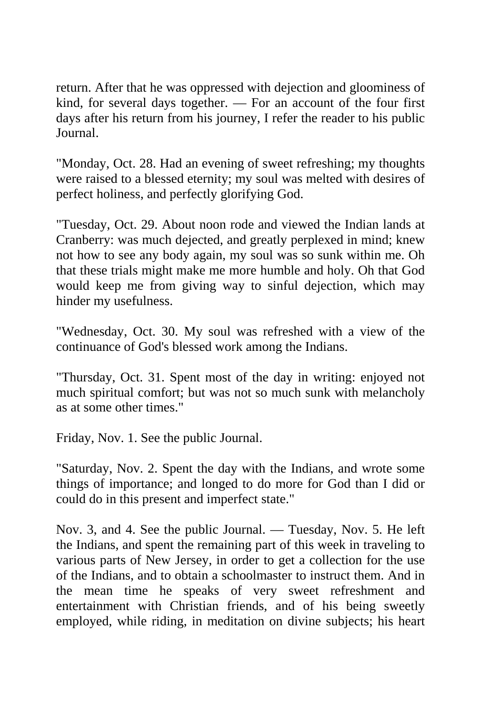return. After that he was oppressed with dejection and gloominess of kind, for several days together. — For an account of the four first days after his return from his journey, I refer the reader to his public Journal.

"Monday, Oct. 28. Had an evening of sweet refreshing; my thoughts were raised to a blessed eternity; my soul was melted with desires of perfect holiness, and perfectly glorifying God.

"Tuesday, Oct. 29. About noon rode and viewed the Indian lands at Cranberry: was much dejected, and greatly perplexed in mind; knew not how to see any body again, my soul was so sunk within me. Oh that these trials might make me more humble and holy. Oh that God would keep me from giving way to sinful dejection, which may hinder my usefulness.

"Wednesday, Oct. 30. My soul was refreshed with a view of the continuance of God's blessed work among the Indians.

"Thursday, Oct. 31. Spent most of the day in writing: enjoyed not much spiritual comfort; but was not so much sunk with melancholy as at some other times."

Friday, Nov. 1. See the public Journal.

"Saturday, Nov. 2. Spent the day with the Indians, and wrote some things of importance; and longed to do more for God than I did or could do in this present and imperfect state."

Nov. 3, and 4. See the public Journal. — Tuesday, Nov. 5. He left the Indians, and spent the remaining part of this week in traveling to various parts of New Jersey, in order to get a collection for the use of the Indians, and to obtain a schoolmaster to instruct them. And in the mean time he speaks of very sweet refreshment and entertainment with Christian friends, and of his being sweetly employed, while riding, in meditation on divine subjects; his heart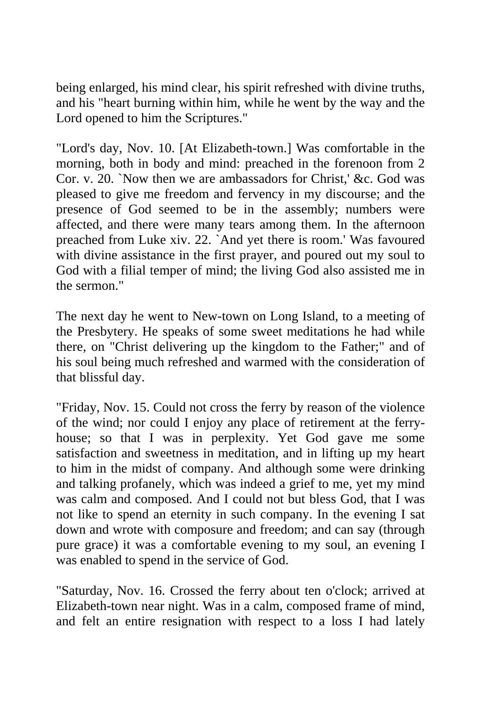being enlarged, his mind clear, his spirit refreshed with divine truths, and his "heart burning within him, while he went by the way and the Lord opened to him the Scriptures."

"Lord's day, Nov. 10. [At Elizabeth-town.] Was comfortable in the morning, both in body and mind: preached in the forenoon from 2 Cor. v. 20. `Now then we are ambassadors for Christ,' &c. God was pleased to give me freedom and fervency in my discourse; and the presence of God seemed to be in the assembly; numbers were affected, and there were many tears among them. In the afternoon preached from Luke xiv. 22. `And yet there is room.' Was favoured with divine assistance in the first prayer, and poured out my soul to God with a filial temper of mind; the living God also assisted me in the sermon."

The next day he went to New-town on Long Island, to a meeting of the Presbytery. He speaks of some sweet meditations he had while there, on "Christ delivering up the kingdom to the Father;" and of his soul being much refreshed and warmed with the consideration of that blissful day.

"Friday, Nov. 15. Could not cross the ferry by reason of the violence of the wind; nor could I enjoy any place of retirement at the ferryhouse; so that I was in perplexity. Yet God gave me some satisfaction and sweetness in meditation, and in lifting up my heart to him in the midst of company. And although some were drinking and talking profanely, which was indeed a grief to me, yet my mind was calm and composed. And I could not but bless God, that I was not like to spend an eternity in such company. In the evening I sat down and wrote with composure and freedom; and can say (through pure grace) it was a comfortable evening to my soul, an evening I was enabled to spend in the service of God.

"Saturday, Nov. 16. Crossed the ferry about ten o'clock; arrived at Elizabeth-town near night. Was in a calm, composed frame of mind, and felt an entire resignation with respect to a loss I had lately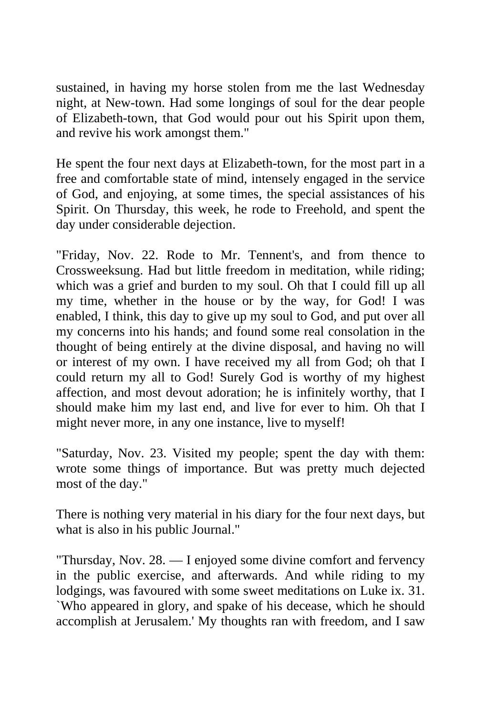sustained, in having my horse stolen from me the last Wednesday night, at New-town. Had some longings of soul for the dear people of Elizabeth-town, that God would pour out his Spirit upon them, and revive his work amongst them."

He spent the four next days at Elizabeth-town, for the most part in a free and comfortable state of mind, intensely engaged in the service of God, and enjoying, at some times, the special assistances of his Spirit. On Thursday, this week, he rode to Freehold, and spent the day under considerable dejection.

"Friday, Nov. 22. Rode to Mr. Tennent's, and from thence to Crossweeksung. Had but little freedom in meditation, while riding; which was a grief and burden to my soul. Oh that I could fill up all my time, whether in the house or by the way, for God! I was enabled, I think, this day to give up my soul to God, and put over all my concerns into his hands; and found some real consolation in the thought of being entirely at the divine disposal, and having no will or interest of my own. I have received my all from God; oh that I could return my all to God! Surely God is worthy of my highest affection, and most devout adoration; he is infinitely worthy, that I should make him my last end, and live for ever to him. Oh that I might never more, in any one instance, live to myself!

"Saturday, Nov. 23. Visited my people; spent the day with them: wrote some things of importance. But was pretty much dejected most of the day."

There is nothing very material in his diary for the four next days, but what is also in his public Journal."

"Thursday, Nov. 28. — I enjoyed some divine comfort and fervency in the public exercise, and afterwards. And while riding to my lodgings, was favoured with some sweet meditations on Luke ix. 31. `Who appeared in glory, and spake of his decease, which he should accomplish at Jerusalem.' My thoughts ran with freedom, and I saw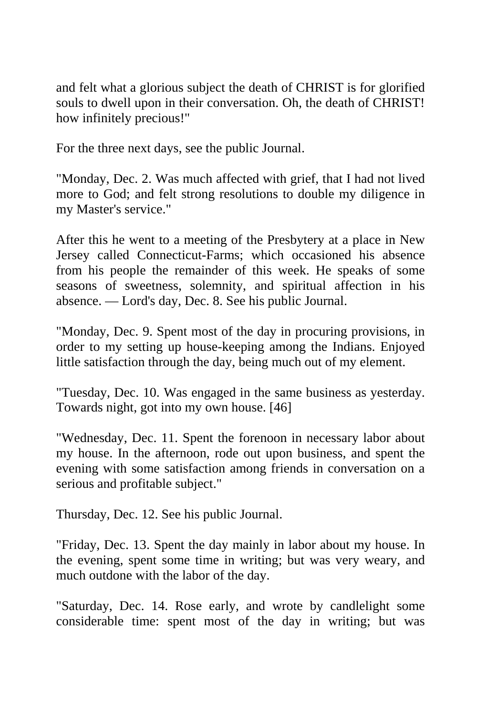and felt what a glorious subject the death of CHRIST is for glorified souls to dwell upon in their conversation. Oh, the death of CHRIST! how infinitely precious!"

For the three next days, see the public Journal.

"Monday, Dec. 2. Was much affected with grief, that I had not lived more to God; and felt strong resolutions to double my diligence in my Master's service."

After this he went to a meeting of the Presbytery at a place in New Jersey called Connecticut-Farms; which occasioned his absence from his people the remainder of this week. He speaks of some seasons of sweetness, solemnity, and spiritual affection in his absence. — Lord's day, Dec. 8. See his public Journal.

"Monday, Dec. 9. Spent most of the day in procuring provisions, in order to my setting up house-keeping among the Indians. Enjoyed little satisfaction through the day, being much out of my element.

"Tuesday, Dec. 10. Was engaged in the same business as yesterday. Towards night, got into my own house. [46]

"Wednesday, Dec. 11. Spent the forenoon in necessary labor about my house. In the afternoon, rode out upon business, and spent the evening with some satisfaction among friends in conversation on a serious and profitable subject."

Thursday, Dec. 12. See his public Journal.

"Friday, Dec. 13. Spent the day mainly in labor about my house. In the evening, spent some time in writing; but was very weary, and much outdone with the labor of the day.

"Saturday, Dec. 14. Rose early, and wrote by candlelight some considerable time: spent most of the day in writing; but was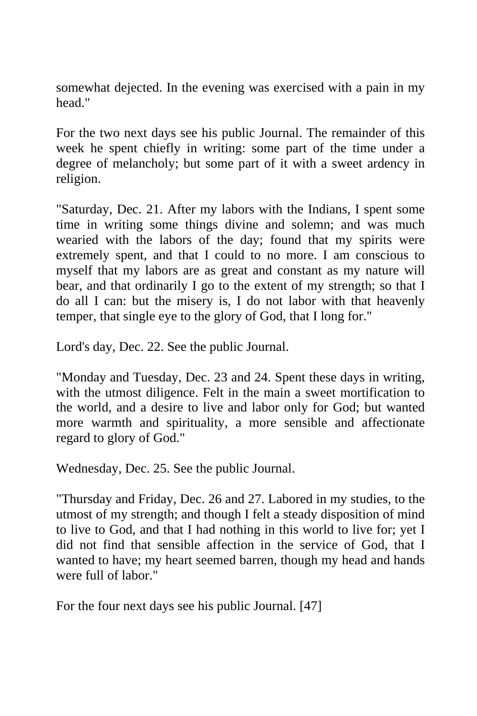somewhat dejected. In the evening was exercised with a pain in my head."

For the two next days see his public Journal. The remainder of this week he spent chiefly in writing: some part of the time under a degree of melancholy; but some part of it with a sweet ardency in religion.

"Saturday, Dec. 21. After my labors with the Indians, I spent some time in writing some things divine and solemn; and was much wearied with the labors of the day; found that my spirits were extremely spent, and that I could to no more. I am conscious to myself that my labors are as great and constant as my nature will bear, and that ordinarily I go to the extent of my strength; so that I do all I can: but the misery is, I do not labor with that heavenly temper, that single eye to the glory of God, that I long for."

Lord's day, Dec. 22. See the public Journal.

"Monday and Tuesday, Dec. 23 and 24. Spent these days in writing, with the utmost diligence. Felt in the main a sweet mortification to the world, and a desire to live and labor only for God; but wanted more warmth and spirituality, a more sensible and affectionate regard to glory of God."

Wednesday, Dec. 25. See the public Journal.

"Thursday and Friday, Dec. 26 and 27. Labored in my studies, to the utmost of my strength; and though I felt a steady disposition of mind to live to God, and that I had nothing in this world to live for; yet I did not find that sensible affection in the service of God, that I wanted to have; my heart seemed barren, though my head and hands were full of labor."

For the four next days see his public Journal. [47]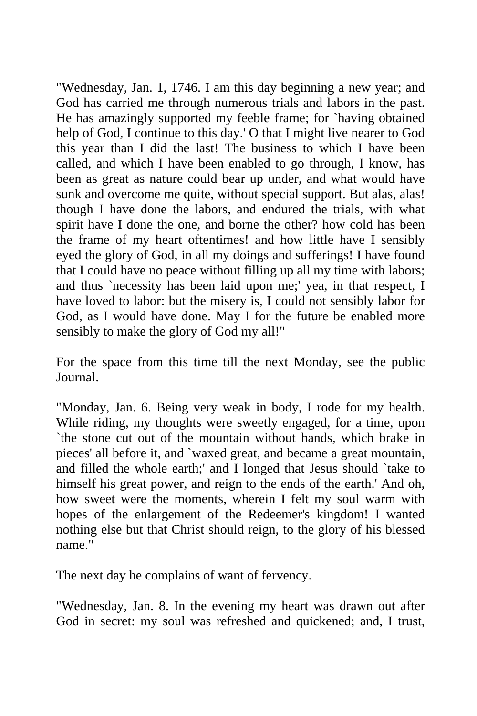"Wednesday, Jan. 1, 1746. I am this day beginning a new year; and God has carried me through numerous trials and labors in the past. He has amazingly supported my feeble frame; for `having obtained help of God, I continue to this day.' O that I might live nearer to God this year than I did the last! The business to which I have been called, and which I have been enabled to go through, I know, has been as great as nature could bear up under, and what would have sunk and overcome me quite, without special support. But alas, alas! though I have done the labors, and endured the trials, with what spirit have I done the one, and borne the other? how cold has been the frame of my heart oftentimes! and how little have I sensibly eyed the glory of God, in all my doings and sufferings! I have found that I could have no peace without filling up all my time with labors; and thus `necessity has been laid upon me;' yea, in that respect, I have loved to labor: but the misery is, I could not sensibly labor for God, as I would have done. May I for the future be enabled more sensibly to make the glory of God my all!"

For the space from this time till the next Monday, see the public Journal.

"Monday, Jan. 6. Being very weak in body, I rode for my health. While riding, my thoughts were sweetly engaged, for a time, upon `the stone cut out of the mountain without hands, which brake in pieces' all before it, and `waxed great, and became a great mountain, and filled the whole earth;' and I longed that Jesus should `take to himself his great power, and reign to the ends of the earth.' And oh, how sweet were the moments, wherein I felt my soul warm with hopes of the enlargement of the Redeemer's kingdom! I wanted nothing else but that Christ should reign, to the glory of his blessed name."

The next day he complains of want of fervency.

"Wednesday, Jan. 8. In the evening my heart was drawn out after God in secret: my soul was refreshed and quickened; and, I trust,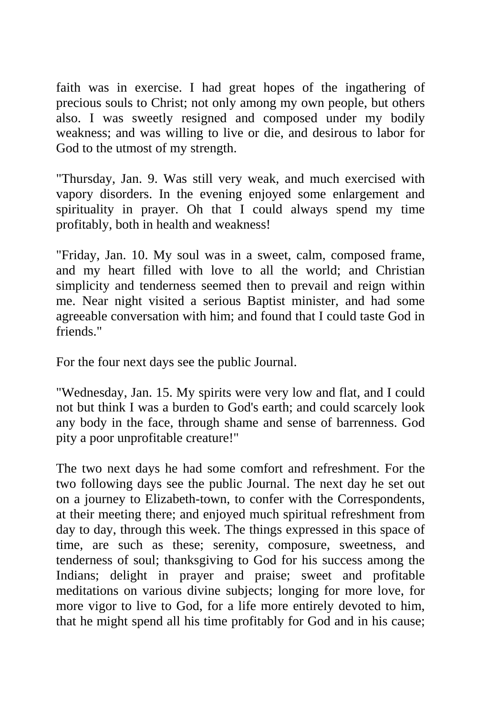faith was in exercise. I had great hopes of the ingathering of precious souls to Christ; not only among my own people, but others also. I was sweetly resigned and composed under my bodily weakness; and was willing to live or die, and desirous to labor for God to the utmost of my strength.

"Thursday, Jan. 9. Was still very weak, and much exercised with vapory disorders. In the evening enjoyed some enlargement and spirituality in prayer. Oh that I could always spend my time profitably, both in health and weakness!

"Friday, Jan. 10. My soul was in a sweet, calm, composed frame, and my heart filled with love to all the world; and Christian simplicity and tenderness seemed then to prevail and reign within me. Near night visited a serious Baptist minister, and had some agreeable conversation with him; and found that I could taste God in friends."

For the four next days see the public Journal.

"Wednesday, Jan. 15. My spirits were very low and flat, and I could not but think I was a burden to God's earth; and could scarcely look any body in the face, through shame and sense of barrenness. God pity a poor unprofitable creature!"

The two next days he had some comfort and refreshment. For the two following days see the public Journal. The next day he set out on a journey to Elizabeth-town, to confer with the Correspondents, at their meeting there; and enjoyed much spiritual refreshment from day to day, through this week. The things expressed in this space of time, are such as these; serenity, composure, sweetness, and tenderness of soul; thanksgiving to God for his success among the Indians; delight in prayer and praise; sweet and profitable meditations on various divine subjects; longing for more love, for more vigor to live to God, for a life more entirely devoted to him, that he might spend all his time profitably for God and in his cause;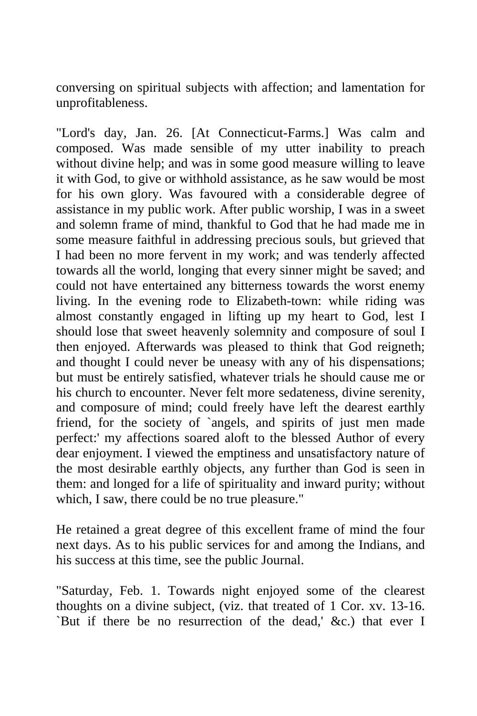conversing on spiritual subjects with affection; and lamentation for unprofitableness.

"Lord's day, Jan. 26. [At Connecticut-Farms.] Was calm and composed. Was made sensible of my utter inability to preach without divine help; and was in some good measure willing to leave it with God, to give or withhold assistance, as he saw would be most for his own glory. Was favoured with a considerable degree of assistance in my public work. After public worship, I was in a sweet and solemn frame of mind, thankful to God that he had made me in some measure faithful in addressing precious souls, but grieved that I had been no more fervent in my work; and was tenderly affected towards all the world, longing that every sinner might be saved; and could not have entertained any bitterness towards the worst enemy living. In the evening rode to Elizabeth-town: while riding was almost constantly engaged in lifting up my heart to God, lest I should lose that sweet heavenly solemnity and composure of soul I then enjoyed. Afterwards was pleased to think that God reigneth; and thought I could never be uneasy with any of his dispensations; but must be entirely satisfied, whatever trials he should cause me or his church to encounter. Never felt more sedateness, divine serenity, and composure of mind; could freely have left the dearest earthly friend, for the society of `angels, and spirits of just men made perfect:' my affections soared aloft to the blessed Author of every dear enjoyment. I viewed the emptiness and unsatisfactory nature of the most desirable earthly objects, any further than God is seen in them: and longed for a life of spirituality and inward purity; without which, I saw, there could be no true pleasure."

He retained a great degree of this excellent frame of mind the four next days. As to his public services for and among the Indians, and his success at this time, see the public Journal.

"Saturday, Feb. 1. Towards night enjoyed some of the clearest thoughts on a divine subject, (viz. that treated of 1 Cor. xv. 13-16. `But if there be no resurrection of the dead,' &c.) that ever I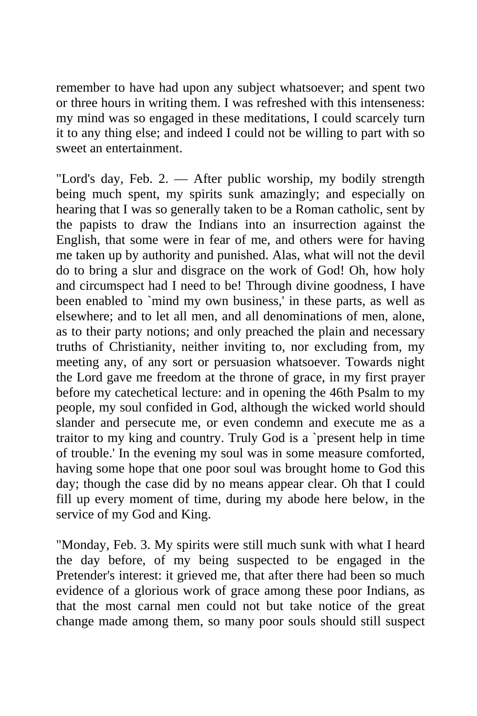remember to have had upon any subject whatsoever; and spent two or three hours in writing them. I was refreshed with this intenseness: my mind was so engaged in these meditations, I could scarcely turn it to any thing else; and indeed I could not be willing to part with so sweet an entertainment.

"Lord's day, Feb. 2. — After public worship, my bodily strength being much spent, my spirits sunk amazingly; and especially on hearing that I was so generally taken to be a Roman catholic, sent by the papists to draw the Indians into an insurrection against the English, that some were in fear of me, and others were for having me taken up by authority and punished. Alas, what will not the devil do to bring a slur and disgrace on the work of God! Oh, how holy and circumspect had I need to be! Through divine goodness, I have been enabled to `mind my own business,' in these parts, as well as elsewhere; and to let all men, and all denominations of men, alone, as to their party notions; and only preached the plain and necessary truths of Christianity, neither inviting to, nor excluding from, my meeting any, of any sort or persuasion whatsoever. Towards night the Lord gave me freedom at the throne of grace, in my first prayer before my catechetical lecture: and in opening the 46th Psalm to my people, my soul confided in God, although the wicked world should slander and persecute me, or even condemn and execute me as a traitor to my king and country. Truly God is a `present help in time of trouble.' In the evening my soul was in some measure comforted, having some hope that one poor soul was brought home to God this day; though the case did by no means appear clear. Oh that I could fill up every moment of time, during my abode here below, in the service of my God and King.

"Monday, Feb. 3. My spirits were still much sunk with what I heard the day before, of my being suspected to be engaged in the Pretender's interest: it grieved me, that after there had been so much evidence of a glorious work of grace among these poor Indians, as that the most carnal men could not but take notice of the great change made among them, so many poor souls should still suspect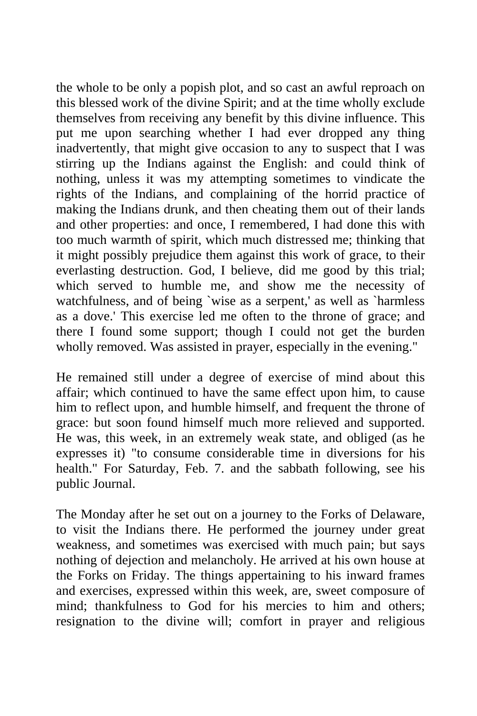the whole to be only a popish plot, and so cast an awful reproach on this blessed work of the divine Spirit; and at the time wholly exclude themselves from receiving any benefit by this divine influence. This put me upon searching whether I had ever dropped any thing inadvertently, that might give occasion to any to suspect that I was stirring up the Indians against the English: and could think of nothing, unless it was my attempting sometimes to vindicate the rights of the Indians, and complaining of the horrid practice of making the Indians drunk, and then cheating them out of their lands and other properties: and once, I remembered, I had done this with too much warmth of spirit, which much distressed me; thinking that it might possibly prejudice them against this work of grace, to their everlasting destruction. God, I believe, did me good by this trial; which served to humble me, and show me the necessity of watchfulness, and of being `wise as a serpent,' as well as `harmless as a dove.' This exercise led me often to the throne of grace; and there I found some support; though I could not get the burden wholly removed. Was assisted in prayer, especially in the evening."

He remained still under a degree of exercise of mind about this affair; which continued to have the same effect upon him, to cause him to reflect upon, and humble himself, and frequent the throne of grace: but soon found himself much more relieved and supported. He was, this week, in an extremely weak state, and obliged (as he expresses it) "to consume considerable time in diversions for his health." For Saturday, Feb. 7. and the sabbath following, see his public Journal.

The Monday after he set out on a journey to the Forks of Delaware, to visit the Indians there. He performed the journey under great weakness, and sometimes was exercised with much pain; but says nothing of dejection and melancholy. He arrived at his own house at the Forks on Friday. The things appertaining to his inward frames and exercises, expressed within this week, are, sweet composure of mind; thankfulness to God for his mercies to him and others; resignation to the divine will; comfort in prayer and religious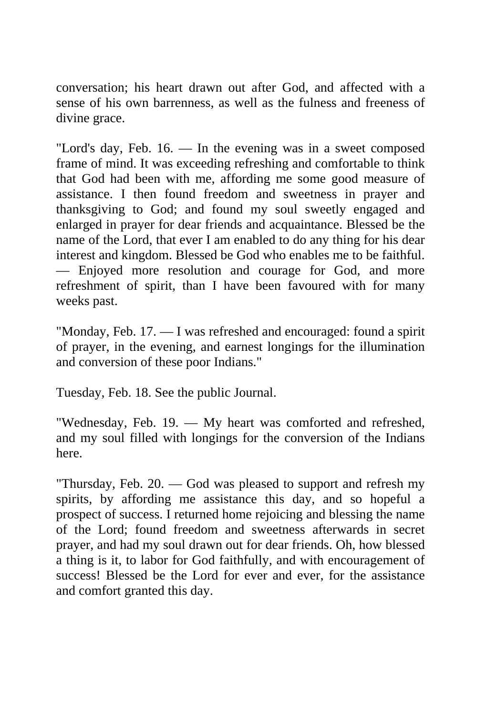conversation; his heart drawn out after God, and affected with a sense of his own barrenness, as well as the fulness and freeness of divine grace.

"Lord's day, Feb. 16. — In the evening was in a sweet composed frame of mind. It was exceeding refreshing and comfortable to think that God had been with me, affording me some good measure of assistance. I then found freedom and sweetness in prayer and thanksgiving to God; and found my soul sweetly engaged and enlarged in prayer for dear friends and acquaintance. Blessed be the name of the Lord, that ever I am enabled to do any thing for his dear interest and kingdom. Blessed be God who enables me to be faithful. — Enjoyed more resolution and courage for God, and more refreshment of spirit, than I have been favoured with for many weeks past.

"Monday, Feb. 17. — I was refreshed and encouraged: found a spirit of prayer, in the evening, and earnest longings for the illumination and conversion of these poor Indians."

Tuesday, Feb. 18. See the public Journal.

"Wednesday, Feb. 19. — My heart was comforted and refreshed, and my soul filled with longings for the conversion of the Indians here.

"Thursday, Feb. 20. — God was pleased to support and refresh my spirits, by affording me assistance this day, and so hopeful a prospect of success. I returned home rejoicing and blessing the name of the Lord; found freedom and sweetness afterwards in secret prayer, and had my soul drawn out for dear friends. Oh, how blessed a thing is it, to labor for God faithfully, and with encouragement of success! Blessed be the Lord for ever and ever, for the assistance and comfort granted this day.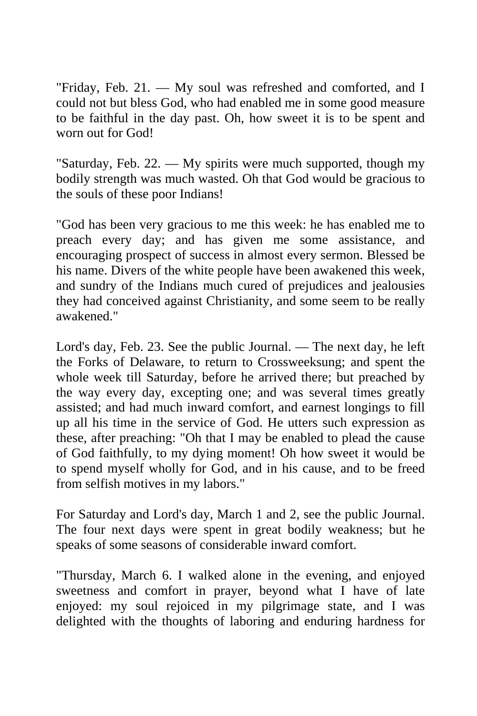"Friday, Feb. 21. — My soul was refreshed and comforted, and I could not but bless God, who had enabled me in some good measure to be faithful in the day past. Oh, how sweet it is to be spent and worn out for God!

"Saturday, Feb. 22. — My spirits were much supported, though my bodily strength was much wasted. Oh that God would be gracious to the souls of these poor Indians!

"God has been very gracious to me this week: he has enabled me to preach every day; and has given me some assistance, and encouraging prospect of success in almost every sermon. Blessed be his name. Divers of the white people have been awakened this week, and sundry of the Indians much cured of prejudices and jealousies they had conceived against Christianity, and some seem to be really awakened."

Lord's day, Feb. 23. See the public Journal. — The next day, he left the Forks of Delaware, to return to Crossweeksung; and spent the whole week till Saturday, before he arrived there; but preached by the way every day, excepting one; and was several times greatly assisted; and had much inward comfort, and earnest longings to fill up all his time in the service of God. He utters such expression as these, after preaching: "Oh that I may be enabled to plead the cause of God faithfully, to my dying moment! Oh how sweet it would be to spend myself wholly for God, and in his cause, and to be freed from selfish motives in my labors."

For Saturday and Lord's day, March 1 and 2, see the public Journal. The four next days were spent in great bodily weakness; but he speaks of some seasons of considerable inward comfort.

"Thursday, March 6. I walked alone in the evening, and enjoyed sweetness and comfort in prayer, beyond what I have of late enjoyed: my soul rejoiced in my pilgrimage state, and I was delighted with the thoughts of laboring and enduring hardness for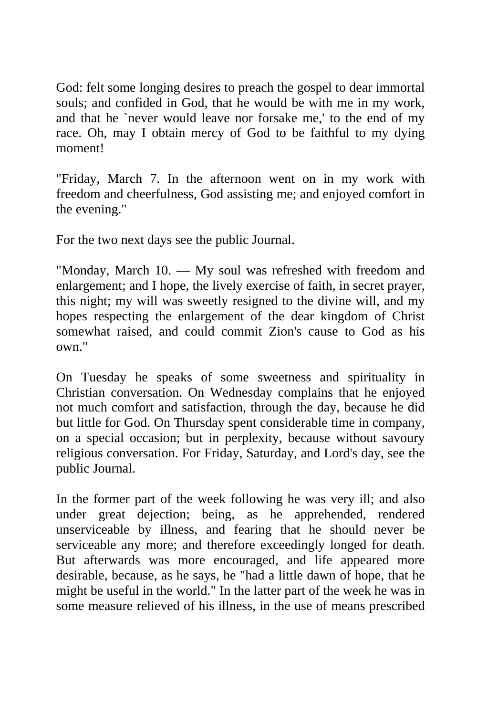God: felt some longing desires to preach the gospel to dear immortal souls; and confided in God, that he would be with me in my work, and that he `never would leave nor forsake me,' to the end of my race. Oh, may I obtain mercy of God to be faithful to my dying moment!

"Friday, March 7. In the afternoon went on in my work with freedom and cheerfulness, God assisting me; and enjoyed comfort in the evening."

For the two next days see the public Journal.

"Monday, March 10. — My soul was refreshed with freedom and enlargement; and I hope, the lively exercise of faith, in secret prayer, this night; my will was sweetly resigned to the divine will, and my hopes respecting the enlargement of the dear kingdom of Christ somewhat raised, and could commit Zion's cause to God as his  $\alpha$ wn."

On Tuesday he speaks of some sweetness and spirituality in Christian conversation. On Wednesday complains that he enjoyed not much comfort and satisfaction, through the day, because he did but little for God. On Thursday spent considerable time in company, on a special occasion; but in perplexity, because without savoury religious conversation. For Friday, Saturday, and Lord's day, see the public Journal.

In the former part of the week following he was very ill; and also under great dejection; being, as he apprehended, rendered unserviceable by illness, and fearing that he should never be serviceable any more; and therefore exceedingly longed for death. But afterwards was more encouraged, and life appeared more desirable, because, as he says, he "had a little dawn of hope, that he might be useful in the world." In the latter part of the week he was in some measure relieved of his illness, in the use of means prescribed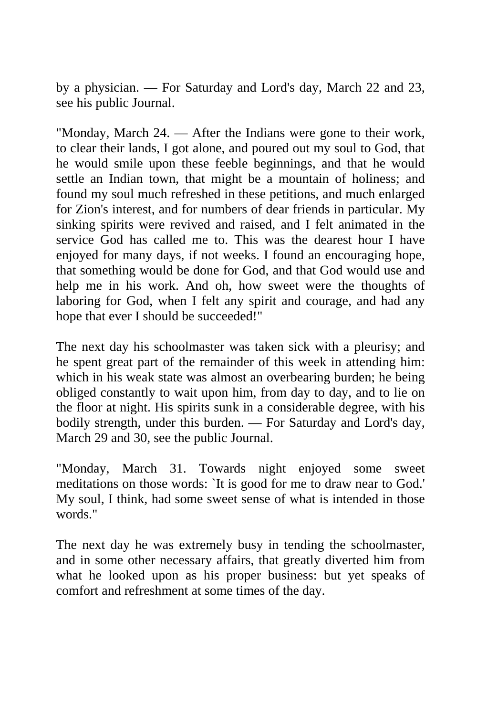by a physician. — For Saturday and Lord's day, March 22 and 23, see his public Journal.

"Monday, March 24. — After the Indians were gone to their work, to clear their lands, I got alone, and poured out my soul to God, that he would smile upon these feeble beginnings, and that he would settle an Indian town, that might be a mountain of holiness; and found my soul much refreshed in these petitions, and much enlarged for Zion's interest, and for numbers of dear friends in particular. My sinking spirits were revived and raised, and I felt animated in the service God has called me to. This was the dearest hour I have enjoyed for many days, if not weeks. I found an encouraging hope, that something would be done for God, and that God would use and help me in his work. And oh, how sweet were the thoughts of laboring for God, when I felt any spirit and courage, and had any hope that ever I should be succeeded!"

The next day his schoolmaster was taken sick with a pleurisy; and he spent great part of the remainder of this week in attending him: which in his weak state was almost an overbearing burden; he being obliged constantly to wait upon him, from day to day, and to lie on the floor at night. His spirits sunk in a considerable degree, with his bodily strength, under this burden. — For Saturday and Lord's day, March 29 and 30, see the public Journal.

"Monday, March 31. Towards night enjoyed some sweet meditations on those words: `It is good for me to draw near to God.' My soul, I think, had some sweet sense of what is intended in those words."

The next day he was extremely busy in tending the schoolmaster, and in some other necessary affairs, that greatly diverted him from what he looked upon as his proper business: but yet speaks of comfort and refreshment at some times of the day.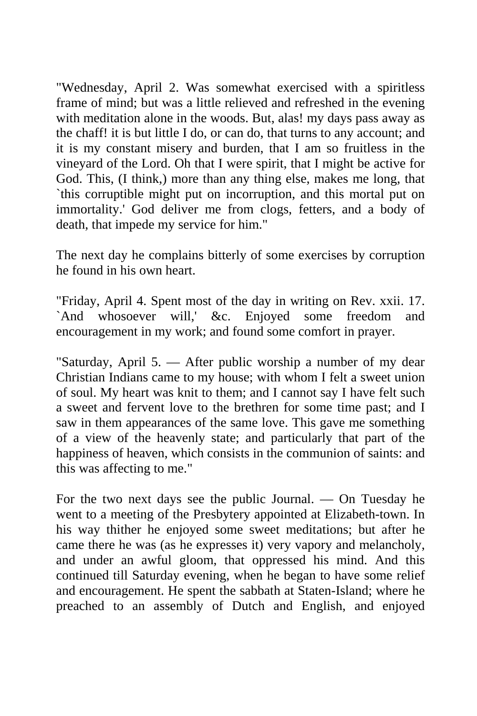"Wednesday, April 2. Was somewhat exercised with a spiritless frame of mind; but was a little relieved and refreshed in the evening with meditation alone in the woods. But, alas! my days pass away as the chaff! it is but little I do, or can do, that turns to any account; and it is my constant misery and burden, that I am so fruitless in the vineyard of the Lord. Oh that I were spirit, that I might be active for God. This, (I think,) more than any thing else, makes me long, that `this corruptible might put on incorruption, and this mortal put on immortality.' God deliver me from clogs, fetters, and a body of death, that impede my service for him."

The next day he complains bitterly of some exercises by corruption he found in his own heart.

"Friday, April 4. Spent most of the day in writing on Rev. xxii. 17. `And whosoever will,' &c. Enjoyed some freedom and encouragement in my work; and found some comfort in prayer.

"Saturday, April 5. — After public worship a number of my dear Christian Indians came to my house; with whom I felt a sweet union of soul. My heart was knit to them; and I cannot say I have felt such a sweet and fervent love to the brethren for some time past; and I saw in them appearances of the same love. This gave me something of a view of the heavenly state; and particularly that part of the happiness of heaven, which consists in the communion of saints: and this was affecting to me."

For the two next days see the public Journal. — On Tuesday he went to a meeting of the Presbytery appointed at Elizabeth-town. In his way thither he enjoyed some sweet meditations; but after he came there he was (as he expresses it) very vapory and melancholy, and under an awful gloom, that oppressed his mind. And this continued till Saturday evening, when he began to have some relief and encouragement. He spent the sabbath at Staten-Island; where he preached to an assembly of Dutch and English, and enjoyed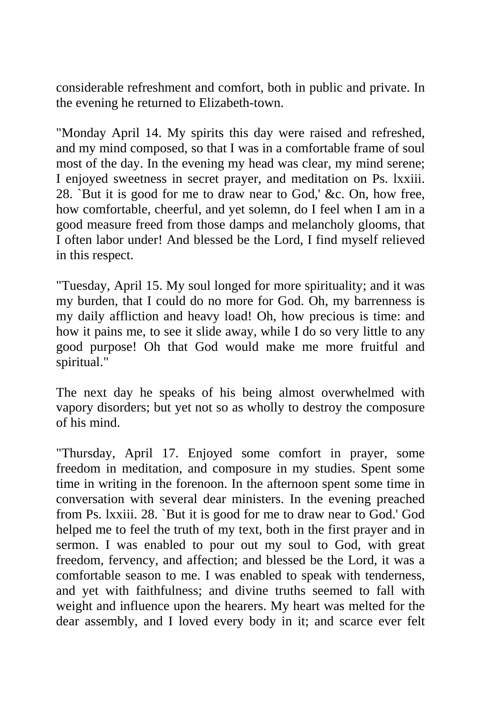considerable refreshment and comfort, both in public and private. In the evening he returned to Elizabeth-town.

"Monday April 14. My spirits this day were raised and refreshed, and my mind composed, so that I was in a comfortable frame of soul most of the day. In the evening my head was clear, my mind serene; I enjoyed sweetness in secret prayer, and meditation on Ps. lxxiii. 28. `But it is good for me to draw near to God,' &c. On, how free, how comfortable, cheerful, and yet solemn, do I feel when I am in a good measure freed from those damps and melancholy glooms, that I often labor under! And blessed be the Lord, I find myself relieved in this respect.

"Tuesday, April 15. My soul longed for more spirituality; and it was my burden, that I could do no more for God. Oh, my barrenness is my daily affliction and heavy load! Oh, how precious is time: and how it pains me, to see it slide away, while I do so very little to any good purpose! Oh that God would make me more fruitful and spiritual."

The next day he speaks of his being almost overwhelmed with vapory disorders; but yet not so as wholly to destroy the composure of his mind.

"Thursday, April 17. Enjoyed some comfort in prayer, some freedom in meditation, and composure in my studies. Spent some time in writing in the forenoon. In the afternoon spent some time in conversation with several dear ministers. In the evening preached from Ps. lxxiii. 28. `But it is good for me to draw near to God.' God helped me to feel the truth of my text, both in the first prayer and in sermon. I was enabled to pour out my soul to God, with great freedom, fervency, and affection; and blessed be the Lord, it was a comfortable season to me. I was enabled to speak with tenderness, and yet with faithfulness; and divine truths seemed to fall with weight and influence upon the hearers. My heart was melted for the dear assembly, and I loved every body in it; and scarce ever felt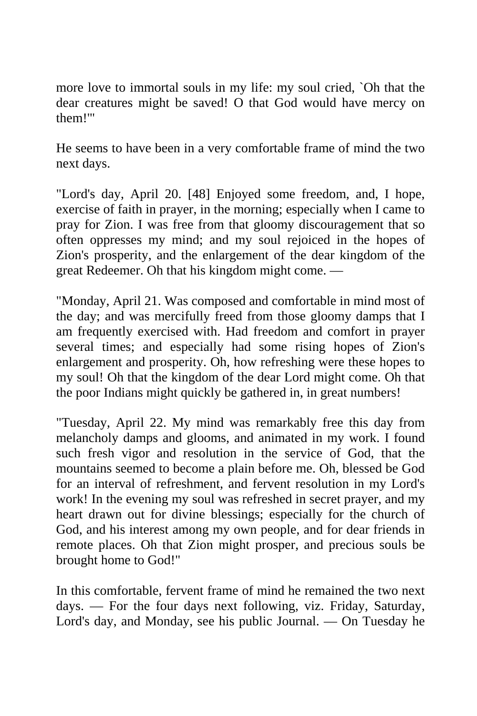more love to immortal souls in my life: my soul cried, `Oh that the dear creatures might be saved! O that God would have mercy on them!'"

He seems to have been in a very comfortable frame of mind the two next days.

"Lord's day, April 20. [48] Enjoyed some freedom, and, I hope, exercise of faith in prayer, in the morning; especially when I came to pray for Zion. I was free from that gloomy discouragement that so often oppresses my mind; and my soul rejoiced in the hopes of Zion's prosperity, and the enlargement of the dear kingdom of the great Redeemer. Oh that his kingdom might come. —

"Monday, April 21. Was composed and comfortable in mind most of the day; and was mercifully freed from those gloomy damps that I am frequently exercised with. Had freedom and comfort in prayer several times; and especially had some rising hopes of Zion's enlargement and prosperity. Oh, how refreshing were these hopes to my soul! Oh that the kingdom of the dear Lord might come. Oh that the poor Indians might quickly be gathered in, in great numbers!

"Tuesday, April 22. My mind was remarkably free this day from melancholy damps and glooms, and animated in my work. I found such fresh vigor and resolution in the service of God, that the mountains seemed to become a plain before me. Oh, blessed be God for an interval of refreshment, and fervent resolution in my Lord's work! In the evening my soul was refreshed in secret prayer, and my heart drawn out for divine blessings; especially for the church of God, and his interest among my own people, and for dear friends in remote places. Oh that Zion might prosper, and precious souls be brought home to God!"

In this comfortable, fervent frame of mind he remained the two next days. — For the four days next following, viz. Friday, Saturday, Lord's day, and Monday, see his public Journal. — On Tuesday he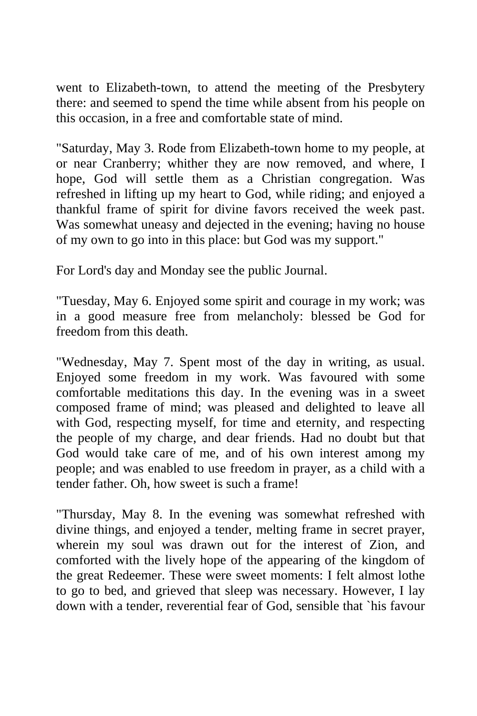went to Elizabeth-town, to attend the meeting of the Presbytery there: and seemed to spend the time while absent from his people on this occasion, in a free and comfortable state of mind.

"Saturday, May 3. Rode from Elizabeth-town home to my people, at or near Cranberry; whither they are now removed, and where, I hope, God will settle them as a Christian congregation. Was refreshed in lifting up my heart to God, while riding; and enjoyed a thankful frame of spirit for divine favors received the week past. Was somewhat uneasy and dejected in the evening; having no house of my own to go into in this place: but God was my support."

For Lord's day and Monday see the public Journal.

"Tuesday, May 6. Enjoyed some spirit and courage in my work; was in a good measure free from melancholy: blessed be God for freedom from this death.

"Wednesday, May 7. Spent most of the day in writing, as usual. Enjoyed some freedom in my work. Was favoured with some comfortable meditations this day. In the evening was in a sweet composed frame of mind; was pleased and delighted to leave all with God, respecting myself, for time and eternity, and respecting the people of my charge, and dear friends. Had no doubt but that God would take care of me, and of his own interest among my people; and was enabled to use freedom in prayer, as a child with a tender father. Oh, how sweet is such a frame!

"Thursday, May 8. In the evening was somewhat refreshed with divine things, and enjoyed a tender, melting frame in secret prayer, wherein my soul was drawn out for the interest of Zion, and comforted with the lively hope of the appearing of the kingdom of the great Redeemer. These were sweet moments: I felt almost lothe to go to bed, and grieved that sleep was necessary. However, I lay down with a tender, reverential fear of God, sensible that `his favour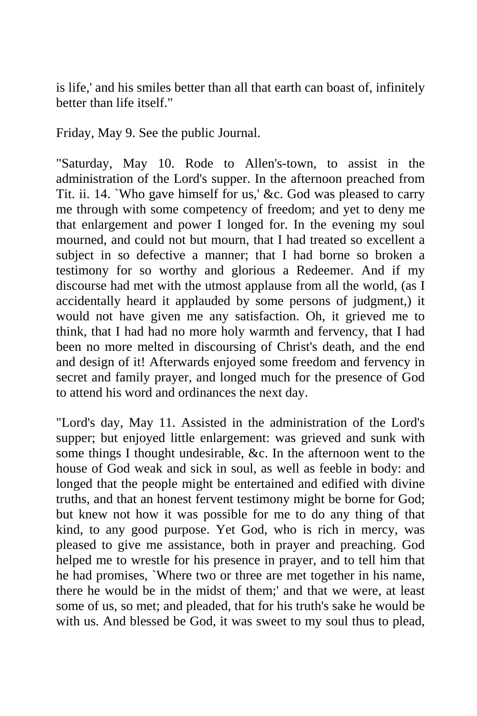is life,' and his smiles better than all that earth can boast of, infinitely better than life itself."

Friday, May 9. See the public Journal.

"Saturday, May 10. Rode to Allen's-town, to assist in the administration of the Lord's supper. In the afternoon preached from Tit. ii. 14. `Who gave himself for us,' &c. God was pleased to carry me through with some competency of freedom; and yet to deny me that enlargement and power I longed for. In the evening my soul mourned, and could not but mourn, that I had treated so excellent a subject in so defective a manner; that I had borne so broken a testimony for so worthy and glorious a Redeemer. And if my discourse had met with the utmost applause from all the world, (as I accidentally heard it applauded by some persons of judgment,) it would not have given me any satisfaction. Oh, it grieved me to think, that I had had no more holy warmth and fervency, that I had been no more melted in discoursing of Christ's death, and the end and design of it! Afterwards enjoyed some freedom and fervency in secret and family prayer, and longed much for the presence of God to attend his word and ordinances the next day.

"Lord's day, May 11. Assisted in the administration of the Lord's supper; but enjoyed little enlargement: was grieved and sunk with some things I thought undesirable, &c. In the afternoon went to the house of God weak and sick in soul, as well as feeble in body: and longed that the people might be entertained and edified with divine truths, and that an honest fervent testimony might be borne for God; but knew not how it was possible for me to do any thing of that kind, to any good purpose. Yet God, who is rich in mercy, was pleased to give me assistance, both in prayer and preaching. God helped me to wrestle for his presence in prayer, and to tell him that he had promises, `Where two or three are met together in his name, there he would be in the midst of them;' and that we were, at least some of us, so met; and pleaded, that for his truth's sake he would be with us. And blessed be God, it was sweet to my soul thus to plead,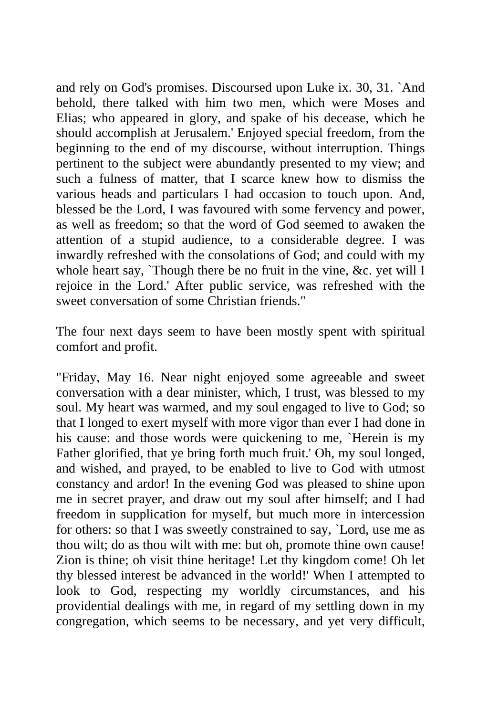and rely on God's promises. Discoursed upon Luke ix. 30, 31. `And behold, there talked with him two men, which were Moses and Elias; who appeared in glory, and spake of his decease, which he should accomplish at Jerusalem.' Enjoyed special freedom, from the beginning to the end of my discourse, without interruption. Things pertinent to the subject were abundantly presented to my view; and such a fulness of matter, that I scarce knew how to dismiss the various heads and particulars I had occasion to touch upon. And, blessed be the Lord, I was favoured with some fervency and power, as well as freedom; so that the word of God seemed to awaken the attention of a stupid audience, to a considerable degree. I was inwardly refreshed with the consolations of God; and could with my whole heart say, `Though there be no fruit in the vine, &c. yet will I rejoice in the Lord.' After public service, was refreshed with the sweet conversation of some Christian friends."

The four next days seem to have been mostly spent with spiritual comfort and profit.

"Friday, May 16. Near night enjoyed some agreeable and sweet conversation with a dear minister, which, I trust, was blessed to my soul. My heart was warmed, and my soul engaged to live to God; so that I longed to exert myself with more vigor than ever I had done in his cause: and those words were quickening to me, `Herein is my Father glorified, that ye bring forth much fruit.' Oh, my soul longed, and wished, and prayed, to be enabled to live to God with utmost constancy and ardor! In the evening God was pleased to shine upon me in secret prayer, and draw out my soul after himself; and I had freedom in supplication for myself, but much more in intercession for others: so that I was sweetly constrained to say, `Lord, use me as thou wilt; do as thou wilt with me: but oh, promote thine own cause! Zion is thine; oh visit thine heritage! Let thy kingdom come! Oh let thy blessed interest be advanced in the world!' When I attempted to look to God, respecting my worldly circumstances, and his providential dealings with me, in regard of my settling down in my congregation, which seems to be necessary, and yet very difficult,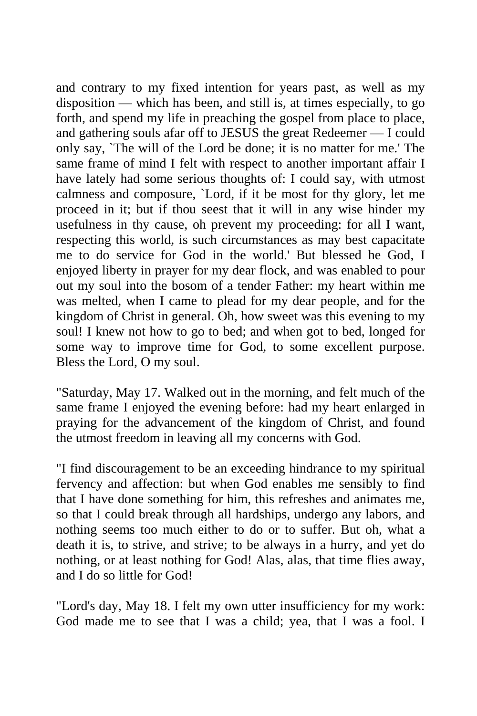and contrary to my fixed intention for years past, as well as my disposition — which has been, and still is, at times especially, to go forth, and spend my life in preaching the gospel from place to place, and gathering souls afar off to JESUS the great Redeemer — I could only say, `The will of the Lord be done; it is no matter for me.' The same frame of mind I felt with respect to another important affair I have lately had some serious thoughts of: I could say, with utmost calmness and composure, `Lord, if it be most for thy glory, let me proceed in it; but if thou seest that it will in any wise hinder my usefulness in thy cause, oh prevent my proceeding: for all I want, respecting this world, is such circumstances as may best capacitate me to do service for God in the world.' But blessed he God, I enjoyed liberty in prayer for my dear flock, and was enabled to pour out my soul into the bosom of a tender Father: my heart within me was melted, when I came to plead for my dear people, and for the kingdom of Christ in general. Oh, how sweet was this evening to my soul! I knew not how to go to bed; and when got to bed, longed for some way to improve time for God, to some excellent purpose. Bless the Lord, O my soul.

"Saturday, May 17. Walked out in the morning, and felt much of the same frame I enjoyed the evening before: had my heart enlarged in praying for the advancement of the kingdom of Christ, and found the utmost freedom in leaving all my concerns with God.

"I find discouragement to be an exceeding hindrance to my spiritual fervency and affection: but when God enables me sensibly to find that I have done something for him, this refreshes and animates me, so that I could break through all hardships, undergo any labors, and nothing seems too much either to do or to suffer. But oh, what a death it is, to strive, and strive; to be always in a hurry, and yet do nothing, or at least nothing for God! Alas, alas, that time flies away, and I do so little for God!

"Lord's day, May 18. I felt my own utter insufficiency for my work: God made me to see that I was a child; yea, that I was a fool. I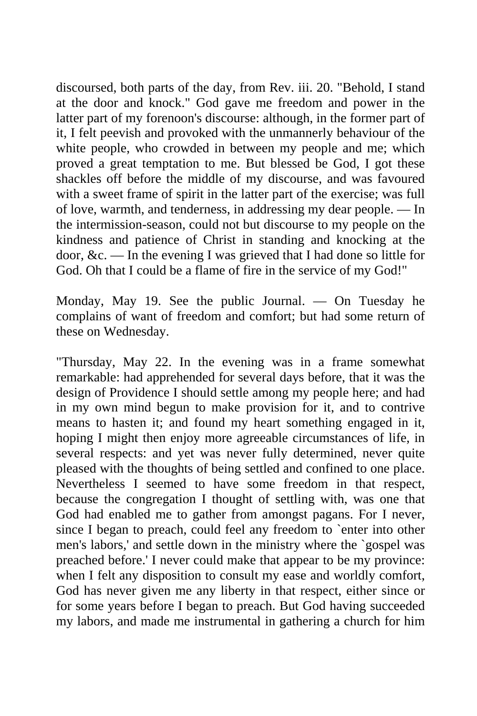discoursed, both parts of the day, from Rev. iii. 20. "Behold, I stand at the door and knock." God gave me freedom and power in the latter part of my forenoon's discourse: although, in the former part of it, I felt peevish and provoked with the unmannerly behaviour of the white people, who crowded in between my people and me; which proved a great temptation to me. But blessed be God, I got these shackles off before the middle of my discourse, and was favoured with a sweet frame of spirit in the latter part of the exercise; was full of love, warmth, and tenderness, in addressing my dear people. — In the intermission-season, could not but discourse to my people on the kindness and patience of Christ in standing and knocking at the door, &c. — In the evening I was grieved that I had done so little for God. Oh that I could be a flame of fire in the service of my God!"

Monday, May 19. See the public Journal. — On Tuesday he complains of want of freedom and comfort; but had some return of these on Wednesday.

"Thursday, May 22. In the evening was in a frame somewhat remarkable: had apprehended for several days before, that it was the design of Providence I should settle among my people here; and had in my own mind begun to make provision for it, and to contrive means to hasten it; and found my heart something engaged in it, hoping I might then enjoy more agreeable circumstances of life, in several respects: and yet was never fully determined, never quite pleased with the thoughts of being settled and confined to one place. Nevertheless I seemed to have some freedom in that respect, because the congregation I thought of settling with, was one that God had enabled me to gather from amongst pagans. For I never, since I began to preach, could feel any freedom to `enter into other men's labors,' and settle down in the ministry where the `gospel was preached before.' I never could make that appear to be my province: when I felt any disposition to consult my ease and worldly comfort, God has never given me any liberty in that respect, either since or for some years before I began to preach. But God having succeeded my labors, and made me instrumental in gathering a church for him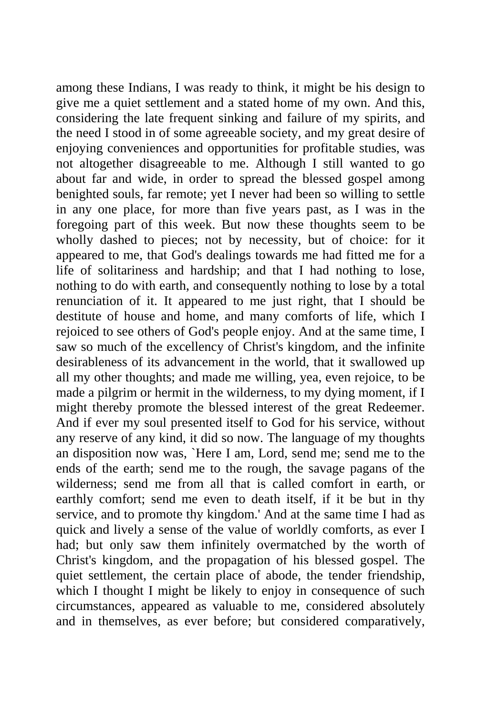among these Indians, I was ready to think, it might be his design to give me a quiet settlement and a stated home of my own. And this, considering the late frequent sinking and failure of my spirits, and the need I stood in of some agreeable society, and my great desire of enjoying conveniences and opportunities for profitable studies, was not altogether disagreeable to me. Although I still wanted to go about far and wide, in order to spread the blessed gospel among benighted souls, far remote; yet I never had been so willing to settle in any one place, for more than five years past, as I was in the foregoing part of this week. But now these thoughts seem to be wholly dashed to pieces; not by necessity, but of choice: for it appeared to me, that God's dealings towards me had fitted me for a life of solitariness and hardship; and that I had nothing to lose, nothing to do with earth, and consequently nothing to lose by a total renunciation of it. It appeared to me just right, that I should be destitute of house and home, and many comforts of life, which I rejoiced to see others of God's people enjoy. And at the same time, I saw so much of the excellency of Christ's kingdom, and the infinite desirableness of its advancement in the world, that it swallowed up all my other thoughts; and made me willing, yea, even rejoice, to be made a pilgrim or hermit in the wilderness, to my dying moment, if I might thereby promote the blessed interest of the great Redeemer. And if ever my soul presented itself to God for his service, without any reserve of any kind, it did so now. The language of my thoughts an disposition now was, `Here I am, Lord, send me; send me to the ends of the earth; send me to the rough, the savage pagans of the wilderness; send me from all that is called comfort in earth, or earthly comfort; send me even to death itself, if it be but in thy service, and to promote thy kingdom.' And at the same time I had as quick and lively a sense of the value of worldly comforts, as ever I had; but only saw them infinitely overmatched by the worth of Christ's kingdom, and the propagation of his blessed gospel. The quiet settlement, the certain place of abode, the tender friendship, which I thought I might be likely to enjoy in consequence of such circumstances, appeared as valuable to me, considered absolutely and in themselves, as ever before; but considered comparatively,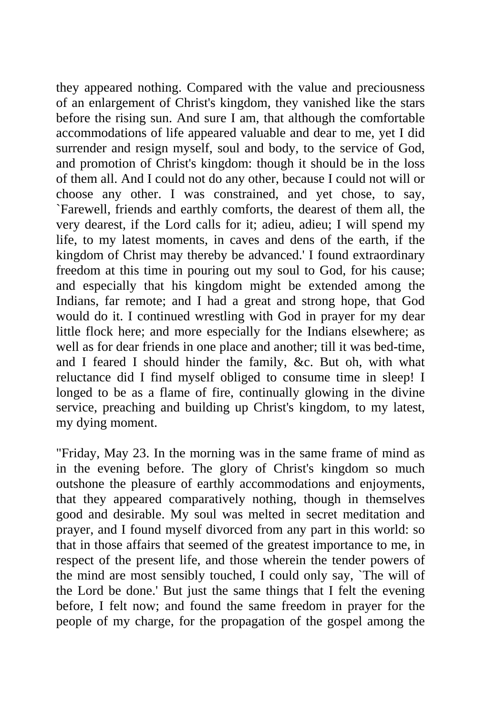they appeared nothing. Compared with the value and preciousness of an enlargement of Christ's kingdom, they vanished like the stars before the rising sun. And sure I am, that although the comfortable accommodations of life appeared valuable and dear to me, yet I did surrender and resign myself, soul and body, to the service of God, and promotion of Christ's kingdom: though it should be in the loss of them all. And I could not do any other, because I could not will or choose any other. I was constrained, and yet chose, to say, `Farewell, friends and earthly comforts, the dearest of them all, the very dearest, if the Lord calls for it; adieu, adieu; I will spend my life, to my latest moments, in caves and dens of the earth, if the kingdom of Christ may thereby be advanced.' I found extraordinary freedom at this time in pouring out my soul to God, for his cause; and especially that his kingdom might be extended among the Indians, far remote; and I had a great and strong hope, that God would do it. I continued wrestling with God in prayer for my dear little flock here; and more especially for the Indians elsewhere; as well as for dear friends in one place and another; till it was bed-time, and I feared I should hinder the family, &c. But oh, with what reluctance did I find myself obliged to consume time in sleep! I longed to be as a flame of fire, continually glowing in the divine service, preaching and building up Christ's kingdom, to my latest, my dying moment.

"Friday, May 23. In the morning was in the same frame of mind as in the evening before. The glory of Christ's kingdom so much outshone the pleasure of earthly accommodations and enjoyments, that they appeared comparatively nothing, though in themselves good and desirable. My soul was melted in secret meditation and prayer, and I found myself divorced from any part in this world: so that in those affairs that seemed of the greatest importance to me, in respect of the present life, and those wherein the tender powers of the mind are most sensibly touched, I could only say, `The will of the Lord be done.' But just the same things that I felt the evening before, I felt now; and found the same freedom in prayer for the people of my charge, for the propagation of the gospel among the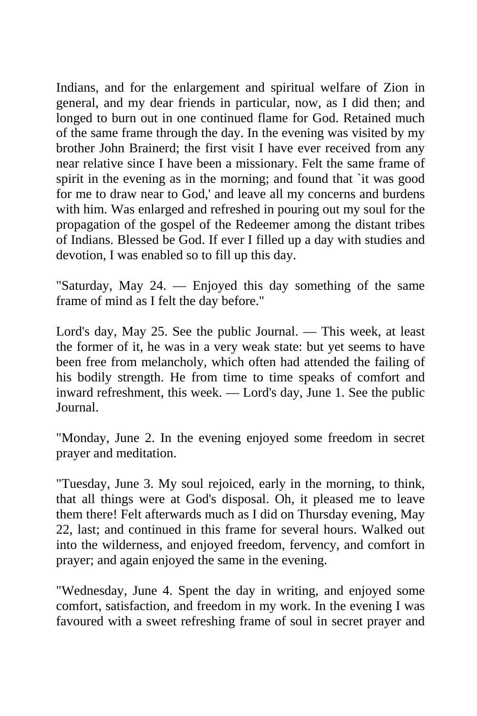Indians, and for the enlargement and spiritual welfare of Zion in general, and my dear friends in particular, now, as I did then; and longed to burn out in one continued flame for God. Retained much of the same frame through the day. In the evening was visited by my brother John Brainerd; the first visit I have ever received from any near relative since I have been a missionary. Felt the same frame of spirit in the evening as in the morning; and found that `it was good for me to draw near to God,' and leave all my concerns and burdens with him. Was enlarged and refreshed in pouring out my soul for the propagation of the gospel of the Redeemer among the distant tribes of Indians. Blessed be God. If ever I filled up a day with studies and devotion, I was enabled so to fill up this day.

"Saturday, May 24. — Enjoyed this day something of the same frame of mind as I felt the day before."

Lord's day, May 25. See the public Journal. — This week, at least the former of it, he was in a very weak state: but yet seems to have been free from melancholy, which often had attended the failing of his bodily strength. He from time to time speaks of comfort and inward refreshment, this week. — Lord's day, June 1. See the public Journal.

"Monday, June 2. In the evening enjoyed some freedom in secret prayer and meditation.

"Tuesday, June 3. My soul rejoiced, early in the morning, to think, that all things were at God's disposal. Oh, it pleased me to leave them there! Felt afterwards much as I did on Thursday evening, May 22, last; and continued in this frame for several hours. Walked out into the wilderness, and enjoyed freedom, fervency, and comfort in prayer; and again enjoyed the same in the evening.

"Wednesday, June 4. Spent the day in writing, and enjoyed some comfort, satisfaction, and freedom in my work. In the evening I was favoured with a sweet refreshing frame of soul in secret prayer and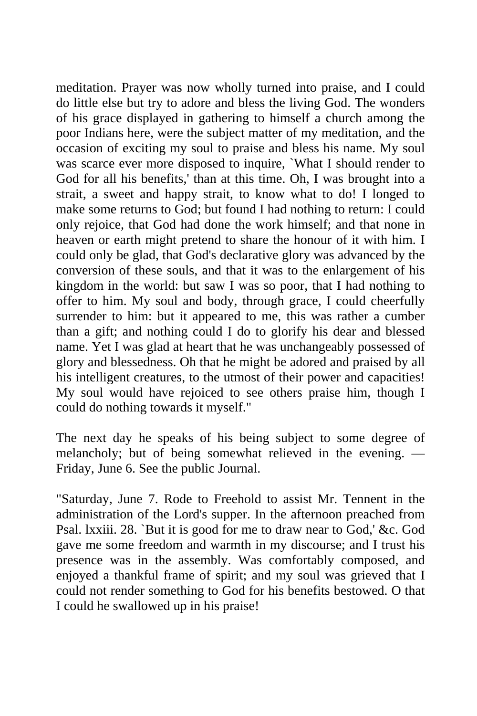meditation. Prayer was now wholly turned into praise, and I could do little else but try to adore and bless the living God. The wonders of his grace displayed in gathering to himself a church among the poor Indians here, were the subject matter of my meditation, and the occasion of exciting my soul to praise and bless his name. My soul was scarce ever more disposed to inquire, `What I should render to God for all his benefits,' than at this time. Oh, I was brought into a strait, a sweet and happy strait, to know what to do! I longed to make some returns to God; but found I had nothing to return: I could only rejoice, that God had done the work himself; and that none in heaven or earth might pretend to share the honour of it with him. I could only be glad, that God's declarative glory was advanced by the conversion of these souls, and that it was to the enlargement of his kingdom in the world: but saw I was so poor, that I had nothing to offer to him. My soul and body, through grace, I could cheerfully surrender to him: but it appeared to me, this was rather a cumber than a gift; and nothing could I do to glorify his dear and blessed name. Yet I was glad at heart that he was unchangeably possessed of glory and blessedness. Oh that he might be adored and praised by all his intelligent creatures, to the utmost of their power and capacities! My soul would have rejoiced to see others praise him, though I could do nothing towards it myself."

The next day he speaks of his being subject to some degree of melancholy; but of being somewhat relieved in the evening. — Friday, June 6. See the public Journal.

"Saturday, June 7. Rode to Freehold to assist Mr. Tennent in the administration of the Lord's supper. In the afternoon preached from Psal. lxxiii. 28. `But it is good for me to draw near to God,' &c. God gave me some freedom and warmth in my discourse; and I trust his presence was in the assembly. Was comfortably composed, and enjoyed a thankful frame of spirit; and my soul was grieved that I could not render something to God for his benefits bestowed. O that I could he swallowed up in his praise!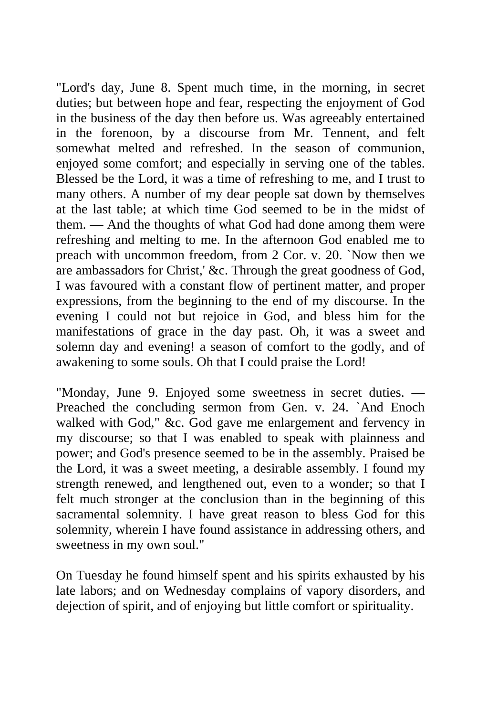"Lord's day, June 8. Spent much time, in the morning, in secret duties; but between hope and fear, respecting the enjoyment of God in the business of the day then before us. Was agreeably entertained in the forenoon, by a discourse from Mr. Tennent, and felt somewhat melted and refreshed. In the season of communion, enjoyed some comfort; and especially in serving one of the tables. Blessed be the Lord, it was a time of refreshing to me, and I trust to many others. A number of my dear people sat down by themselves at the last table; at which time God seemed to be in the midst of them. — And the thoughts of what God had done among them were refreshing and melting to me. In the afternoon God enabled me to preach with uncommon freedom, from 2 Cor. v. 20. `Now then we are ambassadors for Christ,' &c. Through the great goodness of God, I was favoured with a constant flow of pertinent matter, and proper expressions, from the beginning to the end of my discourse. In the evening I could not but rejoice in God, and bless him for the manifestations of grace in the day past. Oh, it was a sweet and solemn day and evening! a season of comfort to the godly, and of awakening to some souls. Oh that I could praise the Lord!

"Monday, June 9. Enjoyed some sweetness in secret duties. — Preached the concluding sermon from Gen. v. 24. `And Enoch walked with God," &c. God gave me enlargement and fervency in my discourse; so that I was enabled to speak with plainness and power; and God's presence seemed to be in the assembly. Praised be the Lord, it was a sweet meeting, a desirable assembly. I found my strength renewed, and lengthened out, even to a wonder; so that I felt much stronger at the conclusion than in the beginning of this sacramental solemnity. I have great reason to bless God for this solemnity, wherein I have found assistance in addressing others, and sweetness in my own soul."

On Tuesday he found himself spent and his spirits exhausted by his late labors; and on Wednesday complains of vapory disorders, and dejection of spirit, and of enjoying but little comfort or spirituality.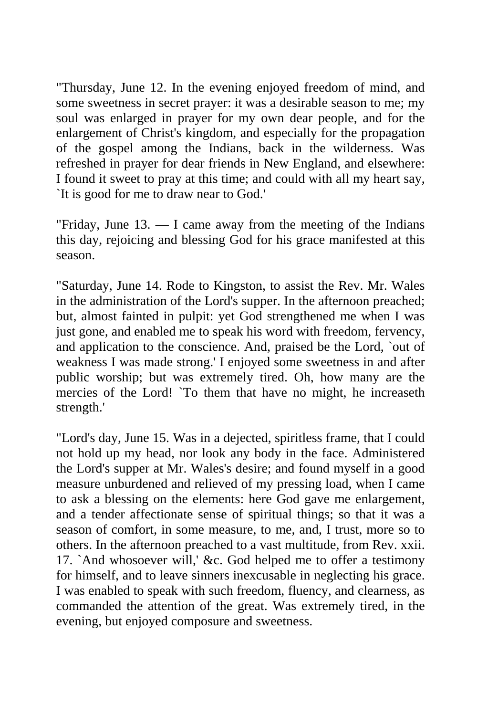"Thursday, June 12. In the evening enjoyed freedom of mind, and some sweetness in secret prayer: it was a desirable season to me; my soul was enlarged in prayer for my own dear people, and for the enlargement of Christ's kingdom, and especially for the propagation of the gospel among the Indians, back in the wilderness. Was refreshed in prayer for dear friends in New England, and elsewhere: I found it sweet to pray at this time; and could with all my heart say, `It is good for me to draw near to God.'

"Friday, June  $13. - I$  came away from the meeting of the Indians this day, rejoicing and blessing God for his grace manifested at this season.

"Saturday, June 14. Rode to Kingston, to assist the Rev. Mr. Wales in the administration of the Lord's supper. In the afternoon preached; but, almost fainted in pulpit: yet God strengthened me when I was just gone, and enabled me to speak his word with freedom, fervency, and application to the conscience. And, praised be the Lord, `out of weakness I was made strong.' I enjoyed some sweetness in and after public worship; but was extremely tired. Oh, how many are the mercies of the Lord! `To them that have no might, he increaseth strength.'

"Lord's day, June 15. Was in a dejected, spiritless frame, that I could not hold up my head, nor look any body in the face. Administered the Lord's supper at Mr. Wales's desire; and found myself in a good measure unburdened and relieved of my pressing load, when I came to ask a blessing on the elements: here God gave me enlargement, and a tender affectionate sense of spiritual things; so that it was a season of comfort, in some measure, to me, and, I trust, more so to others. In the afternoon preached to a vast multitude, from Rev. xxii. 17. `And whosoever will,' &c. God helped me to offer a testimony for himself, and to leave sinners inexcusable in neglecting his grace. I was enabled to speak with such freedom, fluency, and clearness, as commanded the attention of the great. Was extremely tired, in the evening, but enjoyed composure and sweetness.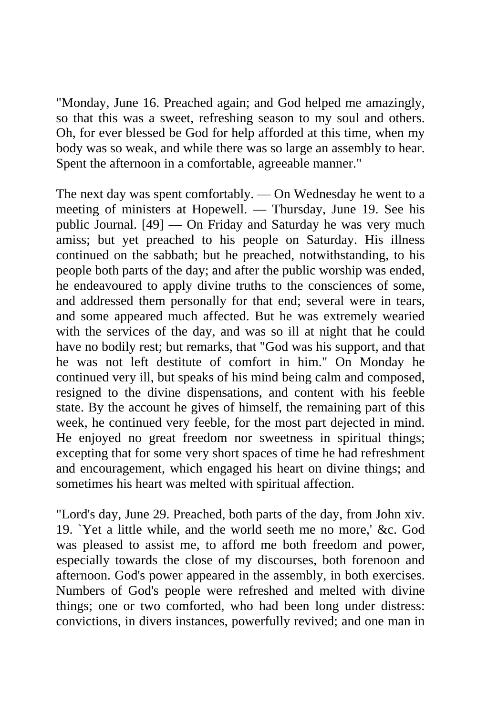"Monday, June 16. Preached again; and God helped me amazingly, so that this was a sweet, refreshing season to my soul and others. Oh, for ever blessed be God for help afforded at this time, when my body was so weak, and while there was so large an assembly to hear. Spent the afternoon in a comfortable, agreeable manner."

The next day was spent comfortably. — On Wednesday he went to a meeting of ministers at Hopewell. — Thursday, June 19. See his public Journal. [49] — On Friday and Saturday he was very much amiss; but yet preached to his people on Saturday. His illness continued on the sabbath; but he preached, notwithstanding, to his people both parts of the day; and after the public worship was ended, he endeavoured to apply divine truths to the consciences of some, and addressed them personally for that end; several were in tears, and some appeared much affected. But he was extremely wearied with the services of the day, and was so ill at night that he could have no bodily rest; but remarks, that "God was his support, and that he was not left destitute of comfort in him." On Monday he continued very ill, but speaks of his mind being calm and composed, resigned to the divine dispensations, and content with his feeble state. By the account he gives of himself, the remaining part of this week, he continued very feeble, for the most part dejected in mind. He enjoyed no great freedom nor sweetness in spiritual things; excepting that for some very short spaces of time he had refreshment and encouragement, which engaged his heart on divine things; and sometimes his heart was melted with spiritual affection.

"Lord's day, June 29. Preached, both parts of the day, from John xiv. 19. `Yet a little while, and the world seeth me no more,' &c. God was pleased to assist me, to afford me both freedom and power, especially towards the close of my discourses, both forenoon and afternoon. God's power appeared in the assembly, in both exercises. Numbers of God's people were refreshed and melted with divine things; one or two comforted, who had been long under distress: convictions, in divers instances, powerfully revived; and one man in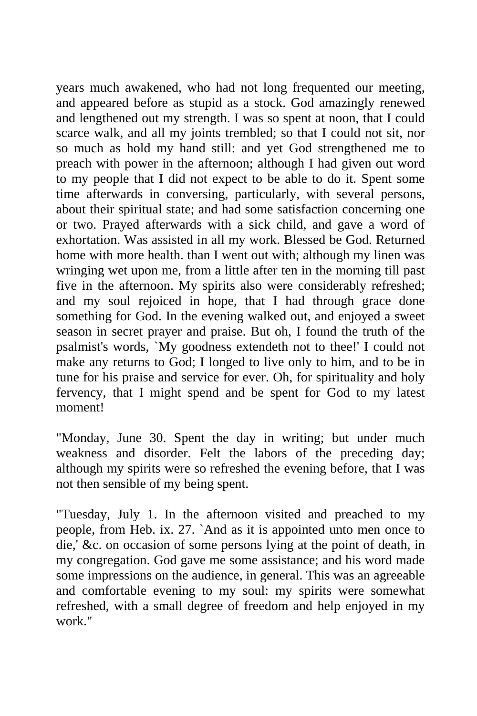years much awakened, who had not long frequented our meeting, and appeared before as stupid as a stock. God amazingly renewed and lengthened out my strength. I was so spent at noon, that I could scarce walk, and all my joints trembled; so that I could not sit, nor so much as hold my hand still: and yet God strengthened me to preach with power in the afternoon; although I had given out word to my people that I did not expect to be able to do it. Spent some time afterwards in conversing, particularly, with several persons, about their spiritual state; and had some satisfaction concerning one or two. Prayed afterwards with a sick child, and gave a word of exhortation. Was assisted in all my work. Blessed be God. Returned home with more health. than I went out with; although my linen was wringing wet upon me, from a little after ten in the morning till past five in the afternoon. My spirits also were considerably refreshed; and my soul rejoiced in hope, that I had through grace done something for God. In the evening walked out, and enjoyed a sweet season in secret prayer and praise. But oh, I found the truth of the psalmist's words, `My goodness extendeth not to thee!' I could not make any returns to God; I longed to live only to him, and to be in tune for his praise and service for ever. Oh, for spirituality and holy fervency, that I might spend and be spent for God to my latest moment!

"Monday, June 30. Spent the day in writing; but under much weakness and disorder. Felt the labors of the preceding day; although my spirits were so refreshed the evening before, that I was not then sensible of my being spent.

"Tuesday, July 1. In the afternoon visited and preached to my people, from Heb. ix. 27. `And as it is appointed unto men once to die,' &c. on occasion of some persons lying at the point of death, in my congregation. God gave me some assistance; and his word made some impressions on the audience, in general. This was an agreeable and comfortable evening to my soul: my spirits were somewhat refreshed, with a small degree of freedom and help enjoyed in my work."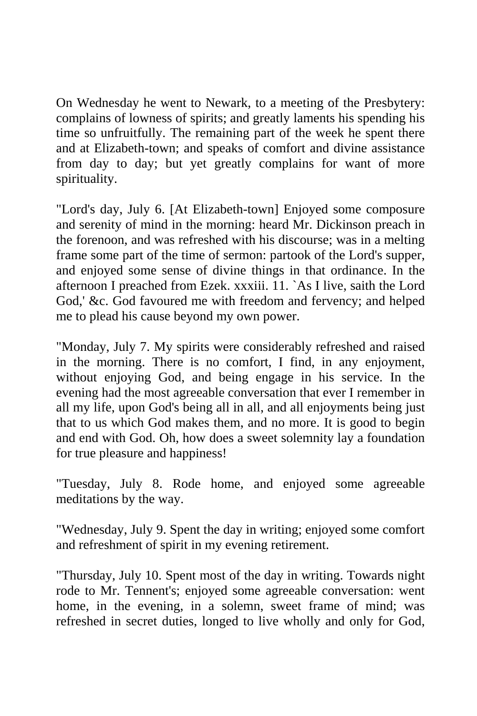On Wednesday he went to Newark, to a meeting of the Presbytery: complains of lowness of spirits; and greatly laments his spending his time so unfruitfully. The remaining part of the week he spent there and at Elizabeth-town; and speaks of comfort and divine assistance from day to day; but yet greatly complains for want of more spirituality.

"Lord's day, July 6. [At Elizabeth-town] Enjoyed some composure and serenity of mind in the morning: heard Mr. Dickinson preach in the forenoon, and was refreshed with his discourse; was in a melting frame some part of the time of sermon: partook of the Lord's supper, and enjoyed some sense of divine things in that ordinance. In the afternoon I preached from Ezek. xxxiii. 11. `As I live, saith the Lord God,' &c. God favoured me with freedom and fervency; and helped me to plead his cause beyond my own power.

"Monday, July 7. My spirits were considerably refreshed and raised in the morning. There is no comfort, I find, in any enjoyment, without enjoying God, and being engage in his service. In the evening had the most agreeable conversation that ever I remember in all my life, upon God's being all in all, and all enjoyments being just that to us which God makes them, and no more. It is good to begin and end with God. Oh, how does a sweet solemnity lay a foundation for true pleasure and happiness!

"Tuesday, July 8. Rode home, and enjoyed some agreeable meditations by the way.

"Wednesday, July 9. Spent the day in writing; enjoyed some comfort and refreshment of spirit in my evening retirement.

"Thursday, July 10. Spent most of the day in writing. Towards night rode to Mr. Tennent's; enjoyed some agreeable conversation: went home, in the evening, in a solemn, sweet frame of mind; was refreshed in secret duties, longed to live wholly and only for God,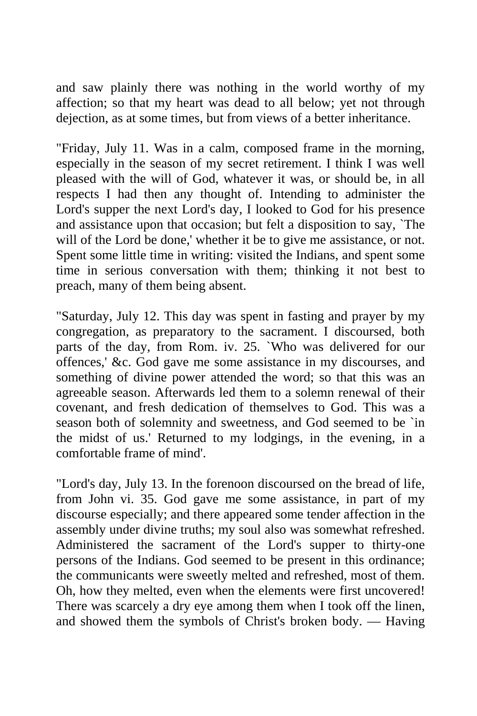and saw plainly there was nothing in the world worthy of my affection; so that my heart was dead to all below; yet not through dejection, as at some times, but from views of a better inheritance.

"Friday, July 11. Was in a calm, composed frame in the morning, especially in the season of my secret retirement. I think I was well pleased with the will of God, whatever it was, or should be, in all respects I had then any thought of. Intending to administer the Lord's supper the next Lord's day, I looked to God for his presence and assistance upon that occasion; but felt a disposition to say, `The will of the Lord be done,' whether it be to give me assistance, or not. Spent some little time in writing: visited the Indians, and spent some time in serious conversation with them; thinking it not best to preach, many of them being absent.

"Saturday, July 12. This day was spent in fasting and prayer by my congregation, as preparatory to the sacrament. I discoursed, both parts of the day, from Rom. iv. 25. `Who was delivered for our offences,' &c. God gave me some assistance in my discourses, and something of divine power attended the word; so that this was an agreeable season. Afterwards led them to a solemn renewal of their covenant, and fresh dedication of themselves to God. This was a season both of solemnity and sweetness, and God seemed to be `in the midst of us.' Returned to my lodgings, in the evening, in a comfortable frame of mind'.

"Lord's day, July 13. In the forenoon discoursed on the bread of life, from John vi. 35. God gave me some assistance, in part of my discourse especially; and there appeared some tender affection in the assembly under divine truths; my soul also was somewhat refreshed. Administered the sacrament of the Lord's supper to thirty-one persons of the Indians. God seemed to be present in this ordinance; the communicants were sweetly melted and refreshed, most of them. Oh, how they melted, even when the elements were first uncovered! There was scarcely a dry eye among them when I took off the linen, and showed them the symbols of Christ's broken body. — Having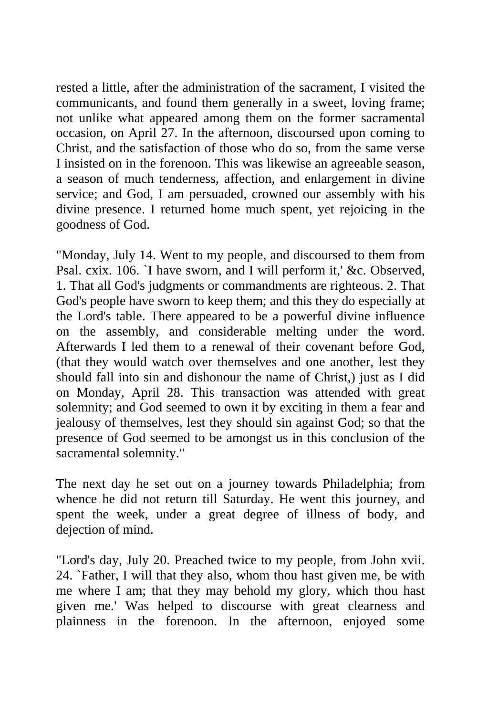rested a little, after the administration of the sacrament, I visited the communicants, and found them generally in a sweet, loving frame; not unlike what appeared among them on the former sacramental occasion, on April 27. In the afternoon, discoursed upon coming to Christ, and the satisfaction of those who do so, from the same verse I insisted on in the forenoon. This was likewise an agreeable season, a season of much tenderness, affection, and enlargement in divine service; and God, I am persuaded, crowned our assembly with his divine presence. I returned home much spent, yet rejoicing in the goodness of God.

"Monday, July 14. Went to my people, and discoursed to them from Psal. cxix. 106. `I have sworn, and I will perform it,' &c. Observed, 1. That all God's judgments or commandments are righteous. 2. That God's people have sworn to keep them; and this they do especially at the Lord's table. There appeared to be a powerful divine influence on the assembly, and considerable melting under the word. Afterwards I led them to a renewal of their covenant before God, (that they would watch over themselves and one another, lest they should fall into sin and dishonour the name of Christ,) just as I did on Monday, April 28. This transaction was attended with great solemnity; and God seemed to own it by exciting in them a fear and jealousy of themselves, lest they should sin against God; so that the presence of God seemed to be amongst us in this conclusion of the sacramental solemnity."

The next day he set out on a journey towards Philadelphia; from whence he did not return till Saturday. He went this journey, and spent the week, under a great degree of illness of body, and dejection of mind.

"Lord's day, July 20. Preached twice to my people, from John xvii. 24. `Father, I will that they also, whom thou hast given me, be with me where I am; that they may behold my glory, which thou hast given me.' Was helped to discourse with great clearness and plainness in the forenoon. In the afternoon, enjoyed some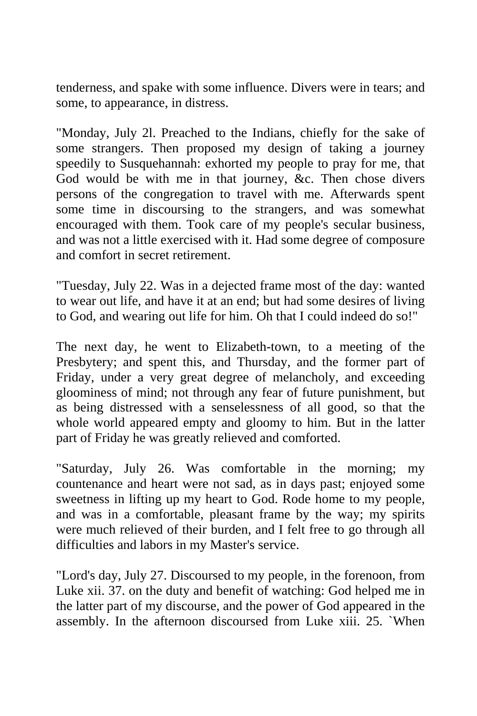tenderness, and spake with some influence. Divers were in tears; and some, to appearance, in distress.

"Monday, July 2l. Preached to the Indians, chiefly for the sake of some strangers. Then proposed my design of taking a journey speedily to Susquehannah: exhorted my people to pray for me, that God would be with me in that journey, &c. Then chose divers persons of the congregation to travel with me. Afterwards spent some time in discoursing to the strangers, and was somewhat encouraged with them. Took care of my people's secular business, and was not a little exercised with it. Had some degree of composure and comfort in secret retirement.

"Tuesday, July 22. Was in a dejected frame most of the day: wanted to wear out life, and have it at an end; but had some desires of living to God, and wearing out life for him. Oh that I could indeed do so!"

The next day, he went to Elizabeth-town, to a meeting of the Presbytery; and spent this, and Thursday, and the former part of Friday, under a very great degree of melancholy, and exceeding gloominess of mind; not through any fear of future punishment, but as being distressed with a senselessness of all good, so that the whole world appeared empty and gloomy to him. But in the latter part of Friday he was greatly relieved and comforted.

"Saturday, July 26. Was comfortable in the morning; my countenance and heart were not sad, as in days past; enjoyed some sweetness in lifting up my heart to God. Rode home to my people, and was in a comfortable, pleasant frame by the way; my spirits were much relieved of their burden, and I felt free to go through all difficulties and labors in my Master's service.

"Lord's day, July 27. Discoursed to my people, in the forenoon, from Luke xii. 37. on the duty and benefit of watching: God helped me in the latter part of my discourse, and the power of God appeared in the assembly. In the afternoon discoursed from Luke xiii. 25. `When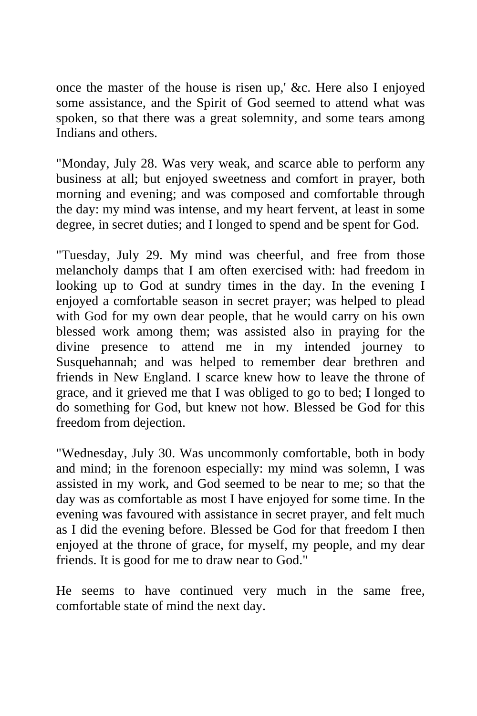once the master of the house is risen up,' &c. Here also I enjoyed some assistance, and the Spirit of God seemed to attend what was spoken, so that there was a great solemnity, and some tears among Indians and others.

"Monday, July 28. Was very weak, and scarce able to perform any business at all; but enjoyed sweetness and comfort in prayer, both morning and evening; and was composed and comfortable through the day: my mind was intense, and my heart fervent, at least in some degree, in secret duties; and I longed to spend and be spent for God.

"Tuesday, July 29. My mind was cheerful, and free from those melancholy damps that I am often exercised with: had freedom in looking up to God at sundry times in the day. In the evening I enjoyed a comfortable season in secret prayer; was helped to plead with God for my own dear people, that he would carry on his own blessed work among them; was assisted also in praying for the divine presence to attend me in my intended journey to Susquehannah; and was helped to remember dear brethren and friends in New England. I scarce knew how to leave the throne of grace, and it grieved me that I was obliged to go to bed; I longed to do something for God, but knew not how. Blessed be God for this freedom from dejection.

"Wednesday, July 30. Was uncommonly comfortable, both in body and mind; in the forenoon especially: my mind was solemn, I was assisted in my work, and God seemed to be near to me; so that the day was as comfortable as most I have enjoyed for some time. In the evening was favoured with assistance in secret prayer, and felt much as I did the evening before. Blessed be God for that freedom I then enjoyed at the throne of grace, for myself, my people, and my dear friends. It is good for me to draw near to God."

He seems to have continued very much in the same free, comfortable state of mind the next day.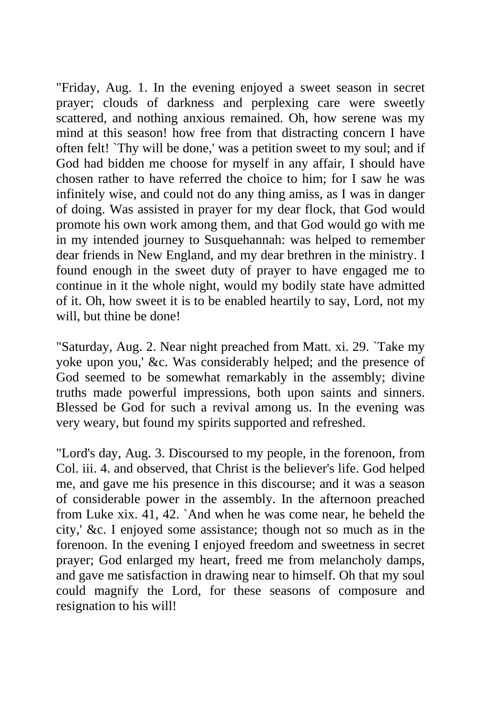"Friday, Aug. 1. In the evening enjoyed a sweet season in secret prayer; clouds of darkness and perplexing care were sweetly scattered, and nothing anxious remained. Oh, how serene was my mind at this season! how free from that distracting concern I have often felt! `Thy will be done,' was a petition sweet to my soul; and if God had bidden me choose for myself in any affair, I should have chosen rather to have referred the choice to him; for I saw he was infinitely wise, and could not do any thing amiss, as I was in danger of doing. Was assisted in prayer for my dear flock, that God would promote his own work among them, and that God would go with me in my intended journey to Susquehannah: was helped to remember dear friends in New England, and my dear brethren in the ministry. I found enough in the sweet duty of prayer to have engaged me to continue in it the whole night, would my bodily state have admitted of it. Oh, how sweet it is to be enabled heartily to say, Lord, not my will, but thine be done!

"Saturday, Aug. 2. Near night preached from Matt. xi. 29. `Take my yoke upon you,' &c. Was considerably helped; and the presence of God seemed to be somewhat remarkably in the assembly; divine truths made powerful impressions, both upon saints and sinners. Blessed be God for such a revival among us. In the evening was very weary, but found my spirits supported and refreshed.

"Lord's day, Aug. 3. Discoursed to my people, in the forenoon, from Col. iii. 4. and observed, that Christ is the believer's life. God helped me, and gave me his presence in this discourse; and it was a season of considerable power in the assembly. In the afternoon preached from Luke xix. 41, 42. `And when he was come near, he beheld the city,' &c. I enjoyed some assistance; though not so much as in the forenoon. In the evening I enjoyed freedom and sweetness in secret prayer; God enlarged my heart, freed me from melancholy damps, and gave me satisfaction in drawing near to himself. Oh that my soul could magnify the Lord, for these seasons of composure and resignation to his will!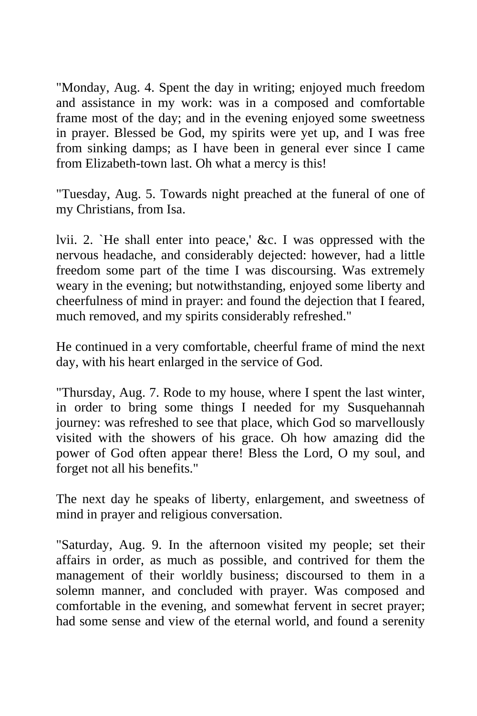"Monday, Aug. 4. Spent the day in writing; enjoyed much freedom and assistance in my work: was in a composed and comfortable frame most of the day; and in the evening enjoyed some sweetness in prayer. Blessed be God, my spirits were yet up, and I was free from sinking damps; as I have been in general ever since I came from Elizabeth-town last. Oh what a mercy is this!

"Tuesday, Aug. 5. Towards night preached at the funeral of one of my Christians, from Isa.

lvii. 2. `He shall enter into peace,' &c. I was oppressed with the nervous headache, and considerably dejected: however, had a little freedom some part of the time I was discoursing. Was extremely weary in the evening; but notwithstanding, enjoyed some liberty and cheerfulness of mind in prayer: and found the dejection that I feared, much removed, and my spirits considerably refreshed."

He continued in a very comfortable, cheerful frame of mind the next day, with his heart enlarged in the service of God.

"Thursday, Aug. 7. Rode to my house, where I spent the last winter, in order to bring some things I needed for my Susquehannah journey: was refreshed to see that place, which God so marvellously visited with the showers of his grace. Oh how amazing did the power of God often appear there! Bless the Lord, O my soul, and forget not all his benefits."

The next day he speaks of liberty, enlargement, and sweetness of mind in prayer and religious conversation.

"Saturday, Aug. 9. In the afternoon visited my people; set their affairs in order, as much as possible, and contrived for them the management of their worldly business; discoursed to them in a solemn manner, and concluded with prayer. Was composed and comfortable in the evening, and somewhat fervent in secret prayer; had some sense and view of the eternal world, and found a serenity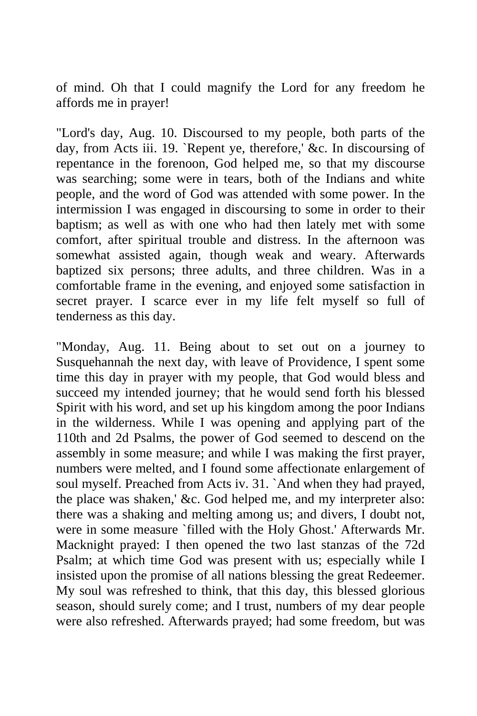of mind. Oh that I could magnify the Lord for any freedom he affords me in prayer!

"Lord's day, Aug. 10. Discoursed to my people, both parts of the day, from Acts iii. 19. `Repent ye, therefore,' &c. In discoursing of repentance in the forenoon, God helped me, so that my discourse was searching; some were in tears, both of the Indians and white people, and the word of God was attended with some power. In the intermission I was engaged in discoursing to some in order to their baptism; as well as with one who had then lately met with some comfort, after spiritual trouble and distress. In the afternoon was somewhat assisted again, though weak and weary. Afterwards baptized six persons; three adults, and three children. Was in a comfortable frame in the evening, and enjoyed some satisfaction in secret prayer. I scarce ever in my life felt myself so full of tenderness as this day.

"Monday, Aug. 11. Being about to set out on a journey to Susquehannah the next day, with leave of Providence, I spent some time this day in prayer with my people, that God would bless and succeed my intended journey; that he would send forth his blessed Spirit with his word, and set up his kingdom among the poor Indians in the wilderness. While I was opening and applying part of the 110th and 2d Psalms, the power of God seemed to descend on the assembly in some measure; and while I was making the first prayer, numbers were melted, and I found some affectionate enlargement of soul myself. Preached from Acts iv. 31. `And when they had prayed, the place was shaken,' &c. God helped me, and my interpreter also: there was a shaking and melting among us; and divers, I doubt not, were in some measure `filled with the Holy Ghost.' Afterwards Mr. Macknight prayed: I then opened the two last stanzas of the 72d Psalm; at which time God was present with us; especially while I insisted upon the promise of all nations blessing the great Redeemer. My soul was refreshed to think, that this day, this blessed glorious season, should surely come; and I trust, numbers of my dear people were also refreshed. Afterwards prayed; had some freedom, but was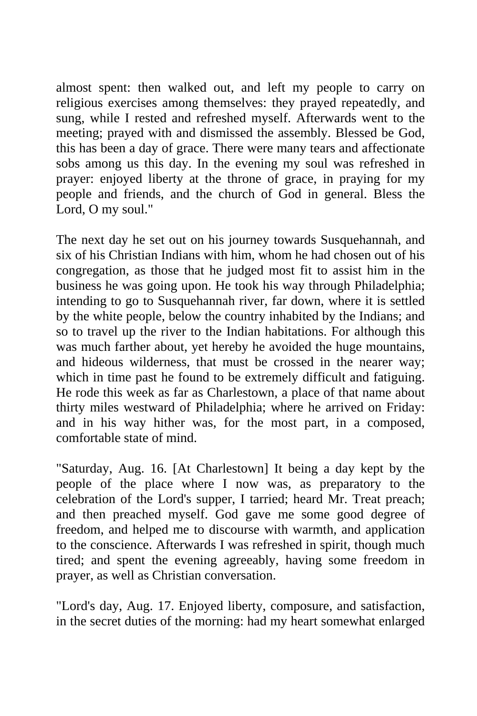almost spent: then walked out, and left my people to carry on religious exercises among themselves: they prayed repeatedly, and sung, while I rested and refreshed myself. Afterwards went to the meeting; prayed with and dismissed the assembly. Blessed be God, this has been a day of grace. There were many tears and affectionate sobs among us this day. In the evening my soul was refreshed in prayer: enjoyed liberty at the throne of grace, in praying for my people and friends, and the church of God in general. Bless the Lord, O my soul."

The next day he set out on his journey towards Susquehannah, and six of his Christian Indians with him, whom he had chosen out of his congregation, as those that he judged most fit to assist him in the business he was going upon. He took his way through Philadelphia; intending to go to Susquehannah river, far down, where it is settled by the white people, below the country inhabited by the Indians; and so to travel up the river to the Indian habitations. For although this was much farther about, yet hereby he avoided the huge mountains, and hideous wilderness, that must be crossed in the nearer way; which in time past he found to be extremely difficult and fatiguing. He rode this week as far as Charlestown, a place of that name about thirty miles westward of Philadelphia; where he arrived on Friday: and in his way hither was, for the most part, in a composed, comfortable state of mind.

"Saturday, Aug. 16. [At Charlestown] It being a day kept by the people of the place where I now was, as preparatory to the celebration of the Lord's supper, I tarried; heard Mr. Treat preach; and then preached myself. God gave me some good degree of freedom, and helped me to discourse with warmth, and application to the conscience. Afterwards I was refreshed in spirit, though much tired; and spent the evening agreeably, having some freedom in prayer, as well as Christian conversation.

"Lord's day, Aug. 17. Enjoyed liberty, composure, and satisfaction, in the secret duties of the morning: had my heart somewhat enlarged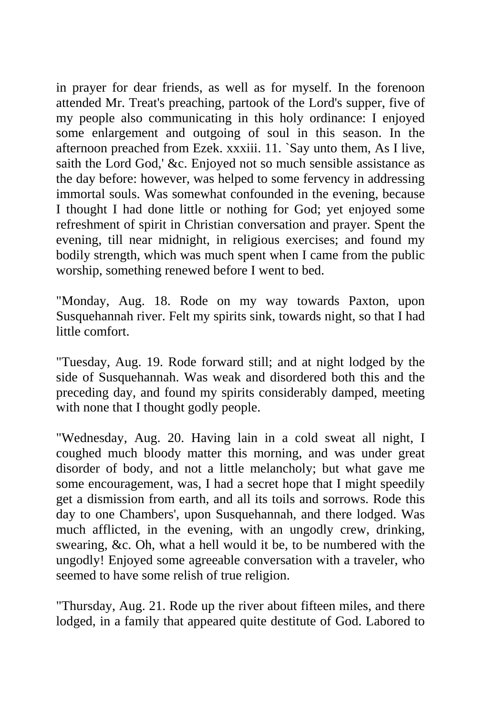in prayer for dear friends, as well as for myself. In the forenoon attended Mr. Treat's preaching, partook of the Lord's supper, five of my people also communicating in this holy ordinance: I enjoyed some enlargement and outgoing of soul in this season. In the afternoon preached from Ezek. xxxiii. 11. `Say unto them, As I live, saith the Lord God,' &c. Enjoyed not so much sensible assistance as the day before: however, was helped to some fervency in addressing immortal souls. Was somewhat confounded in the evening, because I thought I had done little or nothing for God; yet enjoyed some refreshment of spirit in Christian conversation and prayer. Spent the evening, till near midnight, in religious exercises; and found my bodily strength, which was much spent when I came from the public worship, something renewed before I went to bed.

"Monday, Aug. 18. Rode on my way towards Paxton, upon Susquehannah river. Felt my spirits sink, towards night, so that I had little comfort.

"Tuesday, Aug. 19. Rode forward still; and at night lodged by the side of Susquehannah. Was weak and disordered both this and the preceding day, and found my spirits considerably damped, meeting with none that I thought godly people.

"Wednesday, Aug. 20. Having lain in a cold sweat all night, I coughed much bloody matter this morning, and was under great disorder of body, and not a little melancholy; but what gave me some encouragement, was, I had a secret hope that I might speedily get a dismission from earth, and all its toils and sorrows. Rode this day to one Chambers', upon Susquehannah, and there lodged. Was much afflicted, in the evening, with an ungodly crew, drinking, swearing, &c. Oh, what a hell would it be, to be numbered with the ungodly! Enjoyed some agreeable conversation with a traveler, who seemed to have some relish of true religion.

"Thursday, Aug. 21. Rode up the river about fifteen miles, and there lodged, in a family that appeared quite destitute of God. Labored to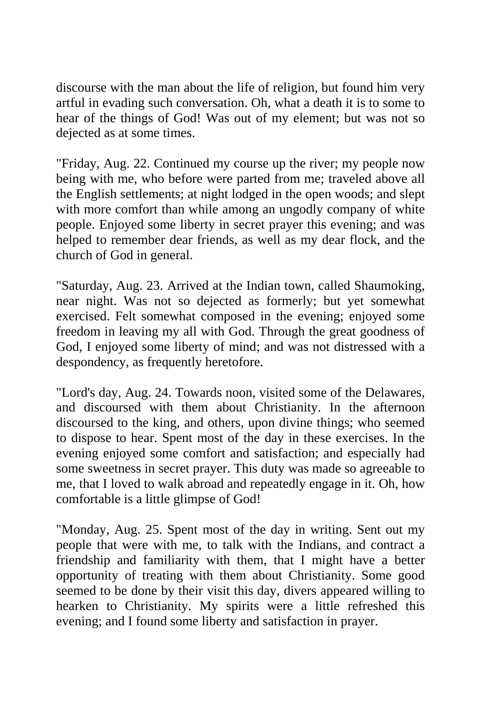discourse with the man about the life of religion, but found him very artful in evading such conversation. Oh, what a death it is to some to hear of the things of God! Was out of my element; but was not so dejected as at some times.

"Friday, Aug. 22. Continued my course up the river; my people now being with me, who before were parted from me; traveled above all the English settlements; at night lodged in the open woods; and slept with more comfort than while among an ungodly company of white people. Enjoyed some liberty in secret prayer this evening; and was helped to remember dear friends, as well as my dear flock, and the church of God in general.

"Saturday, Aug. 23. Arrived at the Indian town, called Shaumoking, near night. Was not so dejected as formerly; but yet somewhat exercised. Felt somewhat composed in the evening; enjoyed some freedom in leaving my all with God. Through the great goodness of God, I enjoyed some liberty of mind; and was not distressed with a despondency, as frequently heretofore.

"Lord's day, Aug. 24. Towards noon, visited some of the Delawares, and discoursed with them about Christianity. In the afternoon discoursed to the king, and others, upon divine things; who seemed to dispose to hear. Spent most of the day in these exercises. In the evening enjoyed some comfort and satisfaction; and especially had some sweetness in secret prayer. This duty was made so agreeable to me, that I loved to walk abroad and repeatedly engage in it. Oh, how comfortable is a little glimpse of God!

"Monday, Aug. 25. Spent most of the day in writing. Sent out my people that were with me, to talk with the Indians, and contract a friendship and familiarity with them, that I might have a better opportunity of treating with them about Christianity. Some good seemed to be done by their visit this day, divers appeared willing to hearken to Christianity. My spirits were a little refreshed this evening; and I found some liberty and satisfaction in prayer.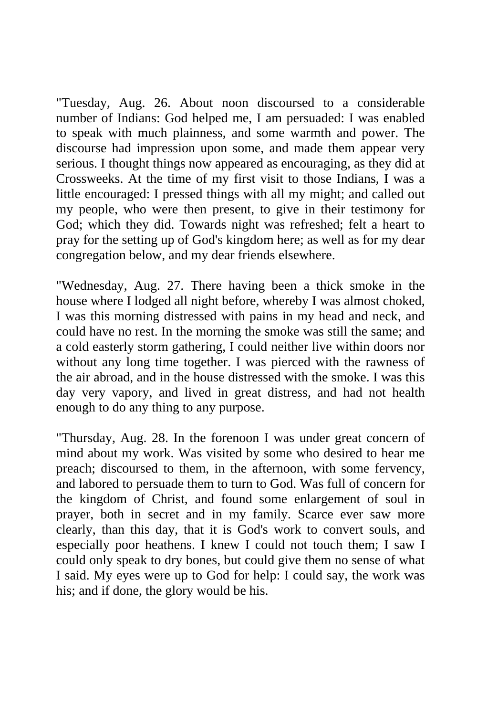"Tuesday, Aug. 26. About noon discoursed to a considerable number of Indians: God helped me, I am persuaded: I was enabled to speak with much plainness, and some warmth and power. The discourse had impression upon some, and made them appear very serious. I thought things now appeared as encouraging, as they did at Crossweeks. At the time of my first visit to those Indians, I was a little encouraged: I pressed things with all my might; and called out my people, who were then present, to give in their testimony for God; which they did. Towards night was refreshed; felt a heart to pray for the setting up of God's kingdom here; as well as for my dear congregation below, and my dear friends elsewhere.

"Wednesday, Aug. 27. There having been a thick smoke in the house where I lodged all night before, whereby I was almost choked, I was this morning distressed with pains in my head and neck, and could have no rest. In the morning the smoke was still the same; and a cold easterly storm gathering, I could neither live within doors nor without any long time together. I was pierced with the rawness of the air abroad, and in the house distressed with the smoke. I was this day very vapory, and lived in great distress, and had not health enough to do any thing to any purpose.

"Thursday, Aug. 28. In the forenoon I was under great concern of mind about my work. Was visited by some who desired to hear me preach; discoursed to them, in the afternoon, with some fervency, and labored to persuade them to turn to God. Was full of concern for the kingdom of Christ, and found some enlargement of soul in prayer, both in secret and in my family. Scarce ever saw more clearly, than this day, that it is God's work to convert souls, and especially poor heathens. I knew I could not touch them; I saw I could only speak to dry bones, but could give them no sense of what I said. My eyes were up to God for help: I could say, the work was his; and if done, the glory would be his.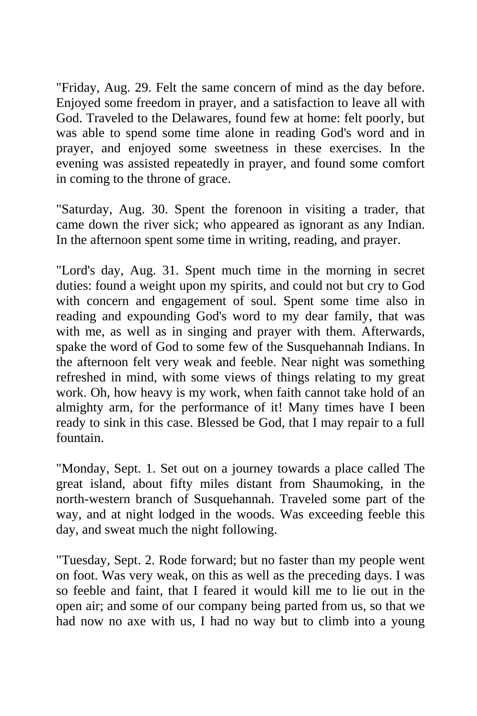"Friday, Aug. 29. Felt the same concern of mind as the day before. Enjoyed some freedom in prayer, and a satisfaction to leave all with God. Traveled to the Delawares, found few at home: felt poorly, but was able to spend some time alone in reading God's word and in prayer, and enjoyed some sweetness in these exercises. In the evening was assisted repeatedly in prayer, and found some comfort in coming to the throne of grace.

"Saturday, Aug. 30. Spent the forenoon in visiting a trader, that came down the river sick; who appeared as ignorant as any Indian. In the afternoon spent some time in writing, reading, and prayer.

"Lord's day, Aug. 31. Spent much time in the morning in secret duties: found a weight upon my spirits, and could not but cry to God with concern and engagement of soul. Spent some time also in reading and expounding God's word to my dear family, that was with me, as well as in singing and prayer with them. Afterwards, spake the word of God to some few of the Susquehannah Indians. In the afternoon felt very weak and feeble. Near night was something refreshed in mind, with some views of things relating to my great work. Oh, how heavy is my work, when faith cannot take hold of an almighty arm, for the performance of it! Many times have I been ready to sink in this case. Blessed be God, that I may repair to a full fountain.

"Monday, Sept. 1. Set out on a journey towards a place called The great island, about fifty miles distant from Shaumoking, in the north-western branch of Susquehannah. Traveled some part of the way, and at night lodged in the woods. Was exceeding feeble this day, and sweat much the night following.

"Tuesday, Sept. 2. Rode forward; but no faster than my people went on foot. Was very weak, on this as well as the preceding days. I was so feeble and faint, that I feared it would kill me to lie out in the open air; and some of our company being parted from us, so that we had now no axe with us, I had no way but to climb into a young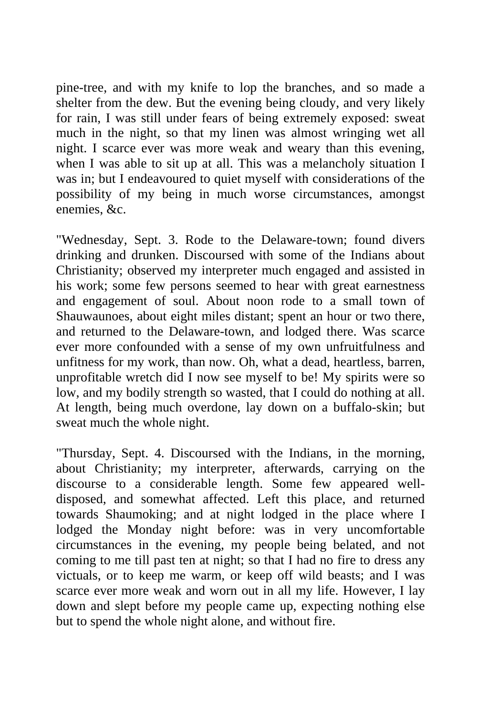pine-tree, and with my knife to lop the branches, and so made a shelter from the dew. But the evening being cloudy, and very likely for rain, I was still under fears of being extremely exposed: sweat much in the night, so that my linen was almost wringing wet all night. I scarce ever was more weak and weary than this evening, when I was able to sit up at all. This was a melancholy situation I was in; but I endeavoured to quiet myself with considerations of the possibility of my being in much worse circumstances, amongst enemies, &c.

"Wednesday, Sept. 3. Rode to the Delaware-town; found divers drinking and drunken. Discoursed with some of the Indians about Christianity; observed my interpreter much engaged and assisted in his work; some few persons seemed to hear with great earnestness and engagement of soul. About noon rode to a small town of Shauwaunoes, about eight miles distant; spent an hour or two there, and returned to the Delaware-town, and lodged there. Was scarce ever more confounded with a sense of my own unfruitfulness and unfitness for my work, than now. Oh, what a dead, heartless, barren, unprofitable wretch did I now see myself to be! My spirits were so low, and my bodily strength so wasted, that I could do nothing at all. At length, being much overdone, lay down on a buffalo-skin; but sweat much the whole night.

"Thursday, Sept. 4. Discoursed with the Indians, in the morning, about Christianity; my interpreter, afterwards, carrying on the discourse to a considerable length. Some few appeared welldisposed, and somewhat affected. Left this place, and returned towards Shaumoking; and at night lodged in the place where I lodged the Monday night before: was in very uncomfortable circumstances in the evening, my people being belated, and not coming to me till past ten at night; so that I had no fire to dress any victuals, or to keep me warm, or keep off wild beasts; and I was scarce ever more weak and worn out in all my life. However, I lay down and slept before my people came up, expecting nothing else but to spend the whole night alone, and without fire.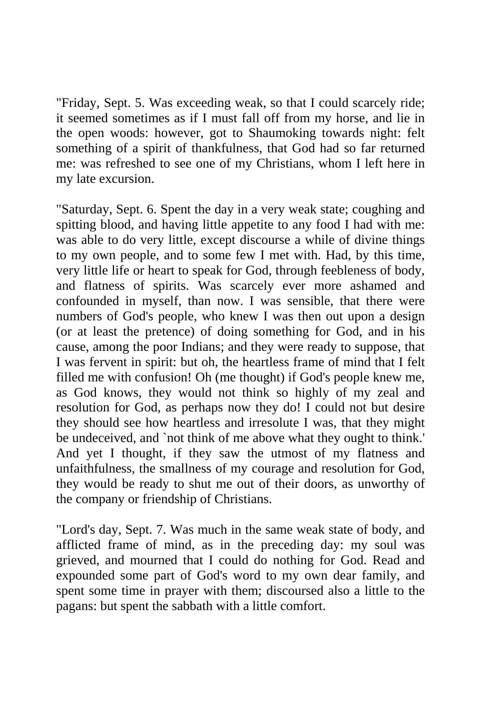"Friday, Sept. 5. Was exceeding weak, so that I could scarcely ride; it seemed sometimes as if I must fall off from my horse, and lie in the open woods: however, got to Shaumoking towards night: felt something of a spirit of thankfulness, that God had so far returned me: was refreshed to see one of my Christians, whom I left here in my late excursion.

"Saturday, Sept. 6. Spent the day in a very weak state; coughing and spitting blood, and having little appetite to any food I had with me: was able to do very little, except discourse a while of divine things to my own people, and to some few I met with. Had, by this time, very little life or heart to speak for God, through feebleness of body, and flatness of spirits. Was scarcely ever more ashamed and confounded in myself, than now. I was sensible, that there were numbers of God's people, who knew I was then out upon a design (or at least the pretence) of doing something for God, and in his cause, among the poor Indians; and they were ready to suppose, that I was fervent in spirit: but oh, the heartless frame of mind that I felt filled me with confusion! Oh (me thought) if God's people knew me, as God knows, they would not think so highly of my zeal and resolution for God, as perhaps now they do! I could not but desire they should see how heartless and irresolute I was, that they might be undeceived, and `not think of me above what they ought to think.' And yet I thought, if they saw the utmost of my flatness and unfaithfulness, the smallness of my courage and resolution for God, they would be ready to shut me out of their doors, as unworthy of the company or friendship of Christians.

"Lord's day, Sept. 7. Was much in the same weak state of body, and afflicted frame of mind, as in the preceding day: my soul was grieved, and mourned that I could do nothing for God. Read and expounded some part of God's word to my own dear family, and spent some time in prayer with them; discoursed also a little to the pagans: but spent the sabbath with a little comfort.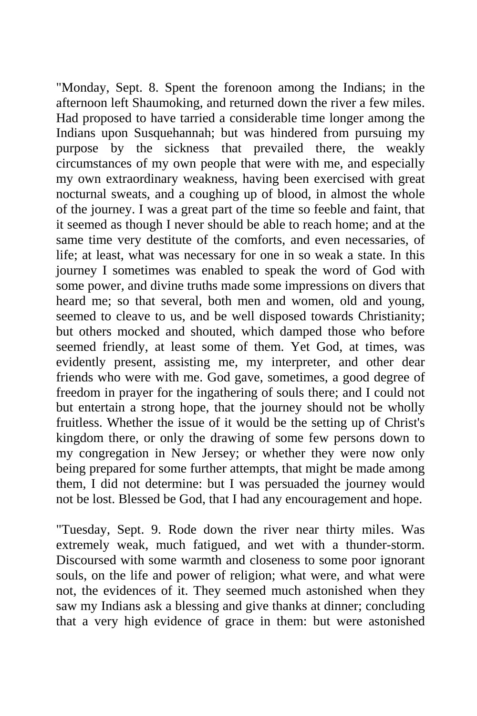"Monday, Sept. 8. Spent the forenoon among the Indians; in the afternoon left Shaumoking, and returned down the river a few miles. Had proposed to have tarried a considerable time longer among the Indians upon Susquehannah; but was hindered from pursuing my purpose by the sickness that prevailed there, the weakly circumstances of my own people that were with me, and especially my own extraordinary weakness, having been exercised with great nocturnal sweats, and a coughing up of blood, in almost the whole of the journey. I was a great part of the time so feeble and faint, that it seemed as though I never should be able to reach home; and at the same time very destitute of the comforts, and even necessaries, of life; at least, what was necessary for one in so weak a state. In this journey I sometimes was enabled to speak the word of God with some power, and divine truths made some impressions on divers that heard me; so that several, both men and women, old and young, seemed to cleave to us, and be well disposed towards Christianity; but others mocked and shouted, which damped those who before seemed friendly, at least some of them. Yet God, at times, was evidently present, assisting me, my interpreter, and other dear friends who were with me. God gave, sometimes, a good degree of freedom in prayer for the ingathering of souls there; and I could not but entertain a strong hope, that the journey should not be wholly fruitless. Whether the issue of it would be the setting up of Christ's kingdom there, or only the drawing of some few persons down to my congregation in New Jersey; or whether they were now only being prepared for some further attempts, that might be made among them, I did not determine: but I was persuaded the journey would not be lost. Blessed be God, that I had any encouragement and hope.

"Tuesday, Sept. 9. Rode down the river near thirty miles. Was extremely weak, much fatigued, and wet with a thunder-storm. Discoursed with some warmth and closeness to some poor ignorant souls, on the life and power of religion; what were, and what were not, the evidences of it. They seemed much astonished when they saw my Indians ask a blessing and give thanks at dinner; concluding that a very high evidence of grace in them: but were astonished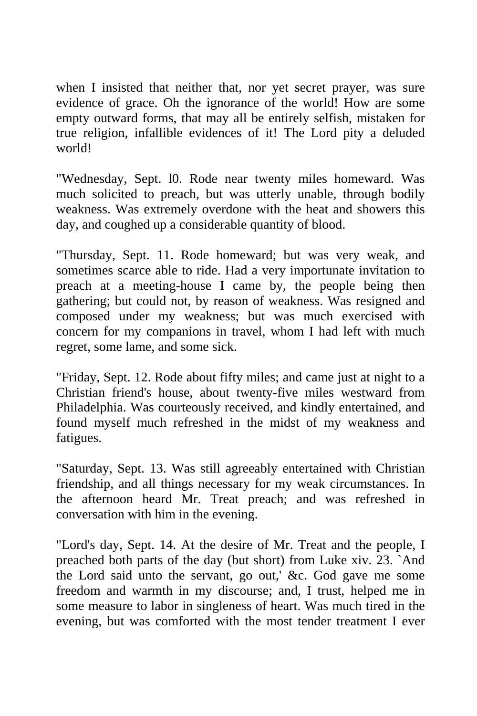when I insisted that neither that, nor yet secret prayer, was sure evidence of grace. Oh the ignorance of the world! How are some empty outward forms, that may all be entirely selfish, mistaken for true religion, infallible evidences of it! The Lord pity a deluded world!

"Wednesday, Sept. l0. Rode near twenty miles homeward. Was much solicited to preach, but was utterly unable, through bodily weakness. Was extremely overdone with the heat and showers this day, and coughed up a considerable quantity of blood.

"Thursday, Sept. 11. Rode homeward; but was very weak, and sometimes scarce able to ride. Had a very importunate invitation to preach at a meeting-house I came by, the people being then gathering; but could not, by reason of weakness. Was resigned and composed under my weakness; but was much exercised with concern for my companions in travel, whom I had left with much regret, some lame, and some sick.

"Friday, Sept. 12. Rode about fifty miles; and came just at night to a Christian friend's house, about twenty-five miles westward from Philadelphia. Was courteously received, and kindly entertained, and found myself much refreshed in the midst of my weakness and fatigues.

"Saturday, Sept. 13. Was still agreeably entertained with Christian friendship, and all things necessary for my weak circumstances. In the afternoon heard Mr. Treat preach; and was refreshed in conversation with him in the evening.

"Lord's day, Sept. 14. At the desire of Mr. Treat and the people, I preached both parts of the day (but short) from Luke xiv. 23. `And the Lord said unto the servant, go out,' &c. God gave me some freedom and warmth in my discourse; and, I trust, helped me in some measure to labor in singleness of heart. Was much tired in the evening, but was comforted with the most tender treatment I ever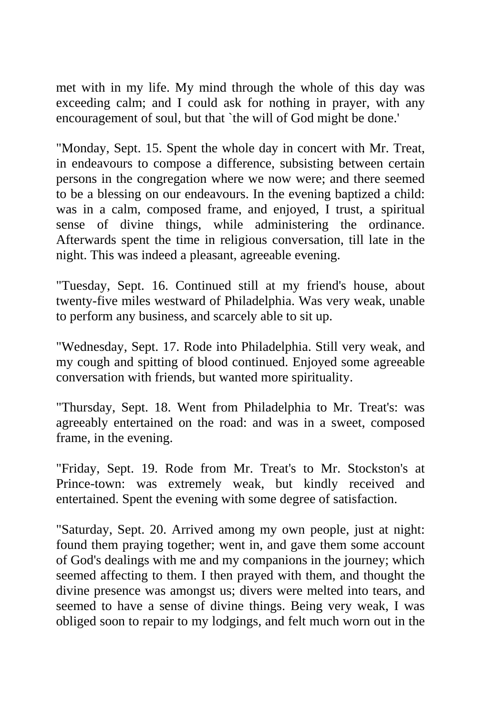met with in my life. My mind through the whole of this day was exceeding calm; and I could ask for nothing in prayer, with any encouragement of soul, but that `the will of God might be done.'

"Monday, Sept. 15. Spent the whole day in concert with Mr. Treat, in endeavours to compose a difference, subsisting between certain persons in the congregation where we now were; and there seemed to be a blessing on our endeavours. In the evening baptized a child: was in a calm, composed frame, and enjoyed, I trust, a spiritual sense of divine things, while administering the ordinance. Afterwards spent the time in religious conversation, till late in the night. This was indeed a pleasant, agreeable evening.

"Tuesday, Sept. 16. Continued still at my friend's house, about twenty-five miles westward of Philadelphia. Was very weak, unable to perform any business, and scarcely able to sit up.

"Wednesday, Sept. 17. Rode into Philadelphia. Still very weak, and my cough and spitting of blood continued. Enjoyed some agreeable conversation with friends, but wanted more spirituality.

"Thursday, Sept. 18. Went from Philadelphia to Mr. Treat's: was agreeably entertained on the road: and was in a sweet, composed frame, in the evening.

"Friday, Sept. 19. Rode from Mr. Treat's to Mr. Stockston's at Prince-town: was extremely weak, but kindly received and entertained. Spent the evening with some degree of satisfaction.

"Saturday, Sept. 20. Arrived among my own people, just at night: found them praying together; went in, and gave them some account of God's dealings with me and my companions in the journey; which seemed affecting to them. I then prayed with them, and thought the divine presence was amongst us; divers were melted into tears, and seemed to have a sense of divine things. Being very weak, I was obliged soon to repair to my lodgings, and felt much worn out in the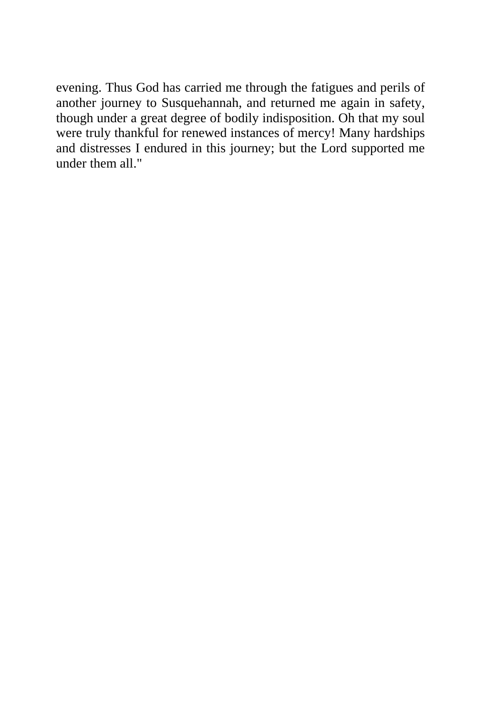evening. Thus God has carried me through the fatigues and perils of another journey to Susquehannah, and returned me again in safety, though under a great degree of bodily indisposition. Oh that my soul were truly thankful for renewed instances of mercy! Many hardships and distresses I endured in this journey; but the Lord supported me under them all."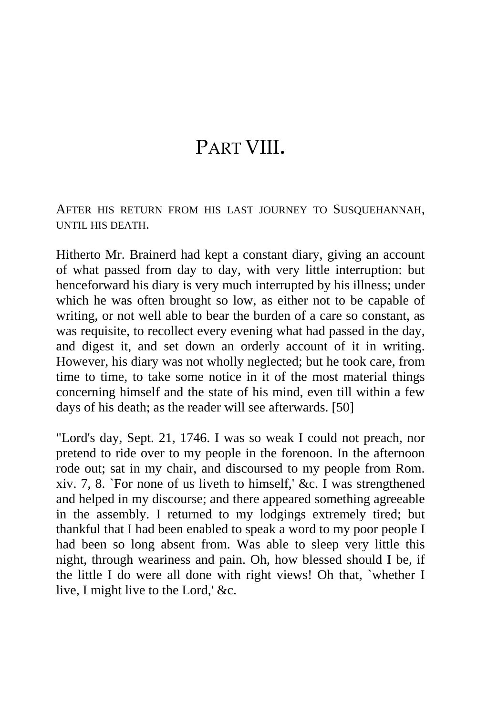## PART VIII**.**

AFTER HIS RETURN FROM HIS LAST JOURNEY TO SUSQUEHANNAH, UNTIL HIS DEATH.

Hitherto Mr. Brainerd had kept a constant diary, giving an account of what passed from day to day, with very little interruption: but henceforward his diary is very much interrupted by his illness; under which he was often brought so low, as either not to be capable of writing, or not well able to bear the burden of a care so constant, as was requisite, to recollect every evening what had passed in the day, and digest it, and set down an orderly account of it in writing. However, his diary was not wholly neglected; but he took care, from time to time, to take some notice in it of the most material things concerning himself and the state of his mind, even till within a few days of his death; as the reader will see afterwards. [50]

"Lord's day, Sept. 21, 1746. I was so weak I could not preach, nor pretend to ride over to my people in the forenoon. In the afternoon rode out; sat in my chair, and discoursed to my people from Rom. xiv. 7, 8. `For none of us liveth to himself,' &c. I was strengthened and helped in my discourse; and there appeared something agreeable in the assembly. I returned to my lodgings extremely tired; but thankful that I had been enabled to speak a word to my poor people I had been so long absent from. Was able to sleep very little this night, through weariness and pain. Oh, how blessed should I be, if the little I do were all done with right views! Oh that, `whether I live, I might live to the Lord,' &c.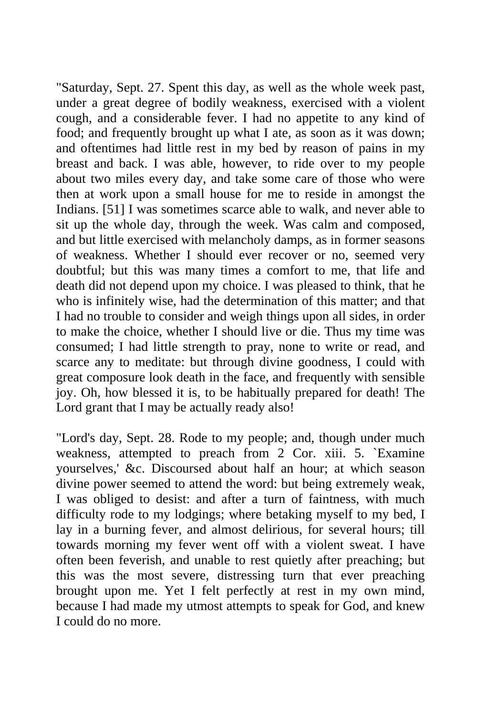"Saturday, Sept. 27. Spent this day, as well as the whole week past, under a great degree of bodily weakness, exercised with a violent cough, and a considerable fever. I had no appetite to any kind of food; and frequently brought up what I ate, as soon as it was down; and oftentimes had little rest in my bed by reason of pains in my breast and back. I was able, however, to ride over to my people about two miles every day, and take some care of those who were then at work upon a small house for me to reside in amongst the Indians. [51] I was sometimes scarce able to walk, and never able to sit up the whole day, through the week. Was calm and composed, and but little exercised with melancholy damps, as in former seasons of weakness. Whether I should ever recover or no, seemed very doubtful; but this was many times a comfort to me, that life and death did not depend upon my choice. I was pleased to think, that he who is infinitely wise, had the determination of this matter; and that I had no trouble to consider and weigh things upon all sides, in order to make the choice, whether I should live or die. Thus my time was consumed; I had little strength to pray, none to write or read, and scarce any to meditate: but through divine goodness, I could with great composure look death in the face, and frequently with sensible joy. Oh, how blessed it is, to be habitually prepared for death! The Lord grant that I may be actually ready also!

"Lord's day, Sept. 28. Rode to my people; and, though under much weakness, attempted to preach from 2 Cor. xiii. 5. `Examine yourselves,' &c. Discoursed about half an hour; at which season divine power seemed to attend the word: but being extremely weak, I was obliged to desist: and after a turn of faintness, with much difficulty rode to my lodgings; where betaking myself to my bed, I lay in a burning fever, and almost delirious, for several hours; till towards morning my fever went off with a violent sweat. I have often been feverish, and unable to rest quietly after preaching; but this was the most severe, distressing turn that ever preaching brought upon me. Yet I felt perfectly at rest in my own mind, because I had made my utmost attempts to speak for God, and knew I could do no more.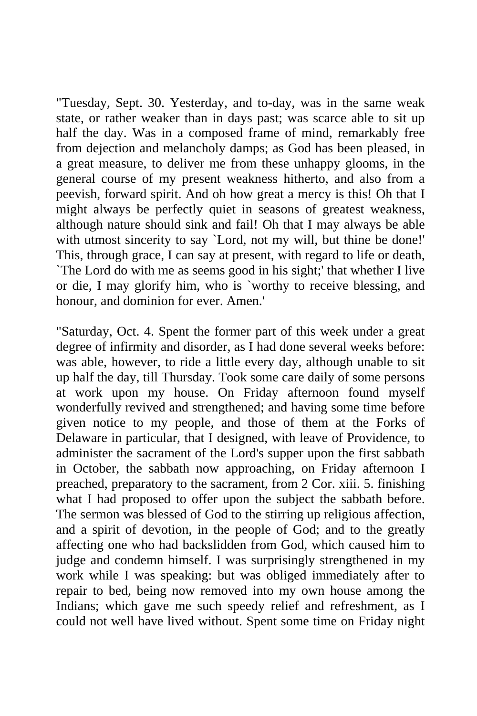"Tuesday, Sept. 30. Yesterday, and to-day, was in the same weak state, or rather weaker than in days past; was scarce able to sit up half the day. Was in a composed frame of mind, remarkably free from dejection and melancholy damps; as God has been pleased, in a great measure, to deliver me from these unhappy glooms, in the general course of my present weakness hitherto, and also from a peevish, forward spirit. And oh how great a mercy is this! Oh that I might always be perfectly quiet in seasons of greatest weakness, although nature should sink and fail! Oh that I may always be able with utmost sincerity to say `Lord, not my will, but thine be done!' This, through grace, I can say at present, with regard to life or death, `The Lord do with me as seems good in his sight;' that whether I live or die, I may glorify him, who is `worthy to receive blessing, and honour, and dominion for ever. Amen.'

"Saturday, Oct. 4. Spent the former part of this week under a great degree of infirmity and disorder, as I had done several weeks before: was able, however, to ride a little every day, although unable to sit up half the day, till Thursday. Took some care daily of some persons at work upon my house. On Friday afternoon found myself wonderfully revived and strengthened; and having some time before given notice to my people, and those of them at the Forks of Delaware in particular, that I designed, with leave of Providence, to administer the sacrament of the Lord's supper upon the first sabbath in October, the sabbath now approaching, on Friday afternoon I preached, preparatory to the sacrament, from 2 Cor. xiii. 5. finishing what I had proposed to offer upon the subject the sabbath before. The sermon was blessed of God to the stirring up religious affection, and a spirit of devotion, in the people of God; and to the greatly affecting one who had backslidden from God, which caused him to judge and condemn himself. I was surprisingly strengthened in my work while I was speaking: but was obliged immediately after to repair to bed, being now removed into my own house among the Indians; which gave me such speedy relief and refreshment, as I could not well have lived without. Spent some time on Friday night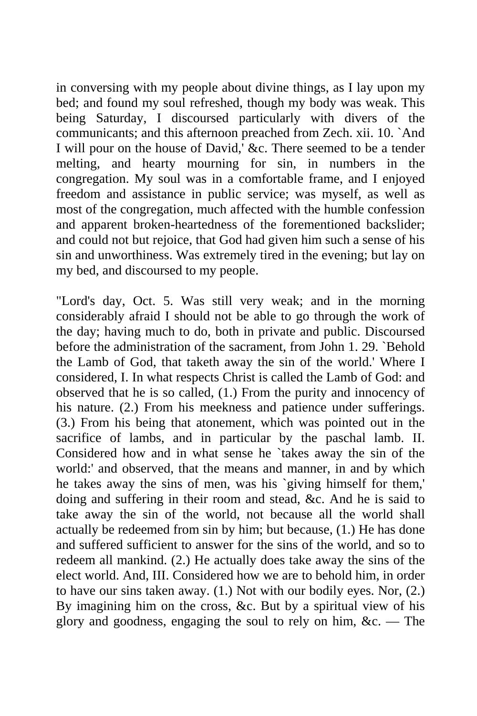in conversing with my people about divine things, as I lay upon my bed; and found my soul refreshed, though my body was weak. This being Saturday, I discoursed particularly with divers of the communicants; and this afternoon preached from Zech. xii. 10. `And I will pour on the house of David,' &c. There seemed to be a tender melting, and hearty mourning for sin, in numbers in the congregation. My soul was in a comfortable frame, and I enjoyed freedom and assistance in public service; was myself, as well as most of the congregation, much affected with the humble confession and apparent broken-heartedness of the forementioned backslider; and could not but rejoice, that God had given him such a sense of his sin and unworthiness. Was extremely tired in the evening; but lay on my bed, and discoursed to my people.

"Lord's day, Oct. 5. Was still very weak; and in the morning considerably afraid I should not be able to go through the work of the day; having much to do, both in private and public. Discoursed before the administration of the sacrament, from John 1. 29. `Behold the Lamb of God, that taketh away the sin of the world.' Where I considered, I. In what respects Christ is called the Lamb of God: and observed that he is so called, (1.) From the purity and innocency of his nature. (2.) From his meekness and patience under sufferings. (3.) From his being that atonement, which was pointed out in the sacrifice of lambs, and in particular by the paschal lamb. II. Considered how and in what sense he `takes away the sin of the world:' and observed, that the means and manner, in and by which he takes away the sins of men, was his `giving himself for them,' doing and suffering in their room and stead, &c. And he is said to take away the sin of the world, not because all the world shall actually be redeemed from sin by him; but because, (1.) He has done and suffered sufficient to answer for the sins of the world, and so to redeem all mankind. (2.) He actually does take away the sins of the elect world. And, III. Considered how we are to behold him, in order to have our sins taken away. (1.) Not with our bodily eyes. Nor, (2.) By imagining him on the cross, &c. But by a spiritual view of his glory and goodness, engaging the soul to rely on him,  $&c$ . The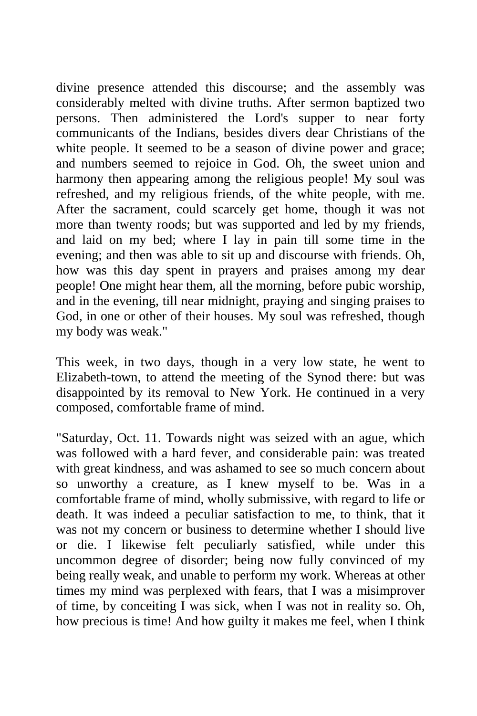divine presence attended this discourse; and the assembly was considerably melted with divine truths. After sermon baptized two persons. Then administered the Lord's supper to near forty communicants of the Indians, besides divers dear Christians of the white people. It seemed to be a season of divine power and grace; and numbers seemed to rejoice in God. Oh, the sweet union and harmony then appearing among the religious people! My soul was refreshed, and my religious friends, of the white people, with me. After the sacrament, could scarcely get home, though it was not more than twenty roods; but was supported and led by my friends, and laid on my bed; where I lay in pain till some time in the evening; and then was able to sit up and discourse with friends. Oh, how was this day spent in prayers and praises among my dear people! One might hear them, all the morning, before pubic worship, and in the evening, till near midnight, praying and singing praises to God, in one or other of their houses. My soul was refreshed, though my body was weak."

This week, in two days, though in a very low state, he went to Elizabeth-town, to attend the meeting of the Synod there: but was disappointed by its removal to New York. He continued in a very composed, comfortable frame of mind.

"Saturday, Oct. 11. Towards night was seized with an ague, which was followed with a hard fever, and considerable pain: was treated with great kindness, and was ashamed to see so much concern about so unworthy a creature, as I knew myself to be. Was in a comfortable frame of mind, wholly submissive, with regard to life or death. It was indeed a peculiar satisfaction to me, to think, that it was not my concern or business to determine whether I should live or die. I likewise felt peculiarly satisfied, while under this uncommon degree of disorder; being now fully convinced of my being really weak, and unable to perform my work. Whereas at other times my mind was perplexed with fears, that I was a misimprover of time, by conceiting I was sick, when I was not in reality so. Oh, how precious is time! And how guilty it makes me feel, when I think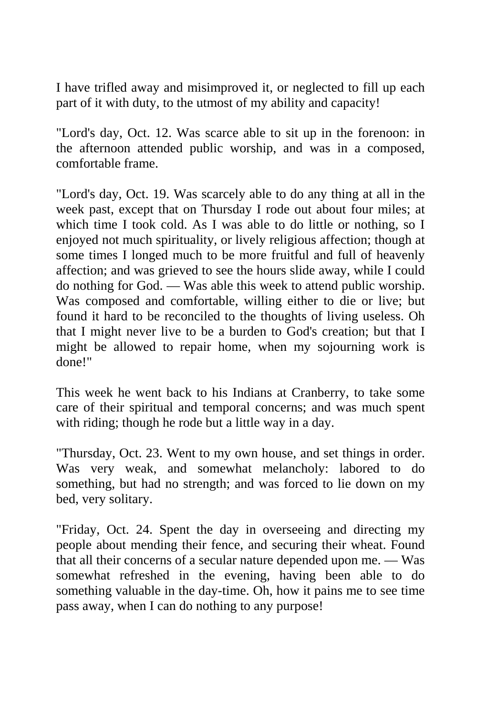I have trifled away and misimproved it, or neglected to fill up each part of it with duty, to the utmost of my ability and capacity!

"Lord's day, Oct. 12. Was scarce able to sit up in the forenoon: in the afternoon attended public worship, and was in a composed, comfortable frame.

"Lord's day, Oct. 19. Was scarcely able to do any thing at all in the week past, except that on Thursday I rode out about four miles; at which time I took cold. As I was able to do little or nothing, so I enjoyed not much spirituality, or lively religious affection; though at some times I longed much to be more fruitful and full of heavenly affection; and was grieved to see the hours slide away, while I could do nothing for God. — Was able this week to attend public worship. Was composed and comfortable, willing either to die or live; but found it hard to be reconciled to the thoughts of living useless. Oh that I might never live to be a burden to God's creation; but that I might be allowed to repair home, when my sojourning work is done!"

This week he went back to his Indians at Cranberry, to take some care of their spiritual and temporal concerns; and was much spent with riding; though he rode but a little way in a day.

"Thursday, Oct. 23. Went to my own house, and set things in order. Was very weak, and somewhat melancholy: labored to do something, but had no strength; and was forced to lie down on my bed, very solitary.

"Friday, Oct. 24. Spent the day in overseeing and directing my people about mending their fence, and securing their wheat. Found that all their concerns of a secular nature depended upon me. — Was somewhat refreshed in the evening, having been able to do something valuable in the day-time. Oh, how it pains me to see time pass away, when I can do nothing to any purpose!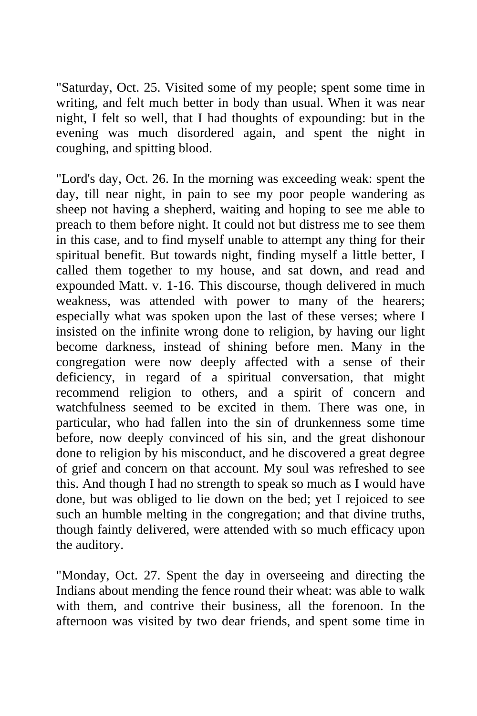"Saturday, Oct. 25. Visited some of my people; spent some time in writing, and felt much better in body than usual. When it was near night, I felt so well, that I had thoughts of expounding: but in the evening was much disordered again, and spent the night in coughing, and spitting blood.

"Lord's day, Oct. 26. In the morning was exceeding weak: spent the day, till near night, in pain to see my poor people wandering as sheep not having a shepherd, waiting and hoping to see me able to preach to them before night. It could not but distress me to see them in this case, and to find myself unable to attempt any thing for their spiritual benefit. But towards night, finding myself a little better, I called them together to my house, and sat down, and read and expounded Matt. v. 1-16. This discourse, though delivered in much weakness, was attended with power to many of the hearers; especially what was spoken upon the last of these verses; where I insisted on the infinite wrong done to religion, by having our light become darkness, instead of shining before men. Many in the congregation were now deeply affected with a sense of their deficiency, in regard of a spiritual conversation, that might recommend religion to others, and a spirit of concern and watchfulness seemed to be excited in them. There was one, in particular, who had fallen into the sin of drunkenness some time before, now deeply convinced of his sin, and the great dishonour done to religion by his misconduct, and he discovered a great degree of grief and concern on that account. My soul was refreshed to see this. And though I had no strength to speak so much as I would have done, but was obliged to lie down on the bed; yet I rejoiced to see such an humble melting in the congregation; and that divine truths, though faintly delivered, were attended with so much efficacy upon the auditory.

"Monday, Oct. 27. Spent the day in overseeing and directing the Indians about mending the fence round their wheat: was able to walk with them, and contrive their business, all the forenoon. In the afternoon was visited by two dear friends, and spent some time in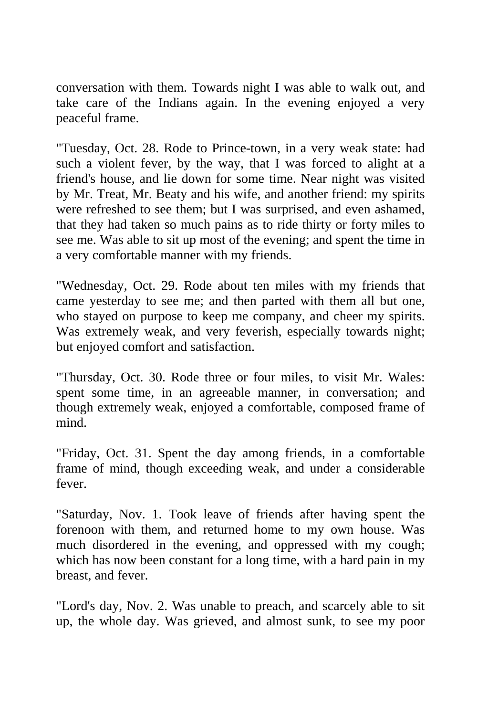conversation with them. Towards night I was able to walk out, and take care of the Indians again. In the evening enjoyed a very peaceful frame.

"Tuesday, Oct. 28. Rode to Prince-town, in a very weak state: had such a violent fever, by the way, that I was forced to alight at a friend's house, and lie down for some time. Near night was visited by Mr. Treat, Mr. Beaty and his wife, and another friend: my spirits were refreshed to see them; but I was surprised, and even ashamed, that they had taken so much pains as to ride thirty or forty miles to see me. Was able to sit up most of the evening; and spent the time in a very comfortable manner with my friends.

"Wednesday, Oct. 29. Rode about ten miles with my friends that came yesterday to see me; and then parted with them all but one, who stayed on purpose to keep me company, and cheer my spirits. Was extremely weak, and very feverish, especially towards night; but enjoyed comfort and satisfaction.

"Thursday, Oct. 30. Rode three or four miles, to visit Mr. Wales: spent some time, in an agreeable manner, in conversation; and though extremely weak, enjoyed a comfortable, composed frame of mind.

"Friday, Oct. 31. Spent the day among friends, in a comfortable frame of mind, though exceeding weak, and under a considerable fever.

"Saturday, Nov. 1. Took leave of friends after having spent the forenoon with them, and returned home to my own house. Was much disordered in the evening, and oppressed with my cough; which has now been constant for a long time, with a hard pain in my breast, and fever.

"Lord's day, Nov. 2. Was unable to preach, and scarcely able to sit up, the whole day. Was grieved, and almost sunk, to see my poor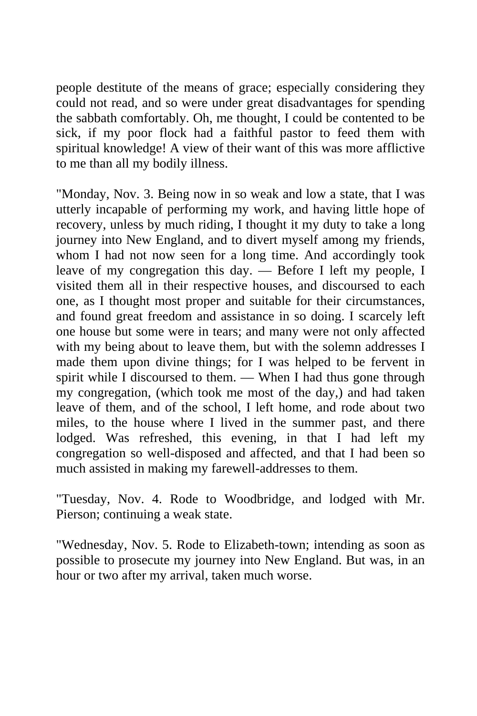people destitute of the means of grace; especially considering they could not read, and so were under great disadvantages for spending the sabbath comfortably. Oh, me thought, I could be contented to be sick, if my poor flock had a faithful pastor to feed them with spiritual knowledge! A view of their want of this was more afflictive to me than all my bodily illness.

"Monday, Nov. 3. Being now in so weak and low a state, that I was utterly incapable of performing my work, and having little hope of recovery, unless by much riding, I thought it my duty to take a long journey into New England, and to divert myself among my friends, whom I had not now seen for a long time. And accordingly took leave of my congregation this day. — Before I left my people, I visited them all in their respective houses, and discoursed to each one, as I thought most proper and suitable for their circumstances, and found great freedom and assistance in so doing. I scarcely left one house but some were in tears; and many were not only affected with my being about to leave them, but with the solemn addresses I made them upon divine things; for I was helped to be fervent in spirit while I discoursed to them. — When I had thus gone through my congregation, (which took me most of the day,) and had taken leave of them, and of the school, I left home, and rode about two miles, to the house where I lived in the summer past, and there lodged. Was refreshed, this evening, in that I had left my congregation so well-disposed and affected, and that I had been so much assisted in making my farewell-addresses to them.

"Tuesday, Nov. 4. Rode to Woodbridge, and lodged with Mr. Pierson; continuing a weak state.

"Wednesday, Nov. 5. Rode to Elizabeth-town; intending as soon as possible to prosecute my journey into New England. But was, in an hour or two after my arrival, taken much worse.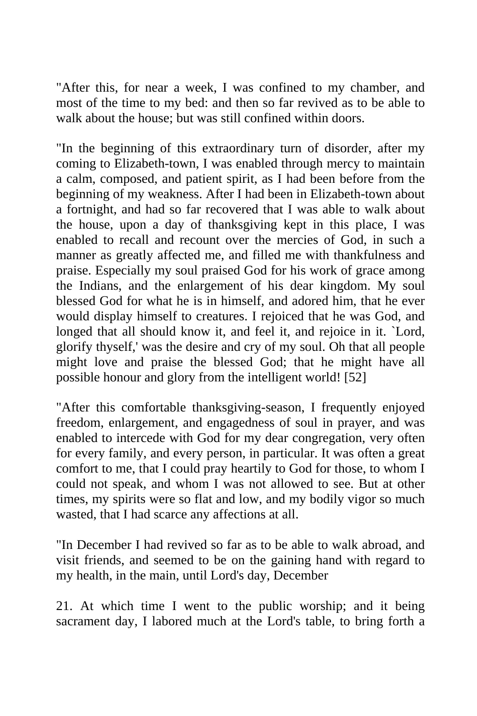"After this, for near a week, I was confined to my chamber, and most of the time to my bed: and then so far revived as to be able to walk about the house; but was still confined within doors.

"In the beginning of this extraordinary turn of disorder, after my coming to Elizabeth-town, I was enabled through mercy to maintain a calm, composed, and patient spirit, as I had been before from the beginning of my weakness. After I had been in Elizabeth-town about a fortnight, and had so far recovered that I was able to walk about the house, upon a day of thanksgiving kept in this place, I was enabled to recall and recount over the mercies of God, in such a manner as greatly affected me, and filled me with thankfulness and praise. Especially my soul praised God for his work of grace among the Indians, and the enlargement of his dear kingdom. My soul blessed God for what he is in himself, and adored him, that he ever would display himself to creatures. I rejoiced that he was God, and longed that all should know it, and feel it, and rejoice in it. `Lord, glorify thyself,' was the desire and cry of my soul. Oh that all people might love and praise the blessed God; that he might have all possible honour and glory from the intelligent world! [52]

"After this comfortable thanksgiving-season, I frequently enjoyed freedom, enlargement, and engagedness of soul in prayer, and was enabled to intercede with God for my dear congregation, very often for every family, and every person, in particular. It was often a great comfort to me, that I could pray heartily to God for those, to whom I could not speak, and whom I was not allowed to see. But at other times, my spirits were so flat and low, and my bodily vigor so much wasted, that I had scarce any affections at all.

"In December I had revived so far as to be able to walk abroad, and visit friends, and seemed to be on the gaining hand with regard to my health, in the main, until Lord's day, December

21. At which time I went to the public worship; and it being sacrament day, I labored much at the Lord's table, to bring forth a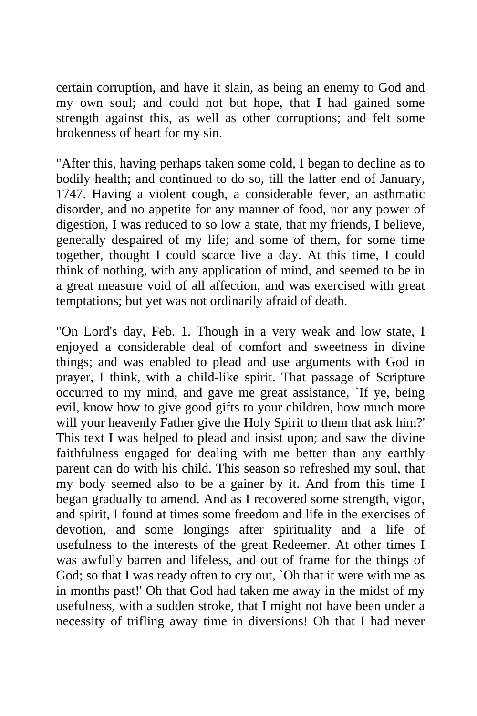certain corruption, and have it slain, as being an enemy to God and my own soul; and could not but hope, that I had gained some strength against this, as well as other corruptions; and felt some brokenness of heart for my sin.

"After this, having perhaps taken some cold, I began to decline as to bodily health; and continued to do so, till the latter end of January, 1747. Having a violent cough, a considerable fever, an asthmatic disorder, and no appetite for any manner of food, nor any power of digestion, I was reduced to so low a state, that my friends, I believe, generally despaired of my life; and some of them, for some time together, thought I could scarce live a day. At this time, I could think of nothing, with any application of mind, and seemed to be in a great measure void of all affection, and was exercised with great temptations; but yet was not ordinarily afraid of death.

"On Lord's day, Feb. 1. Though in a very weak and low state, I enjoyed a considerable deal of comfort and sweetness in divine things; and was enabled to plead and use arguments with God in prayer, I think, with a child-like spirit. That passage of Scripture occurred to my mind, and gave me great assistance, `If ye, being evil, know how to give good gifts to your children, how much more will your heavenly Father give the Holy Spirit to them that ask him?' This text I was helped to plead and insist upon; and saw the divine faithfulness engaged for dealing with me better than any earthly parent can do with his child. This season so refreshed my soul, that my body seemed also to be a gainer by it. And from this time I began gradually to amend. And as I recovered some strength, vigor, and spirit, I found at times some freedom and life in the exercises of devotion, and some longings after spirituality and a life of usefulness to the interests of the great Redeemer. At other times I was awfully barren and lifeless, and out of frame for the things of God; so that I was ready often to cry out, `Oh that it were with me as in months past!' Oh that God had taken me away in the midst of my usefulness, with a sudden stroke, that I might not have been under a necessity of trifling away time in diversions! Oh that I had never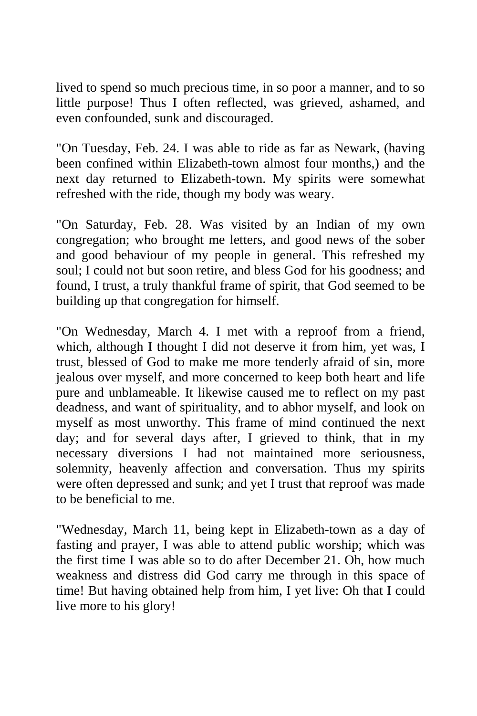lived to spend so much precious time, in so poor a manner, and to so little purpose! Thus I often reflected, was grieved, ashamed, and even confounded, sunk and discouraged.

"On Tuesday, Feb. 24. I was able to ride as far as Newark, (having been confined within Elizabeth-town almost four months,) and the next day returned to Elizabeth-town. My spirits were somewhat refreshed with the ride, though my body was weary.

"On Saturday, Feb. 28. Was visited by an Indian of my own congregation; who brought me letters, and good news of the sober and good behaviour of my people in general. This refreshed my soul; I could not but soon retire, and bless God for his goodness; and found, I trust, a truly thankful frame of spirit, that God seemed to be building up that congregation for himself.

"On Wednesday, March 4. I met with a reproof from a friend, which, although I thought I did not deserve it from him, yet was, I trust, blessed of God to make me more tenderly afraid of sin, more jealous over myself, and more concerned to keep both heart and life pure and unblameable. It likewise caused me to reflect on my past deadness, and want of spirituality, and to abhor myself, and look on myself as most unworthy. This frame of mind continued the next day; and for several days after, I grieved to think, that in my necessary diversions I had not maintained more seriousness, solemnity, heavenly affection and conversation. Thus my spirits were often depressed and sunk; and yet I trust that reproof was made to be beneficial to me.

"Wednesday, March 11, being kept in Elizabeth-town as a day of fasting and prayer, I was able to attend public worship; which was the first time I was able so to do after December 21. Oh, how much weakness and distress did God carry me through in this space of time! But having obtained help from him, I yet live: Oh that I could live more to his glory!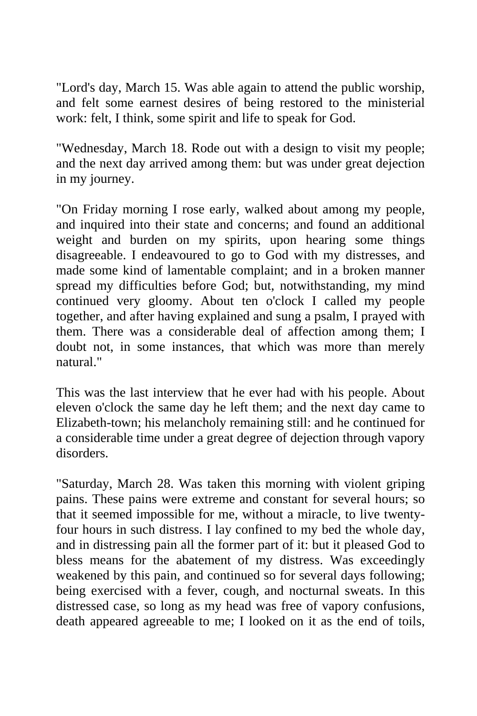"Lord's day, March 15. Was able again to attend the public worship, and felt some earnest desires of being restored to the ministerial work: felt, I think, some spirit and life to speak for God.

"Wednesday, March 18. Rode out with a design to visit my people; and the next day arrived among them: but was under great dejection in my journey.

"On Friday morning I rose early, walked about among my people, and inquired into their state and concerns; and found an additional weight and burden on my spirits, upon hearing some things disagreeable. I endeavoured to go to God with my distresses, and made some kind of lamentable complaint; and in a broken manner spread my difficulties before God; but, notwithstanding, my mind continued very gloomy. About ten o'clock I called my people together, and after having explained and sung a psalm, I prayed with them. There was a considerable deal of affection among them; I doubt not, in some instances, that which was more than merely natural."

This was the last interview that he ever had with his people. About eleven o'clock the same day he left them; and the next day came to Elizabeth-town; his melancholy remaining still: and he continued for a considerable time under a great degree of dejection through vapory disorders.

"Saturday, March 28. Was taken this morning with violent griping pains. These pains were extreme and constant for several hours; so that it seemed impossible for me, without a miracle, to live twentyfour hours in such distress. I lay confined to my bed the whole day, and in distressing pain all the former part of it: but it pleased God to bless means for the abatement of my distress. Was exceedingly weakened by this pain, and continued so for several days following; being exercised with a fever, cough, and nocturnal sweats. In this distressed case, so long as my head was free of vapory confusions, death appeared agreeable to me; I looked on it as the end of toils,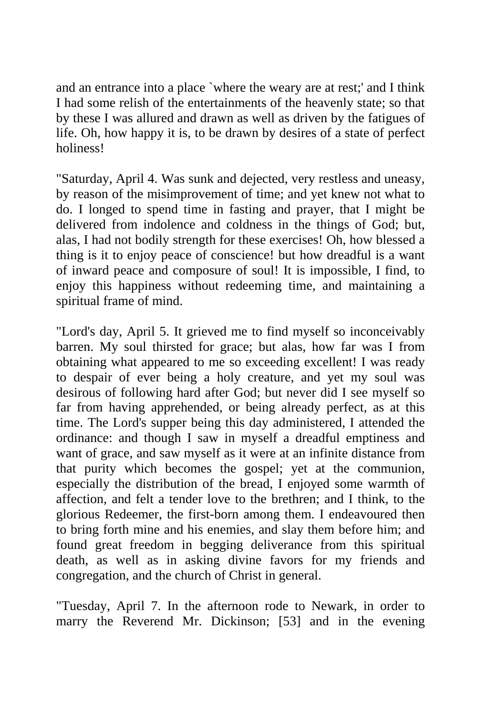and an entrance into a place `where the weary are at rest;' and I think I had some relish of the entertainments of the heavenly state; so that by these I was allured and drawn as well as driven by the fatigues of life. Oh, how happy it is, to be drawn by desires of a state of perfect holiness!

"Saturday, April 4. Was sunk and dejected, very restless and uneasy, by reason of the misimprovement of time; and yet knew not what to do. I longed to spend time in fasting and prayer, that I might be delivered from indolence and coldness in the things of God; but, alas, I had not bodily strength for these exercises! Oh, how blessed a thing is it to enjoy peace of conscience! but how dreadful is a want of inward peace and composure of soul! It is impossible, I find, to enjoy this happiness without redeeming time, and maintaining a spiritual frame of mind.

"Lord's day, April 5. It grieved me to find myself so inconceivably barren. My soul thirsted for grace; but alas, how far was I from obtaining what appeared to me so exceeding excellent! I was ready to despair of ever being a holy creature, and yet my soul was desirous of following hard after God; but never did I see myself so far from having apprehended, or being already perfect, as at this time. The Lord's supper being this day administered, I attended the ordinance: and though I saw in myself a dreadful emptiness and want of grace, and saw myself as it were at an infinite distance from that purity which becomes the gospel; yet at the communion, especially the distribution of the bread, I enjoyed some warmth of affection, and felt a tender love to the brethren; and I think, to the glorious Redeemer, the first-born among them. I endeavoured then to bring forth mine and his enemies, and slay them before him; and found great freedom in begging deliverance from this spiritual death, as well as in asking divine favors for my friends and congregation, and the church of Christ in general.

"Tuesday, April 7. In the afternoon rode to Newark, in order to marry the Reverend Mr. Dickinson; [53] and in the evening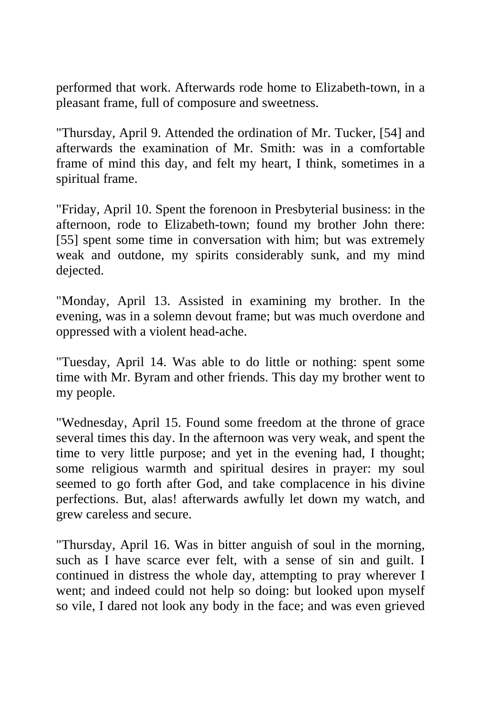performed that work. Afterwards rode home to Elizabeth-town, in a pleasant frame, full of composure and sweetness.

"Thursday, April 9. Attended the ordination of Mr. Tucker, [54] and afterwards the examination of Mr. Smith: was in a comfortable frame of mind this day, and felt my heart, I think, sometimes in a spiritual frame.

"Friday, April 10. Spent the forenoon in Presbyterial business: in the afternoon, rode to Elizabeth-town; found my brother John there: [55] spent some time in conversation with him; but was extremely weak and outdone, my spirits considerably sunk, and my mind dejected.

"Monday, April 13. Assisted in examining my brother. In the evening, was in a solemn devout frame; but was much overdone and oppressed with a violent head-ache.

"Tuesday, April 14. Was able to do little or nothing: spent some time with Mr. Byram and other friends. This day my brother went to my people.

"Wednesday, April 15. Found some freedom at the throne of grace several times this day. In the afternoon was very weak, and spent the time to very little purpose; and yet in the evening had, I thought; some religious warmth and spiritual desires in prayer: my soul seemed to go forth after God, and take complacence in his divine perfections. But, alas! afterwards awfully let down my watch, and grew careless and secure.

"Thursday, April 16. Was in bitter anguish of soul in the morning, such as I have scarce ever felt, with a sense of sin and guilt. I continued in distress the whole day, attempting to pray wherever I went; and indeed could not help so doing: but looked upon myself so vile, I dared not look any body in the face; and was even grieved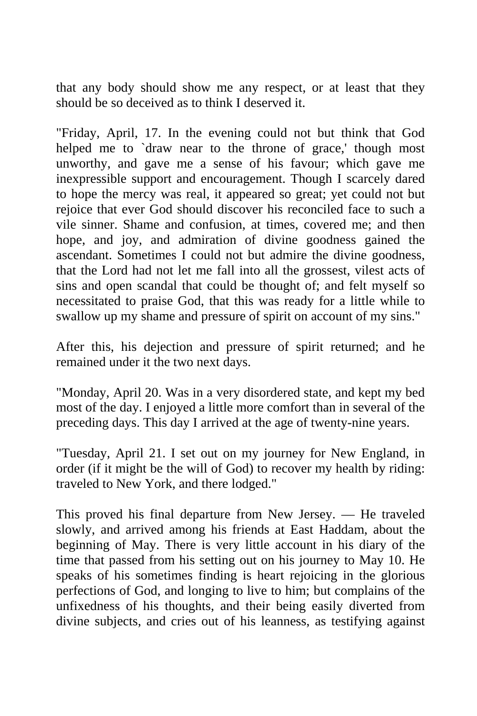that any body should show me any respect, or at least that they should be so deceived as to think I deserved it.

"Friday, April, 17. In the evening could not but think that God helped me to `draw near to the throne of grace,' though most unworthy, and gave me a sense of his favour; which gave me inexpressible support and encouragement. Though I scarcely dared to hope the mercy was real, it appeared so great; yet could not but rejoice that ever God should discover his reconciled face to such a vile sinner. Shame and confusion, at times, covered me; and then hope, and joy, and admiration of divine goodness gained the ascendant. Sometimes I could not but admire the divine goodness, that the Lord had not let me fall into all the grossest, vilest acts of sins and open scandal that could be thought of; and felt myself so necessitated to praise God, that this was ready for a little while to swallow up my shame and pressure of spirit on account of my sins."

After this, his dejection and pressure of spirit returned; and he remained under it the two next days.

"Monday, April 20. Was in a very disordered state, and kept my bed most of the day. I enjoyed a little more comfort than in several of the preceding days. This day I arrived at the age of twenty-nine years.

"Tuesday, April 21. I set out on my journey for New England, in order (if it might be the will of God) to recover my health by riding: traveled to New York, and there lodged."

This proved his final departure from New Jersey. — He traveled slowly, and arrived among his friends at East Haddam, about the beginning of May. There is very little account in his diary of the time that passed from his setting out on his journey to May 10. He speaks of his sometimes finding is heart rejoicing in the glorious perfections of God, and longing to live to him; but complains of the unfixedness of his thoughts, and their being easily diverted from divine subjects, and cries out of his leanness, as testifying against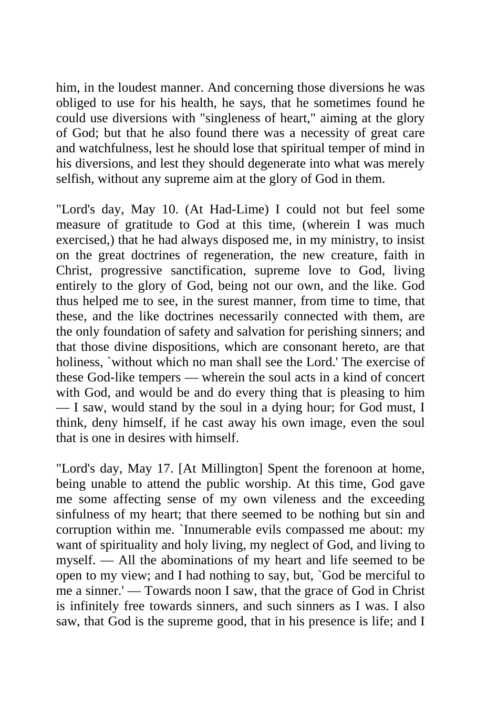him, in the loudest manner. And concerning those diversions he was obliged to use for his health, he says, that he sometimes found he could use diversions with "singleness of heart," aiming at the glory of God; but that he also found there was a necessity of great care and watchfulness, lest he should lose that spiritual temper of mind in his diversions, and lest they should degenerate into what was merely selfish, without any supreme aim at the glory of God in them.

"Lord's day, May 10. (At Had-Lime) I could not but feel some measure of gratitude to God at this time, (wherein I was much exercised,) that he had always disposed me, in my ministry, to insist on the great doctrines of regeneration, the new creature, faith in Christ, progressive sanctification, supreme love to God, living entirely to the glory of God, being not our own, and the like. God thus helped me to see, in the surest manner, from time to time, that these, and the like doctrines necessarily connected with them, are the only foundation of safety and salvation for perishing sinners; and that those divine dispositions, which are consonant hereto, are that holiness, `without which no man shall see the Lord.' The exercise of these God-like tempers — wherein the soul acts in a kind of concert with God, and would be and do every thing that is pleasing to him — I saw, would stand by the soul in a dying hour; for God must, I think, deny himself, if he cast away his own image, even the soul that is one in desires with himself.

"Lord's day, May 17. [At Millington] Spent the forenoon at home, being unable to attend the public worship. At this time, God gave me some affecting sense of my own vileness and the exceeding sinfulness of my heart; that there seemed to be nothing but sin and corruption within me. `Innumerable evils compassed me about: my want of spirituality and holy living, my neglect of God, and living to myself. — All the abominations of my heart and life seemed to be open to my view; and I had nothing to say, but, `God be merciful to me a sinner.' — Towards noon I saw, that the grace of God in Christ is infinitely free towards sinners, and such sinners as I was. I also saw, that God is the supreme good, that in his presence is life; and I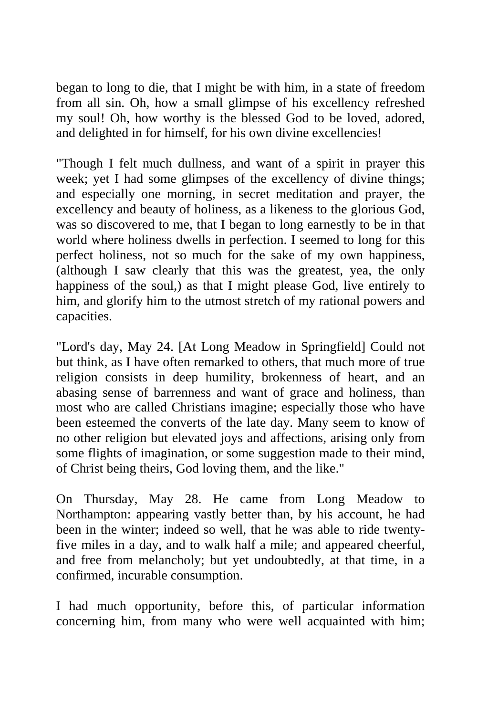began to long to die, that I might be with him, in a state of freedom from all sin. Oh, how a small glimpse of his excellency refreshed my soul! Oh, how worthy is the blessed God to be loved, adored, and delighted in for himself, for his own divine excellencies!

"Though I felt much dullness, and want of a spirit in prayer this week; yet I had some glimpses of the excellency of divine things; and especially one morning, in secret meditation and prayer, the excellency and beauty of holiness, as a likeness to the glorious God, was so discovered to me, that I began to long earnestly to be in that world where holiness dwells in perfection. I seemed to long for this perfect holiness, not so much for the sake of my own happiness, (although I saw clearly that this was the greatest, yea, the only happiness of the soul,) as that I might please God, live entirely to him, and glorify him to the utmost stretch of my rational powers and capacities.

"Lord's day, May 24. [At Long Meadow in Springfield] Could not but think, as I have often remarked to others, that much more of true religion consists in deep humility, brokenness of heart, and an abasing sense of barrenness and want of grace and holiness, than most who are called Christians imagine; especially those who have been esteemed the converts of the late day. Many seem to know of no other religion but elevated joys and affections, arising only from some flights of imagination, or some suggestion made to their mind, of Christ being theirs, God loving them, and the like."

On Thursday, May 28. He came from Long Meadow to Northampton: appearing vastly better than, by his account, he had been in the winter; indeed so well, that he was able to ride twentyfive miles in a day, and to walk half a mile; and appeared cheerful, and free from melancholy; but yet undoubtedly, at that time, in a confirmed, incurable consumption.

I had much opportunity, before this, of particular information concerning him, from many who were well acquainted with him;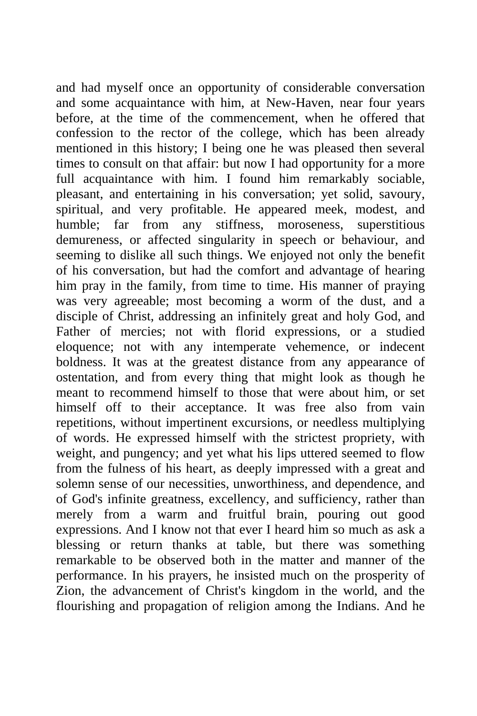and had myself once an opportunity of considerable conversation and some acquaintance with him, at New-Haven, near four years before, at the time of the commencement, when he offered that confession to the rector of the college, which has been already mentioned in this history; I being one he was pleased then several times to consult on that affair: but now I had opportunity for a more full acquaintance with him. I found him remarkably sociable, pleasant, and entertaining in his conversation; yet solid, savoury, spiritual, and very profitable. He appeared meek, modest, and humble; far from any stiffness, moroseness, superstitious demureness, or affected singularity in speech or behaviour, and seeming to dislike all such things. We enjoyed not only the benefit of his conversation, but had the comfort and advantage of hearing him pray in the family, from time to time. His manner of praying was very agreeable; most becoming a worm of the dust, and a disciple of Christ, addressing an infinitely great and holy God, and Father of mercies; not with florid expressions, or a studied eloquence; not with any intemperate vehemence, or indecent boldness. It was at the greatest distance from any appearance of ostentation, and from every thing that might look as though he meant to recommend himself to those that were about him, or set himself off to their acceptance. It was free also from vain repetitions, without impertinent excursions, or needless multiplying of words. He expressed himself with the strictest propriety, with weight, and pungency; and yet what his lips uttered seemed to flow from the fulness of his heart, as deeply impressed with a great and solemn sense of our necessities, unworthiness, and dependence, and of God's infinite greatness, excellency, and sufficiency, rather than merely from a warm and fruitful brain, pouring out good expressions. And I know not that ever I heard him so much as ask a blessing or return thanks at table, but there was something remarkable to be observed both in the matter and manner of the performance. In his prayers, he insisted much on the prosperity of Zion, the advancement of Christ's kingdom in the world, and the flourishing and propagation of religion among the Indians. And he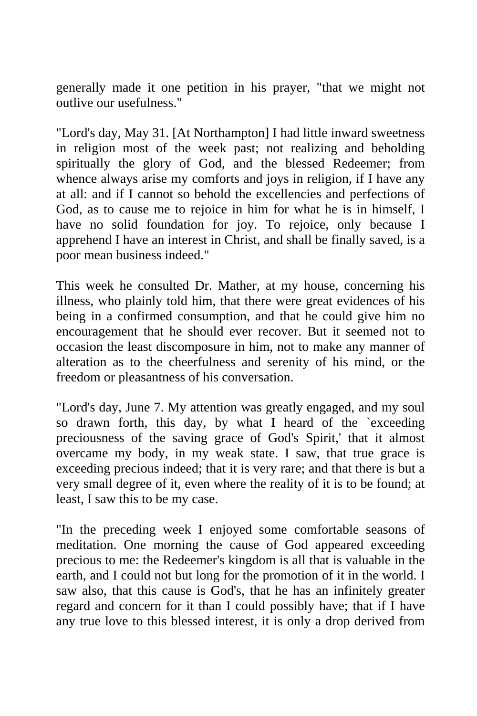generally made it one petition in his prayer, "that we might not outlive our usefulness."

"Lord's day, May 31. [At Northampton] I had little inward sweetness in religion most of the week past; not realizing and beholding spiritually the glory of God, and the blessed Redeemer; from whence always arise my comforts and joys in religion, if I have any at all: and if I cannot so behold the excellencies and perfections of God, as to cause me to rejoice in him for what he is in himself, I have no solid foundation for joy. To rejoice, only because I apprehend I have an interest in Christ, and shall be finally saved, is a poor mean business indeed."

This week he consulted Dr. Mather, at my house, concerning his illness, who plainly told him, that there were great evidences of his being in a confirmed consumption, and that he could give him no encouragement that he should ever recover. But it seemed not to occasion the least discomposure in him, not to make any manner of alteration as to the cheerfulness and serenity of his mind, or the freedom or pleasantness of his conversation.

"Lord's day, June 7. My attention was greatly engaged, and my soul so drawn forth, this day, by what I heard of the `exceeding preciousness of the saving grace of God's Spirit,' that it almost overcame my body, in my weak state. I saw, that true grace is exceeding precious indeed; that it is very rare; and that there is but a very small degree of it, even where the reality of it is to be found; at least, I saw this to be my case.

"In the preceding week I enjoyed some comfortable seasons of meditation. One morning the cause of God appeared exceeding precious to me: the Redeemer's kingdom is all that is valuable in the earth, and I could not but long for the promotion of it in the world. I saw also, that this cause is God's, that he has an infinitely greater regard and concern for it than I could possibly have; that if I have any true love to this blessed interest, it is only a drop derived from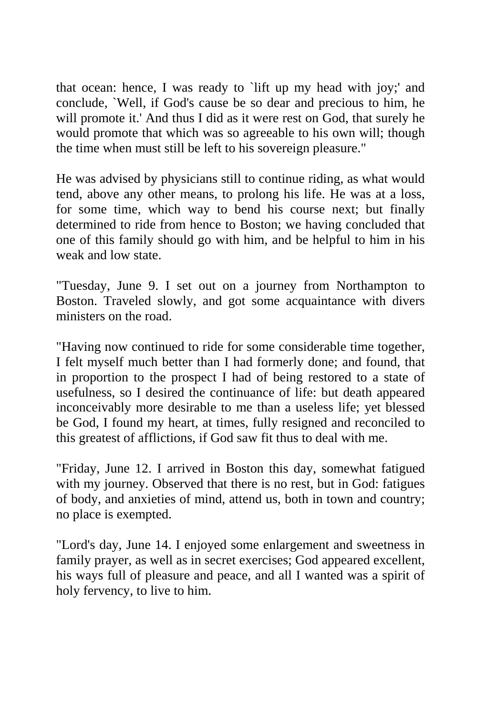that ocean: hence, I was ready to `lift up my head with joy;' and conclude, `Well, if God's cause be so dear and precious to him, he will promote it.' And thus I did as it were rest on God, that surely he would promote that which was so agreeable to his own will; though the time when must still be left to his sovereign pleasure."

He was advised by physicians still to continue riding, as what would tend, above any other means, to prolong his life. He was at a loss, for some time, which way to bend his course next; but finally determined to ride from hence to Boston; we having concluded that one of this family should go with him, and be helpful to him in his weak and low state.

"Tuesday, June 9. I set out on a journey from Northampton to Boston. Traveled slowly, and got some acquaintance with divers ministers on the road.

"Having now continued to ride for some considerable time together, I felt myself much better than I had formerly done; and found, that in proportion to the prospect I had of being restored to a state of usefulness, so I desired the continuance of life: but death appeared inconceivably more desirable to me than a useless life; yet blessed be God, I found my heart, at times, fully resigned and reconciled to this greatest of afflictions, if God saw fit thus to deal with me.

"Friday, June 12. I arrived in Boston this day, somewhat fatigued with my journey. Observed that there is no rest, but in God: fatigues of body, and anxieties of mind, attend us, both in town and country; no place is exempted.

"Lord's day, June 14. I enjoyed some enlargement and sweetness in family prayer, as well as in secret exercises; God appeared excellent, his ways full of pleasure and peace, and all I wanted was a spirit of holy fervency, to live to him.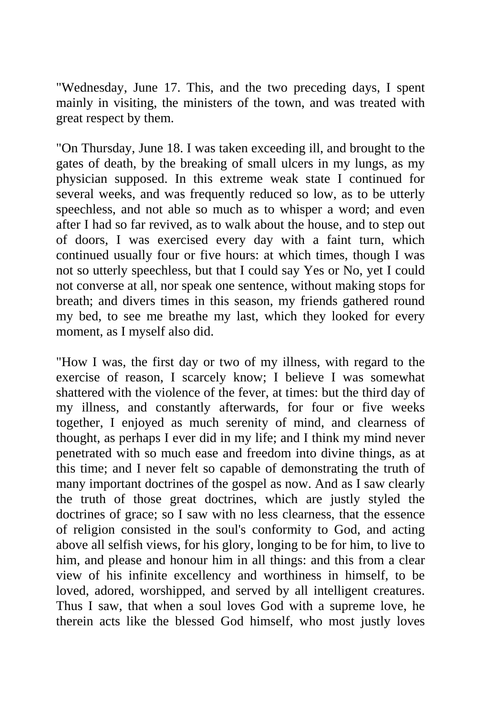"Wednesday, June 17. This, and the two preceding days, I spent mainly in visiting, the ministers of the town, and was treated with great respect by them.

"On Thursday, June 18. I was taken exceeding ill, and brought to the gates of death, by the breaking of small ulcers in my lungs, as my physician supposed. In this extreme weak state I continued for several weeks, and was frequently reduced so low, as to be utterly speechless, and not able so much as to whisper a word; and even after I had so far revived, as to walk about the house, and to step out of doors, I was exercised every day with a faint turn, which continued usually four or five hours: at which times, though I was not so utterly speechless, but that I could say Yes or No, yet I could not converse at all, nor speak one sentence, without making stops for breath; and divers times in this season, my friends gathered round my bed, to see me breathe my last, which they looked for every moment, as I myself also did.

"How I was, the first day or two of my illness, with regard to the exercise of reason, I scarcely know; I believe I was somewhat shattered with the violence of the fever, at times: but the third day of my illness, and constantly afterwards, for four or five weeks together, I enjoyed as much serenity of mind, and clearness of thought, as perhaps I ever did in my life; and I think my mind never penetrated with so much ease and freedom into divine things, as at this time; and I never felt so capable of demonstrating the truth of many important doctrines of the gospel as now. And as I saw clearly the truth of those great doctrines, which are justly styled the doctrines of grace; so I saw with no less clearness, that the essence of religion consisted in the soul's conformity to God, and acting above all selfish views, for his glory, longing to be for him, to live to him, and please and honour him in all things: and this from a clear view of his infinite excellency and worthiness in himself, to be loved, adored, worshipped, and served by all intelligent creatures. Thus I saw, that when a soul loves God with a supreme love, he therein acts like the blessed God himself, who most justly loves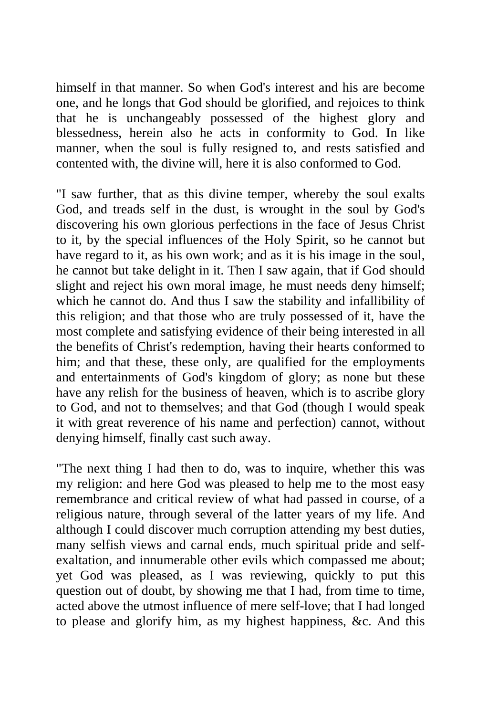himself in that manner. So when God's interest and his are become one, and he longs that God should be glorified, and rejoices to think that he is unchangeably possessed of the highest glory and blessedness, herein also he acts in conformity to God. In like manner, when the soul is fully resigned to, and rests satisfied and contented with, the divine will, here it is also conformed to God.

"I saw further, that as this divine temper, whereby the soul exalts God, and treads self in the dust, is wrought in the soul by God's discovering his own glorious perfections in the face of Jesus Christ to it, by the special influences of the Holy Spirit, so he cannot but have regard to it, as his own work; and as it is his image in the soul, he cannot but take delight in it. Then I saw again, that if God should slight and reject his own moral image, he must needs deny himself; which he cannot do. And thus I saw the stability and infallibility of this religion; and that those who are truly possessed of it, have the most complete and satisfying evidence of their being interested in all the benefits of Christ's redemption, having their hearts conformed to him; and that these, these only, are qualified for the employments and entertainments of God's kingdom of glory; as none but these have any relish for the business of heaven, which is to ascribe glory to God, and not to themselves; and that God (though I would speak it with great reverence of his name and perfection) cannot, without denying himself, finally cast such away.

"The next thing I had then to do, was to inquire, whether this was my religion: and here God was pleased to help me to the most easy remembrance and critical review of what had passed in course, of a religious nature, through several of the latter years of my life. And although I could discover much corruption attending my best duties, many selfish views and carnal ends, much spiritual pride and selfexaltation, and innumerable other evils which compassed me about; yet God was pleased, as I was reviewing, quickly to put this question out of doubt, by showing me that I had, from time to time, acted above the utmost influence of mere self-love; that I had longed to please and glorify him, as my highest happiness, &c. And this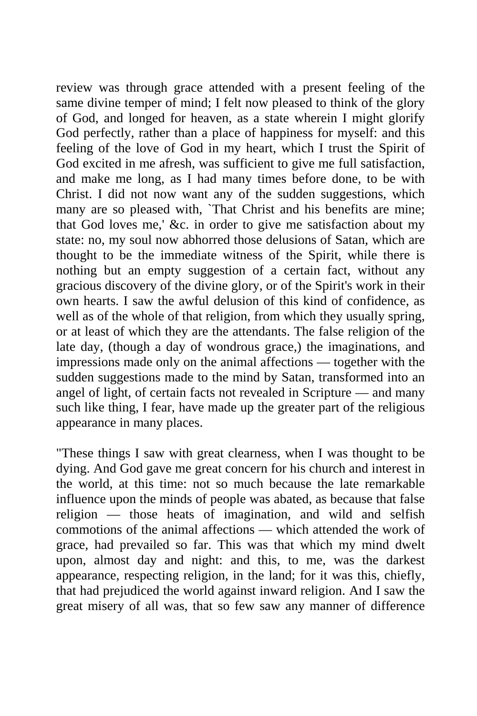review was through grace attended with a present feeling of the same divine temper of mind; I felt now pleased to think of the glory of God, and longed for heaven, as a state wherein I might glorify God perfectly, rather than a place of happiness for myself: and this feeling of the love of God in my heart, which I trust the Spirit of God excited in me afresh, was sufficient to give me full satisfaction, and make me long, as I had many times before done, to be with Christ. I did not now want any of the sudden suggestions, which many are so pleased with, `That Christ and his benefits are mine; that God loves me,' &c. in order to give me satisfaction about my state: no, my soul now abhorred those delusions of Satan, which are thought to be the immediate witness of the Spirit, while there is nothing but an empty suggestion of a certain fact, without any gracious discovery of the divine glory, or of the Spirit's work in their own hearts. I saw the awful delusion of this kind of confidence, as well as of the whole of that religion, from which they usually spring, or at least of which they are the attendants. The false religion of the late day, (though a day of wondrous grace,) the imaginations, and impressions made only on the animal affections — together with the sudden suggestions made to the mind by Satan, transformed into an angel of light, of certain facts not revealed in Scripture — and many such like thing, I fear, have made up the greater part of the religious appearance in many places.

"These things I saw with great clearness, when I was thought to be dying. And God gave me great concern for his church and interest in the world, at this time: not so much because the late remarkable influence upon the minds of people was abated, as because that false religion — those heats of imagination, and wild and selfish commotions of the animal affections — which attended the work of grace, had prevailed so far. This was that which my mind dwelt upon, almost day and night: and this, to me, was the darkest appearance, respecting religion, in the land; for it was this, chiefly, that had prejudiced the world against inward religion. And I saw the great misery of all was, that so few saw any manner of difference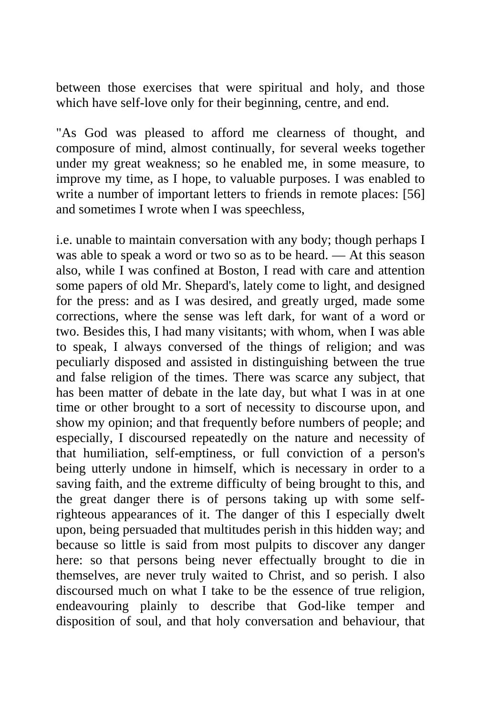between those exercises that were spiritual and holy, and those which have self-love only for their beginning, centre, and end.

"As God was pleased to afford me clearness of thought, and composure of mind, almost continually, for several weeks together under my great weakness; so he enabled me, in some measure, to improve my time, as I hope, to valuable purposes. I was enabled to write a number of important letters to friends in remote places: [56] and sometimes I wrote when I was speechless,

i.e. unable to maintain conversation with any body; though perhaps I was able to speak a word or two so as to be heard. — At this season also, while I was confined at Boston, I read with care and attention some papers of old Mr. Shepard's, lately come to light, and designed for the press: and as I was desired, and greatly urged, made some corrections, where the sense was left dark, for want of a word or two. Besides this, I had many visitants; with whom, when I was able to speak, I always conversed of the things of religion; and was peculiarly disposed and assisted in distinguishing between the true and false religion of the times. There was scarce any subject, that has been matter of debate in the late day, but what I was in at one time or other brought to a sort of necessity to discourse upon, and show my opinion; and that frequently before numbers of people; and especially, I discoursed repeatedly on the nature and necessity of that humiliation, self-emptiness, or full conviction of a person's being utterly undone in himself, which is necessary in order to a saving faith, and the extreme difficulty of being brought to this, and the great danger there is of persons taking up with some selfrighteous appearances of it. The danger of this I especially dwelt upon, being persuaded that multitudes perish in this hidden way; and because so little is said from most pulpits to discover any danger here: so that persons being never effectually brought to die in themselves, are never truly waited to Christ, and so perish. I also discoursed much on what I take to be the essence of true religion, endeavouring plainly to describe that God-like temper and disposition of soul, and that holy conversation and behaviour, that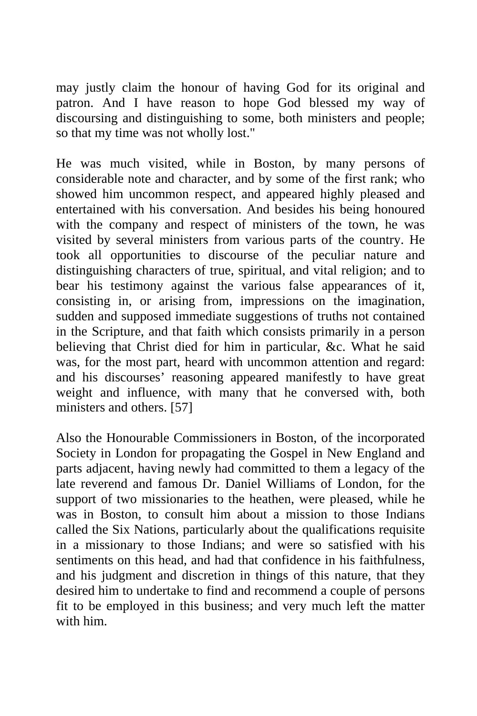may justly claim the honour of having God for its original and patron. And I have reason to hope God blessed my way of discoursing and distinguishing to some, both ministers and people; so that my time was not wholly lost."

He was much visited, while in Boston, by many persons of considerable note and character, and by some of the first rank; who showed him uncommon respect, and appeared highly pleased and entertained with his conversation. And besides his being honoured with the company and respect of ministers of the town, he was visited by several ministers from various parts of the country. He took all opportunities to discourse of the peculiar nature and distinguishing characters of true, spiritual, and vital religion; and to bear his testimony against the various false appearances of it, consisting in, or arising from, impressions on the imagination, sudden and supposed immediate suggestions of truths not contained in the Scripture, and that faith which consists primarily in a person believing that Christ died for him in particular, &c. What he said was, for the most part, heard with uncommon attention and regard: and his discourses' reasoning appeared manifestly to have great weight and influence, with many that he conversed with, both ministers and others. [57]

Also the Honourable Commissioners in Boston, of the incorporated Society in London for propagating the Gospel in New England and parts adjacent, having newly had committed to them a legacy of the late reverend and famous Dr. Daniel Williams of London, for the support of two missionaries to the heathen, were pleased, while he was in Boston, to consult him about a mission to those Indians called the Six Nations, particularly about the qualifications requisite in a missionary to those Indians; and were so satisfied with his sentiments on this head, and had that confidence in his faithfulness, and his judgment and discretion in things of this nature, that they desired him to undertake to find and recommend a couple of persons fit to be employed in this business; and very much left the matter with him.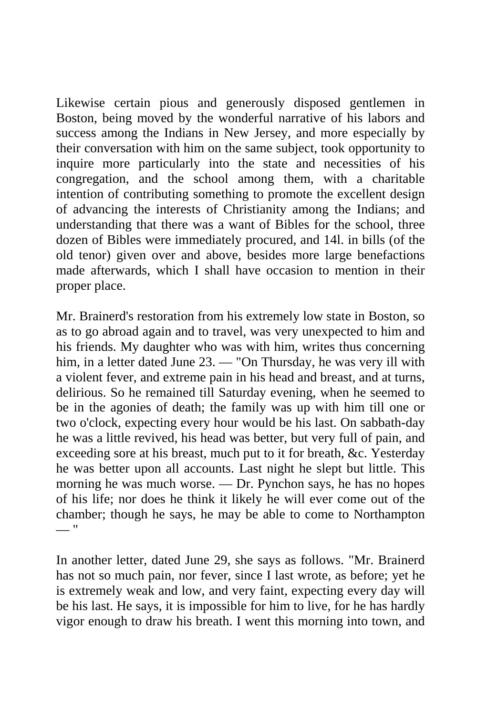Likewise certain pious and generously disposed gentlemen in Boston, being moved by the wonderful narrative of his labors and success among the Indians in New Jersey, and more especially by their conversation with him on the same subject, took opportunity to inquire more particularly into the state and necessities of his congregation, and the school among them, with a charitable intention of contributing something to promote the excellent design of advancing the interests of Christianity among the Indians; and understanding that there was a want of Bibles for the school, three dozen of Bibles were immediately procured, and 14l. in bills (of the old tenor) given over and above, besides more large benefactions made afterwards, which I shall have occasion to mention in their proper place.

Mr. Brainerd's restoration from his extremely low state in Boston, so as to go abroad again and to travel, was very unexpected to him and his friends. My daughter who was with him, writes thus concerning him, in a letter dated June 23. — "On Thursday, he was very ill with a violent fever, and extreme pain in his head and breast, and at turns, delirious. So he remained till Saturday evening, when he seemed to be in the agonies of death; the family was up with him till one or two o'clock, expecting every hour would be his last. On sabbath-day he was a little revived, his head was better, but very full of pain, and exceeding sore at his breast, much put to it for breath, &c. Yesterday he was better upon all accounts. Last night he slept but little. This morning he was much worse. — Dr. Pynchon says, he has no hopes of his life; nor does he think it likely he will ever come out of the chamber; though he says, he may be able to come to Northampton — "

In another letter, dated June 29, she says as follows. "Mr. Brainerd has not so much pain, nor fever, since I last wrote, as before; yet he is extremely weak and low, and very faint, expecting every day will be his last. He says, it is impossible for him to live, for he has hardly vigor enough to draw his breath. I went this morning into town, and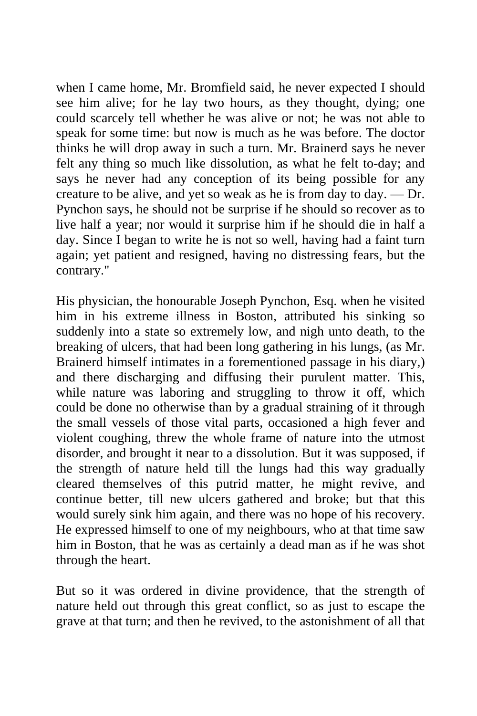when I came home, Mr. Bromfield said, he never expected I should see him alive; for he lay two hours, as they thought, dying; one could scarcely tell whether he was alive or not; he was not able to speak for some time: but now is much as he was before. The doctor thinks he will drop away in such a turn. Mr. Brainerd says he never felt any thing so much like dissolution, as what he felt to-day; and says he never had any conception of its being possible for any creature to be alive, and yet so weak as he is from day to day. — Dr. Pynchon says, he should not be surprise if he should so recover as to live half a year; nor would it surprise him if he should die in half a day. Since I began to write he is not so well, having had a faint turn again; yet patient and resigned, having no distressing fears, but the contrary."

His physician, the honourable Joseph Pynchon, Esq. when he visited him in his extreme illness in Boston, attributed his sinking so suddenly into a state so extremely low, and nigh unto death, to the breaking of ulcers, that had been long gathering in his lungs, (as Mr. Brainerd himself intimates in a forementioned passage in his diary,) and there discharging and diffusing their purulent matter. This, while nature was laboring and struggling to throw it off, which could be done no otherwise than by a gradual straining of it through the small vessels of those vital parts, occasioned a high fever and violent coughing, threw the whole frame of nature into the utmost disorder, and brought it near to a dissolution. But it was supposed, if the strength of nature held till the lungs had this way gradually cleared themselves of this putrid matter, he might revive, and continue better, till new ulcers gathered and broke; but that this would surely sink him again, and there was no hope of his recovery. He expressed himself to one of my neighbours, who at that time saw him in Boston, that he was as certainly a dead man as if he was shot through the heart.

But so it was ordered in divine providence, that the strength of nature held out through this great conflict, so as just to escape the grave at that turn; and then he revived, to the astonishment of all that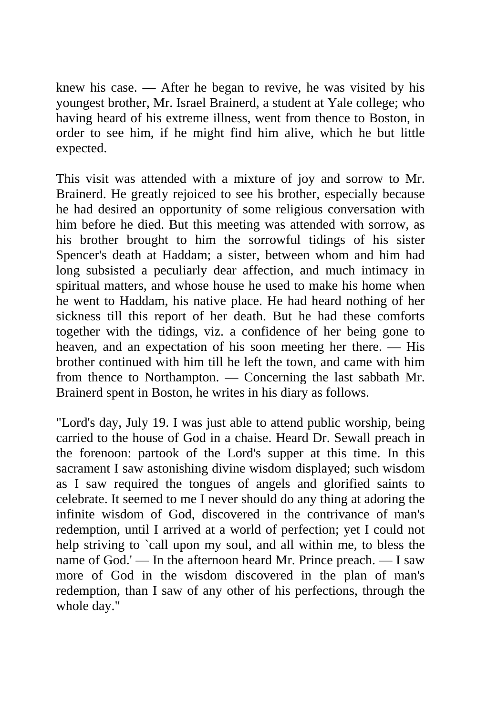knew his case. — After he began to revive, he was visited by his youngest brother, Mr. Israel Brainerd, a student at Yale college; who having heard of his extreme illness, went from thence to Boston, in order to see him, if he might find him alive, which he but little expected.

This visit was attended with a mixture of joy and sorrow to Mr. Brainerd. He greatly rejoiced to see his brother, especially because he had desired an opportunity of some religious conversation with him before he died. But this meeting was attended with sorrow, as his brother brought to him the sorrowful tidings of his sister Spencer's death at Haddam; a sister, between whom and him had long subsisted a peculiarly dear affection, and much intimacy in spiritual matters, and whose house he used to make his home when he went to Haddam, his native place. He had heard nothing of her sickness till this report of her death. But he had these comforts together with the tidings, viz. a confidence of her being gone to heaven, and an expectation of his soon meeting her there. — His brother continued with him till he left the town, and came with him from thence to Northampton. — Concerning the last sabbath Mr. Brainerd spent in Boston, he writes in his diary as follows.

"Lord's day, July 19. I was just able to attend public worship, being carried to the house of God in a chaise. Heard Dr. Sewall preach in the forenoon: partook of the Lord's supper at this time. In this sacrament I saw astonishing divine wisdom displayed; such wisdom as I saw required the tongues of angels and glorified saints to celebrate. It seemed to me I never should do any thing at adoring the infinite wisdom of God, discovered in the contrivance of man's redemption, until I arrived at a world of perfection; yet I could not help striving to 'call upon my soul, and all within me, to bless the name of God.' — In the afternoon heard Mr. Prince preach. — I saw more of God in the wisdom discovered in the plan of man's redemption, than I saw of any other of his perfections, through the whole day."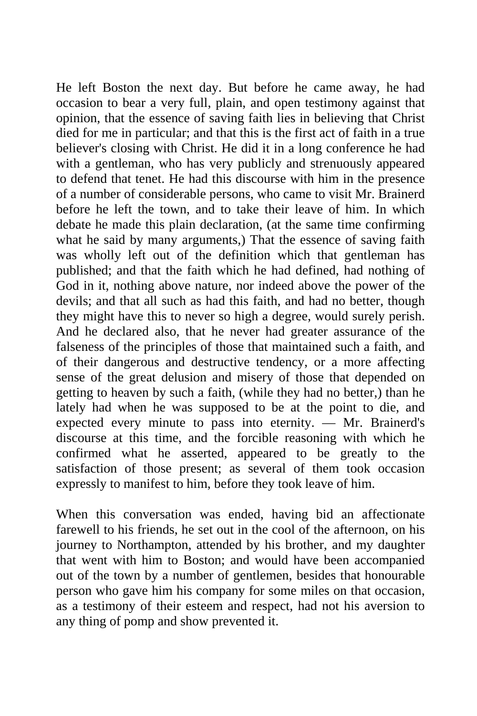He left Boston the next day. But before he came away, he had occasion to bear a very full, plain, and open testimony against that opinion, that the essence of saving faith lies in believing that Christ died for me in particular; and that this is the first act of faith in a true believer's closing with Christ. He did it in a long conference he had with a gentleman, who has very publicly and strenuously appeared to defend that tenet. He had this discourse with him in the presence of a number of considerable persons, who came to visit Mr. Brainerd before he left the town, and to take their leave of him. In which debate he made this plain declaration, (at the same time confirming what he said by many arguments,) That the essence of saving faith was wholly left out of the definition which that gentleman has published; and that the faith which he had defined, had nothing of God in it, nothing above nature, nor indeed above the power of the devils; and that all such as had this faith, and had no better, though they might have this to never so high a degree, would surely perish. And he declared also, that he never had greater assurance of the falseness of the principles of those that maintained such a faith, and of their dangerous and destructive tendency, or a more affecting sense of the great delusion and misery of those that depended on getting to heaven by such a faith, (while they had no better,) than he lately had when he was supposed to be at the point to die, and expected every minute to pass into eternity. — Mr. Brainerd's discourse at this time, and the forcible reasoning with which he confirmed what he asserted, appeared to be greatly to the satisfaction of those present; as several of them took occasion expressly to manifest to him, before they took leave of him.

When this conversation was ended, having bid an affectionate farewell to his friends, he set out in the cool of the afternoon, on his journey to Northampton, attended by his brother, and my daughter that went with him to Boston; and would have been accompanied out of the town by a number of gentlemen, besides that honourable person who gave him his company for some miles on that occasion, as a testimony of their esteem and respect, had not his aversion to any thing of pomp and show prevented it.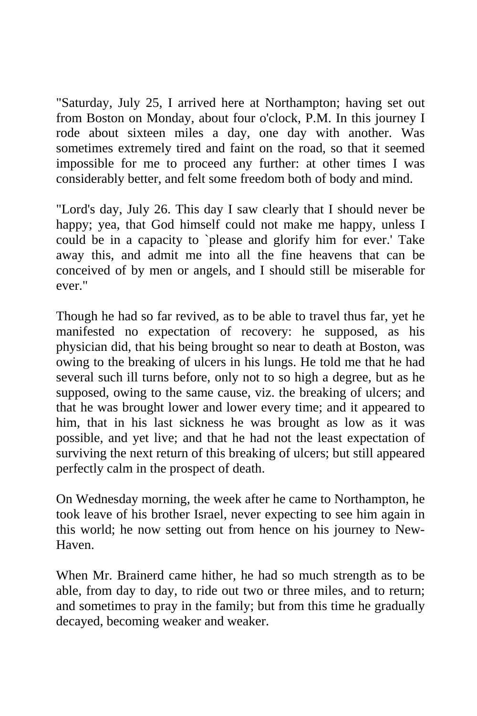"Saturday, July 25, I arrived here at Northampton; having set out from Boston on Monday, about four o'clock, P.M. In this journey I rode about sixteen miles a day, one day with another. Was sometimes extremely tired and faint on the road, so that it seemed impossible for me to proceed any further: at other times I was considerably better, and felt some freedom both of body and mind.

"Lord's day, July 26. This day I saw clearly that I should never be happy; yea, that God himself could not make me happy, unless I could be in a capacity to `please and glorify him for ever.' Take away this, and admit me into all the fine heavens that can be conceived of by men or angels, and I should still be miserable for ever."

Though he had so far revived, as to be able to travel thus far, yet he manifested no expectation of recovery: he supposed, as his physician did, that his being brought so near to death at Boston, was owing to the breaking of ulcers in his lungs. He told me that he had several such ill turns before, only not to so high a degree, but as he supposed, owing to the same cause, viz. the breaking of ulcers; and that he was brought lower and lower every time; and it appeared to him, that in his last sickness he was brought as low as it was possible, and yet live; and that he had not the least expectation of surviving the next return of this breaking of ulcers; but still appeared perfectly calm in the prospect of death.

On Wednesday morning, the week after he came to Northampton, he took leave of his brother Israel, never expecting to see him again in this world; he now setting out from hence on his journey to New-Haven.

When Mr. Brainerd came hither, he had so much strength as to be able, from day to day, to ride out two or three miles, and to return; and sometimes to pray in the family; but from this time he gradually decayed, becoming weaker and weaker.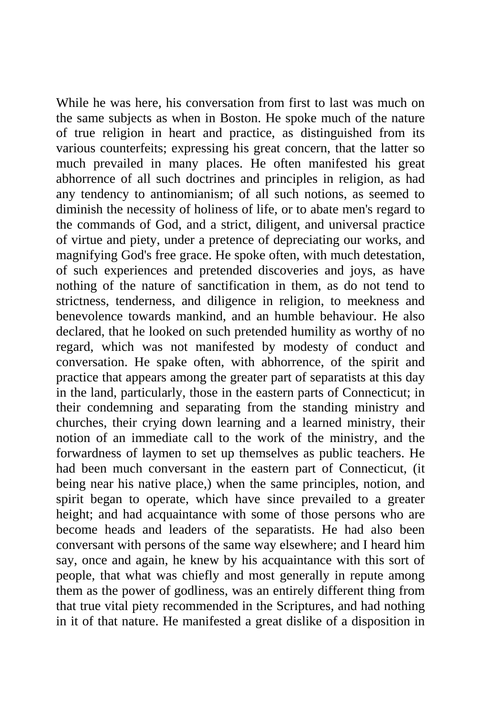While he was here, his conversation from first to last was much on the same subjects as when in Boston. He spoke much of the nature of true religion in heart and practice, as distinguished from its various counterfeits; expressing his great concern, that the latter so much prevailed in many places. He often manifested his great abhorrence of all such doctrines and principles in religion, as had any tendency to antinomianism; of all such notions, as seemed to diminish the necessity of holiness of life, or to abate men's regard to the commands of God, and a strict, diligent, and universal practice of virtue and piety, under a pretence of depreciating our works, and magnifying God's free grace. He spoke often, with much detestation, of such experiences and pretended discoveries and joys, as have nothing of the nature of sanctification in them, as do not tend to strictness, tenderness, and diligence in religion, to meekness and benevolence towards mankind, and an humble behaviour. He also declared, that he looked on such pretended humility as worthy of no regard, which was not manifested by modesty of conduct and conversation. He spake often, with abhorrence, of the spirit and practice that appears among the greater part of separatists at this day in the land, particularly, those in the eastern parts of Connecticut; in their condemning and separating from the standing ministry and churches, their crying down learning and a learned ministry, their notion of an immediate call to the work of the ministry, and the forwardness of laymen to set up themselves as public teachers. He had been much conversant in the eastern part of Connecticut, (it being near his native place,) when the same principles, notion, and spirit began to operate, which have since prevailed to a greater height; and had acquaintance with some of those persons who are become heads and leaders of the separatists. He had also been conversant with persons of the same way elsewhere; and I heard him say, once and again, he knew by his acquaintance with this sort of people, that what was chiefly and most generally in repute among them as the power of godliness, was an entirely different thing from that true vital piety recommended in the Scriptures, and had nothing in it of that nature. He manifested a great dislike of a disposition in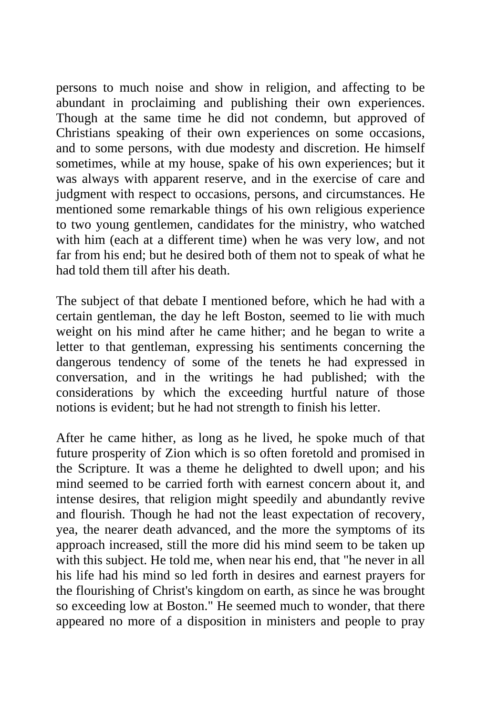persons to much noise and show in religion, and affecting to be abundant in proclaiming and publishing their own experiences. Though at the same time he did not condemn, but approved of Christians speaking of their own experiences on some occasions, and to some persons, with due modesty and discretion. He himself sometimes, while at my house, spake of his own experiences; but it was always with apparent reserve, and in the exercise of care and judgment with respect to occasions, persons, and circumstances. He mentioned some remarkable things of his own religious experience to two young gentlemen, candidates for the ministry, who watched with him (each at a different time) when he was very low, and not far from his end; but he desired both of them not to speak of what he had told them till after his death

The subject of that debate I mentioned before, which he had with a certain gentleman, the day he left Boston, seemed to lie with much weight on his mind after he came hither; and he began to write a letter to that gentleman, expressing his sentiments concerning the dangerous tendency of some of the tenets he had expressed in conversation, and in the writings he had published; with the considerations by which the exceeding hurtful nature of those notions is evident; but he had not strength to finish his letter.

After he came hither, as long as he lived, he spoke much of that future prosperity of Zion which is so often foretold and promised in the Scripture. It was a theme he delighted to dwell upon; and his mind seemed to be carried forth with earnest concern about it, and intense desires, that religion might speedily and abundantly revive and flourish. Though he had not the least expectation of recovery, yea, the nearer death advanced, and the more the symptoms of its approach increased, still the more did his mind seem to be taken up with this subject. He told me, when near his end, that "he never in all his life had his mind so led forth in desires and earnest prayers for the flourishing of Christ's kingdom on earth, as since he was brought so exceeding low at Boston." He seemed much to wonder, that there appeared no more of a disposition in ministers and people to pray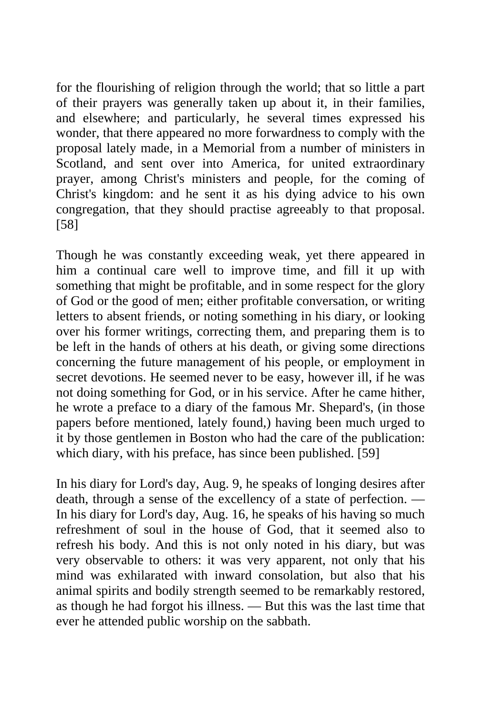for the flourishing of religion through the world; that so little a part of their prayers was generally taken up about it, in their families, and elsewhere; and particularly, he several times expressed his wonder, that there appeared no more forwardness to comply with the proposal lately made, in a Memorial from a number of ministers in Scotland, and sent over into America, for united extraordinary prayer, among Christ's ministers and people, for the coming of Christ's kingdom: and he sent it as his dying advice to his own congregation, that they should practise agreeably to that proposal. [58]

Though he was constantly exceeding weak, yet there appeared in him a continual care well to improve time, and fill it up with something that might be profitable, and in some respect for the glory of God or the good of men; either profitable conversation, or writing letters to absent friends, or noting something in his diary, or looking over his former writings, correcting them, and preparing them is to be left in the hands of others at his death, or giving some directions concerning the future management of his people, or employment in secret devotions. He seemed never to be easy, however ill, if he was not doing something for God, or in his service. After he came hither, he wrote a preface to a diary of the famous Mr. Shepard's, (in those papers before mentioned, lately found,) having been much urged to it by those gentlemen in Boston who had the care of the publication: which diary, with his preface, has since been published. [59]

In his diary for Lord's day, Aug. 9, he speaks of longing desires after death, through a sense of the excellency of a state of perfection. — In his diary for Lord's day, Aug. 16, he speaks of his having so much refreshment of soul in the house of God, that it seemed also to refresh his body. And this is not only noted in his diary, but was very observable to others: it was very apparent, not only that his mind was exhilarated with inward consolation, but also that his animal spirits and bodily strength seemed to be remarkably restored, as though he had forgot his illness. — But this was the last time that ever he attended public worship on the sabbath.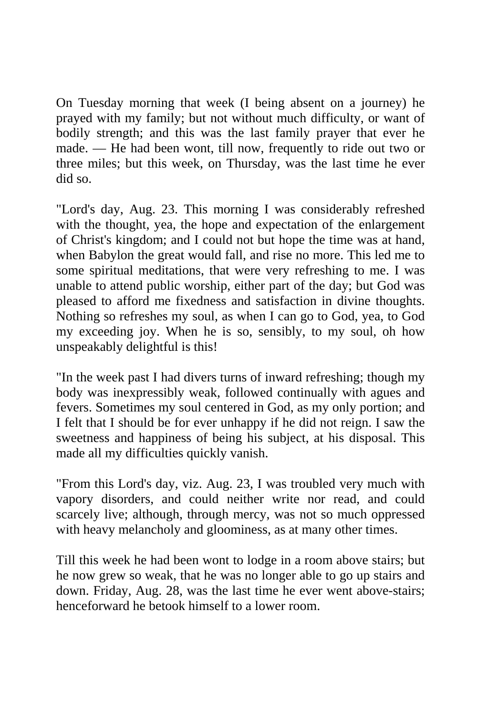On Tuesday morning that week (I being absent on a journey) he prayed with my family; but not without much difficulty, or want of bodily strength; and this was the last family prayer that ever he made. — He had been wont, till now, frequently to ride out two or three miles; but this week, on Thursday, was the last time he ever did so.

"Lord's day, Aug. 23. This morning I was considerably refreshed with the thought, yea, the hope and expectation of the enlargement of Christ's kingdom; and I could not but hope the time was at hand, when Babylon the great would fall, and rise no more. This led me to some spiritual meditations, that were very refreshing to me. I was unable to attend public worship, either part of the day; but God was pleased to afford me fixedness and satisfaction in divine thoughts. Nothing so refreshes my soul, as when I can go to God, yea, to God my exceeding joy. When he is so, sensibly, to my soul, oh how unspeakably delightful is this!

"In the week past I had divers turns of inward refreshing; though my body was inexpressibly weak, followed continually with agues and fevers. Sometimes my soul centered in God, as my only portion; and I felt that I should be for ever unhappy if he did not reign. I saw the sweetness and happiness of being his subject, at his disposal. This made all my difficulties quickly vanish.

"From this Lord's day, viz. Aug. 23, I was troubled very much with vapory disorders, and could neither write nor read, and could scarcely live; although, through mercy, was not so much oppressed with heavy melancholy and gloominess, as at many other times.

Till this week he had been wont to lodge in a room above stairs; but he now grew so weak, that he was no longer able to go up stairs and down. Friday, Aug. 28, was the last time he ever went above-stairs; henceforward he betook himself to a lower room.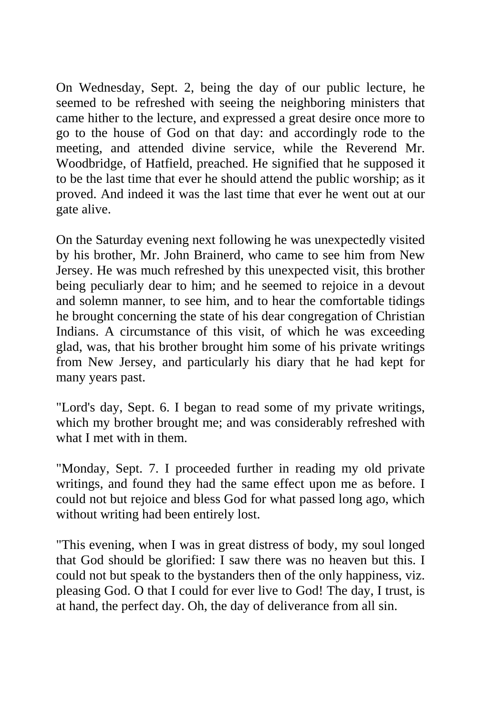On Wednesday, Sept. 2, being the day of our public lecture, he seemed to be refreshed with seeing the neighboring ministers that came hither to the lecture, and expressed a great desire once more to go to the house of God on that day: and accordingly rode to the meeting, and attended divine service, while the Reverend Mr. Woodbridge, of Hatfield, preached. He signified that he supposed it to be the last time that ever he should attend the public worship; as it proved. And indeed it was the last time that ever he went out at our gate alive.

On the Saturday evening next following he was unexpectedly visited by his brother, Mr. John Brainerd, who came to see him from New Jersey. He was much refreshed by this unexpected visit, this brother being peculiarly dear to him; and he seemed to rejoice in a devout and solemn manner, to see him, and to hear the comfortable tidings he brought concerning the state of his dear congregation of Christian Indians. A circumstance of this visit, of which he was exceeding glad, was, that his brother brought him some of his private writings from New Jersey, and particularly his diary that he had kept for many years past.

"Lord's day, Sept. 6. I began to read some of my private writings, which my brother brought me; and was considerably refreshed with what I met with in them.

"Monday, Sept. 7. I proceeded further in reading my old private writings, and found they had the same effect upon me as before. I could not but rejoice and bless God for what passed long ago, which without writing had been entirely lost.

"This evening, when I was in great distress of body, my soul longed that God should be glorified: I saw there was no heaven but this. I could not but speak to the bystanders then of the only happiness, viz. pleasing God. O that I could for ever live to God! The day, I trust, is at hand, the perfect day. Oh, the day of deliverance from all sin.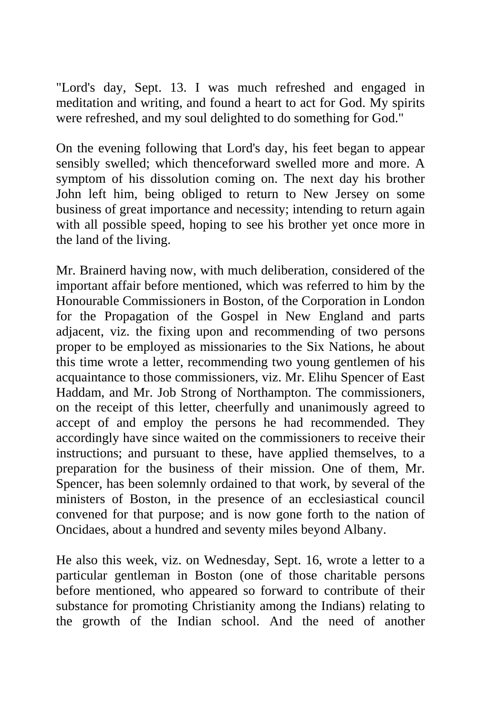"Lord's day, Sept. 13. I was much refreshed and engaged in meditation and writing, and found a heart to act for God. My spirits were refreshed, and my soul delighted to do something for God."

On the evening following that Lord's day, his feet began to appear sensibly swelled; which thenceforward swelled more and more. A symptom of his dissolution coming on. The next day his brother John left him, being obliged to return to New Jersey on some business of great importance and necessity; intending to return again with all possible speed, hoping to see his brother yet once more in the land of the living.

Mr. Brainerd having now, with much deliberation, considered of the important affair before mentioned, which was referred to him by the Honourable Commissioners in Boston, of the Corporation in London for the Propagation of the Gospel in New England and parts adjacent, viz. the fixing upon and recommending of two persons proper to be employed as missionaries to the Six Nations, he about this time wrote a letter, recommending two young gentlemen of his acquaintance to those commissioners, viz. Mr. Elihu Spencer of East Haddam, and Mr. Job Strong of Northampton. The commissioners, on the receipt of this letter, cheerfully and unanimously agreed to accept of and employ the persons he had recommended. They accordingly have since waited on the commissioners to receive their instructions; and pursuant to these, have applied themselves, to a preparation for the business of their mission. One of them, Mr. Spencer, has been solemnly ordained to that work, by several of the ministers of Boston, in the presence of an ecclesiastical council convened for that purpose; and is now gone forth to the nation of Oncidaes, about a hundred and seventy miles beyond Albany.

He also this week, viz. on Wednesday, Sept. 16, wrote a letter to a particular gentleman in Boston (one of those charitable persons before mentioned, who appeared so forward to contribute of their substance for promoting Christianity among the Indians) relating to the growth of the Indian school. And the need of another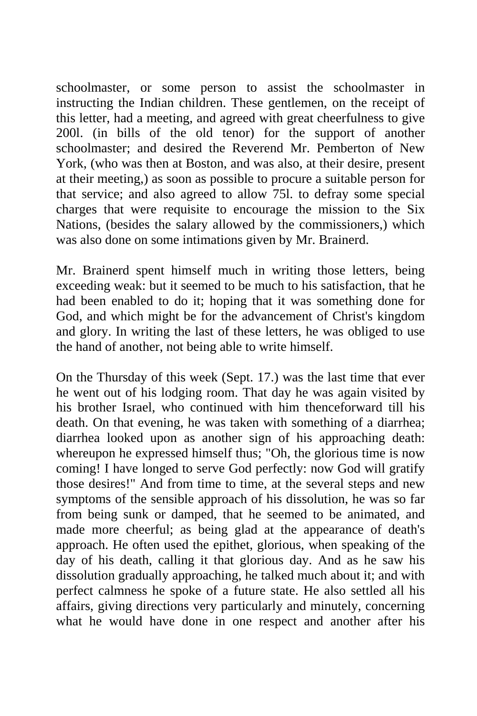schoolmaster, or some person to assist the schoolmaster in instructing the Indian children. These gentlemen, on the receipt of this letter, had a meeting, and agreed with great cheerfulness to give 200l. (in bills of the old tenor) for the support of another schoolmaster; and desired the Reverend Mr. Pemberton of New York, (who was then at Boston, and was also, at their desire, present at their meeting,) as soon as possible to procure a suitable person for that service; and also agreed to allow 75l. to defray some special charges that were requisite to encourage the mission to the Six Nations, (besides the salary allowed by the commissioners,) which was also done on some intimations given by Mr. Brainerd.

Mr. Brainerd spent himself much in writing those letters, being exceeding weak: but it seemed to be much to his satisfaction, that he had been enabled to do it; hoping that it was something done for God, and which might be for the advancement of Christ's kingdom and glory. In writing the last of these letters, he was obliged to use the hand of another, not being able to write himself.

On the Thursday of this week (Sept. 17.) was the last time that ever he went out of his lodging room. That day he was again visited by his brother Israel, who continued with him thenceforward till his death. On that evening, he was taken with something of a diarrhea; diarrhea looked upon as another sign of his approaching death: whereupon he expressed himself thus; "Oh, the glorious time is now coming! I have longed to serve God perfectly: now God will gratify those desires!" And from time to time, at the several steps and new symptoms of the sensible approach of his dissolution, he was so far from being sunk or damped, that he seemed to be animated, and made more cheerful; as being glad at the appearance of death's approach. He often used the epithet, glorious, when speaking of the day of his death, calling it that glorious day. And as he saw his dissolution gradually approaching, he talked much about it; and with perfect calmness he spoke of a future state. He also settled all his affairs, giving directions very particularly and minutely, concerning what he would have done in one respect and another after his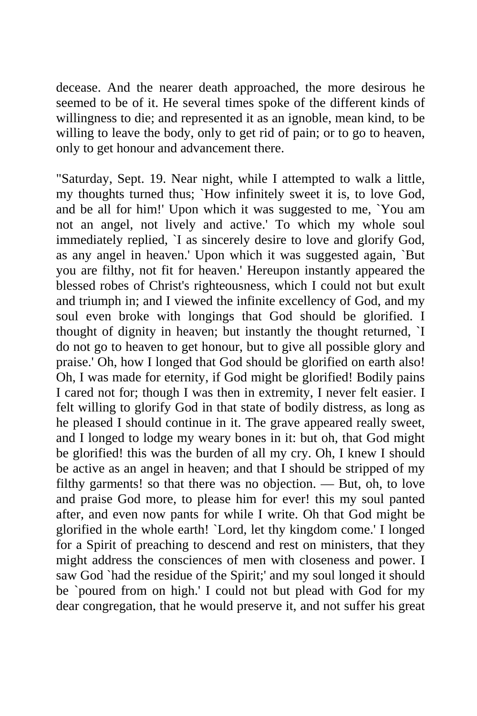decease. And the nearer death approached, the more desirous he seemed to be of it. He several times spoke of the different kinds of willingness to die; and represented it as an ignoble, mean kind, to be willing to leave the body, only to get rid of pain; or to go to heaven, only to get honour and advancement there.

"Saturday, Sept. 19. Near night, while I attempted to walk a little, my thoughts turned thus; `How infinitely sweet it is, to love God, and be all for him!' Upon which it was suggested to me, `You am not an angel, not lively and active.' To which my whole soul immediately replied, `I as sincerely desire to love and glorify God, as any angel in heaven.' Upon which it was suggested again, `But you are filthy, not fit for heaven.' Hereupon instantly appeared the blessed robes of Christ's righteousness, which I could not but exult and triumph in; and I viewed the infinite excellency of God, and my soul even broke with longings that God should be glorified. I thought of dignity in heaven; but instantly the thought returned, `I do not go to heaven to get honour, but to give all possible glory and praise.' Oh, how I longed that God should be glorified on earth also! Oh, I was made for eternity, if God might be glorified! Bodily pains I cared not for; though I was then in extremity, I never felt easier. I felt willing to glorify God in that state of bodily distress, as long as he pleased I should continue in it. The grave appeared really sweet, and I longed to lodge my weary bones in it: but oh, that God might be glorified! this was the burden of all my cry. Oh, I knew I should be active as an angel in heaven; and that I should be stripped of my filthy garments! so that there was no objection. — But, oh, to love and praise God more, to please him for ever! this my soul panted after, and even now pants for while I write. Oh that God might be glorified in the whole earth! `Lord, let thy kingdom come.' I longed for a Spirit of preaching to descend and rest on ministers, that they might address the consciences of men with closeness and power. I saw God `had the residue of the Spirit;' and my soul longed it should be `poured from on high.' I could not but plead with God for my dear congregation, that he would preserve it, and not suffer his great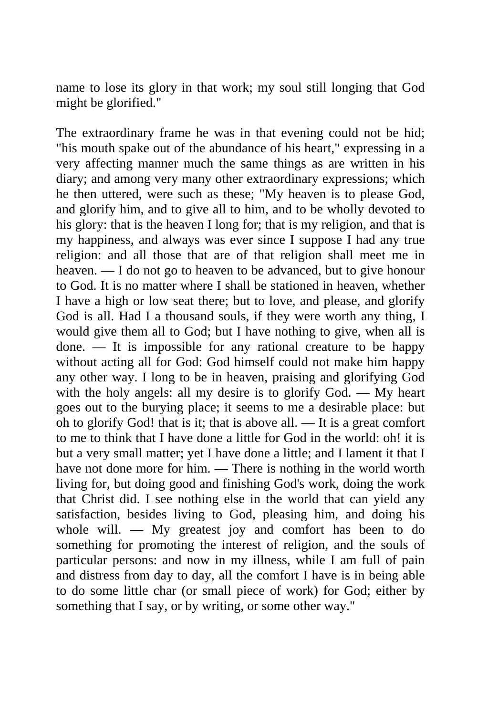name to lose its glory in that work; my soul still longing that God might be glorified."

The extraordinary frame he was in that evening could not be hid; "his mouth spake out of the abundance of his heart," expressing in a very affecting manner much the same things as are written in his diary; and among very many other extraordinary expressions; which he then uttered, were such as these; "My heaven is to please God, and glorify him, and to give all to him, and to be wholly devoted to his glory: that is the heaven I long for; that is my religion, and that is my happiness, and always was ever since I suppose I had any true religion: and all those that are of that religion shall meet me in heaven. — I do not go to heaven to be advanced, but to give honour to God. It is no matter where I shall be stationed in heaven, whether I have a high or low seat there; but to love, and please, and glorify God is all. Had I a thousand souls, if they were worth any thing, I would give them all to God; but I have nothing to give, when all is done. — It is impossible for any rational creature to be happy without acting all for God: God himself could not make him happy any other way. I long to be in heaven, praising and glorifying God with the holy angels: all my desire is to glorify God. — My heart goes out to the burying place; it seems to me a desirable place: but oh to glorify God! that is it; that is above all. — It is a great comfort to me to think that I have done a little for God in the world: oh! it is but a very small matter; yet I have done a little; and I lament it that I have not done more for him. — There is nothing in the world worth living for, but doing good and finishing God's work, doing the work that Christ did. I see nothing else in the world that can yield any satisfaction, besides living to God, pleasing him, and doing his whole will. — My greatest joy and comfort has been to do something for promoting the interest of religion, and the souls of particular persons: and now in my illness, while I am full of pain and distress from day to day, all the comfort I have is in being able to do some little char (or small piece of work) for God; either by something that I say, or by writing, or some other way."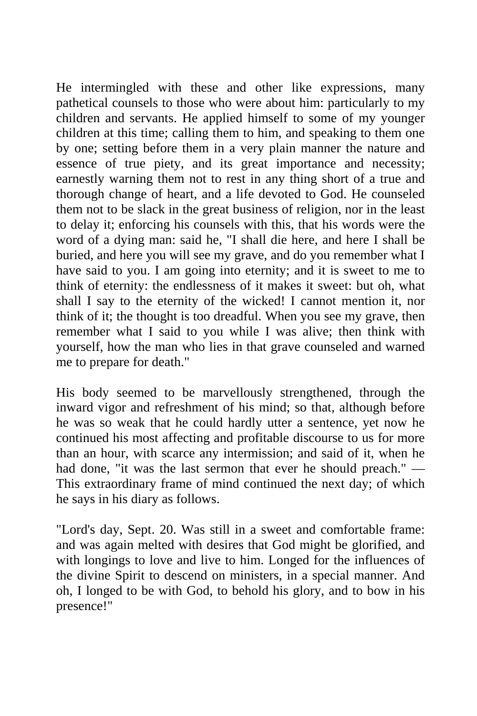He intermingled with these and other like expressions, many pathetical counsels to those who were about him: particularly to my children and servants. He applied himself to some of my younger children at this time; calling them to him, and speaking to them one by one; setting before them in a very plain manner the nature and essence of true piety, and its great importance and necessity; earnestly warning them not to rest in any thing short of a true and thorough change of heart, and a life devoted to God. He counseled them not to be slack in the great business of religion, nor in the least to delay it; enforcing his counsels with this, that his words were the word of a dying man: said he, "I shall die here, and here I shall be buried, and here you will see my grave, and do you remember what I have said to you. I am going into eternity; and it is sweet to me to think of eternity: the endlessness of it makes it sweet: but oh, what shall I say to the eternity of the wicked! I cannot mention it, nor think of it; the thought is too dreadful. When you see my grave, then remember what I said to you while I was alive; then think with yourself, how the man who lies in that grave counseled and warned me to prepare for death."

His body seemed to be marvellously strengthened, through the inward vigor and refreshment of his mind; so that, although before he was so weak that he could hardly utter a sentence, yet now he continued his most affecting and profitable discourse to us for more than an hour, with scarce any intermission; and said of it, when he had done, "it was the last sermon that ever he should preach." — This extraordinary frame of mind continued the next day; of which he says in his diary as follows.

"Lord's day, Sept. 20. Was still in a sweet and comfortable frame: and was again melted with desires that God might be glorified, and with longings to love and live to him. Longed for the influences of the divine Spirit to descend on ministers, in a special manner. And oh, I longed to be with God, to behold his glory, and to bow in his presence!"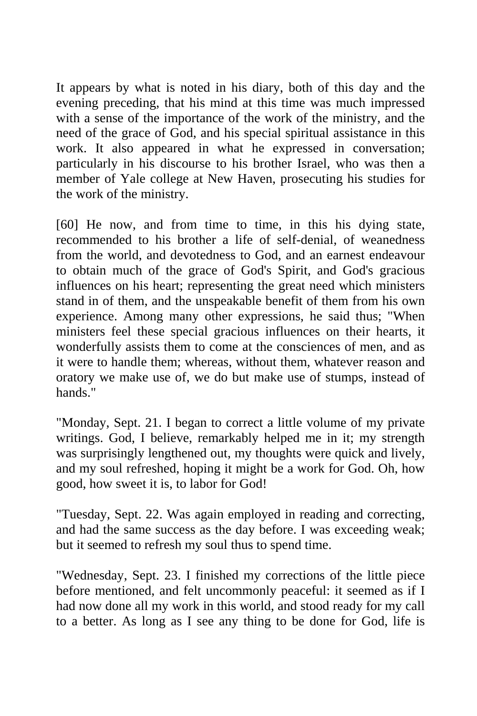It appears by what is noted in his diary, both of this day and the evening preceding, that his mind at this time was much impressed with a sense of the importance of the work of the ministry, and the need of the grace of God, and his special spiritual assistance in this work. It also appeared in what he expressed in conversation; particularly in his discourse to his brother Israel, who was then a member of Yale college at New Haven, prosecuting his studies for the work of the ministry.

[60] He now, and from time to time, in this his dying state, recommended to his brother a life of self-denial, of weanedness from the world, and devotedness to God, and an earnest endeavour to obtain much of the grace of God's Spirit, and God's gracious influences on his heart; representing the great need which ministers stand in of them, and the unspeakable benefit of them from his own experience. Among many other expressions, he said thus; "When ministers feel these special gracious influences on their hearts, it wonderfully assists them to come at the consciences of men, and as it were to handle them; whereas, without them, whatever reason and oratory we make use of, we do but make use of stumps, instead of hands."

"Monday, Sept. 21. I began to correct a little volume of my private writings. God, I believe, remarkably helped me in it; my strength was surprisingly lengthened out, my thoughts were quick and lively, and my soul refreshed, hoping it might be a work for God. Oh, how good, how sweet it is, to labor for God!

"Tuesday, Sept. 22. Was again employed in reading and correcting, and had the same success as the day before. I was exceeding weak; but it seemed to refresh my soul thus to spend time.

"Wednesday, Sept. 23. I finished my corrections of the little piece before mentioned, and felt uncommonly peaceful: it seemed as if I had now done all my work in this world, and stood ready for my call to a better. As long as I see any thing to be done for God, life is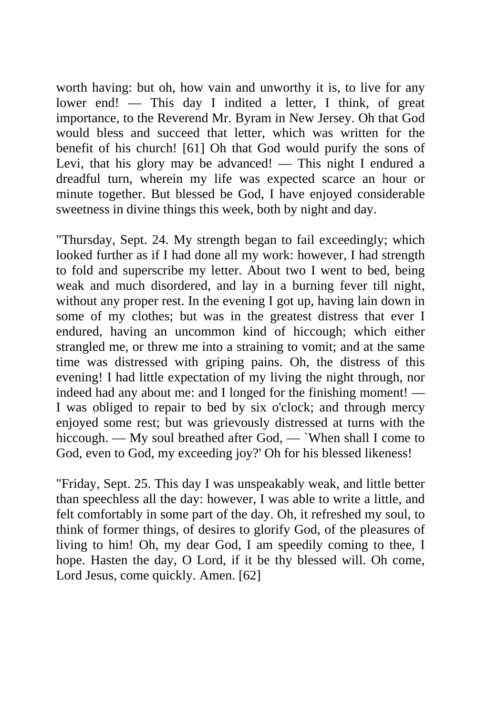worth having: but oh, how vain and unworthy it is, to live for any lower end! — This day I indited a letter, I think, of great importance, to the Reverend Mr. Byram in New Jersey. Oh that God would bless and succeed that letter, which was written for the benefit of his church! [61] Oh that God would purify the sons of Levi, that his glory may be advanced! — This night I endured a dreadful turn, wherein my life was expected scarce an hour or minute together. But blessed be God, I have enjoyed considerable sweetness in divine things this week, both by night and day.

"Thursday, Sept. 24. My strength began to fail exceedingly; which looked further as if I had done all my work: however, I had strength to fold and superscribe my letter. About two I went to bed, being weak and much disordered, and lay in a burning fever till night, without any proper rest. In the evening I got up, having lain down in some of my clothes; but was in the greatest distress that ever I endured, having an uncommon kind of hiccough; which either strangled me, or threw me into a straining to vomit; and at the same time was distressed with griping pains. Oh, the distress of this evening! I had little expectation of my living the night through, nor indeed had any about me: and I longed for the finishing moment! — I was obliged to repair to bed by six o'clock; and through mercy enjoyed some rest; but was grievously distressed at turns with the hiccough. — My soul breathed after God, — `When shall I come to God, even to God, my exceeding joy?' Oh for his blessed likeness!

"Friday, Sept. 25. This day I was unspeakably weak, and little better than speechless all the day: however, I was able to write a little, and felt comfortably in some part of the day. Oh, it refreshed my soul, to think of former things, of desires to glorify God, of the pleasures of living to him! Oh, my dear God, I am speedily coming to thee, I hope. Hasten the day, O Lord, if it be thy blessed will. Oh come, Lord Jesus, come quickly. Amen. [62]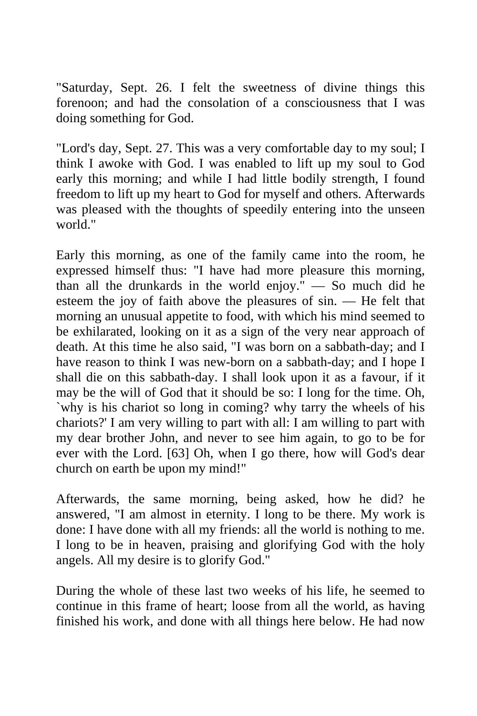"Saturday, Sept. 26. I felt the sweetness of divine things this forenoon; and had the consolation of a consciousness that I was doing something for God.

"Lord's day, Sept. 27. This was a very comfortable day to my soul; I think I awoke with God. I was enabled to lift up my soul to God early this morning; and while I had little bodily strength, I found freedom to lift up my heart to God for myself and others. Afterwards was pleased with the thoughts of speedily entering into the unseen world."

Early this morning, as one of the family came into the room, he expressed himself thus: "I have had more pleasure this morning, than all the drunkards in the world enjoy." — So much did he esteem the joy of faith above the pleasures of sin. — He felt that morning an unusual appetite to food, with which his mind seemed to be exhilarated, looking on it as a sign of the very near approach of death. At this time he also said, "I was born on a sabbath-day; and I have reason to think I was new-born on a sabbath-day; and I hope I shall die on this sabbath-day. I shall look upon it as a favour, if it may be the will of God that it should be so: I long for the time. Oh, `why is his chariot so long in coming? why tarry the wheels of his chariots?' I am very willing to part with all: I am willing to part with my dear brother John, and never to see him again, to go to be for ever with the Lord. [63] Oh, when I go there, how will God's dear church on earth be upon my mind!"

Afterwards, the same morning, being asked, how he did? he answered, "I am almost in eternity. I long to be there. My work is done: I have done with all my friends: all the world is nothing to me. I long to be in heaven, praising and glorifying God with the holy angels. All my desire is to glorify God."

During the whole of these last two weeks of his life, he seemed to continue in this frame of heart; loose from all the world, as having finished his work, and done with all things here below. He had now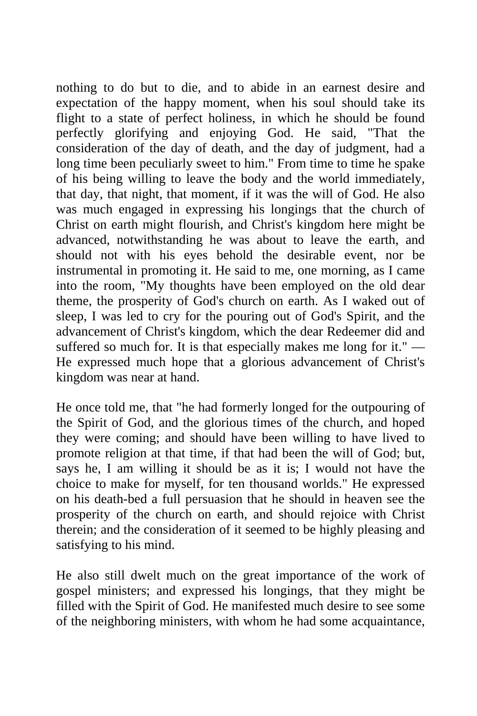nothing to do but to die, and to abide in an earnest desire and expectation of the happy moment, when his soul should take its flight to a state of perfect holiness, in which he should be found perfectly glorifying and enjoying God. He said, "That the consideration of the day of death, and the day of judgment, had a long time been peculiarly sweet to him." From time to time he spake of his being willing to leave the body and the world immediately, that day, that night, that moment, if it was the will of God. He also was much engaged in expressing his longings that the church of Christ on earth might flourish, and Christ's kingdom here might be advanced, notwithstanding he was about to leave the earth, and should not with his eyes behold the desirable event, nor be instrumental in promoting it. He said to me, one morning, as I came into the room, "My thoughts have been employed on the old dear theme, the prosperity of God's church on earth. As I waked out of sleep, I was led to cry for the pouring out of God's Spirit, and the advancement of Christ's kingdom, which the dear Redeemer did and suffered so much for. It is that especially makes me long for it." — He expressed much hope that a glorious advancement of Christ's kingdom was near at hand.

He once told me, that "he had formerly longed for the outpouring of the Spirit of God, and the glorious times of the church, and hoped they were coming; and should have been willing to have lived to promote religion at that time, if that had been the will of God; but, says he, I am willing it should be as it is; I would not have the choice to make for myself, for ten thousand worlds." He expressed on his death-bed a full persuasion that he should in heaven see the prosperity of the church on earth, and should rejoice with Christ therein; and the consideration of it seemed to be highly pleasing and satisfying to his mind.

He also still dwelt much on the great importance of the work of gospel ministers; and expressed his longings, that they might be filled with the Spirit of God. He manifested much desire to see some of the neighboring ministers, with whom he had some acquaintance,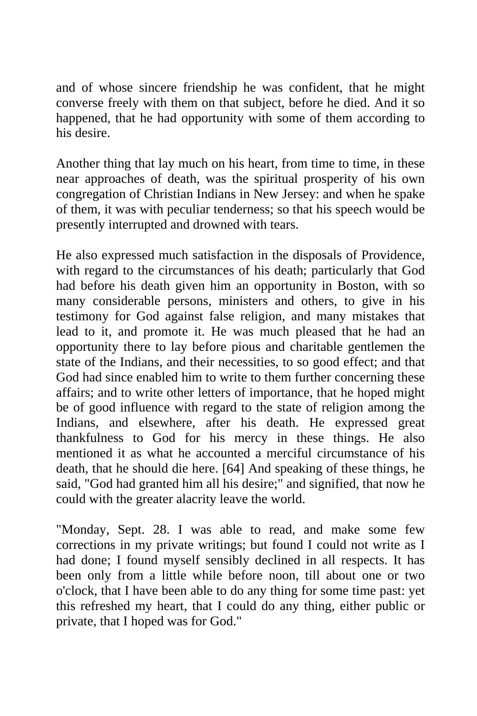and of whose sincere friendship he was confident, that he might converse freely with them on that subject, before he died. And it so happened, that he had opportunity with some of them according to his desire.

Another thing that lay much on his heart, from time to time, in these near approaches of death, was the spiritual prosperity of his own congregation of Christian Indians in New Jersey: and when he spake of them, it was with peculiar tenderness; so that his speech would be presently interrupted and drowned with tears.

He also expressed much satisfaction in the disposals of Providence, with regard to the circumstances of his death; particularly that God had before his death given him an opportunity in Boston, with so many considerable persons, ministers and others, to give in his testimony for God against false religion, and many mistakes that lead to it, and promote it. He was much pleased that he had an opportunity there to lay before pious and charitable gentlemen the state of the Indians, and their necessities, to so good effect; and that God had since enabled him to write to them further concerning these affairs; and to write other letters of importance, that he hoped might be of good influence with regard to the state of religion among the Indians, and elsewhere, after his death. He expressed great thankfulness to God for his mercy in these things. He also mentioned it as what he accounted a merciful circumstance of his death, that he should die here. [64] And speaking of these things, he said, "God had granted him all his desire;" and signified, that now he could with the greater alacrity leave the world.

"Monday, Sept. 28. I was able to read, and make some few corrections in my private writings; but found I could not write as I had done; I found myself sensibly declined in all respects. It has been only from a little while before noon, till about one or two o'clock, that I have been able to do any thing for some time past: yet this refreshed my heart, that I could do any thing, either public or private, that I hoped was for God."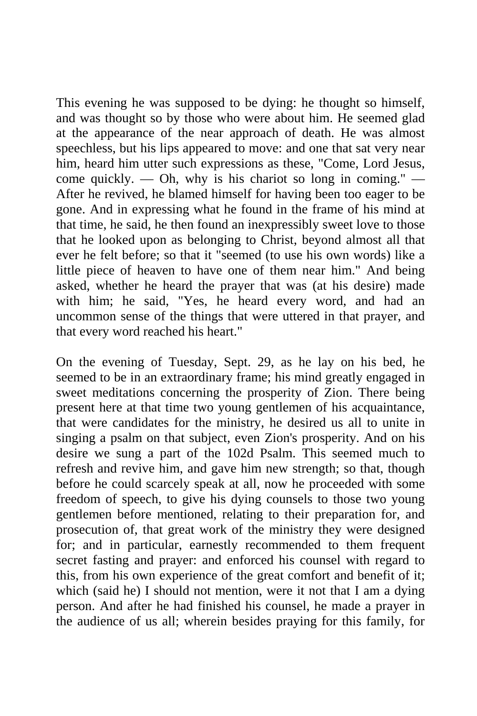This evening he was supposed to be dying: he thought so himself, and was thought so by those who were about him. He seemed glad at the appearance of the near approach of death. He was almost speechless, but his lips appeared to move: and one that sat very near him, heard him utter such expressions as these, "Come, Lord Jesus, come quickly. — Oh, why is his chariot so long in coming." — After he revived, he blamed himself for having been too eager to be gone. And in expressing what he found in the frame of his mind at that time, he said, he then found an inexpressibly sweet love to those that he looked upon as belonging to Christ, beyond almost all that ever he felt before; so that it "seemed (to use his own words) like a little piece of heaven to have one of them near him." And being asked, whether he heard the prayer that was (at his desire) made with him; he said, "Yes, he heard every word, and had an uncommon sense of the things that were uttered in that prayer, and that every word reached his heart."

On the evening of Tuesday, Sept. 29, as he lay on his bed, he seemed to be in an extraordinary frame; his mind greatly engaged in sweet meditations concerning the prosperity of Zion. There being present here at that time two young gentlemen of his acquaintance, that were candidates for the ministry, he desired us all to unite in singing a psalm on that subject, even Zion's prosperity. And on his desire we sung a part of the 102d Psalm. This seemed much to refresh and revive him, and gave him new strength; so that, though before he could scarcely speak at all, now he proceeded with some freedom of speech, to give his dying counsels to those two young gentlemen before mentioned, relating to their preparation for, and prosecution of, that great work of the ministry they were designed for; and in particular, earnestly recommended to them frequent secret fasting and prayer: and enforced his counsel with regard to this, from his own experience of the great comfort and benefit of it; which (said he) I should not mention, were it not that I am a dying person. And after he had finished his counsel, he made a prayer in the audience of us all; wherein besides praying for this family, for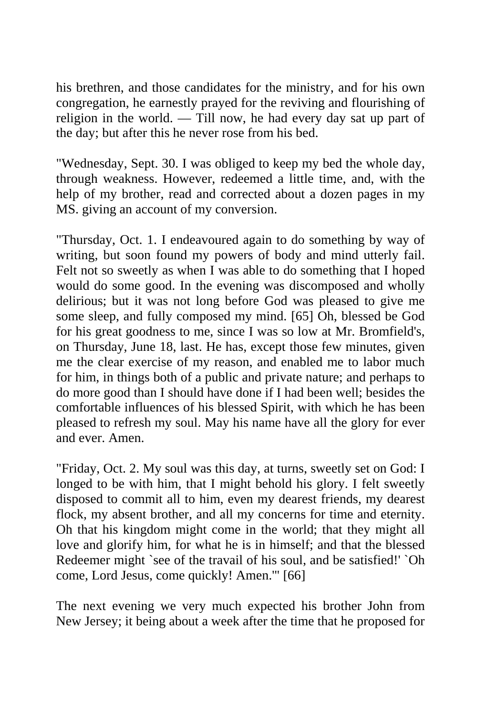his brethren, and those candidates for the ministry, and for his own congregation, he earnestly prayed for the reviving and flourishing of religion in the world. — Till now, he had every day sat up part of the day; but after this he never rose from his bed.

"Wednesday, Sept. 30. I was obliged to keep my bed the whole day, through weakness. However, redeemed a little time, and, with the help of my brother, read and corrected about a dozen pages in my MS. giving an account of my conversion.

"Thursday, Oct. 1. I endeavoured again to do something by way of writing, but soon found my powers of body and mind utterly fail. Felt not so sweetly as when I was able to do something that I hoped would do some good. In the evening was discomposed and wholly delirious; but it was not long before God was pleased to give me some sleep, and fully composed my mind. [65] Oh, blessed be God for his great goodness to me, since I was so low at Mr. Bromfield's, on Thursday, June 18, last. He has, except those few minutes, given me the clear exercise of my reason, and enabled me to labor much for him, in things both of a public and private nature; and perhaps to do more good than I should have done if I had been well; besides the comfortable influences of his blessed Spirit, with which he has been pleased to refresh my soul. May his name have all the glory for ever and ever. Amen.

"Friday, Oct. 2. My soul was this day, at turns, sweetly set on God: I longed to be with him, that I might behold his glory. I felt sweetly disposed to commit all to him, even my dearest friends, my dearest flock, my absent brother, and all my concerns for time and eternity. Oh that his kingdom might come in the world; that they might all love and glorify him, for what he is in himself; and that the blessed Redeemer might `see of the travail of his soul, and be satisfied!' `Oh come, Lord Jesus, come quickly! Amen.'" [66]

The next evening we very much expected his brother John from New Jersey; it being about a week after the time that he proposed for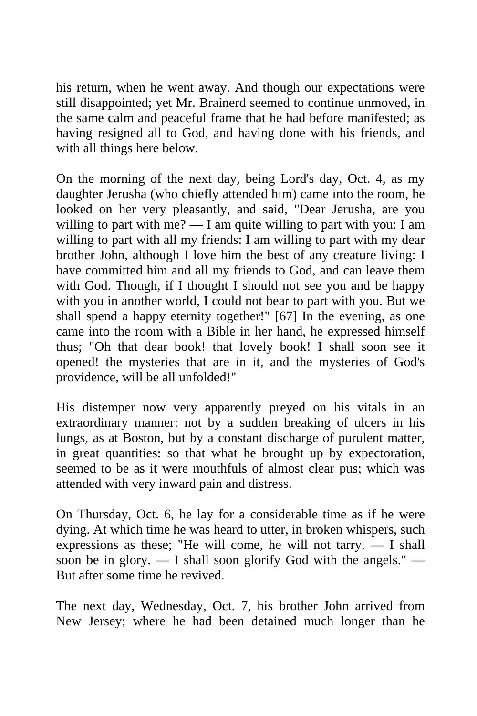his return, when he went away. And though our expectations were still disappointed; yet Mr. Brainerd seemed to continue unmoved, in the same calm and peaceful frame that he had before manifested; as having resigned all to God, and having done with his friends, and with all things here below.

On the morning of the next day, being Lord's day, Oct. 4, as my daughter Jerusha (who chiefly attended him) came into the room, he looked on her very pleasantly, and said, "Dear Jerusha, are you willing to part with me?  $\overline{ }$  am quite willing to part with you: I am willing to part with all my friends: I am willing to part with my dear brother John, although I love him the best of any creature living: I have committed him and all my friends to God, and can leave them with God. Though, if I thought I should not see you and be happy with you in another world, I could not bear to part with you. But we shall spend a happy eternity together!" [67] In the evening, as one came into the room with a Bible in her hand, he expressed himself thus; "Oh that dear book! that lovely book! I shall soon see it opened! the mysteries that are in it, and the mysteries of God's providence, will be all unfolded!"

His distemper now very apparently preyed on his vitals in an extraordinary manner: not by a sudden breaking of ulcers in his lungs, as at Boston, but by a constant discharge of purulent matter, in great quantities: so that what he brought up by expectoration, seemed to be as it were mouthfuls of almost clear pus; which was attended with very inward pain and distress.

On Thursday, Oct. 6, he lay for a considerable time as if he were dying. At which time he was heard to utter, in broken whispers, such expressions as these; "He will come, he will not tarry. — I shall soon be in glory. — I shall soon glorify God with the angels." — But after some time he revived.

The next day, Wednesday, Oct. 7, his brother John arrived from New Jersey; where he had been detained much longer than he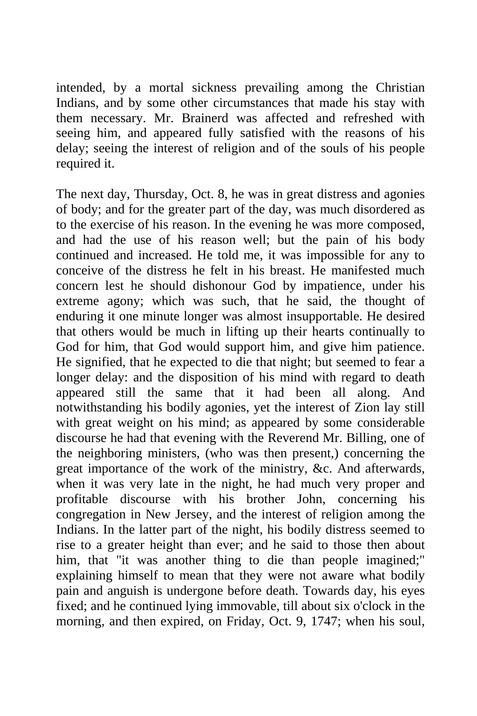intended, by a mortal sickness prevailing among the Christian Indians, and by some other circumstances that made his stay with them necessary. Mr. Brainerd was affected and refreshed with seeing him, and appeared fully satisfied with the reasons of his delay; seeing the interest of religion and of the souls of his people required it.

The next day, Thursday, Oct. 8, he was in great distress and agonies of body; and for the greater part of the day, was much disordered as to the exercise of his reason. In the evening he was more composed, and had the use of his reason well; but the pain of his body continued and increased. He told me, it was impossible for any to conceive of the distress he felt in his breast. He manifested much concern lest he should dishonour God by impatience, under his extreme agony; which was such, that he said, the thought of enduring it one minute longer was almost insupportable. He desired that others would be much in lifting up their hearts continually to God for him, that God would support him, and give him patience. He signified, that he expected to die that night; but seemed to fear a longer delay: and the disposition of his mind with regard to death appeared still the same that it had been all along. And notwithstanding his bodily agonies, yet the interest of Zion lay still with great weight on his mind; as appeared by some considerable discourse he had that evening with the Reverend Mr. Billing, one of the neighboring ministers, (who was then present,) concerning the great importance of the work of the ministry, &c. And afterwards, when it was very late in the night, he had much very proper and profitable discourse with his brother John, concerning his congregation in New Jersey, and the interest of religion among the Indians. In the latter part of the night, his bodily distress seemed to rise to a greater height than ever; and he said to those then about him, that "it was another thing to die than people imagined;" explaining himself to mean that they were not aware what bodily pain and anguish is undergone before death. Towards day, his eyes fixed; and he continued lying immovable, till about six o'clock in the morning, and then expired, on Friday, Oct. 9, 1747; when his soul,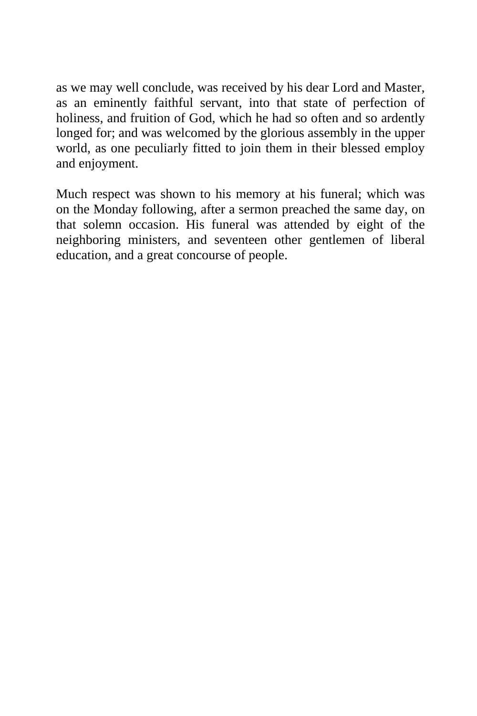as we may well conclude, was received by his dear Lord and Master, as an eminently faithful servant, into that state of perfection of holiness, and fruition of God, which he had so often and so ardently longed for; and was welcomed by the glorious assembly in the upper world, as one peculiarly fitted to join them in their blessed employ and enjoyment.

Much respect was shown to his memory at his funeral; which was on the Monday following, after a sermon preached the same day, on that solemn occasion. His funeral was attended by eight of the neighboring ministers, and seventeen other gentlemen of liberal education, and a great concourse of people.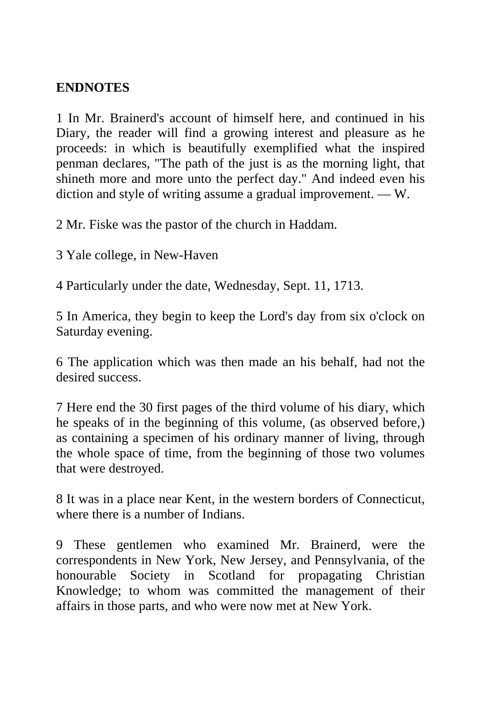## **ENDNOTES**

1 In Mr. Brainerd's account of himself here, and continued in his Diary, the reader will find a growing interest and pleasure as he proceeds: in which is beautifully exemplified what the inspired penman declares, "The path of the just is as the morning light, that shineth more and more unto the perfect day." And indeed even his diction and style of writing assume a gradual improvement. — W.

2 Mr. Fiske was the pastor of the church in Haddam.

3 Yale college, in New-Haven

4 Particularly under the date, Wednesday, Sept. 11, 1713.

5 In America, they begin to keep the Lord's day from six o'clock on Saturday evening.

6 The application which was then made an his behalf, had not the desired success.

7 Here end the 30 first pages of the third volume of his diary, which he speaks of in the beginning of this volume, (as observed before,) as containing a specimen of his ordinary manner of living, through the whole space of time, from the beginning of those two volumes that were destroyed.

8 It was in a place near Kent, in the western borders of Connecticut, where there is a number of Indians.

9 These gentlemen who examined Mr. Brainerd, were the correspondents in New York, New Jersey, and Pennsylvania, of the honourable Society in Scotland for propagating Christian Knowledge; to whom was committed the management of their affairs in those parts, and who were now met at New York.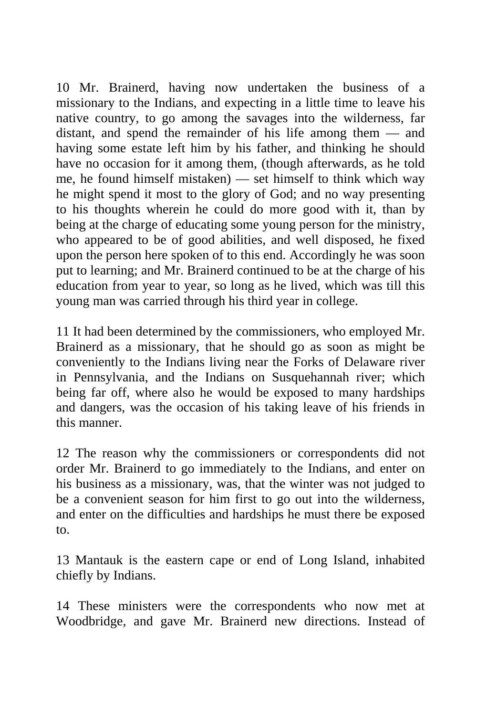10 Mr. Brainerd, having now undertaken the business of a missionary to the Indians, and expecting in a little time to leave his native country, to go among the savages into the wilderness, far distant, and spend the remainder of his life among them — and having some estate left him by his father, and thinking he should have no occasion for it among them, (though afterwards, as he told me, he found himself mistaken) — set himself to think which way he might spend it most to the glory of God; and no way presenting to his thoughts wherein he could do more good with it, than by being at the charge of educating some young person for the ministry, who appeared to be of good abilities, and well disposed, he fixed upon the person here spoken of to this end. Accordingly he was soon put to learning; and Mr. Brainerd continued to be at the charge of his education from year to year, so long as he lived, which was till this young man was carried through his third year in college.

11 It had been determined by the commissioners, who employed Mr. Brainerd as a missionary, that he should go as soon as might be conveniently to the Indians living near the Forks of Delaware river in Pennsylvania, and the Indians on Susquehannah river; which being far off, where also he would be exposed to many hardships and dangers, was the occasion of his taking leave of his friends in this manner.

12 The reason why the commissioners or correspondents did not order Mr. Brainerd to go immediately to the Indians, and enter on his business as a missionary, was, that the winter was not judged to be a convenient season for him first to go out into the wilderness, and enter on the difficulties and hardships he must there be exposed to.

13 Mantauk is the eastern cape or end of Long Island, inhabited chiefly by Indians.

14 These ministers were the correspondents who now met at Woodbridge, and gave Mr. Brainerd new directions. Instead of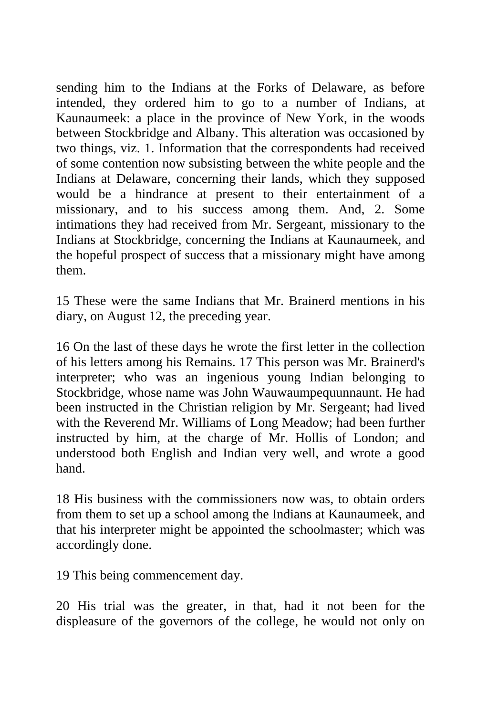sending him to the Indians at the Forks of Delaware, as before intended, they ordered him to go to a number of Indians, at Kaunaumeek: a place in the province of New York, in the woods between Stockbridge and Albany. This alteration was occasioned by two things, viz. 1. Information that the correspondents had received of some contention now subsisting between the white people and the Indians at Delaware, concerning their lands, which they supposed would be a hindrance at present to their entertainment of a missionary, and to his success among them. And, 2. Some intimations they had received from Mr. Sergeant, missionary to the Indians at Stockbridge, concerning the Indians at Kaunaumeek, and the hopeful prospect of success that a missionary might have among them.

15 These were the same Indians that Mr. Brainerd mentions in his diary, on August 12, the preceding year.

16 On the last of these days he wrote the first letter in the collection of his letters among his Remains. 17 This person was Mr. Brainerd's interpreter; who was an ingenious young Indian belonging to Stockbridge, whose name was John Wauwaumpequunnaunt. He had been instructed in the Christian religion by Mr. Sergeant; had lived with the Reverend Mr. Williams of Long Meadow; had been further instructed by him, at the charge of Mr. Hollis of London; and understood both English and Indian very well, and wrote a good hand.

18 His business with the commissioners now was, to obtain orders from them to set up a school among the Indians at Kaunaumeek, and that his interpreter might be appointed the schoolmaster; which was accordingly done.

19 This being commencement day.

20 His trial was the greater, in that, had it not been for the displeasure of the governors of the college, he would not only on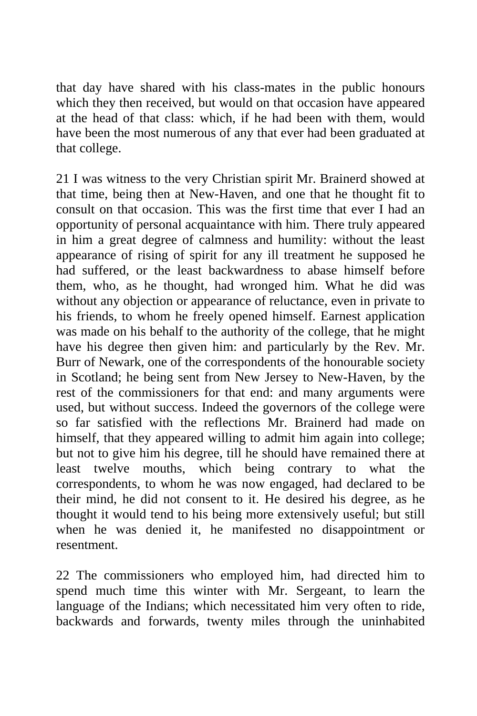that day have shared with his class-mates in the public honours which they then received, but would on that occasion have appeared at the head of that class: which, if he had been with them, would have been the most numerous of any that ever had been graduated at that college.

21 I was witness to the very Christian spirit Mr. Brainerd showed at that time, being then at New-Haven, and one that he thought fit to consult on that occasion. This was the first time that ever I had an opportunity of personal acquaintance with him. There truly appeared in him a great degree of calmness and humility: without the least appearance of rising of spirit for any ill treatment he supposed he had suffered, or the least backwardness to abase himself before them, who, as he thought, had wronged him. What he did was without any objection or appearance of reluctance, even in private to his friends, to whom he freely opened himself. Earnest application was made on his behalf to the authority of the college, that he might have his degree then given him: and particularly by the Rev. Mr. Burr of Newark, one of the correspondents of the honourable society in Scotland; he being sent from New Jersey to New-Haven, by the rest of the commissioners for that end: and many arguments were used, but without success. Indeed the governors of the college were so far satisfied with the reflections Mr. Brainerd had made on himself, that they appeared willing to admit him again into college; but not to give him his degree, till he should have remained there at least twelve mouths, which being contrary to what the correspondents, to whom he was now engaged, had declared to be their mind, he did not consent to it. He desired his degree, as he thought it would tend to his being more extensively useful; but still when he was denied it, he manifested no disappointment or resentment.

22 The commissioners who employed him, had directed him to spend much time this winter with Mr. Sergeant, to learn the language of the Indians; which necessitated him very often to ride, backwards and forwards, twenty miles through the uninhabited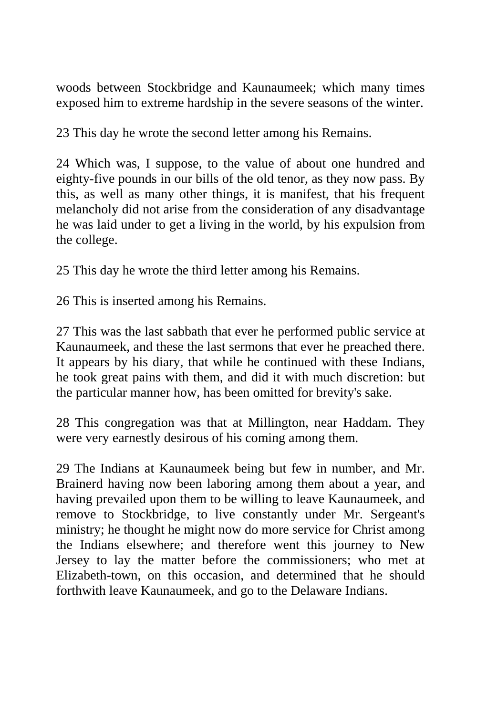woods between Stockbridge and Kaunaumeek; which many times exposed him to extreme hardship in the severe seasons of the winter.

23 This day he wrote the second letter among his Remains.

24 Which was, I suppose, to the value of about one hundred and eighty-five pounds in our bills of the old tenor, as they now pass. By this, as well as many other things, it is manifest, that his frequent melancholy did not arise from the consideration of any disadvantage he was laid under to get a living in the world, by his expulsion from the college.

25 This day he wrote the third letter among his Remains.

26 This is inserted among his Remains.

27 This was the last sabbath that ever he performed public service at Kaunaumeek, and these the last sermons that ever he preached there. It appears by his diary, that while he continued with these Indians, he took great pains with them, and did it with much discretion: but the particular manner how, has been omitted for brevity's sake.

28 This congregation was that at Millington, near Haddam. They were very earnestly desirous of his coming among them.

29 The Indians at Kaunaumeek being but few in number, and Mr. Brainerd having now been laboring among them about a year, and having prevailed upon them to be willing to leave Kaunaumeek, and remove to Stockbridge, to live constantly under Mr. Sergeant's ministry; he thought he might now do more service for Christ among the Indians elsewhere; and therefore went this journey to New Jersey to lay the matter before the commissioners; who met at Elizabeth-town, on this occasion, and determined that he should forthwith leave Kaunaumeek, and go to the Delaware Indians.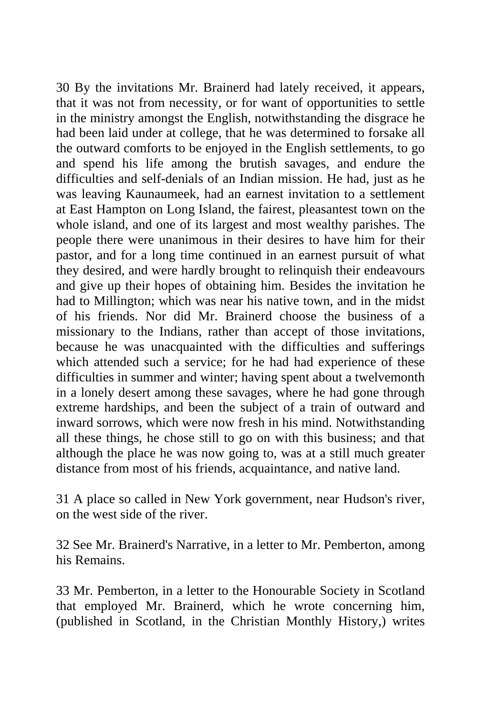30 By the invitations Mr. Brainerd had lately received, it appears, that it was not from necessity, or for want of opportunities to settle in the ministry amongst the English, notwithstanding the disgrace he had been laid under at college, that he was determined to forsake all the outward comforts to be enjoyed in the English settlements, to go and spend his life among the brutish savages, and endure the difficulties and self-denials of an Indian mission. He had, just as he was leaving Kaunaumeek, had an earnest invitation to a settlement at East Hampton on Long Island, the fairest, pleasantest town on the whole island, and one of its largest and most wealthy parishes. The people there were unanimous in their desires to have him for their pastor, and for a long time continued in an earnest pursuit of what they desired, and were hardly brought to relinquish their endeavours and give up their hopes of obtaining him. Besides the invitation he had to Millington; which was near his native town, and in the midst of his friends. Nor did Mr. Brainerd choose the business of a missionary to the Indians, rather than accept of those invitations, because he was unacquainted with the difficulties and sufferings which attended such a service; for he had had experience of these difficulties in summer and winter; having spent about a twelvemonth in a lonely desert among these savages, where he had gone through extreme hardships, and been the subject of a train of outward and inward sorrows, which were now fresh in his mind. Notwithstanding all these things, he chose still to go on with this business; and that although the place he was now going to, was at a still much greater distance from most of his friends, acquaintance, and native land.

31 A place so called in New York government, near Hudson's river, on the west side of the river.

32 See Mr. Brainerd's Narrative, in a letter to Mr. Pemberton, among his Remains.

33 Mr. Pemberton, in a letter to the Honourable Society in Scotland that employed Mr. Brainerd, which he wrote concerning him, (published in Scotland, in the Christian Monthly History,) writes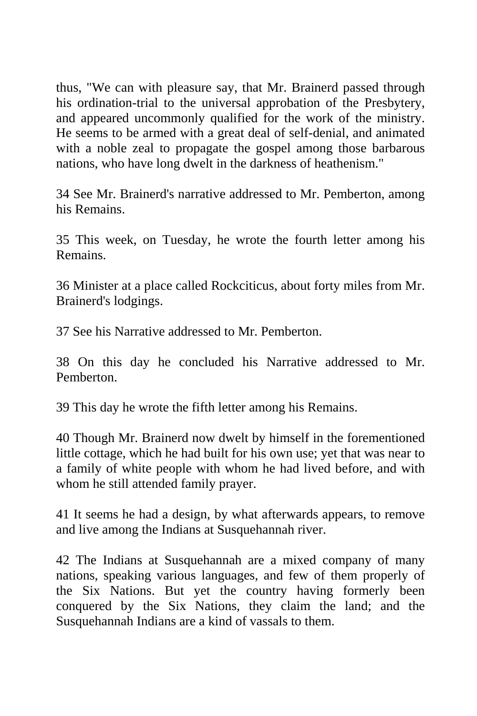thus, "We can with pleasure say, that Mr. Brainerd passed through his ordination-trial to the universal approbation of the Presbytery, and appeared uncommonly qualified for the work of the ministry. He seems to be armed with a great deal of self-denial, and animated with a noble zeal to propagate the gospel among those barbarous nations, who have long dwelt in the darkness of heathenism."

34 See Mr. Brainerd's narrative addressed to Mr. Pemberton, among his Remains.

35 This week, on Tuesday, he wrote the fourth letter among his Remains.

36 Minister at a place called Rockciticus, about forty miles from Mr. Brainerd's lodgings.

37 See his Narrative addressed to Mr. Pemberton.

38 On this day he concluded his Narrative addressed to Mr. Pemberton.

39 This day he wrote the fifth letter among his Remains.

40 Though Mr. Brainerd now dwelt by himself in the forementioned little cottage, which he had built for his own use; yet that was near to a family of white people with whom he had lived before, and with whom he still attended family prayer.

41 It seems he had a design, by what afterwards appears, to remove and live among the Indians at Susquehannah river.

42 The Indians at Susquehannah are a mixed company of many nations, speaking various languages, and few of them properly of the Six Nations. But yet the country having formerly been conquered by the Six Nations, they claim the land; and the Susquehannah Indians are a kind of vassals to them.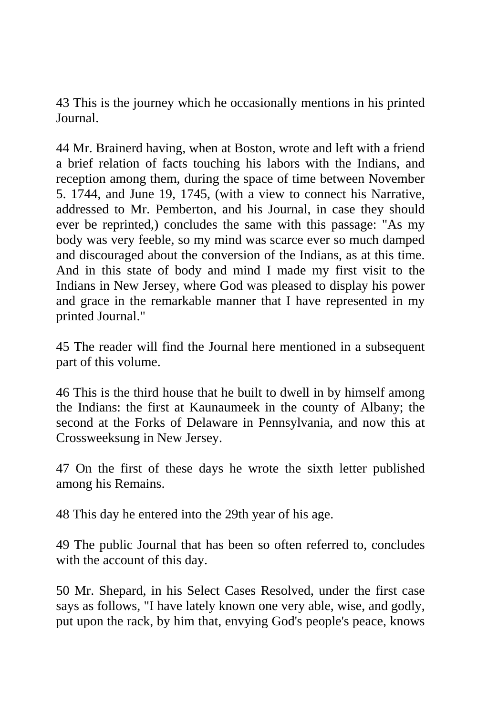43 This is the journey which he occasionally mentions in his printed Journal.

44 Mr. Brainerd having, when at Boston, wrote and left with a friend a brief relation of facts touching his labors with the Indians, and reception among them, during the space of time between November 5. 1744, and June 19, 1745, (with a view to connect his Narrative, addressed to Mr. Pemberton, and his Journal, in case they should ever be reprinted,) concludes the same with this passage: "As my body was very feeble, so my mind was scarce ever so much damped and discouraged about the conversion of the Indians, as at this time. And in this state of body and mind I made my first visit to the Indians in New Jersey, where God was pleased to display his power and grace in the remarkable manner that I have represented in my printed Journal."

45 The reader will find the Journal here mentioned in a subsequent part of this volume.

46 This is the third house that he built to dwell in by himself among the Indians: the first at Kaunaumeek in the county of Albany; the second at the Forks of Delaware in Pennsylvania, and now this at Crossweeksung in New Jersey.

47 On the first of these days he wrote the sixth letter published among his Remains.

48 This day he entered into the 29th year of his age.

49 The public Journal that has been so often referred to, concludes with the account of this day.

50 Mr. Shepard, in his Select Cases Resolved, under the first case says as follows, "I have lately known one very able, wise, and godly, put upon the rack, by him that, envying God's people's peace, knows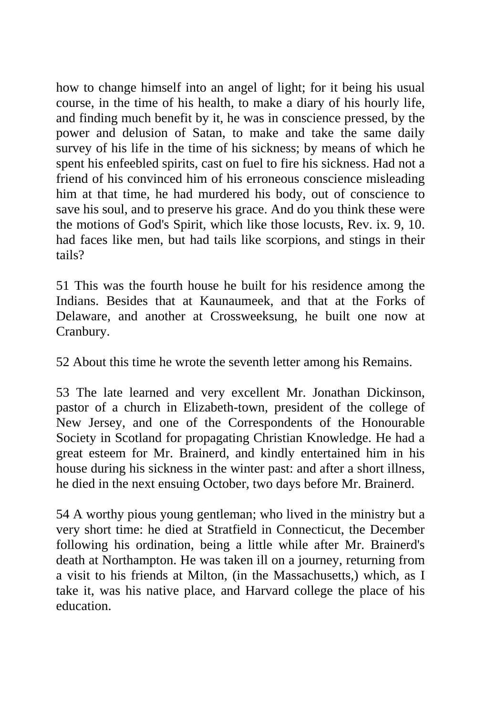how to change himself into an angel of light; for it being his usual course, in the time of his health, to make a diary of his hourly life, and finding much benefit by it, he was in conscience pressed, by the power and delusion of Satan, to make and take the same daily survey of his life in the time of his sickness; by means of which he spent his enfeebled spirits, cast on fuel to fire his sickness. Had not a friend of his convinced him of his erroneous conscience misleading him at that time, he had murdered his body, out of conscience to save his soul, and to preserve his grace. And do you think these were the motions of God's Spirit, which like those locusts, Rev. ix. 9, 10. had faces like men, but had tails like scorpions, and stings in their tails?

51 This was the fourth house he built for his residence among the Indians. Besides that at Kaunaumeek, and that at the Forks of Delaware, and another at Crossweeksung, he built one now at Cranbury.

52 About this time he wrote the seventh letter among his Remains.

53 The late learned and very excellent Mr. Jonathan Dickinson, pastor of a church in Elizabeth-town, president of the college of New Jersey, and one of the Correspondents of the Honourable Society in Scotland for propagating Christian Knowledge. He had a great esteem for Mr. Brainerd, and kindly entertained him in his house during his sickness in the winter past: and after a short illness, he died in the next ensuing October, two days before Mr. Brainerd.

54 A worthy pious young gentleman; who lived in the ministry but a very short time: he died at Stratfield in Connecticut, the December following his ordination, being a little while after Mr. Brainerd's death at Northampton. He was taken ill on a journey, returning from a visit to his friends at Milton, (in the Massachusetts,) which, as I take it, was his native place, and Harvard college the place of his education.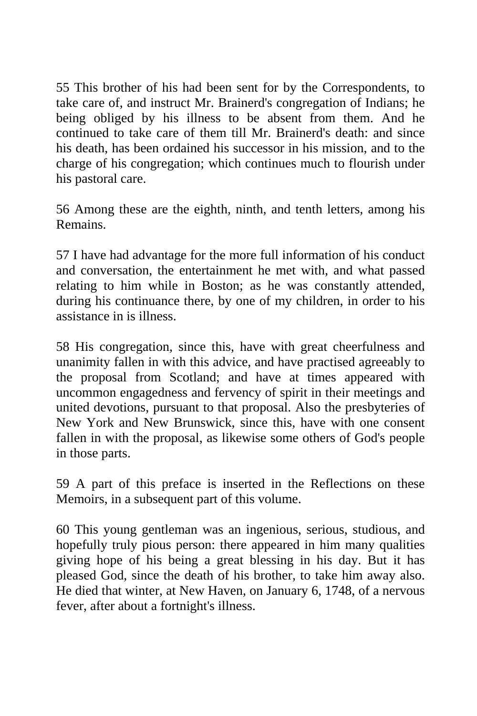55 This brother of his had been sent for by the Correspondents, to take care of, and instruct Mr. Brainerd's congregation of Indians; he being obliged by his illness to be absent from them. And he continued to take care of them till Mr. Brainerd's death: and since his death, has been ordained his successor in his mission, and to the charge of his congregation; which continues much to flourish under his pastoral care.

56 Among these are the eighth, ninth, and tenth letters, among his Remains.

57 I have had advantage for the more full information of his conduct and conversation, the entertainment he met with, and what passed relating to him while in Boston; as he was constantly attended, during his continuance there, by one of my children, in order to his assistance in is illness.

58 His congregation, since this, have with great cheerfulness and unanimity fallen in with this advice, and have practised agreeably to the proposal from Scotland; and have at times appeared with uncommon engagedness and fervency of spirit in their meetings and united devotions, pursuant to that proposal. Also the presbyteries of New York and New Brunswick, since this, have with one consent fallen in with the proposal, as likewise some others of God's people in those parts.

59 A part of this preface is inserted in the Reflections on these Memoirs, in a subsequent part of this volume.

60 This young gentleman was an ingenious, serious, studious, and hopefully truly pious person: there appeared in him many qualities giving hope of his being a great blessing in his day. But it has pleased God, since the death of his brother, to take him away also. He died that winter, at New Haven, on January 6, 1748, of a nervous fever, after about a fortnight's illness.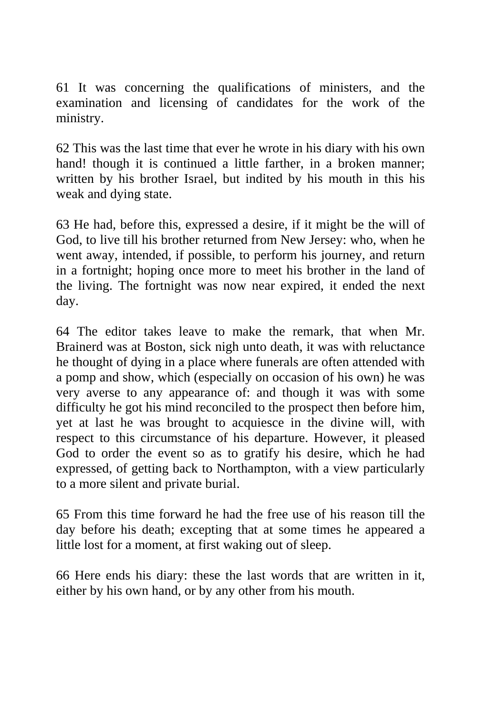61 It was concerning the qualifications of ministers, and the examination and licensing of candidates for the work of the ministry.

62 This was the last time that ever he wrote in his diary with his own hand! though it is continued a little farther, in a broken manner; written by his brother Israel, but indited by his mouth in this his weak and dying state.

63 He had, before this, expressed a desire, if it might be the will of God, to live till his brother returned from New Jersey: who, when he went away, intended, if possible, to perform his journey, and return in a fortnight; hoping once more to meet his brother in the land of the living. The fortnight was now near expired, it ended the next day.

64 The editor takes leave to make the remark, that when Mr. Brainerd was at Boston, sick nigh unto death, it was with reluctance he thought of dying in a place where funerals are often attended with a pomp and show, which (especially on occasion of his own) he was very averse to any appearance of: and though it was with some difficulty he got his mind reconciled to the prospect then before him, yet at last he was brought to acquiesce in the divine will, with respect to this circumstance of his departure. However, it pleased God to order the event so as to gratify his desire, which he had expressed, of getting back to Northampton, with a view particularly to a more silent and private burial.

65 From this time forward he had the free use of his reason till the day before his death; excepting that at some times he appeared a little lost for a moment, at first waking out of sleep.

66 Here ends his diary: these the last words that are written in it, either by his own hand, or by any other from his mouth.